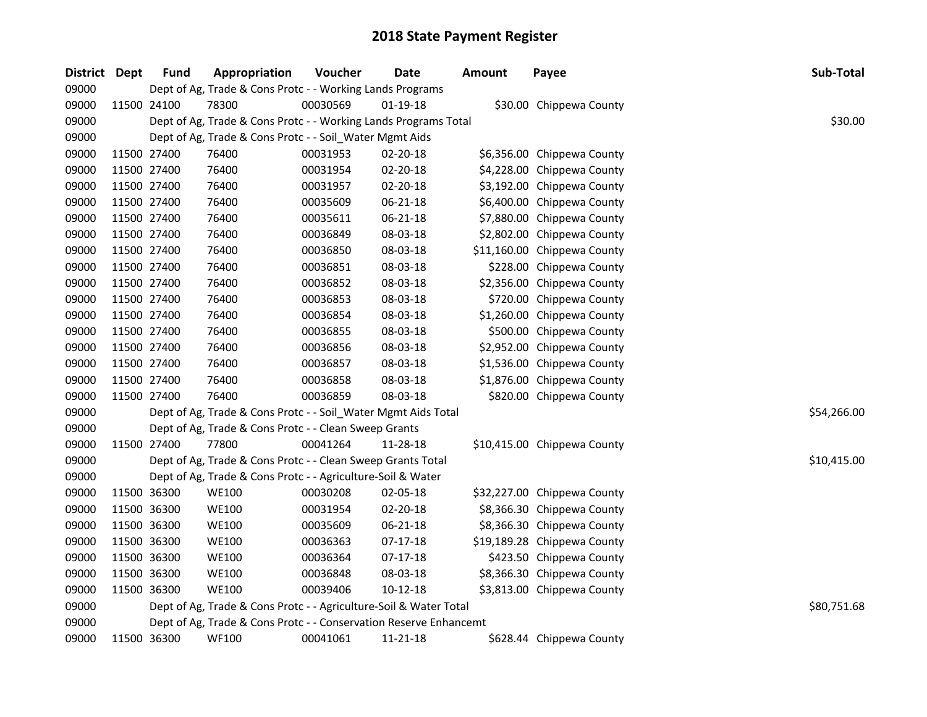| <b>District</b> | <b>Dept</b> | <b>Fund</b> | Appropriation                                                     | Voucher  | Date           | <b>Amount</b> | Payee                       | Sub-Total   |
|-----------------|-------------|-------------|-------------------------------------------------------------------|----------|----------------|---------------|-----------------------------|-------------|
| 09000           |             |             | Dept of Ag, Trade & Cons Protc - - Working Lands Programs         |          |                |               |                             |             |
| 09000           |             | 11500 24100 | 78300                                                             | 00030569 | 01-19-18       |               | \$30.00 Chippewa County     |             |
| 09000           |             |             | Dept of Ag, Trade & Cons Protc - - Working Lands Programs Total   |          |                |               |                             | \$30.00     |
| 09000           |             |             | Dept of Ag, Trade & Cons Protc - - Soil_Water Mgmt Aids           |          |                |               |                             |             |
| 09000           |             | 11500 27400 | 76400                                                             | 00031953 | 02-20-18       |               | \$6,356.00 Chippewa County  |             |
| 09000           |             | 11500 27400 | 76400                                                             | 00031954 | 02-20-18       |               | \$4,228.00 Chippewa County  |             |
| 09000           |             | 11500 27400 | 76400                                                             | 00031957 | $02 - 20 - 18$ |               | \$3,192.00 Chippewa County  |             |
| 09000           |             | 11500 27400 | 76400                                                             | 00035609 | $06 - 21 - 18$ |               | \$6,400.00 Chippewa County  |             |
| 09000           | 11500 27400 |             | 76400                                                             | 00035611 | 06-21-18       |               | \$7,880.00 Chippewa County  |             |
| 09000           | 11500 27400 |             | 76400                                                             | 00036849 | 08-03-18       |               | \$2,802.00 Chippewa County  |             |
| 09000           | 11500 27400 |             | 76400                                                             | 00036850 | 08-03-18       |               | \$11,160.00 Chippewa County |             |
| 09000           |             | 11500 27400 | 76400                                                             | 00036851 | 08-03-18       |               | \$228.00 Chippewa County    |             |
| 09000           |             | 11500 27400 | 76400                                                             | 00036852 | 08-03-18       |               | \$2,356.00 Chippewa County  |             |
| 09000           |             | 11500 27400 | 76400                                                             | 00036853 | 08-03-18       |               | \$720.00 Chippewa County    |             |
| 09000           |             | 11500 27400 | 76400                                                             | 00036854 | 08-03-18       |               | \$1,260.00 Chippewa County  |             |
| 09000           |             | 11500 27400 | 76400                                                             | 00036855 | 08-03-18       |               | \$500.00 Chippewa County    |             |
| 09000           |             | 11500 27400 | 76400                                                             | 00036856 | 08-03-18       |               | \$2,952.00 Chippewa County  |             |
| 09000           |             | 11500 27400 | 76400                                                             | 00036857 | 08-03-18       |               | \$1,536.00 Chippewa County  |             |
| 09000           |             | 11500 27400 | 76400                                                             | 00036858 | 08-03-18       |               | \$1,876.00 Chippewa County  |             |
| 09000           |             | 11500 27400 | 76400                                                             | 00036859 | 08-03-18       |               | \$820.00 Chippewa County    |             |
| 09000           |             |             | Dept of Ag, Trade & Cons Protc - - Soil_Water Mgmt Aids Total     |          |                |               |                             | \$54,266.00 |
| 09000           |             |             | Dept of Ag, Trade & Cons Protc - - Clean Sweep Grants             |          |                |               |                             |             |
| 09000           |             | 11500 27400 | 77800                                                             | 00041264 | 11-28-18       |               | \$10,415.00 Chippewa County |             |
| 09000           |             |             | Dept of Ag, Trade & Cons Protc - - Clean Sweep Grants Total       |          |                |               |                             | \$10,415.00 |
| 09000           |             |             | Dept of Ag, Trade & Cons Protc - - Agriculture-Soil & Water       |          |                |               |                             |             |
| 09000           |             | 11500 36300 | <b>WE100</b>                                                      | 00030208 | 02-05-18       |               | \$32,227.00 Chippewa County |             |
| 09000           |             | 11500 36300 | <b>WE100</b>                                                      | 00031954 | 02-20-18       |               | \$8,366.30 Chippewa County  |             |
| 09000           |             | 11500 36300 | <b>WE100</b>                                                      | 00035609 | 06-21-18       |               | \$8,366.30 Chippewa County  |             |
| 09000           |             | 11500 36300 | <b>WE100</b>                                                      | 00036363 | $07-17-18$     |               | \$19,189.28 Chippewa County |             |
| 09000           |             | 11500 36300 | <b>WE100</b>                                                      | 00036364 | $07-17-18$     |               | \$423.50 Chippewa County    |             |
| 09000           |             | 11500 36300 | <b>WE100</b>                                                      | 00036848 | 08-03-18       |               | \$8,366.30 Chippewa County  |             |
| 09000           |             | 11500 36300 | <b>WE100</b>                                                      | 00039406 | $10-12-18$     |               | \$3,813.00 Chippewa County  |             |
| 09000           |             |             | Dept of Ag, Trade & Cons Protc - - Agriculture-Soil & Water Total |          |                |               |                             | \$80,751.68 |
| 09000           |             |             | Dept of Ag, Trade & Cons Protc - - Conservation Reserve Enhancemt |          |                |               |                             |             |
| 09000           |             | 11500 36300 | <b>WF100</b>                                                      | 00041061 | 11-21-18       |               | \$628.44 Chippewa County    |             |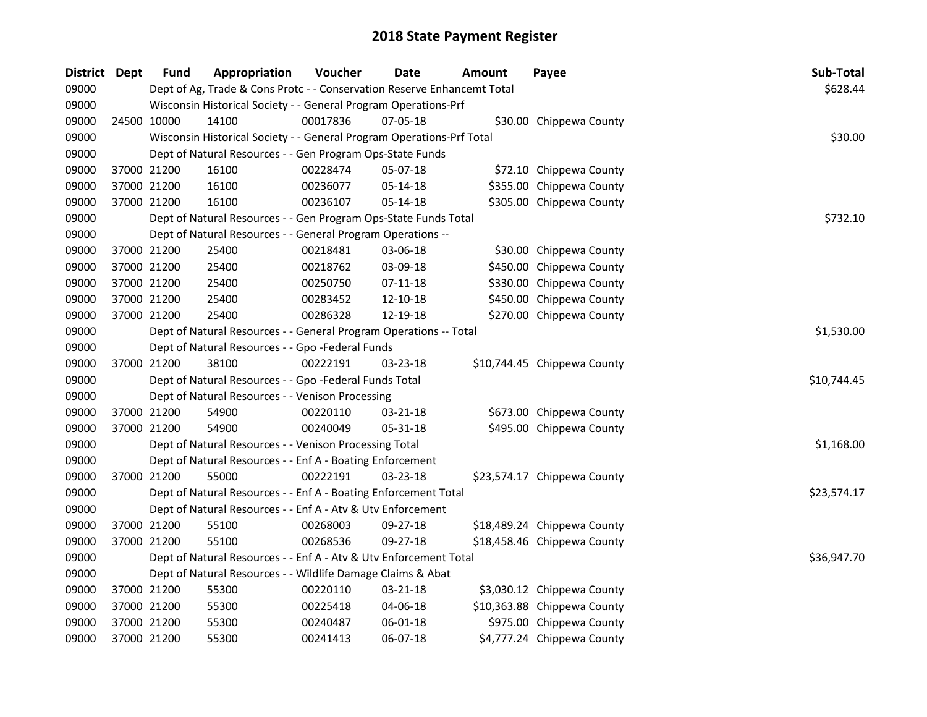| District Dept |             | <b>Fund</b> | Appropriation                                                           | Voucher  | <b>Date</b>    | Amount | Payee                       | Sub-Total   |
|---------------|-------------|-------------|-------------------------------------------------------------------------|----------|----------------|--------|-----------------------------|-------------|
| 09000         |             |             | Dept of Ag, Trade & Cons Protc - - Conservation Reserve Enhancemt Total |          |                |        |                             | \$628.44    |
| 09000         |             |             | Wisconsin Historical Society - - General Program Operations-Prf         |          |                |        |                             |             |
| 09000         | 24500 10000 |             | 14100                                                                   | 00017836 | 07-05-18       |        | \$30.00 Chippewa County     |             |
| 09000         |             |             | Wisconsin Historical Society - - General Program Operations-Prf Total   |          |                |        |                             | \$30.00     |
| 09000         |             |             | Dept of Natural Resources - - Gen Program Ops-State Funds               |          |                |        |                             |             |
| 09000         |             | 37000 21200 | 16100                                                                   | 00228474 | 05-07-18       |        | \$72.10 Chippewa County     |             |
| 09000         | 37000 21200 |             | 16100                                                                   | 00236077 | 05-14-18       |        | \$355.00 Chippewa County    |             |
| 09000         | 37000 21200 |             | 16100                                                                   | 00236107 | 05-14-18       |        | \$305.00 Chippewa County    |             |
| 09000         |             |             | Dept of Natural Resources - - Gen Program Ops-State Funds Total         |          |                |        |                             | \$732.10    |
| 09000         |             |             | Dept of Natural Resources - - General Program Operations --             |          |                |        |                             |             |
| 09000         |             | 37000 21200 | 25400                                                                   | 00218481 | 03-06-18       |        | \$30.00 Chippewa County     |             |
| 09000         | 37000 21200 |             | 25400                                                                   | 00218762 | 03-09-18       |        | \$450.00 Chippewa County    |             |
| 09000         | 37000 21200 |             | 25400                                                                   | 00250750 | $07 - 11 - 18$ |        | \$330.00 Chippewa County    |             |
| 09000         | 37000 21200 |             | 25400                                                                   | 00283452 | 12-10-18       |        | \$450.00 Chippewa County    |             |
| 09000         |             | 37000 21200 | 25400                                                                   | 00286328 | 12-19-18       |        | \$270.00 Chippewa County    |             |
| 09000         |             |             | Dept of Natural Resources - - General Program Operations -- Total       |          |                |        |                             | \$1,530.00  |
| 09000         |             |             | Dept of Natural Resources - - Gpo -Federal Funds                        |          |                |        |                             |             |
| 09000         | 37000 21200 |             | 38100                                                                   | 00222191 | 03-23-18       |        | \$10,744.45 Chippewa County |             |
| 09000         |             |             | Dept of Natural Resources - - Gpo -Federal Funds Total                  |          |                |        |                             | \$10,744.45 |
| 09000         |             |             | Dept of Natural Resources - - Venison Processing                        |          |                |        |                             |             |
| 09000         | 37000 21200 |             | 54900                                                                   | 00220110 | 03-21-18       |        | \$673.00 Chippewa County    |             |
| 09000         | 37000 21200 |             | 54900                                                                   | 00240049 | 05-31-18       |        | \$495.00 Chippewa County    |             |
| 09000         |             |             | Dept of Natural Resources - - Venison Processing Total                  |          |                |        |                             | \$1,168.00  |
| 09000         |             |             | Dept of Natural Resources - - Enf A - Boating Enforcement               |          |                |        |                             |             |
| 09000         | 37000 21200 |             | 55000                                                                   | 00222191 | 03-23-18       |        | \$23,574.17 Chippewa County |             |
| 09000         |             |             | Dept of Natural Resources - - Enf A - Boating Enforcement Total         |          |                |        |                             | \$23,574.17 |
| 09000         |             |             | Dept of Natural Resources - - Enf A - Atv & Utv Enforcement             |          |                |        |                             |             |
| 09000         | 37000 21200 |             | 55100                                                                   | 00268003 | 09-27-18       |        | \$18,489.24 Chippewa County |             |
| 09000         |             | 37000 21200 | 55100                                                                   | 00268536 | 09-27-18       |        | \$18,458.46 Chippewa County |             |
| 09000         |             |             | Dept of Natural Resources - - Enf A - Atv & Utv Enforcement Total       |          |                |        |                             | \$36,947.70 |
| 09000         |             |             | Dept of Natural Resources - - Wildlife Damage Claims & Abat             |          |                |        |                             |             |
| 09000         | 37000 21200 |             | 55300                                                                   | 00220110 | 03-21-18       |        | \$3,030.12 Chippewa County  |             |
| 09000         |             | 37000 21200 | 55300                                                                   | 00225418 | 04-06-18       |        | \$10,363.88 Chippewa County |             |
| 09000         |             | 37000 21200 | 55300                                                                   | 00240487 | 06-01-18       |        | \$975.00 Chippewa County    |             |
| 09000         | 37000 21200 |             | 55300                                                                   | 00241413 | 06-07-18       |        | \$4,777.24 Chippewa County  |             |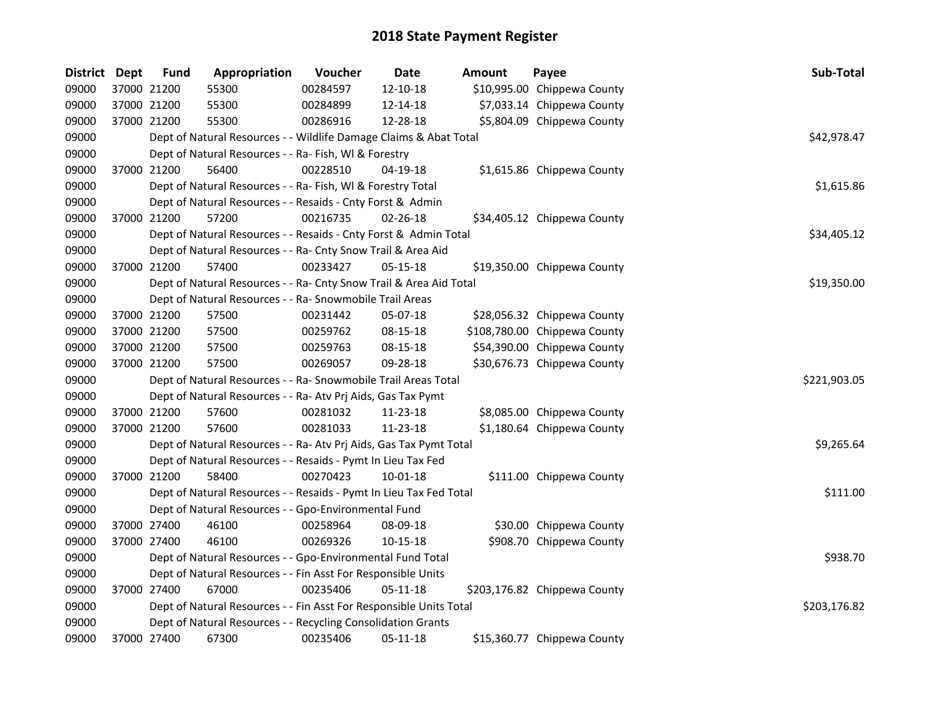| <b>District Dept</b> |             | <b>Fund</b> | Appropriation                                                      | Voucher  | <b>Date</b>    | Amount | Payee                        | Sub-Total    |
|----------------------|-------------|-------------|--------------------------------------------------------------------|----------|----------------|--------|------------------------------|--------------|
| 09000                |             | 37000 21200 | 55300                                                              | 00284597 | 12-10-18       |        | \$10,995.00 Chippewa County  |              |
| 09000                | 37000 21200 |             | 55300                                                              | 00284899 | 12-14-18       |        | \$7,033.14 Chippewa County   |              |
| 09000                |             | 37000 21200 | 55300                                                              | 00286916 | 12-28-18       |        | \$5,804.09 Chippewa County   |              |
| 09000                |             |             | Dept of Natural Resources - - Wildlife Damage Claims & Abat Total  |          |                |        |                              | \$42,978.47  |
| 09000                |             |             | Dept of Natural Resources - - Ra- Fish, WI & Forestry              |          |                |        |                              |              |
| 09000                |             | 37000 21200 | 56400                                                              | 00228510 | 04-19-18       |        | \$1,615.86 Chippewa County   |              |
| 09000                |             |             | Dept of Natural Resources - - Ra- Fish, WI & Forestry Total        |          |                |        |                              | \$1,615.86   |
| 09000                |             |             | Dept of Natural Resources - - Resaids - Cnty Forst & Admin         |          |                |        |                              |              |
| 09000                |             | 37000 21200 | 57200                                                              | 00216735 | 02-26-18       |        | \$34,405.12 Chippewa County  |              |
| 09000                |             |             | Dept of Natural Resources - - Resaids - Cnty Forst & Admin Total   |          |                |        |                              | \$34,405.12  |
| 09000                |             |             | Dept of Natural Resources - - Ra- Cnty Snow Trail & Area Aid       |          |                |        |                              |              |
| 09000                |             | 37000 21200 | 57400                                                              | 00233427 | 05-15-18       |        | \$19,350.00 Chippewa County  |              |
| 09000                |             |             | Dept of Natural Resources - - Ra- Cnty Snow Trail & Area Aid Total |          |                |        |                              | \$19,350.00  |
| 09000                |             |             | Dept of Natural Resources - - Ra- Snowmobile Trail Areas           |          |                |        |                              |              |
| 09000                |             | 37000 21200 | 57500                                                              | 00231442 | 05-07-18       |        | \$28,056.32 Chippewa County  |              |
| 09000                | 37000 21200 |             | 57500                                                              | 00259762 | 08-15-18       |        | \$108,780.00 Chippewa County |              |
| 09000                |             | 37000 21200 | 57500                                                              | 00259763 | 08-15-18       |        | \$54,390.00 Chippewa County  |              |
| 09000                |             | 37000 21200 | 57500                                                              | 00269057 | 09-28-18       |        | \$30,676.73 Chippewa County  |              |
| 09000                |             |             | Dept of Natural Resources - - Ra- Snowmobile Trail Areas Total     |          |                |        |                              | \$221,903.05 |
| 09000                |             |             | Dept of Natural Resources - - Ra- Atv Prj Aids, Gas Tax Pymt       |          |                |        |                              |              |
| 09000                |             | 37000 21200 | 57600                                                              | 00281032 | 11-23-18       |        | \$8,085.00 Chippewa County   |              |
| 09000                |             | 37000 21200 | 57600                                                              | 00281033 | 11-23-18       |        | \$1,180.64 Chippewa County   |              |
| 09000                |             |             | Dept of Natural Resources - - Ra- Atv Prj Aids, Gas Tax Pymt Total |          |                |        |                              | \$9,265.64   |
| 09000                |             |             | Dept of Natural Resources - - Resaids - Pymt In Lieu Tax Fed       |          |                |        |                              |              |
| 09000                |             | 37000 21200 | 58400                                                              | 00270423 | 10-01-18       |        | \$111.00 Chippewa County     |              |
| 09000                |             |             | Dept of Natural Resources - - Resaids - Pymt In Lieu Tax Fed Total |          |                |        |                              | \$111.00     |
| 09000                |             |             | Dept of Natural Resources - - Gpo-Environmental Fund               |          |                |        |                              |              |
| 09000                |             | 37000 27400 | 46100                                                              | 00258964 | 08-09-18       |        | \$30.00 Chippewa County      |              |
| 09000                |             | 37000 27400 | 46100                                                              | 00269326 | $10 - 15 - 18$ |        | \$908.70 Chippewa County     |              |
| 09000                |             |             | Dept of Natural Resources - - Gpo-Environmental Fund Total         |          |                |        |                              | \$938.70     |
| 09000                |             |             | Dept of Natural Resources - - Fin Asst For Responsible Units       |          |                |        |                              |              |
| 09000                |             | 37000 27400 | 67000                                                              | 00235406 | 05-11-18       |        | \$203,176.82 Chippewa County |              |
| 09000                |             |             | Dept of Natural Resources - - Fin Asst For Responsible Units Total |          |                |        |                              | \$203,176.82 |
| 09000                |             |             | Dept of Natural Resources - - Recycling Consolidation Grants       |          |                |        |                              |              |
| 09000                |             | 37000 27400 | 67300                                                              | 00235406 | 05-11-18       |        | \$15,360.77 Chippewa County  |              |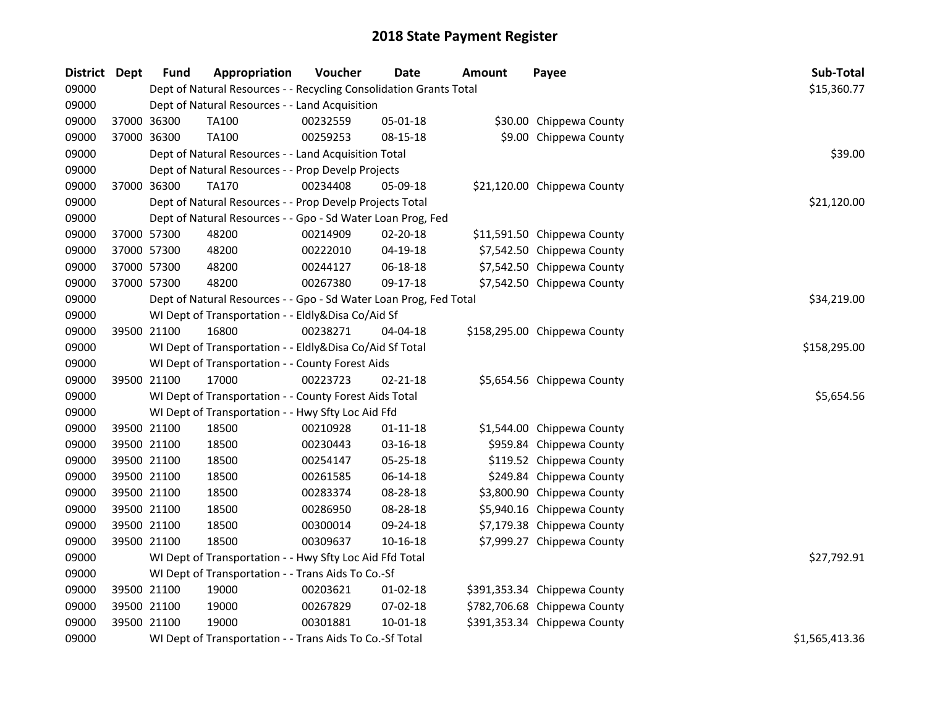| District Dept | <b>Fund</b> | Appropriation                                                      | Voucher  | <b>Date</b>    | <b>Amount</b> | Payee                        | Sub-Total      |  |  |  |  |
|---------------|-------------|--------------------------------------------------------------------|----------|----------------|---------------|------------------------------|----------------|--|--|--|--|
| 09000         |             | Dept of Natural Resources - - Recycling Consolidation Grants Total |          |                |               |                              | \$15,360.77    |  |  |  |  |
| 09000         |             | Dept of Natural Resources - - Land Acquisition                     |          |                |               |                              |                |  |  |  |  |
| 09000         | 37000 36300 | TA100                                                              | 00232559 | 05-01-18       |               | \$30.00 Chippewa County      |                |  |  |  |  |
| 09000         | 37000 36300 | <b>TA100</b>                                                       | 00259253 | 08-15-18       |               | \$9.00 Chippewa County       |                |  |  |  |  |
| 09000         |             | Dept of Natural Resources - - Land Acquisition Total               |          |                |               |                              | \$39.00        |  |  |  |  |
| 09000         |             | Dept of Natural Resources - - Prop Develp Projects                 |          |                |               |                              |                |  |  |  |  |
| 09000         | 37000 36300 | <b>TA170</b>                                                       | 00234408 | 05-09-18       |               | \$21,120.00 Chippewa County  |                |  |  |  |  |
| 09000         |             | Dept of Natural Resources - - Prop Develp Projects Total           |          |                |               |                              | \$21,120.00    |  |  |  |  |
| 09000         |             | Dept of Natural Resources - - Gpo - Sd Water Loan Prog, Fed        |          |                |               |                              |                |  |  |  |  |
| 09000         | 37000 57300 | 48200                                                              | 00214909 | 02-20-18       |               | \$11,591.50 Chippewa County  |                |  |  |  |  |
| 09000         | 37000 57300 | 48200                                                              | 00222010 | 04-19-18       |               | \$7,542.50 Chippewa County   |                |  |  |  |  |
| 09000         | 37000 57300 | 48200                                                              | 00244127 | 06-18-18       |               | \$7,542.50 Chippewa County   |                |  |  |  |  |
| 09000         | 37000 57300 | 48200                                                              | 00267380 | 09-17-18       |               | \$7,542.50 Chippewa County   |                |  |  |  |  |
| 09000         |             | Dept of Natural Resources - - Gpo - Sd Water Loan Prog, Fed Total  |          |                |               |                              | \$34,219.00    |  |  |  |  |
| 09000         |             | WI Dept of Transportation - - Eldly&Disa Co/Aid Sf                 |          |                |               |                              |                |  |  |  |  |
| 09000         | 39500 21100 | 16800                                                              | 00238271 | 04-04-18       |               | \$158,295.00 Chippewa County |                |  |  |  |  |
| 09000         |             | WI Dept of Transportation - - Eldly&Disa Co/Aid Sf Total           |          |                |               |                              | \$158,295.00   |  |  |  |  |
| 09000         |             | WI Dept of Transportation - - County Forest Aids                   |          |                |               |                              |                |  |  |  |  |
| 09000         | 39500 21100 | 17000                                                              | 00223723 | $02 - 21 - 18$ |               | \$5,654.56 Chippewa County   |                |  |  |  |  |
| 09000         |             | WI Dept of Transportation - - County Forest Aids Total             |          |                |               |                              | \$5,654.56     |  |  |  |  |
| 09000         |             | WI Dept of Transportation - - Hwy Sfty Loc Aid Ffd                 |          |                |               |                              |                |  |  |  |  |
| 09000         | 39500 21100 | 18500                                                              | 00210928 | $01 - 11 - 18$ |               | \$1,544.00 Chippewa County   |                |  |  |  |  |
| 09000         | 39500 21100 | 18500                                                              | 00230443 | 03-16-18       |               | \$959.84 Chippewa County     |                |  |  |  |  |
| 09000         | 39500 21100 | 18500                                                              | 00254147 | 05-25-18       |               | \$119.52 Chippewa County     |                |  |  |  |  |
| 09000         | 39500 21100 | 18500                                                              | 00261585 | 06-14-18       |               | \$249.84 Chippewa County     |                |  |  |  |  |
| 09000         | 39500 21100 | 18500                                                              | 00283374 | 08-28-18       |               | \$3,800.90 Chippewa County   |                |  |  |  |  |
| 09000         | 39500 21100 | 18500                                                              | 00286950 | 08-28-18       |               | \$5,940.16 Chippewa County   |                |  |  |  |  |
| 09000         | 39500 21100 | 18500                                                              | 00300014 | 09-24-18       |               | \$7,179.38 Chippewa County   |                |  |  |  |  |
| 09000         | 39500 21100 | 18500                                                              | 00309637 | 10-16-18       |               | \$7,999.27 Chippewa County   |                |  |  |  |  |
| 09000         |             | WI Dept of Transportation - - Hwy Sfty Loc Aid Ffd Total           |          |                |               |                              | \$27,792.91    |  |  |  |  |
| 09000         |             | WI Dept of Transportation - - Trans Aids To Co.-Sf                 |          |                |               |                              |                |  |  |  |  |
| 09000         | 39500 21100 | 19000                                                              | 00203621 | $01 - 02 - 18$ |               | \$391,353.34 Chippewa County |                |  |  |  |  |
| 09000         | 39500 21100 | 19000                                                              | 00267829 | 07-02-18       |               | \$782,706.68 Chippewa County |                |  |  |  |  |
| 09000         | 39500 21100 | 19000                                                              | 00301881 | $10 - 01 - 18$ |               | \$391,353.34 Chippewa County |                |  |  |  |  |
| 09000         |             | WI Dept of Transportation - - Trans Aids To Co.-Sf Total           |          |                |               |                              | \$1,565,413.36 |  |  |  |  |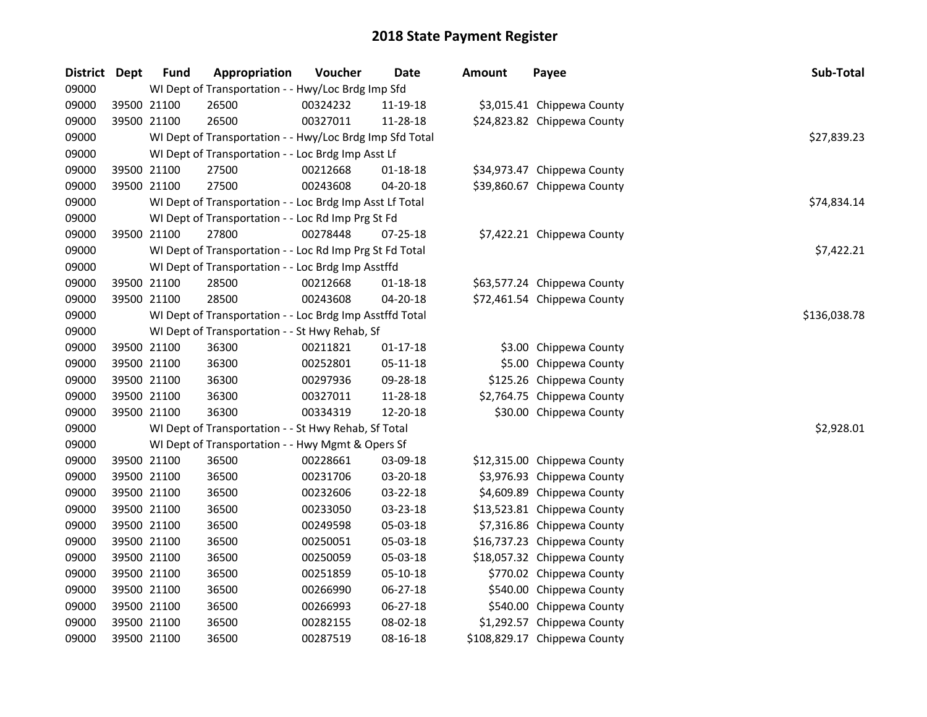| District Dept |             | <b>Fund</b> | Appropriation                                            | Voucher  | <b>Date</b>    | <b>Amount</b> | Payee                        | Sub-Total    |
|---------------|-------------|-------------|----------------------------------------------------------|----------|----------------|---------------|------------------------------|--------------|
| 09000         |             |             | WI Dept of Transportation - - Hwy/Loc Brdg Imp Sfd       |          |                |               |                              |              |
| 09000         |             | 39500 21100 | 26500                                                    | 00324232 | 11-19-18       |               | \$3,015.41 Chippewa County   |              |
| 09000         |             | 39500 21100 | 26500                                                    | 00327011 | 11-28-18       |               | \$24,823.82 Chippewa County  |              |
| 09000         |             |             | WI Dept of Transportation - - Hwy/Loc Brdg Imp Sfd Total |          |                |               |                              | \$27,839.23  |
| 09000         |             |             | WI Dept of Transportation - - Loc Brdg Imp Asst Lf       |          |                |               |                              |              |
| 09000         |             | 39500 21100 | 27500                                                    | 00212668 | 01-18-18       |               | \$34,973.47 Chippewa County  |              |
| 09000         | 39500 21100 |             | 27500                                                    | 00243608 | 04-20-18       |               | \$39,860.67 Chippewa County  |              |
| 09000         |             |             | WI Dept of Transportation - - Loc Brdg Imp Asst Lf Total |          |                |               |                              | \$74,834.14  |
| 09000         |             |             | WI Dept of Transportation - - Loc Rd Imp Prg St Fd       |          |                |               |                              |              |
| 09000         |             | 39500 21100 | 27800                                                    | 00278448 | 07-25-18       |               | \$7,422.21 Chippewa County   |              |
| 09000         |             |             | WI Dept of Transportation - - Loc Rd Imp Prg St Fd Total |          |                |               |                              | \$7,422.21   |
| 09000         |             |             | WI Dept of Transportation - - Loc Brdg Imp Asstffd       |          |                |               |                              |              |
| 09000         | 39500 21100 |             | 28500                                                    | 00212668 | 01-18-18       |               | \$63,577.24 Chippewa County  |              |
| 09000         |             | 39500 21100 | 28500                                                    | 00243608 | 04-20-18       |               | \$72,461.54 Chippewa County  |              |
| 09000         |             |             | WI Dept of Transportation - - Loc Brdg Imp Asstffd Total |          |                |               |                              | \$136,038.78 |
| 09000         |             |             | WI Dept of Transportation - - St Hwy Rehab, Sf           |          |                |               |                              |              |
| 09000         |             | 39500 21100 | 36300                                                    | 00211821 | $01 - 17 - 18$ |               | \$3.00 Chippewa County       |              |
| 09000         | 39500 21100 |             | 36300                                                    | 00252801 | 05-11-18       |               | \$5.00 Chippewa County       |              |
| 09000         | 39500 21100 |             | 36300                                                    | 00297936 | 09-28-18       |               | \$125.26 Chippewa County     |              |
| 09000         | 39500 21100 |             | 36300                                                    | 00327011 | 11-28-18       |               | \$2,764.75 Chippewa County   |              |
| 09000         | 39500 21100 |             | 36300                                                    | 00334319 | 12-20-18       |               | \$30.00 Chippewa County      |              |
| 09000         |             |             | WI Dept of Transportation - - St Hwy Rehab, Sf Total     |          |                |               |                              | \$2,928.01   |
| 09000         |             |             | WI Dept of Transportation - - Hwy Mgmt & Opers Sf        |          |                |               |                              |              |
| 09000         | 39500 21100 |             | 36500                                                    | 00228661 | 03-09-18       |               | \$12,315.00 Chippewa County  |              |
| 09000         | 39500 21100 |             | 36500                                                    | 00231706 | 03-20-18       |               | \$3,976.93 Chippewa County   |              |
| 09000         | 39500 21100 |             | 36500                                                    | 00232606 | 03-22-18       |               | \$4,609.89 Chippewa County   |              |
| 09000         | 39500 21100 |             | 36500                                                    | 00233050 | 03-23-18       |               | \$13,523.81 Chippewa County  |              |
| 09000         | 39500 21100 |             | 36500                                                    | 00249598 | 05-03-18       |               | \$7,316.86 Chippewa County   |              |
| 09000         |             | 39500 21100 | 36500                                                    | 00250051 | 05-03-18       |               | \$16,737.23 Chippewa County  |              |
| 09000         |             | 39500 21100 | 36500                                                    | 00250059 | 05-03-18       |               | \$18,057.32 Chippewa County  |              |
| 09000         |             | 39500 21100 | 36500                                                    | 00251859 | 05-10-18       |               | \$770.02 Chippewa County     |              |
| 09000         | 39500 21100 |             | 36500                                                    | 00266990 | 06-27-18       |               | \$540.00 Chippewa County     |              |
| 09000         |             | 39500 21100 | 36500                                                    | 00266993 | 06-27-18       |               | \$540.00 Chippewa County     |              |
| 09000         |             | 39500 21100 | 36500                                                    | 00282155 | 08-02-18       |               | \$1,292.57 Chippewa County   |              |
| 09000         |             | 39500 21100 | 36500                                                    | 00287519 | 08-16-18       |               | \$108,829.17 Chippewa County |              |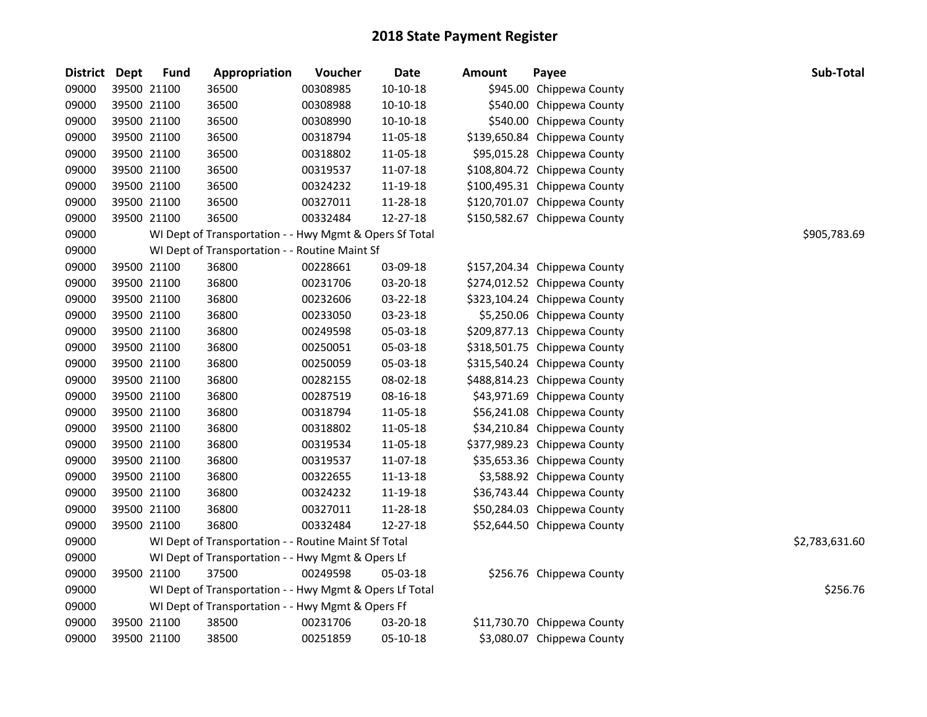| District Dept | <b>Fund</b> | Appropriation                                           | Voucher  | <b>Date</b> | <b>Amount</b> | Payee                        | Sub-Total      |
|---------------|-------------|---------------------------------------------------------|----------|-------------|---------------|------------------------------|----------------|
| 09000         | 39500 21100 | 36500                                                   | 00308985 | 10-10-18    |               | \$945.00 Chippewa County     |                |
| 09000         | 39500 21100 | 36500                                                   | 00308988 | 10-10-18    |               | \$540.00 Chippewa County     |                |
| 09000         | 39500 21100 | 36500                                                   | 00308990 | 10-10-18    |               | \$540.00 Chippewa County     |                |
| 09000         | 39500 21100 | 36500                                                   | 00318794 | 11-05-18    |               | \$139,650.84 Chippewa County |                |
| 09000         | 39500 21100 | 36500                                                   | 00318802 | 11-05-18    |               | \$95,015.28 Chippewa County  |                |
| 09000         | 39500 21100 | 36500                                                   | 00319537 | 11-07-18    |               | \$108,804.72 Chippewa County |                |
| 09000         | 39500 21100 | 36500                                                   | 00324232 | 11-19-18    |               | \$100,495.31 Chippewa County |                |
| 09000         | 39500 21100 | 36500                                                   | 00327011 | 11-28-18    |               | \$120,701.07 Chippewa County |                |
| 09000         | 39500 21100 | 36500                                                   | 00332484 | 12-27-18    |               | \$150,582.67 Chippewa County |                |
| 09000         |             | WI Dept of Transportation - - Hwy Mgmt & Opers Sf Total |          |             |               |                              | \$905,783.69   |
| 09000         |             | WI Dept of Transportation - - Routine Maint Sf          |          |             |               |                              |                |
| 09000         | 39500 21100 | 36800                                                   | 00228661 | 03-09-18    |               | \$157,204.34 Chippewa County |                |
| 09000         | 39500 21100 | 36800                                                   | 00231706 | 03-20-18    |               | \$274,012.52 Chippewa County |                |
| 09000         | 39500 21100 | 36800                                                   | 00232606 | 03-22-18    |               | \$323,104.24 Chippewa County |                |
| 09000         | 39500 21100 | 36800                                                   | 00233050 | 03-23-18    |               | \$5,250.06 Chippewa County   |                |
| 09000         | 39500 21100 | 36800                                                   | 00249598 | 05-03-18    |               | \$209,877.13 Chippewa County |                |
| 09000         | 39500 21100 | 36800                                                   | 00250051 | 05-03-18    |               | \$318,501.75 Chippewa County |                |
| 09000         | 39500 21100 | 36800                                                   | 00250059 | 05-03-18    |               | \$315,540.24 Chippewa County |                |
| 09000         | 39500 21100 | 36800                                                   | 00282155 | 08-02-18    |               | \$488,814.23 Chippewa County |                |
| 09000         | 39500 21100 | 36800                                                   | 00287519 | 08-16-18    |               | \$43,971.69 Chippewa County  |                |
| 09000         | 39500 21100 | 36800                                                   | 00318794 | 11-05-18    |               | \$56,241.08 Chippewa County  |                |
| 09000         | 39500 21100 | 36800                                                   | 00318802 | 11-05-18    |               | \$34,210.84 Chippewa County  |                |
| 09000         | 39500 21100 | 36800                                                   | 00319534 | 11-05-18    |               | \$377,989.23 Chippewa County |                |
| 09000         | 39500 21100 | 36800                                                   | 00319537 | 11-07-18    |               | \$35,653.36 Chippewa County  |                |
| 09000         | 39500 21100 | 36800                                                   | 00322655 | 11-13-18    |               | \$3,588.92 Chippewa County   |                |
| 09000         | 39500 21100 | 36800                                                   | 00324232 | 11-19-18    |               | \$36,743.44 Chippewa County  |                |
| 09000         | 39500 21100 | 36800                                                   | 00327011 | 11-28-18    |               | \$50,284.03 Chippewa County  |                |
| 09000         | 39500 21100 | 36800                                                   | 00332484 | 12-27-18    |               | \$52,644.50 Chippewa County  |                |
| 09000         |             | WI Dept of Transportation - - Routine Maint Sf Total    |          |             |               |                              | \$2,783,631.60 |
| 09000         |             | WI Dept of Transportation - - Hwy Mgmt & Opers Lf       |          |             |               |                              |                |
| 09000         | 39500 21100 | 37500                                                   | 00249598 | 05-03-18    |               | \$256.76 Chippewa County     |                |
| 09000         |             | WI Dept of Transportation - - Hwy Mgmt & Opers Lf Total |          |             |               |                              | \$256.76       |
| 09000         |             | WI Dept of Transportation - - Hwy Mgmt & Opers Ff       |          |             |               |                              |                |
| 09000         | 39500 21100 | 38500                                                   | 00231706 | 03-20-18    |               | \$11,730.70 Chippewa County  |                |
| 09000         | 39500 21100 | 38500                                                   | 00251859 | 05-10-18    |               | \$3,080.07 Chippewa County   |                |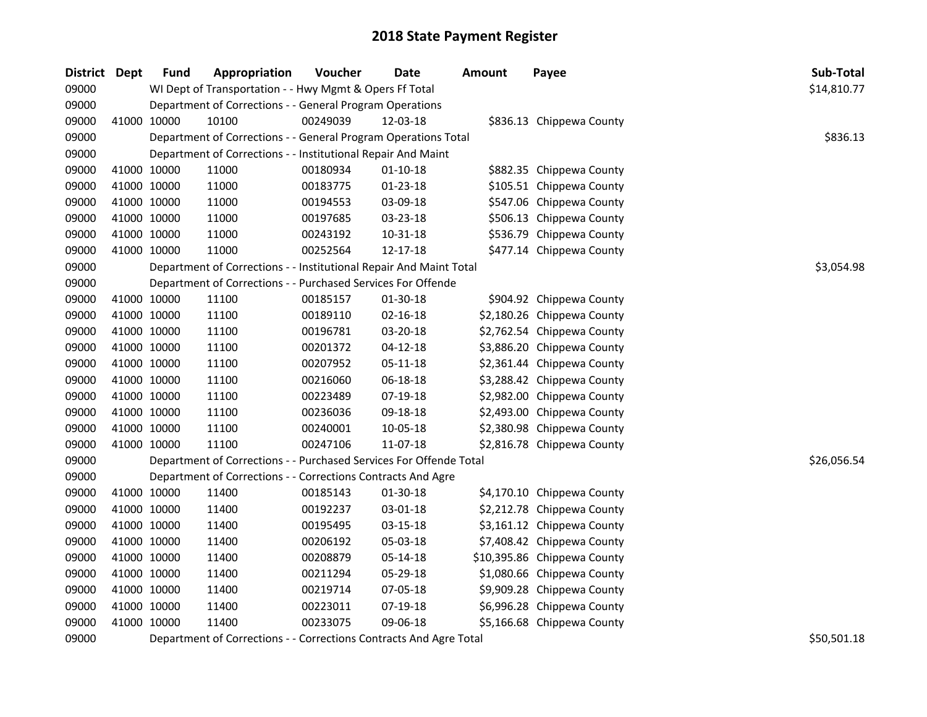| District Dept |             | <b>Fund</b> | Appropriation                                                      | Voucher  | Date           | <b>Amount</b> | Payee                       | Sub-Total   |
|---------------|-------------|-------------|--------------------------------------------------------------------|----------|----------------|---------------|-----------------------------|-------------|
| 09000         |             |             | WI Dept of Transportation - - Hwy Mgmt & Opers Ff Total            |          |                |               |                             | \$14,810.77 |
| 09000         |             |             | Department of Corrections - - General Program Operations           |          |                |               |                             |             |
| 09000         |             | 41000 10000 | 10100                                                              | 00249039 | 12-03-18       |               | \$836.13 Chippewa County    |             |
| 09000         |             |             | Department of Corrections - - General Program Operations Total     |          |                |               |                             | \$836.13    |
| 09000         |             |             | Department of Corrections - - Institutional Repair And Maint       |          |                |               |                             |             |
| 09000         |             | 41000 10000 | 11000                                                              | 00180934 | $01-10-18$     |               | \$882.35 Chippewa County    |             |
| 09000         | 41000 10000 |             | 11000                                                              | 00183775 | $01 - 23 - 18$ |               | \$105.51 Chippewa County    |             |
| 09000         |             | 41000 10000 | 11000                                                              | 00194553 | 03-09-18       |               | \$547.06 Chippewa County    |             |
| 09000         | 41000 10000 |             | 11000                                                              | 00197685 | 03-23-18       |               | \$506.13 Chippewa County    |             |
| 09000         | 41000 10000 |             | 11000                                                              | 00243192 | 10-31-18       |               | \$536.79 Chippewa County    |             |
| 09000         |             | 41000 10000 | 11000                                                              | 00252564 | 12-17-18       |               | \$477.14 Chippewa County    |             |
| 09000         |             |             | Department of Corrections - - Institutional Repair And Maint Total |          |                |               |                             | \$3,054.98  |
| 09000         |             |             | Department of Corrections - - Purchased Services For Offende       |          |                |               |                             |             |
| 09000         |             | 41000 10000 | 11100                                                              | 00185157 | 01-30-18       |               | \$904.92 Chippewa County    |             |
| 09000         |             | 41000 10000 | 11100                                                              | 00189110 | 02-16-18       |               | \$2,180.26 Chippewa County  |             |
| 09000         |             | 41000 10000 | 11100                                                              | 00196781 | 03-20-18       |               | \$2,762.54 Chippewa County  |             |
| 09000         |             | 41000 10000 | 11100                                                              | 00201372 | $04 - 12 - 18$ |               | \$3,886.20 Chippewa County  |             |
| 09000         |             | 41000 10000 | 11100                                                              | 00207952 | 05-11-18       |               | \$2,361.44 Chippewa County  |             |
| 09000         | 41000 10000 |             | 11100                                                              | 00216060 | 06-18-18       |               | \$3,288.42 Chippewa County  |             |
| 09000         | 41000 10000 |             | 11100                                                              | 00223489 | 07-19-18       |               | \$2,982.00 Chippewa County  |             |
| 09000         | 41000 10000 |             | 11100                                                              | 00236036 | 09-18-18       |               | \$2,493.00 Chippewa County  |             |
| 09000         | 41000 10000 |             | 11100                                                              | 00240001 | 10-05-18       |               | \$2,380.98 Chippewa County  |             |
| 09000         |             | 41000 10000 | 11100                                                              | 00247106 | 11-07-18       |               | \$2,816.78 Chippewa County  |             |
| 09000         |             |             | Department of Corrections - - Purchased Services For Offende Total |          |                |               |                             | \$26,056.54 |
| 09000         |             |             | Department of Corrections - - Corrections Contracts And Agre       |          |                |               |                             |             |
| 09000         |             | 41000 10000 | 11400                                                              | 00185143 | 01-30-18       |               | \$4,170.10 Chippewa County  |             |
| 09000         |             | 41000 10000 | 11400                                                              | 00192237 | 03-01-18       |               | \$2,212.78 Chippewa County  |             |
| 09000         |             | 41000 10000 | 11400                                                              | 00195495 | 03-15-18       |               | \$3,161.12 Chippewa County  |             |
| 09000         |             | 41000 10000 | 11400                                                              | 00206192 | 05-03-18       |               | \$7,408.42 Chippewa County  |             |
| 09000         |             | 41000 10000 | 11400                                                              | 00208879 | 05-14-18       |               | \$10,395.86 Chippewa County |             |
| 09000         |             | 41000 10000 | 11400                                                              | 00211294 | 05-29-18       |               | \$1,080.66 Chippewa County  |             |
| 09000         |             | 41000 10000 | 11400                                                              | 00219714 | 07-05-18       |               | \$9,909.28 Chippewa County  |             |
| 09000         | 41000 10000 |             | 11400                                                              | 00223011 | 07-19-18       |               | \$6,996.28 Chippewa County  |             |
| 09000         |             | 41000 10000 | 11400                                                              | 00233075 | 09-06-18       |               | \$5,166.68 Chippewa County  |             |
| 09000         |             |             | Department of Corrections - - Corrections Contracts And Agre Total |          |                |               |                             | \$50,501.18 |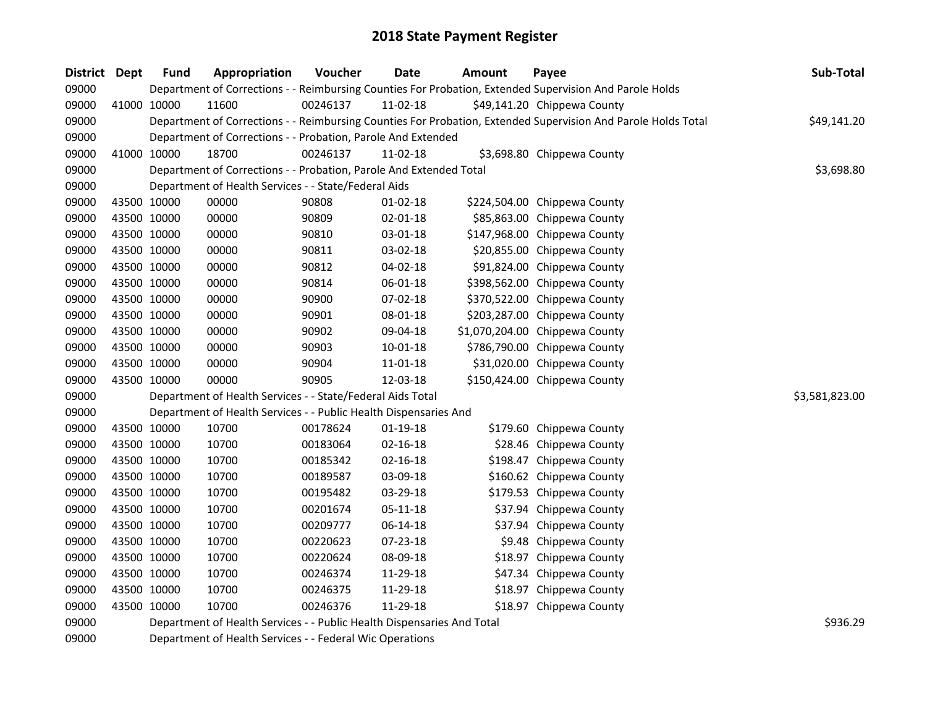| <b>District</b> | Dept        | <b>Fund</b> | Appropriation                                                          | Voucher  | <b>Date</b>    | <b>Amount</b> | Payee                                                                                                         | Sub-Total      |
|-----------------|-------------|-------------|------------------------------------------------------------------------|----------|----------------|---------------|---------------------------------------------------------------------------------------------------------------|----------------|
| 09000           |             |             |                                                                        |          |                |               | Department of Corrections - - Reimbursing Counties For Probation, Extended Supervision And Parole Holds       |                |
| 09000           |             | 41000 10000 | 11600                                                                  | 00246137 | 11-02-18       |               | \$49,141.20 Chippewa County                                                                                   |                |
| 09000           |             |             |                                                                        |          |                |               | Department of Corrections - - Reimbursing Counties For Probation, Extended Supervision And Parole Holds Total | \$49,141.20    |
| 09000           |             |             | Department of Corrections - - Probation, Parole And Extended           |          |                |               |                                                                                                               |                |
| 09000           |             | 41000 10000 | 18700                                                                  | 00246137 | $11-02-18$     |               | \$3,698.80 Chippewa County                                                                                    |                |
| 09000           |             |             | Department of Corrections - - Probation, Parole And Extended Total     |          |                |               |                                                                                                               | \$3,698.80     |
| 09000           |             |             | Department of Health Services - - State/Federal Aids                   |          |                |               |                                                                                                               |                |
| 09000           |             | 43500 10000 | 00000                                                                  | 90808    | $01 - 02 - 18$ |               | \$224,504.00 Chippewa County                                                                                  |                |
| 09000           | 43500 10000 |             | 00000                                                                  | 90809    | 02-01-18       |               | \$85,863.00 Chippewa County                                                                                   |                |
| 09000           |             | 43500 10000 | 00000                                                                  | 90810    | 03-01-18       |               | \$147,968.00 Chippewa County                                                                                  |                |
| 09000           |             | 43500 10000 | 00000                                                                  | 90811    | 03-02-18       |               | \$20,855.00 Chippewa County                                                                                   |                |
| 09000           |             | 43500 10000 | 00000                                                                  | 90812    | 04-02-18       |               | \$91,824.00 Chippewa County                                                                                   |                |
| 09000           | 43500 10000 |             | 00000                                                                  | 90814    | 06-01-18       |               | \$398,562.00 Chippewa County                                                                                  |                |
| 09000           | 43500 10000 |             | 00000                                                                  | 90900    | 07-02-18       |               | \$370,522.00 Chippewa County                                                                                  |                |
| 09000           |             | 43500 10000 | 00000                                                                  | 90901    | 08-01-18       |               | \$203,287.00 Chippewa County                                                                                  |                |
| 09000           |             | 43500 10000 | 00000                                                                  | 90902    | 09-04-18       |               | \$1,070,204.00 Chippewa County                                                                                |                |
| 09000           |             | 43500 10000 | 00000                                                                  | 90903    | $10 - 01 - 18$ |               | \$786,790.00 Chippewa County                                                                                  |                |
| 09000           |             | 43500 10000 | 00000                                                                  | 90904    | 11-01-18       |               | \$31,020.00 Chippewa County                                                                                   |                |
| 09000           |             | 43500 10000 | 00000                                                                  | 90905    | 12-03-18       |               | \$150,424.00 Chippewa County                                                                                  |                |
| 09000           |             |             | Department of Health Services - - State/Federal Aids Total             |          |                |               |                                                                                                               | \$3,581,823.00 |
| 09000           |             |             | Department of Health Services - - Public Health Dispensaries And       |          |                |               |                                                                                                               |                |
| 09000           |             | 43500 10000 | 10700                                                                  | 00178624 | $01 - 19 - 18$ |               | \$179.60 Chippewa County                                                                                      |                |
| 09000           |             | 43500 10000 | 10700                                                                  | 00183064 | $02 - 16 - 18$ |               | \$28.46 Chippewa County                                                                                       |                |
| 09000           |             | 43500 10000 | 10700                                                                  | 00185342 | 02-16-18       |               | \$198.47 Chippewa County                                                                                      |                |
| 09000           |             | 43500 10000 | 10700                                                                  | 00189587 | 03-09-18       |               | \$160.62 Chippewa County                                                                                      |                |
| 09000           |             | 43500 10000 | 10700                                                                  | 00195482 | 03-29-18       |               | \$179.53 Chippewa County                                                                                      |                |
| 09000           |             | 43500 10000 | 10700                                                                  | 00201674 | 05-11-18       |               | \$37.94 Chippewa County                                                                                       |                |
| 09000           |             | 43500 10000 | 10700                                                                  | 00209777 | 06-14-18       |               | \$37.94 Chippewa County                                                                                       |                |
| 09000           |             | 43500 10000 | 10700                                                                  | 00220623 | 07-23-18       |               | \$9.48 Chippewa County                                                                                        |                |
| 09000           | 43500 10000 |             | 10700                                                                  | 00220624 | 08-09-18       |               | \$18.97 Chippewa County                                                                                       |                |
| 09000           | 43500 10000 |             | 10700                                                                  | 00246374 | 11-29-18       |               | \$47.34 Chippewa County                                                                                       |                |
| 09000           |             | 43500 10000 | 10700                                                                  | 00246375 | 11-29-18       |               | \$18.97 Chippewa County                                                                                       |                |
| 09000           |             | 43500 10000 | 10700                                                                  | 00246376 | 11-29-18       |               | \$18.97 Chippewa County                                                                                       |                |
| 09000           |             |             | Department of Health Services - - Public Health Dispensaries And Total |          |                |               |                                                                                                               | \$936.29       |
|                 |             |             |                                                                        |          |                |               |                                                                                                               |                |

Department of Health Services - - Federal Wic Operations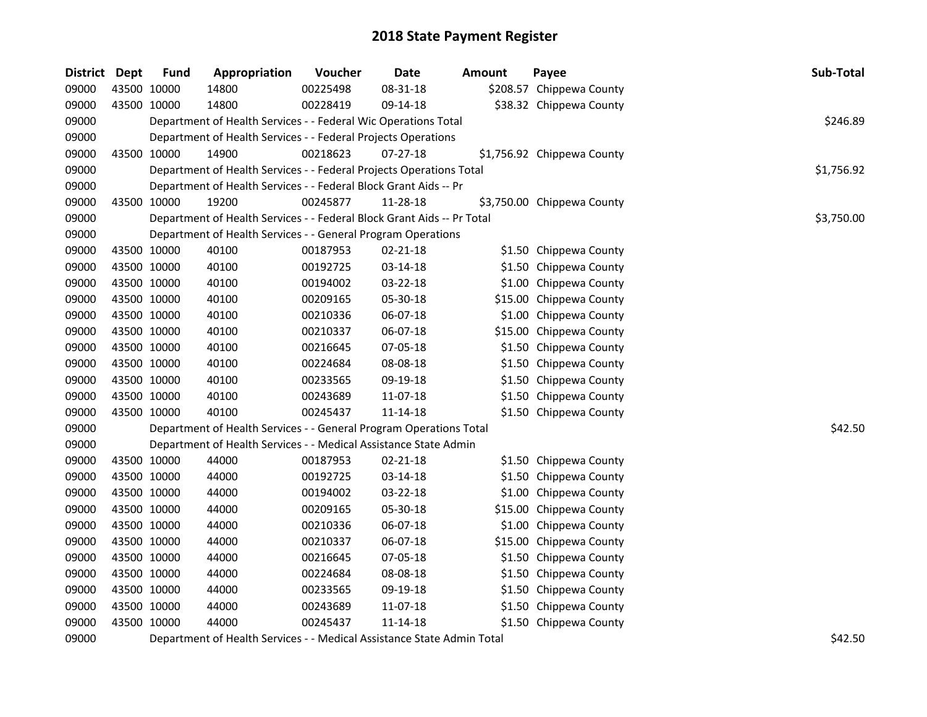| <b>District</b> | Dept        | <b>Fund</b> | Appropriation                                                          | Voucher  | <b>Date</b>    | <b>Amount</b> | Payee                      | Sub-Total                             |
|-----------------|-------------|-------------|------------------------------------------------------------------------|----------|----------------|---------------|----------------------------|---------------------------------------|
| 09000           | 43500 10000 |             | 14800                                                                  | 00225498 | 08-31-18       |               | \$208.57 Chippewa County   |                                       |
| 09000           | 43500 10000 |             | 14800                                                                  | 00228419 | 09-14-18       |               | \$38.32 Chippewa County    |                                       |
| 09000           |             |             | Department of Health Services - - Federal Wic Operations Total         |          |                |               |                            | \$246.89                              |
| 09000           |             |             | Department of Health Services - - Federal Projects Operations          |          |                |               |                            |                                       |
| 09000           | 43500 10000 |             | 14900                                                                  | 00218623 | 07-27-18       |               | \$1,756.92 Chippewa County |                                       |
| 09000           |             |             | Department of Health Services - - Federal Projects Operations Total    |          |                |               |                            | \$1,756.92                            |
| 09000           |             |             | Department of Health Services - - Federal Block Grant Aids -- Pr       |          |                |               |                            |                                       |
| 09000           | 43500 10000 |             | 19200                                                                  | 00245877 | 11-28-18       |               | \$3,750.00 Chippewa County |                                       |
| 09000           |             |             | Department of Health Services - - Federal Block Grant Aids -- Pr Total |          |                |               |                            | \$3,750.00                            |
| 09000           |             |             | Department of Health Services - - General Program Operations           |          |                |               |                            |                                       |
| 09000           | 43500 10000 |             | 40100                                                                  | 00187953 | 02-21-18       |               | \$1.50 Chippewa County     |                                       |
| 09000           | 43500 10000 |             | 40100                                                                  | 00192725 | 03-14-18       |               | \$1.50 Chippewa County     |                                       |
| 09000           | 43500 10000 |             | 40100                                                                  | 00194002 | 03-22-18       |               | \$1.00 Chippewa County     |                                       |
| 09000           | 43500 10000 |             | 40100                                                                  | 00209165 | 05-30-18       |               | \$15.00 Chippewa County    |                                       |
| 09000           | 43500 10000 |             | 40100                                                                  | 00210336 | 06-07-18       |               | \$1.00 Chippewa County     |                                       |
| 09000           | 43500 10000 |             | 40100                                                                  | 00210337 | 06-07-18       |               | \$15.00 Chippewa County    |                                       |
| 09000           | 43500 10000 |             | 40100                                                                  | 00216645 | 07-05-18       |               | \$1.50 Chippewa County     |                                       |
| 09000           | 43500 10000 |             | 40100                                                                  | 00224684 | 08-08-18       |               | \$1.50 Chippewa County     |                                       |
| 09000           | 43500 10000 |             | 40100                                                                  | 00233565 | 09-19-18       |               | \$1.50 Chippewa County     |                                       |
| 09000           | 43500 10000 |             | 40100                                                                  | 00243689 | 11-07-18       |               | \$1.50 Chippewa County     |                                       |
| 09000           | 43500 10000 |             | 40100                                                                  | 00245437 | $11 - 14 - 18$ |               | \$1.50 Chippewa County     |                                       |
| 09000           |             |             | Department of Health Services - - General Program Operations Total     |          |                |               |                            | \$42.50                               |
| 09000           |             |             | Department of Health Services - - Medical Assistance State Admin       |          |                |               |                            |                                       |
| 09000           | 43500 10000 |             | 44000                                                                  | 00187953 | 02-21-18       |               | \$1.50 Chippewa County     |                                       |
| 09000           | 43500 10000 |             | 44000                                                                  | 00192725 | 03-14-18       |               | \$1.50 Chippewa County     |                                       |
| 09000           | 43500 10000 |             | 44000                                                                  | 00194002 | 03-22-18       |               | \$1.00 Chippewa County     |                                       |
| 09000           | 43500 10000 |             | 44000                                                                  | 00209165 | 05-30-18       |               | \$15.00 Chippewa County    |                                       |
| 09000           | 43500 10000 |             | 44000                                                                  | 00210336 | 06-07-18       |               | \$1.00 Chippewa County     |                                       |
| 09000           | 43500 10000 |             | 44000                                                                  | 00210337 | 06-07-18       |               | \$15.00 Chippewa County    |                                       |
| 09000           | 43500 10000 |             | 44000                                                                  | 00216645 | 07-05-18       |               | \$1.50 Chippewa County     |                                       |
| 09000           | 43500 10000 |             | 44000                                                                  | 00224684 | 08-08-18       |               | \$1.50 Chippewa County     |                                       |
| 09000           | 43500 10000 |             | 44000                                                                  | 00233565 | 09-19-18       |               | \$1.50 Chippewa County     |                                       |
| 09000           | 43500 10000 |             | 44000                                                                  | 00243689 | 11-07-18       |               | \$1.50 Chippewa County     |                                       |
| 09000           | 43500 10000 |             | 44000                                                                  | 00245437 | 11-14-18       |               | \$1.50 Chippewa County     |                                       |
| -----           |             |             | $\sim\cdot\cdot$                                                       |          |                |               |                            | $\lambda$ $\lambda$ $\alpha$ $\alpha$ |

09000 Department of Health Services - - Medical Assistance State Admin Total **\$42.50** behavior of Health Services - - Medical Assistance State Admin Total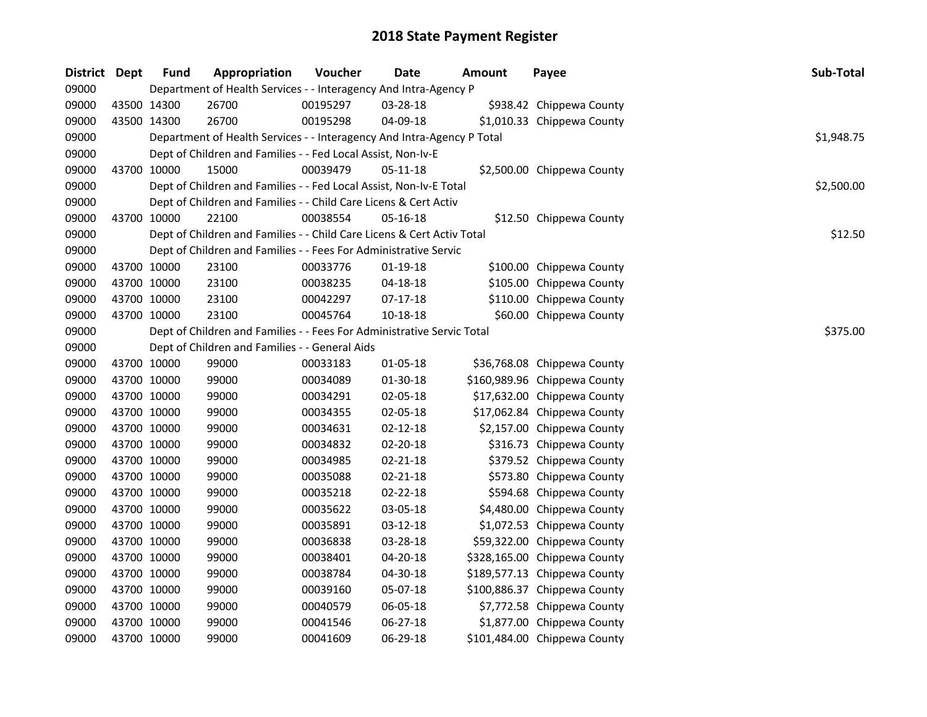| District Dept |             | <b>Fund</b> | Appropriation                                                          | Voucher  | Date           | <b>Amount</b> | Payee                        | Sub-Total  |
|---------------|-------------|-------------|------------------------------------------------------------------------|----------|----------------|---------------|------------------------------|------------|
| 09000         |             |             | Department of Health Services - - Interagency And Intra-Agency P       |          |                |               |                              |            |
| 09000         |             | 43500 14300 | 26700                                                                  | 00195297 | 03-28-18       |               | \$938.42 Chippewa County     |            |
| 09000         | 43500 14300 |             | 26700                                                                  | 00195298 | 04-09-18       |               | \$1,010.33 Chippewa County   |            |
| 09000         |             |             | Department of Health Services - - Interagency And Intra-Agency P Total |          |                |               |                              | \$1,948.75 |
| 09000         |             |             | Dept of Children and Families - - Fed Local Assist, Non-Iv-E           |          |                |               |                              |            |
| 09000         |             | 43700 10000 | 15000                                                                  | 00039479 | $05 - 11 - 18$ |               | \$2,500.00 Chippewa County   |            |
| 09000         |             |             | Dept of Children and Families - - Fed Local Assist, Non-Iv-E Total     |          |                |               |                              | \$2,500.00 |
| 09000         |             |             | Dept of Children and Families - - Child Care Licens & Cert Activ       |          |                |               |                              |            |
| 09000         |             | 43700 10000 | 22100                                                                  | 00038554 | $05 - 16 - 18$ |               | \$12.50 Chippewa County      |            |
| 09000         |             |             | Dept of Children and Families - - Child Care Licens & Cert Activ Total |          |                |               |                              | \$12.50    |
| 09000         |             |             | Dept of Children and Families - - Fees For Administrative Servic       |          |                |               |                              |            |
| 09000         | 43700 10000 |             | 23100                                                                  | 00033776 | $01-19-18$     |               | \$100.00 Chippewa County     |            |
| 09000         | 43700 10000 |             | 23100                                                                  | 00038235 | 04-18-18       |               | \$105.00 Chippewa County     |            |
| 09000         | 43700 10000 |             | 23100                                                                  | 00042297 | 07-17-18       |               | \$110.00 Chippewa County     |            |
| 09000         |             | 43700 10000 | 23100                                                                  | 00045764 | $10 - 18 - 18$ |               | \$60.00 Chippewa County      |            |
| 09000         |             |             | Dept of Children and Families - - Fees For Administrative Servic Total |          |                |               |                              | \$375.00   |
| 09000         |             |             | Dept of Children and Families - - General Aids                         |          |                |               |                              |            |
| 09000         | 43700 10000 |             | 99000                                                                  | 00033183 | $01 - 05 - 18$ |               | \$36,768.08 Chippewa County  |            |
| 09000         | 43700 10000 |             | 99000                                                                  | 00034089 | 01-30-18       |               | \$160,989.96 Chippewa County |            |
| 09000         | 43700 10000 |             | 99000                                                                  | 00034291 | 02-05-18       |               | \$17,632.00 Chippewa County  |            |
| 09000         | 43700 10000 |             | 99000                                                                  | 00034355 | 02-05-18       |               | \$17,062.84 Chippewa County  |            |
| 09000         | 43700 10000 |             | 99000                                                                  | 00034631 | $02 - 12 - 18$ |               | \$2,157.00 Chippewa County   |            |
| 09000         | 43700 10000 |             | 99000                                                                  | 00034832 | 02-20-18       |               | \$316.73 Chippewa County     |            |
| 09000         | 43700 10000 |             | 99000                                                                  | 00034985 | $02 - 21 - 18$ |               | \$379.52 Chippewa County     |            |
| 09000         | 43700 10000 |             | 99000                                                                  | 00035088 | $02 - 21 - 18$ |               | \$573.80 Chippewa County     |            |
| 09000         | 43700 10000 |             | 99000                                                                  | 00035218 | 02-22-18       |               | \$594.68 Chippewa County     |            |
| 09000         | 43700 10000 |             | 99000                                                                  | 00035622 | 03-05-18       |               | \$4,480.00 Chippewa County   |            |
| 09000         | 43700 10000 |             | 99000                                                                  | 00035891 | 03-12-18       |               | \$1,072.53 Chippewa County   |            |
| 09000         | 43700 10000 |             | 99000                                                                  | 00036838 | 03-28-18       |               | \$59,322.00 Chippewa County  |            |
| 09000         | 43700 10000 |             | 99000                                                                  | 00038401 | 04-20-18       |               | \$328,165.00 Chippewa County |            |
| 09000         | 43700 10000 |             | 99000                                                                  | 00038784 | 04-30-18       |               | \$189,577.13 Chippewa County |            |
| 09000         | 43700 10000 |             | 99000                                                                  | 00039160 | 05-07-18       |               | \$100,886.37 Chippewa County |            |
| 09000         | 43700 10000 |             | 99000                                                                  | 00040579 | 06-05-18       |               | \$7,772.58 Chippewa County   |            |
| 09000         | 43700 10000 |             | 99000                                                                  | 00041546 | 06-27-18       |               | \$1,877.00 Chippewa County   |            |
| 09000         |             | 43700 10000 | 99000                                                                  | 00041609 | 06-29-18       |               | \$101,484.00 Chippewa County |            |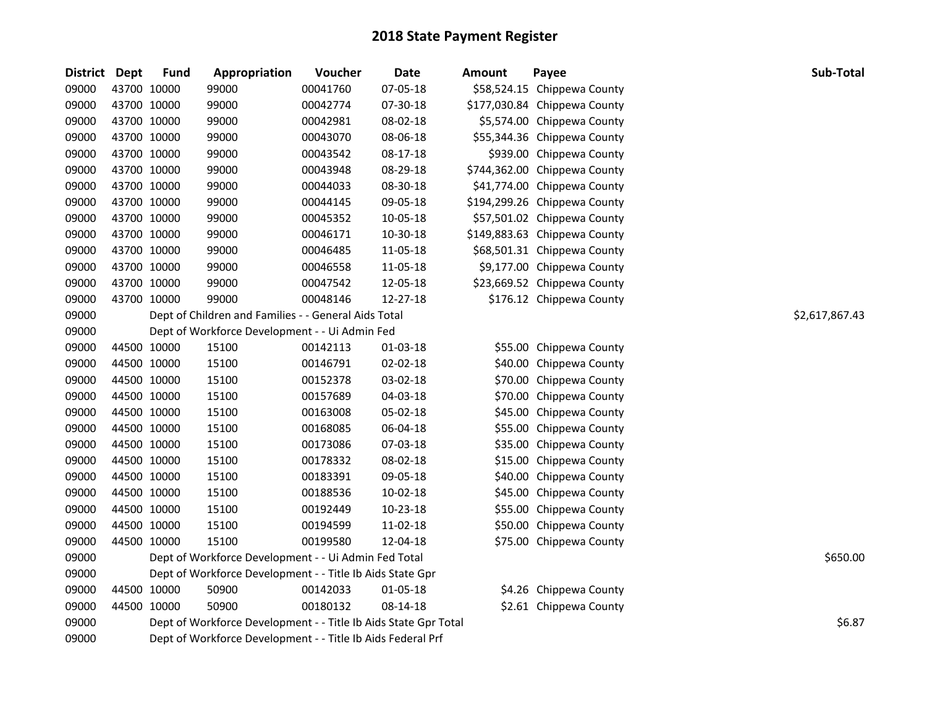| <b>District</b> | <b>Dept</b> | <b>Fund</b> | Appropriation                                                   | Voucher  | <b>Date</b> | <b>Amount</b> | Payee                        | Sub-Total      |  |  |  |
|-----------------|-------------|-------------|-----------------------------------------------------------------|----------|-------------|---------------|------------------------------|----------------|--|--|--|
| 09000           |             | 43700 10000 | 99000                                                           | 00041760 | 07-05-18    |               | \$58,524.15 Chippewa County  |                |  |  |  |
| 09000           |             | 43700 10000 | 99000                                                           | 00042774 | 07-30-18    |               | \$177,030.84 Chippewa County |                |  |  |  |
| 09000           |             | 43700 10000 | 99000                                                           | 00042981 | 08-02-18    |               | \$5,574.00 Chippewa County   |                |  |  |  |
| 09000           |             | 43700 10000 | 99000                                                           | 00043070 | 08-06-18    |               | \$55,344.36 Chippewa County  |                |  |  |  |
| 09000           |             | 43700 10000 | 99000                                                           | 00043542 | 08-17-18    |               | \$939.00 Chippewa County     |                |  |  |  |
| 09000           |             | 43700 10000 | 99000                                                           | 00043948 | 08-29-18    |               | \$744,362.00 Chippewa County |                |  |  |  |
| 09000           |             | 43700 10000 | 99000                                                           | 00044033 | 08-30-18    |               | \$41,774.00 Chippewa County  |                |  |  |  |
| 09000           |             | 43700 10000 | 99000                                                           | 00044145 | 09-05-18    |               | \$194,299.26 Chippewa County |                |  |  |  |
| 09000           |             | 43700 10000 | 99000                                                           | 00045352 | 10-05-18    |               | \$57,501.02 Chippewa County  |                |  |  |  |
| 09000           | 43700 10000 |             | 99000                                                           | 00046171 | 10-30-18    |               | \$149,883.63 Chippewa County |                |  |  |  |
| 09000           |             | 43700 10000 | 99000                                                           | 00046485 | 11-05-18    |               | \$68,501.31 Chippewa County  |                |  |  |  |
| 09000           |             | 43700 10000 | 99000                                                           | 00046558 | 11-05-18    |               | \$9,177.00 Chippewa County   |                |  |  |  |
| 09000           |             | 43700 10000 | 99000                                                           | 00047542 | 12-05-18    |               | \$23,669.52 Chippewa County  |                |  |  |  |
| 09000           | 43700 10000 |             | 99000                                                           | 00048146 | 12-27-18    |               | \$176.12 Chippewa County     |                |  |  |  |
| 09000           |             |             | Dept of Children and Families - - General Aids Total            |          |             |               |                              | \$2,617,867.43 |  |  |  |
| 09000           |             |             | Dept of Workforce Development - - Ui Admin Fed                  |          |             |               |                              |                |  |  |  |
| 09000           | 44500 10000 |             | 15100                                                           | 00142113 | 01-03-18    |               | \$55.00 Chippewa County      |                |  |  |  |
| 09000           |             | 44500 10000 | 15100                                                           | 00146791 | 02-02-18    |               | \$40.00 Chippewa County      |                |  |  |  |
| 09000           |             | 44500 10000 | 15100                                                           | 00152378 | 03-02-18    |               | \$70.00 Chippewa County      |                |  |  |  |
| 09000           |             | 44500 10000 | 15100                                                           | 00157689 | 04-03-18    |               | \$70.00 Chippewa County      |                |  |  |  |
| 09000           |             | 44500 10000 | 15100                                                           | 00163008 | 05-02-18    |               | \$45.00 Chippewa County      |                |  |  |  |
| 09000           |             | 44500 10000 | 15100                                                           | 00168085 | 06-04-18    |               | \$55.00 Chippewa County      |                |  |  |  |
| 09000           |             | 44500 10000 | 15100                                                           | 00173086 | 07-03-18    |               | \$35.00 Chippewa County      |                |  |  |  |
| 09000           |             | 44500 10000 | 15100                                                           | 00178332 | 08-02-18    |               | \$15.00 Chippewa County      |                |  |  |  |
| 09000           |             | 44500 10000 | 15100                                                           | 00183391 | 09-05-18    |               | \$40.00 Chippewa County      |                |  |  |  |
| 09000           |             | 44500 10000 | 15100                                                           | 00188536 | 10-02-18    |               | \$45.00 Chippewa County      |                |  |  |  |
| 09000           |             | 44500 10000 | 15100                                                           | 00192449 | 10-23-18    |               | \$55.00 Chippewa County      |                |  |  |  |
| 09000           |             | 44500 10000 | 15100                                                           | 00194599 | 11-02-18    |               | \$50.00 Chippewa County      |                |  |  |  |
| 09000           | 44500 10000 |             | 15100                                                           | 00199580 | 12-04-18    |               | \$75.00 Chippewa County      |                |  |  |  |
| 09000           |             |             | Dept of Workforce Development - - Ui Admin Fed Total            |          |             |               |                              | \$650.00       |  |  |  |
| 09000           |             |             | Dept of Workforce Development - - Title Ib Aids State Gpr       |          |             |               |                              |                |  |  |  |
| 09000           |             | 44500 10000 | 50900                                                           | 00142033 | 01-05-18    |               | \$4.26 Chippewa County       |                |  |  |  |
| 09000           | 44500 10000 |             | 50900                                                           | 00180132 | 08-14-18    |               | \$2.61 Chippewa County       |                |  |  |  |
| 09000           |             |             | Dept of Workforce Development - - Title Ib Aids State Gpr Total |          |             |               |                              | \$6.87         |  |  |  |
| 09000           |             |             | Dept of Workforce Development - - Title Ib Aids Federal Prf     |          |             |               |                              |                |  |  |  |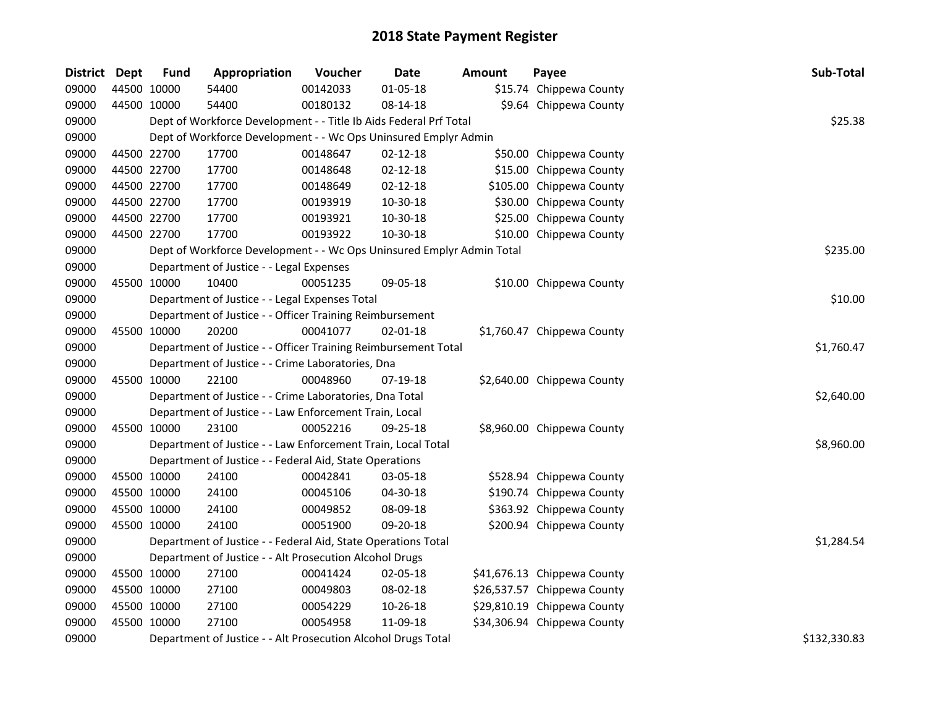| <b>District</b> | <b>Dept</b> | <b>Fund</b> | Appropriation                                                         | Voucher  | Date           | <b>Amount</b> | Payee                       | Sub-Total    |
|-----------------|-------------|-------------|-----------------------------------------------------------------------|----------|----------------|---------------|-----------------------------|--------------|
| 09000           |             | 44500 10000 | 54400                                                                 | 00142033 | $01 - 05 - 18$ |               | \$15.74 Chippewa County     |              |
| 09000           |             | 44500 10000 | 54400                                                                 | 00180132 | 08-14-18       |               | \$9.64 Chippewa County      |              |
| 09000           |             |             | Dept of Workforce Development - - Title Ib Aids Federal Prf Total     |          |                |               |                             | \$25.38      |
| 09000           |             |             | Dept of Workforce Development - - Wc Ops Uninsured Emplyr Admin       |          |                |               |                             |              |
| 09000           | 44500 22700 |             | 17700                                                                 | 00148647 | $02 - 12 - 18$ |               | \$50.00 Chippewa County     |              |
| 09000           |             | 44500 22700 | 17700                                                                 | 00148648 | $02 - 12 - 18$ |               | \$15.00 Chippewa County     |              |
| 09000           |             | 44500 22700 | 17700                                                                 | 00148649 | $02 - 12 - 18$ |               | \$105.00 Chippewa County    |              |
| 09000           |             | 44500 22700 | 17700                                                                 | 00193919 | 10-30-18       |               | \$30.00 Chippewa County     |              |
| 09000           |             | 44500 22700 | 17700                                                                 | 00193921 | 10-30-18       |               | \$25.00 Chippewa County     |              |
| 09000           |             | 44500 22700 | 17700                                                                 | 00193922 | 10-30-18       |               | \$10.00 Chippewa County     |              |
| 09000           |             |             | Dept of Workforce Development - - Wc Ops Uninsured Emplyr Admin Total |          |                |               |                             | \$235.00     |
| 09000           |             |             | Department of Justice - - Legal Expenses                              |          |                |               |                             |              |
| 09000           |             | 45500 10000 | 10400                                                                 | 00051235 | 09-05-18       |               | \$10.00 Chippewa County     |              |
| 09000           |             |             | Department of Justice - - Legal Expenses Total                        |          |                |               |                             | \$10.00      |
| 09000           |             |             | Department of Justice - - Officer Training Reimbursement              |          |                |               |                             |              |
| 09000           |             | 45500 10000 | 20200                                                                 | 00041077 | $02 - 01 - 18$ |               | \$1,760.47 Chippewa County  |              |
| 09000           |             |             | Department of Justice - - Officer Training Reimbursement Total        |          |                |               |                             | \$1,760.47   |
| 09000           |             |             | Department of Justice - - Crime Laboratories, Dna                     |          |                |               |                             |              |
| 09000           |             | 45500 10000 | 22100                                                                 | 00048960 | 07-19-18       |               | \$2,640.00 Chippewa County  |              |
| 09000           |             |             | Department of Justice - - Crime Laboratories, Dna Total               |          |                |               |                             | \$2,640.00   |
| 09000           |             |             | Department of Justice - - Law Enforcement Train, Local                |          |                |               |                             |              |
| 09000           |             | 45500 10000 | 23100                                                                 | 00052216 | 09-25-18       |               | \$8,960.00 Chippewa County  |              |
| 09000           |             |             | Department of Justice - - Law Enforcement Train, Local Total          |          |                |               |                             | \$8,960.00   |
| 09000           |             |             | Department of Justice - - Federal Aid, State Operations               |          |                |               |                             |              |
| 09000           |             | 45500 10000 | 24100                                                                 | 00042841 | 03-05-18       |               | \$528.94 Chippewa County    |              |
| 09000           |             | 45500 10000 | 24100                                                                 | 00045106 | 04-30-18       |               | \$190.74 Chippewa County    |              |
| 09000           |             | 45500 10000 | 24100                                                                 | 00049852 | 08-09-18       |               | \$363.92 Chippewa County    |              |
| 09000           |             | 45500 10000 | 24100                                                                 | 00051900 | 09-20-18       |               | \$200.94 Chippewa County    |              |
| 09000           |             |             | Department of Justice - - Federal Aid, State Operations Total         |          |                |               |                             | \$1,284.54   |
| 09000           |             |             | Department of Justice - - Alt Prosecution Alcohol Drugs               |          |                |               |                             |              |
| 09000           |             | 45500 10000 | 27100                                                                 | 00041424 | 02-05-18       |               | \$41,676.13 Chippewa County |              |
| 09000           | 45500 10000 |             | 27100                                                                 | 00049803 | 08-02-18       |               | \$26,537.57 Chippewa County |              |
| 09000           |             | 45500 10000 | 27100                                                                 | 00054229 | 10-26-18       |               | \$29,810.19 Chippewa County |              |
| 09000           |             | 45500 10000 | 27100                                                                 | 00054958 | 11-09-18       |               | \$34,306.94 Chippewa County |              |
| 09000           |             |             | Department of Justice - - Alt Prosecution Alcohol Drugs Total         |          |                |               |                             | \$132,330.83 |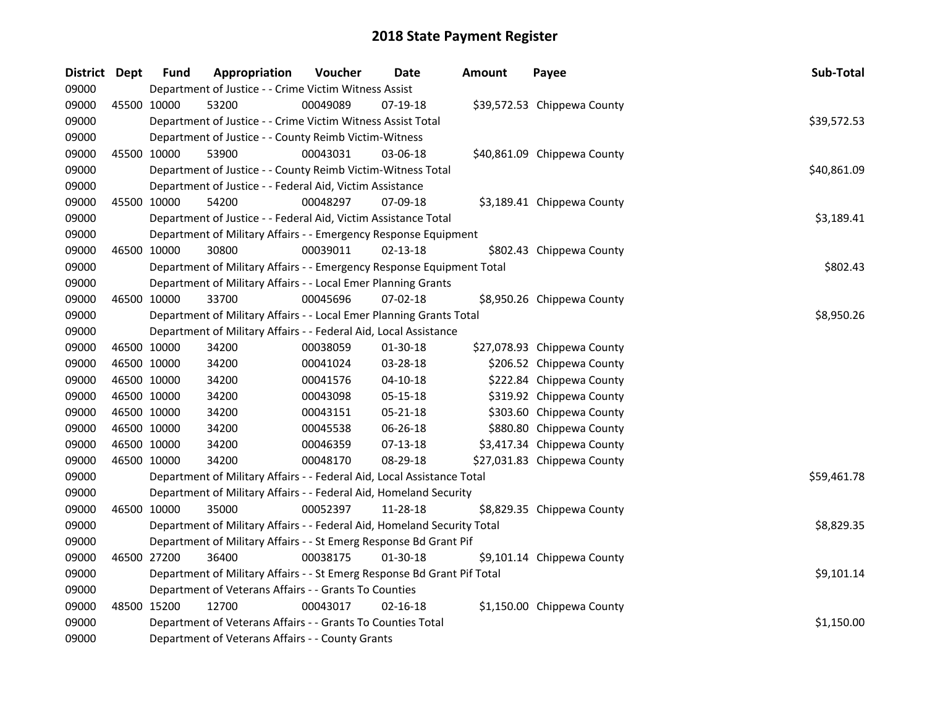| District Dept |             | <b>Fund</b> | Appropriation                                                           | Voucher  | <b>Date</b>    | <b>Amount</b> | Payee                       | Sub-Total   |
|---------------|-------------|-------------|-------------------------------------------------------------------------|----------|----------------|---------------|-----------------------------|-------------|
| 09000         |             |             | Department of Justice - - Crime Victim Witness Assist                   |          |                |               |                             |             |
| 09000         | 45500 10000 |             | 53200                                                                   | 00049089 | 07-19-18       |               | \$39,572.53 Chippewa County |             |
| 09000         |             |             | Department of Justice - - Crime Victim Witness Assist Total             |          |                |               |                             | \$39,572.53 |
| 09000         |             |             | Department of Justice - - County Reimb Victim-Witness                   |          |                |               |                             |             |
| 09000         | 45500 10000 |             | 53900                                                                   | 00043031 | 03-06-18       |               | \$40,861.09 Chippewa County |             |
| 09000         |             |             | Department of Justice - - County Reimb Victim-Witness Total             |          |                |               |                             | \$40,861.09 |
| 09000         |             |             | Department of Justice - - Federal Aid, Victim Assistance                |          |                |               |                             |             |
| 09000         | 45500 10000 |             | 54200                                                                   | 00048297 | 07-09-18       |               | \$3,189.41 Chippewa County  |             |
| 09000         |             |             | Department of Justice - - Federal Aid, Victim Assistance Total          |          |                |               |                             | \$3,189.41  |
| 09000         |             |             | Department of Military Affairs - - Emergency Response Equipment         |          |                |               |                             |             |
| 09000         | 46500 10000 |             | 30800                                                                   | 00039011 | 02-13-18       |               | \$802.43 Chippewa County    |             |
| 09000         |             |             | Department of Military Affairs - - Emergency Response Equipment Total   |          |                |               |                             | \$802.43    |
| 09000         |             |             | Department of Military Affairs - - Local Emer Planning Grants           |          |                |               |                             |             |
| 09000         | 46500 10000 |             | 33700                                                                   | 00045696 | 07-02-18       |               | \$8,950.26 Chippewa County  |             |
| 09000         |             |             | Department of Military Affairs - - Local Emer Planning Grants Total     |          |                |               |                             | \$8,950.26  |
| 09000         |             |             | Department of Military Affairs - - Federal Aid, Local Assistance        |          |                |               |                             |             |
| 09000         | 46500 10000 |             | 34200                                                                   | 00038059 | 01-30-18       |               | \$27,078.93 Chippewa County |             |
| 09000         | 46500 10000 |             | 34200                                                                   | 00041024 | 03-28-18       |               | \$206.52 Chippewa County    |             |
| 09000         | 46500 10000 |             | 34200                                                                   | 00041576 | $04 - 10 - 18$ |               | \$222.84 Chippewa County    |             |
| 09000         | 46500 10000 |             | 34200                                                                   | 00043098 | 05-15-18       |               | \$319.92 Chippewa County    |             |
| 09000         | 46500 10000 |             | 34200                                                                   | 00043151 | 05-21-18       |               | \$303.60 Chippewa County    |             |
| 09000         | 46500 10000 |             | 34200                                                                   | 00045538 | 06-26-18       |               | \$880.80 Chippewa County    |             |
| 09000         | 46500 10000 |             | 34200                                                                   | 00046359 | 07-13-18       |               | \$3,417.34 Chippewa County  |             |
| 09000         | 46500 10000 |             | 34200                                                                   | 00048170 | 08-29-18       |               | \$27,031.83 Chippewa County |             |
| 09000         |             |             | Department of Military Affairs - - Federal Aid, Local Assistance Total  |          |                |               |                             | \$59,461.78 |
| 09000         |             |             | Department of Military Affairs - - Federal Aid, Homeland Security       |          |                |               |                             |             |
| 09000         | 46500 10000 |             | 35000                                                                   | 00052397 | 11-28-18       |               | \$8,829.35 Chippewa County  |             |
| 09000         |             |             | Department of Military Affairs - - Federal Aid, Homeland Security Total |          |                |               |                             | \$8,829.35  |
| 09000         |             |             | Department of Military Affairs - - St Emerg Response Bd Grant Pif       |          |                |               |                             |             |
| 09000         | 46500 27200 |             | 36400                                                                   | 00038175 | 01-30-18       |               | \$9,101.14 Chippewa County  |             |
| 09000         |             |             | Department of Military Affairs - - St Emerg Response Bd Grant Pif Total |          |                |               |                             | \$9,101.14  |
| 09000         |             |             | Department of Veterans Affairs - - Grants To Counties                   |          |                |               |                             |             |
| 09000         | 48500 15200 |             | 12700                                                                   | 00043017 | 02-16-18       |               | \$1,150.00 Chippewa County  |             |
| 09000         |             |             | Department of Veterans Affairs - - Grants To Counties Total             |          |                |               |                             | \$1,150.00  |
| 09000         |             |             | Department of Veterans Affairs - - County Grants                        |          |                |               |                             |             |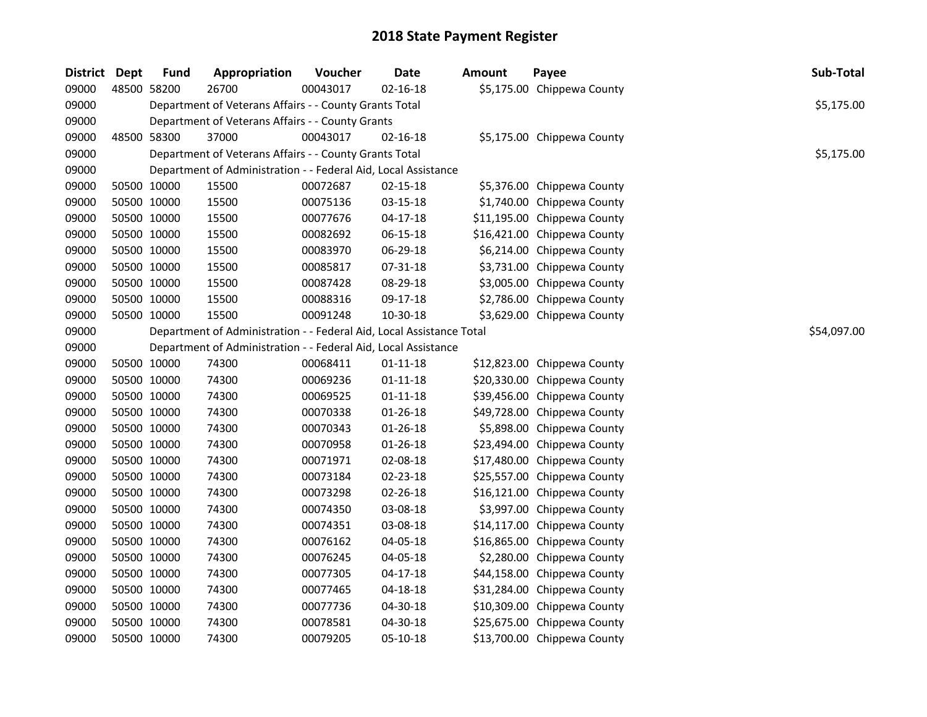| <b>District</b> | Dept | <b>Fund</b> | Appropriation                                                        | Voucher  | <b>Date</b>    | <b>Amount</b> | Payee                       | Sub-Total   |
|-----------------|------|-------------|----------------------------------------------------------------------|----------|----------------|---------------|-----------------------------|-------------|
| 09000           |      | 48500 58200 | 26700                                                                | 00043017 | $02 - 16 - 18$ |               | \$5,175.00 Chippewa County  |             |
| 09000           |      |             | Department of Veterans Affairs - - County Grants Total               |          |                |               |                             | \$5,175.00  |
| 09000           |      |             | Department of Veterans Affairs - - County Grants                     |          |                |               |                             |             |
| 09000           |      | 48500 58300 | 37000                                                                | 00043017 | $02 - 16 - 18$ |               | \$5,175.00 Chippewa County  |             |
| 09000           |      |             | Department of Veterans Affairs - - County Grants Total               |          |                |               |                             | \$5,175.00  |
| 09000           |      |             | Department of Administration - - Federal Aid, Local Assistance       |          |                |               |                             |             |
| 09000           |      | 50500 10000 | 15500                                                                | 00072687 | 02-15-18       |               | \$5,376.00 Chippewa County  |             |
| 09000           |      | 50500 10000 | 15500                                                                | 00075136 | 03-15-18       |               | \$1,740.00 Chippewa County  |             |
| 09000           |      | 50500 10000 | 15500                                                                | 00077676 | $04-17-18$     |               | \$11,195.00 Chippewa County |             |
| 09000           |      | 50500 10000 | 15500                                                                | 00082692 | 06-15-18       |               | \$16,421.00 Chippewa County |             |
| 09000           |      | 50500 10000 | 15500                                                                | 00083970 | 06-29-18       |               | \$6,214.00 Chippewa County  |             |
| 09000           |      | 50500 10000 | 15500                                                                | 00085817 | 07-31-18       |               | \$3,731.00 Chippewa County  |             |
| 09000           |      | 50500 10000 | 15500                                                                | 00087428 | 08-29-18       |               | \$3,005.00 Chippewa County  |             |
| 09000           |      | 50500 10000 | 15500                                                                | 00088316 | 09-17-18       |               | \$2,786.00 Chippewa County  |             |
| 09000           |      | 50500 10000 | 15500                                                                | 00091248 | 10-30-18       |               | \$3,629.00 Chippewa County  |             |
| 09000           |      |             | Department of Administration - - Federal Aid, Local Assistance Total |          |                |               |                             | \$54,097.00 |
| 09000           |      |             | Department of Administration - - Federal Aid, Local Assistance       |          |                |               |                             |             |
| 09000           |      | 50500 10000 | 74300                                                                | 00068411 | $01 - 11 - 18$ |               | \$12,823.00 Chippewa County |             |
| 09000           |      | 50500 10000 | 74300                                                                | 00069236 | $01 - 11 - 18$ |               | \$20,330.00 Chippewa County |             |
| 09000           |      | 50500 10000 | 74300                                                                | 00069525 | $01 - 11 - 18$ |               | \$39,456.00 Chippewa County |             |
| 09000           |      | 50500 10000 | 74300                                                                | 00070338 | 01-26-18       |               | \$49,728.00 Chippewa County |             |
| 09000           |      | 50500 10000 | 74300                                                                | 00070343 | $01 - 26 - 18$ |               | \$5,898.00 Chippewa County  |             |
| 09000           |      | 50500 10000 | 74300                                                                | 00070958 | 01-26-18       |               | \$23,494.00 Chippewa County |             |
| 09000           |      | 50500 10000 | 74300                                                                | 00071971 | 02-08-18       |               | \$17,480.00 Chippewa County |             |
| 09000           |      | 50500 10000 | 74300                                                                | 00073184 | 02-23-18       |               | \$25,557.00 Chippewa County |             |
| 09000           |      | 50500 10000 | 74300                                                                | 00073298 | 02-26-18       |               | \$16,121.00 Chippewa County |             |
| 09000           |      | 50500 10000 | 74300                                                                | 00074350 | 03-08-18       |               | \$3,997.00 Chippewa County  |             |
| 09000           |      | 50500 10000 | 74300                                                                | 00074351 | 03-08-18       |               | \$14,117.00 Chippewa County |             |
| 09000           |      | 50500 10000 | 74300                                                                | 00076162 | 04-05-18       |               | \$16,865.00 Chippewa County |             |
| 09000           |      | 50500 10000 | 74300                                                                | 00076245 | 04-05-18       |               | \$2,280.00 Chippewa County  |             |
| 09000           |      | 50500 10000 | 74300                                                                | 00077305 | $04 - 17 - 18$ |               | \$44,158.00 Chippewa County |             |
| 09000           |      | 50500 10000 | 74300                                                                | 00077465 | $04 - 18 - 18$ |               | \$31,284.00 Chippewa County |             |
| 09000           |      | 50500 10000 | 74300                                                                | 00077736 | 04-30-18       |               | \$10,309.00 Chippewa County |             |
| 09000           |      | 50500 10000 | 74300                                                                | 00078581 | 04-30-18       |               | \$25,675.00 Chippewa County |             |
| 09000           |      | 50500 10000 | 74300                                                                | 00079205 | 05-10-18       |               | \$13,700.00 Chippewa County |             |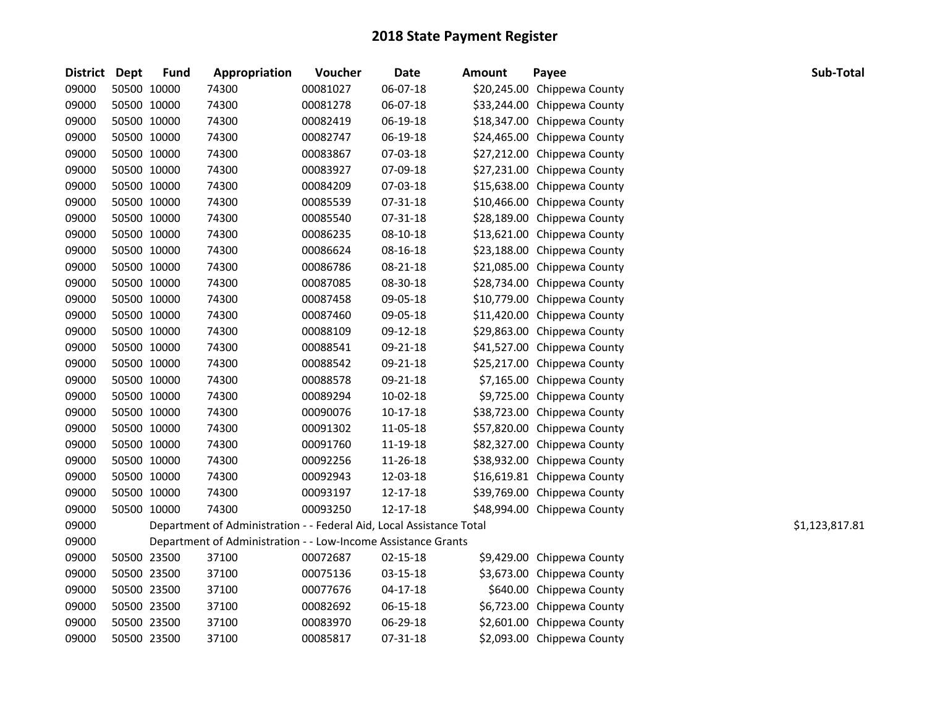| District | Dept        | <b>Fund</b> | Appropriation                                                        | Voucher  | <b>Date</b> | Amount | Payee                       | Sub-Total      |
|----------|-------------|-------------|----------------------------------------------------------------------|----------|-------------|--------|-----------------------------|----------------|
| 09000    |             | 50500 10000 | 74300                                                                | 00081027 | 06-07-18    |        | \$20,245.00 Chippewa County |                |
| 09000    | 50500 10000 |             | 74300                                                                | 00081278 | 06-07-18    |        | \$33,244.00 Chippewa County |                |
| 09000    | 50500 10000 |             | 74300                                                                | 00082419 | 06-19-18    |        | \$18,347.00 Chippewa County |                |
| 09000    | 50500 10000 |             | 74300                                                                | 00082747 | 06-19-18    |        | \$24,465.00 Chippewa County |                |
| 09000    | 50500 10000 |             | 74300                                                                | 00083867 | 07-03-18    |        | \$27,212.00 Chippewa County |                |
| 09000    | 50500 10000 |             | 74300                                                                | 00083927 | 07-09-18    |        | \$27,231.00 Chippewa County |                |
| 09000    | 50500 10000 |             | 74300                                                                | 00084209 | 07-03-18    |        | \$15,638.00 Chippewa County |                |
| 09000    | 50500 10000 |             | 74300                                                                | 00085539 | 07-31-18    |        | \$10,466.00 Chippewa County |                |
| 09000    | 50500 10000 |             | 74300                                                                | 00085540 | 07-31-18    |        | \$28,189.00 Chippewa County |                |
| 09000    | 50500 10000 |             | 74300                                                                | 00086235 | 08-10-18    |        | \$13,621.00 Chippewa County |                |
| 09000    | 50500 10000 |             | 74300                                                                | 00086624 | 08-16-18    |        | \$23,188.00 Chippewa County |                |
| 09000    | 50500 10000 |             | 74300                                                                | 00086786 | 08-21-18    |        | \$21,085.00 Chippewa County |                |
| 09000    | 50500 10000 |             | 74300                                                                | 00087085 | 08-30-18    |        | \$28,734.00 Chippewa County |                |
| 09000    | 50500 10000 |             | 74300                                                                | 00087458 | 09-05-18    |        | \$10,779.00 Chippewa County |                |
| 09000    | 50500 10000 |             | 74300                                                                | 00087460 | 09-05-18    |        | \$11,420.00 Chippewa County |                |
| 09000    | 50500 10000 |             | 74300                                                                | 00088109 | 09-12-18    |        | \$29,863.00 Chippewa County |                |
| 09000    | 50500 10000 |             | 74300                                                                | 00088541 | 09-21-18    |        | \$41,527.00 Chippewa County |                |
| 09000    | 50500 10000 |             | 74300                                                                | 00088542 | 09-21-18    |        | \$25,217.00 Chippewa County |                |
| 09000    | 50500 10000 |             | 74300                                                                | 00088578 | 09-21-18    |        | \$7,165.00 Chippewa County  |                |
| 09000    | 50500 10000 |             | 74300                                                                | 00089294 | 10-02-18    |        | \$9,725.00 Chippewa County  |                |
| 09000    | 50500 10000 |             | 74300                                                                | 00090076 | $10-17-18$  |        | \$38,723.00 Chippewa County |                |
| 09000    | 50500 10000 |             | 74300                                                                | 00091302 | 11-05-18    |        | \$57,820.00 Chippewa County |                |
| 09000    | 50500 10000 |             | 74300                                                                | 00091760 | 11-19-18    |        | \$82,327.00 Chippewa County |                |
| 09000    | 50500 10000 |             | 74300                                                                | 00092256 | 11-26-18    |        | \$38,932.00 Chippewa County |                |
| 09000    | 50500 10000 |             | 74300                                                                | 00092943 | 12-03-18    |        | \$16,619.81 Chippewa County |                |
| 09000    | 50500 10000 |             | 74300                                                                | 00093197 | 12-17-18    |        | \$39,769.00 Chippewa County |                |
| 09000    | 50500 10000 |             | 74300                                                                | 00093250 | 12-17-18    |        | \$48,994.00 Chippewa County |                |
| 09000    |             |             | Department of Administration - - Federal Aid, Local Assistance Total |          |             |        |                             | \$1,123,817.81 |
| 09000    |             |             | Department of Administration - - Low-Income Assistance Grants        |          |             |        |                             |                |
| 09000    | 50500 23500 |             | 37100                                                                | 00072687 | 02-15-18    |        | \$9,429.00 Chippewa County  |                |
| 09000    |             | 50500 23500 | 37100                                                                | 00075136 | 03-15-18    |        | \$3,673.00 Chippewa County  |                |
| 09000    |             | 50500 23500 | 37100                                                                | 00077676 | 04-17-18    |        | \$640.00 Chippewa County    |                |
| 09000    | 50500 23500 |             | 37100                                                                | 00082692 | 06-15-18    |        | \$6,723.00 Chippewa County  |                |
| 09000    | 50500 23500 |             | 37100                                                                | 00083970 | 06-29-18    |        | \$2,601.00 Chippewa County  |                |
| 09000    | 50500 23500 |             | 37100                                                                | 00085817 | 07-31-18    |        | \$2,093.00 Chippewa County  |                |
|          |             |             |                                                                      |          |             |        |                             |                |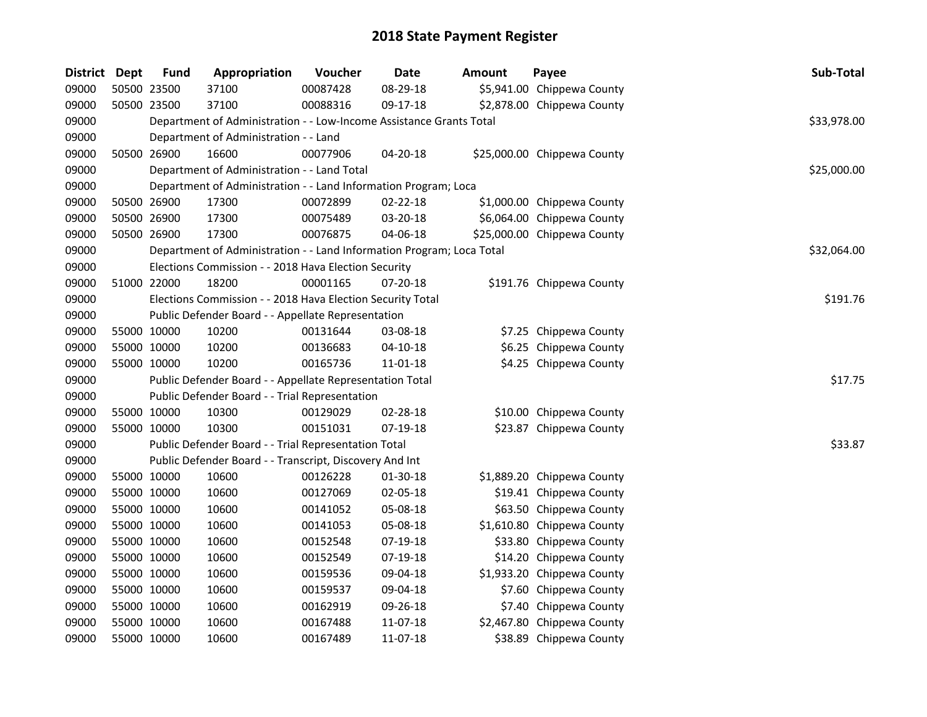| District Dept | <b>Fund</b> | Appropriation                                                         | Voucher  | Date           | <b>Amount</b> | Payee                       | Sub-Total   |
|---------------|-------------|-----------------------------------------------------------------------|----------|----------------|---------------|-----------------------------|-------------|
| 09000         | 50500 23500 | 37100                                                                 | 00087428 | 08-29-18       |               | \$5,941.00 Chippewa County  |             |
| 09000         | 50500 23500 | 37100                                                                 | 00088316 | 09-17-18       |               | \$2,878.00 Chippewa County  |             |
| 09000         |             | Department of Administration - - Low-Income Assistance Grants Total   |          |                |               |                             | \$33,978.00 |
| 09000         |             | Department of Administration - - Land                                 |          |                |               |                             |             |
| 09000         | 50500 26900 | 16600                                                                 | 00077906 | 04-20-18       |               | \$25,000.00 Chippewa County |             |
| 09000         |             | Department of Administration - - Land Total                           |          |                |               |                             | \$25,000.00 |
| 09000         |             | Department of Administration - - Land Information Program; Loca       |          |                |               |                             |             |
| 09000         | 50500 26900 | 17300                                                                 | 00072899 | $02 - 22 - 18$ |               | \$1,000.00 Chippewa County  |             |
| 09000         | 50500 26900 | 17300                                                                 | 00075489 | 03-20-18       |               | \$6,064.00 Chippewa County  |             |
| 09000         | 50500 26900 | 17300                                                                 | 00076875 | 04-06-18       |               | \$25,000.00 Chippewa County |             |
| 09000         |             | Department of Administration - - Land Information Program; Loca Total |          |                |               |                             | \$32,064.00 |
| 09000         |             | Elections Commission - - 2018 Hava Election Security                  |          |                |               |                             |             |
| 09000         | 51000 22000 | 18200                                                                 | 00001165 | 07-20-18       |               | \$191.76 Chippewa County    |             |
| 09000         |             | Elections Commission - - 2018 Hava Election Security Total            |          |                |               |                             | \$191.76    |
| 09000         |             | Public Defender Board - - Appellate Representation                    |          |                |               |                             |             |
| 09000         | 55000 10000 | 10200                                                                 | 00131644 | 03-08-18       |               | \$7.25 Chippewa County      |             |
| 09000         | 55000 10000 | 10200                                                                 | 00136683 | $04 - 10 - 18$ |               | \$6.25 Chippewa County      |             |
| 09000         | 55000 10000 | 10200                                                                 | 00165736 | 11-01-18       |               | \$4.25 Chippewa County      |             |
| 09000         |             | Public Defender Board - - Appellate Representation Total              |          |                |               |                             | \$17.75     |
| 09000         |             | Public Defender Board - - Trial Representation                        |          |                |               |                             |             |
| 09000         | 55000 10000 | 10300                                                                 | 00129029 | 02-28-18       |               | \$10.00 Chippewa County     |             |
| 09000         | 55000 10000 | 10300                                                                 | 00151031 | $07-19-18$     |               | \$23.87 Chippewa County     |             |
| 09000         |             | Public Defender Board - - Trial Representation Total                  |          |                |               |                             | \$33.87     |
| 09000         |             | Public Defender Board - - Transcript, Discovery And Int               |          |                |               |                             |             |
| 09000         | 55000 10000 | 10600                                                                 | 00126228 | 01-30-18       |               | \$1,889.20 Chippewa County  |             |
| 09000         | 55000 10000 | 10600                                                                 | 00127069 | 02-05-18       |               | \$19.41 Chippewa County     |             |
| 09000         | 55000 10000 | 10600                                                                 | 00141052 | 05-08-18       |               | \$63.50 Chippewa County     |             |
| 09000         | 55000 10000 | 10600                                                                 | 00141053 | 05-08-18       |               | \$1,610.80 Chippewa County  |             |
| 09000         | 55000 10000 | 10600                                                                 | 00152548 | 07-19-18       |               | \$33.80 Chippewa County     |             |
| 09000         | 55000 10000 | 10600                                                                 | 00152549 | 07-19-18       |               | \$14.20 Chippewa County     |             |
| 09000         | 55000 10000 | 10600                                                                 | 00159536 | 09-04-18       |               | \$1,933.20 Chippewa County  |             |
| 09000         | 55000 10000 | 10600                                                                 | 00159537 | 09-04-18       |               | \$7.60 Chippewa County      |             |
| 09000         | 55000 10000 | 10600                                                                 | 00162919 | 09-26-18       |               | \$7.40 Chippewa County      |             |
| 09000         | 55000 10000 | 10600                                                                 | 00167488 | 11-07-18       |               | \$2,467.80 Chippewa County  |             |
| 09000         | 55000 10000 | 10600                                                                 | 00167489 | 11-07-18       |               | \$38.89 Chippewa County     |             |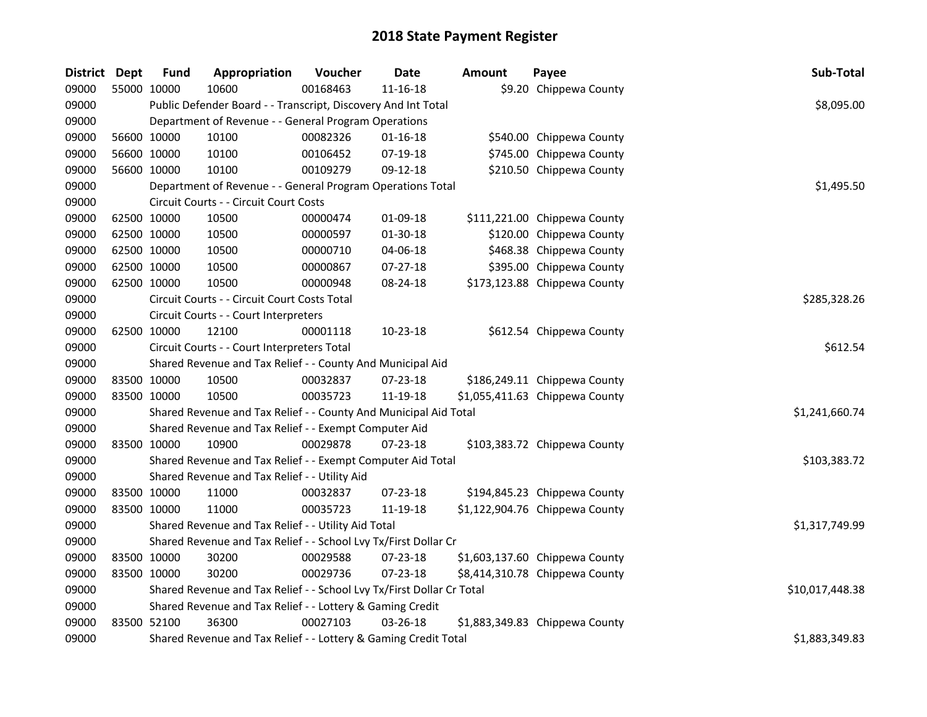| District Dept |             | <b>Fund</b> | Appropriation                                                         | Voucher  | Date           | <b>Amount</b> | Payee                          | Sub-Total       |  |  |
|---------------|-------------|-------------|-----------------------------------------------------------------------|----------|----------------|---------------|--------------------------------|-----------------|--|--|
| 09000         | 55000 10000 |             | 10600                                                                 | 00168463 | 11-16-18       |               | \$9.20 Chippewa County         |                 |  |  |
| 09000         |             |             | Public Defender Board - - Transcript, Discovery And Int Total         |          |                |               |                                | \$8,095.00      |  |  |
| 09000         |             |             | Department of Revenue - - General Program Operations                  |          |                |               |                                |                 |  |  |
| 09000         | 56600 10000 |             | 10100                                                                 | 00082326 | $01 - 16 - 18$ |               | \$540.00 Chippewa County       |                 |  |  |
| 09000         | 56600 10000 |             | 10100                                                                 | 00106452 | 07-19-18       |               | \$745.00 Chippewa County       |                 |  |  |
| 09000         | 56600 10000 |             | 10100                                                                 | 00109279 | 09-12-18       |               | \$210.50 Chippewa County       |                 |  |  |
| 09000         |             |             | Department of Revenue - - General Program Operations Total            |          |                |               |                                | \$1,495.50      |  |  |
| 09000         |             |             | Circuit Courts - - Circuit Court Costs                                |          |                |               |                                |                 |  |  |
| 09000         | 62500 10000 |             | 10500                                                                 | 00000474 | 01-09-18       |               | \$111,221.00 Chippewa County   |                 |  |  |
| 09000         | 62500 10000 |             | 10500                                                                 | 00000597 | 01-30-18       |               | \$120.00 Chippewa County       |                 |  |  |
| 09000         | 62500 10000 |             | 10500                                                                 | 00000710 | 04-06-18       |               | \$468.38 Chippewa County       |                 |  |  |
| 09000         | 62500 10000 |             | 10500                                                                 | 00000867 | 07-27-18       |               | \$395.00 Chippewa County       |                 |  |  |
| 09000         | 62500 10000 |             | 10500                                                                 | 00000948 | 08-24-18       |               | \$173,123.88 Chippewa County   |                 |  |  |
| 09000         |             |             | Circuit Courts - - Circuit Court Costs Total                          |          |                |               |                                | \$285,328.26    |  |  |
| 09000         |             |             | Circuit Courts - - Court Interpreters                                 |          |                |               |                                |                 |  |  |
| 09000         | 62500 10000 |             | 12100                                                                 | 00001118 | $10-23-18$     |               | \$612.54 Chippewa County       |                 |  |  |
| 09000         |             |             | Circuit Courts - - Court Interpreters Total                           |          |                |               |                                | \$612.54        |  |  |
| 09000         |             |             | Shared Revenue and Tax Relief - - County And Municipal Aid            |          |                |               |                                |                 |  |  |
| 09000         | 83500 10000 |             | 10500                                                                 | 00032837 | 07-23-18       |               | \$186,249.11 Chippewa County   |                 |  |  |
| 09000         | 83500 10000 |             | 10500                                                                 | 00035723 | 11-19-18       |               | \$1,055,411.63 Chippewa County |                 |  |  |
| 09000         |             |             | Shared Revenue and Tax Relief - - County And Municipal Aid Total      |          |                |               |                                | \$1,241,660.74  |  |  |
| 09000         |             |             | Shared Revenue and Tax Relief - - Exempt Computer Aid                 |          |                |               |                                |                 |  |  |
| 09000         | 83500 10000 |             | 10900                                                                 | 00029878 | 07-23-18       |               | \$103,383.72 Chippewa County   |                 |  |  |
| 09000         |             |             | Shared Revenue and Tax Relief - - Exempt Computer Aid Total           |          |                |               |                                | \$103,383.72    |  |  |
| 09000         |             |             | Shared Revenue and Tax Relief - - Utility Aid                         |          |                |               |                                |                 |  |  |
| 09000         | 83500 10000 |             | 11000                                                                 | 00032837 | 07-23-18       |               | \$194,845.23 Chippewa County   |                 |  |  |
| 09000         | 83500 10000 |             | 11000                                                                 | 00035723 | 11-19-18       |               | \$1,122,904.76 Chippewa County |                 |  |  |
| 09000         |             |             | Shared Revenue and Tax Relief - - Utility Aid Total                   |          |                |               |                                | \$1,317,749.99  |  |  |
| 09000         |             |             | Shared Revenue and Tax Relief - - School Lvy Tx/First Dollar Cr       |          |                |               |                                |                 |  |  |
| 09000         | 83500 10000 |             | 30200                                                                 | 00029588 | $07 - 23 - 18$ |               | \$1,603,137.60 Chippewa County |                 |  |  |
| 09000         | 83500 10000 |             | 30200                                                                 | 00029736 | 07-23-18       |               | \$8,414,310.78 Chippewa County |                 |  |  |
| 09000         |             |             | Shared Revenue and Tax Relief - - School Lvy Tx/First Dollar Cr Total |          |                |               |                                | \$10,017,448.38 |  |  |
| 09000         |             |             | Shared Revenue and Tax Relief - - Lottery & Gaming Credit             |          |                |               |                                |                 |  |  |
| 09000         | 83500 52100 |             | 36300                                                                 | 00027103 | $03 - 26 - 18$ |               | \$1,883,349.83 Chippewa County |                 |  |  |
| 09000         |             |             | Shared Revenue and Tax Relief - - Lottery & Gaming Credit Total       |          |                |               |                                | \$1,883,349.83  |  |  |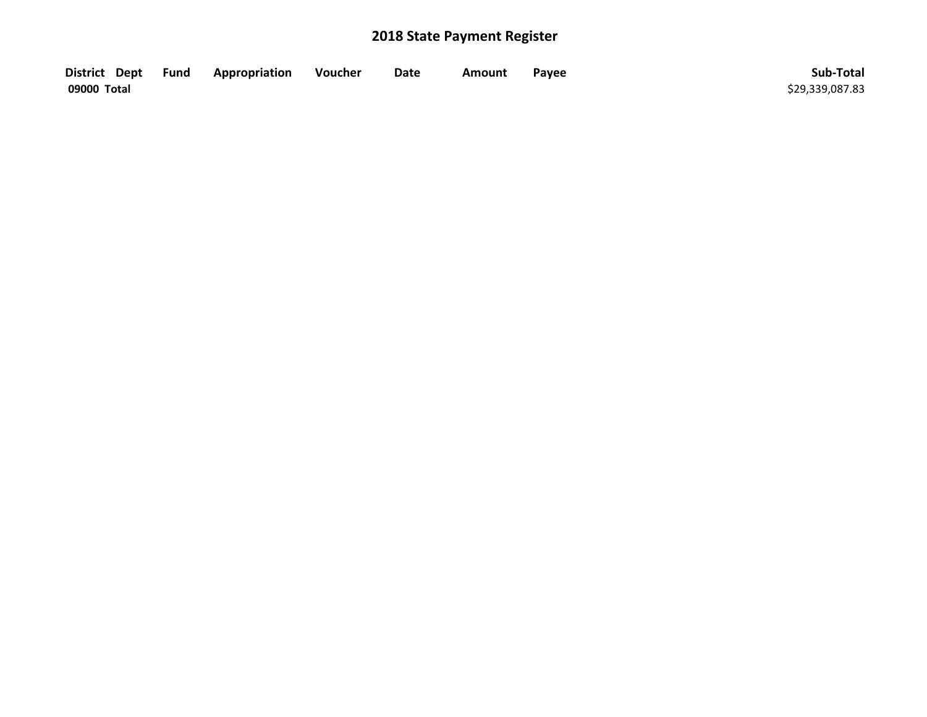| District Dept Fund | Appropriation | Voucher | Date | <b>Amount</b> | Payee | Sub-Total       |
|--------------------|---------------|---------|------|---------------|-------|-----------------|
| 09000 Total        |               |         |      |               |       | \$29,339,087.83 |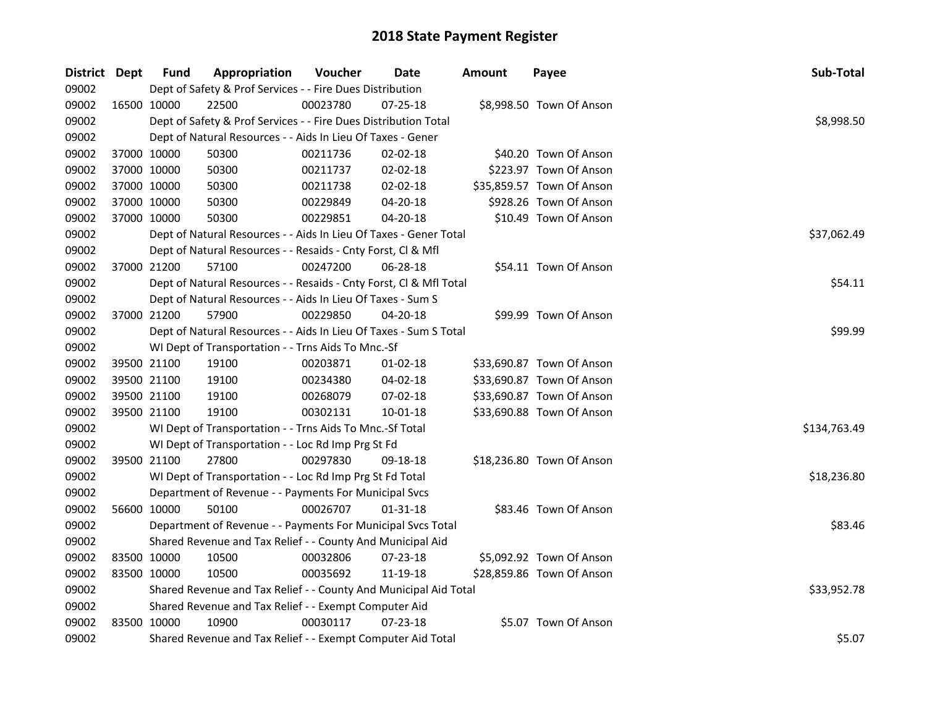| District Dept |             | <b>Fund</b>                                                | Appropriation                                                      | Voucher  | Date           | <b>Amount</b> | Payee                     | Sub-Total    |
|---------------|-------------|------------------------------------------------------------|--------------------------------------------------------------------|----------|----------------|---------------|---------------------------|--------------|
| 09002         |             |                                                            | Dept of Safety & Prof Services - - Fire Dues Distribution          |          |                |               |                           |              |
| 09002         |             | 16500 10000                                                | 22500                                                              | 00023780 | $07 - 25 - 18$ |               | \$8,998.50 Town Of Anson  |              |
| 09002         |             |                                                            | Dept of Safety & Prof Services - - Fire Dues Distribution Total    |          |                |               |                           | \$8,998.50   |
| 09002         |             |                                                            | Dept of Natural Resources - - Aids In Lieu Of Taxes - Gener        |          |                |               |                           |              |
| 09002         | 37000 10000 |                                                            | 50300                                                              | 00211736 | 02-02-18       |               | \$40.20 Town Of Anson     |              |
| 09002         | 37000 10000 |                                                            | 50300                                                              | 00211737 | $02 - 02 - 18$ |               | \$223.97 Town Of Anson    |              |
| 09002         | 37000 10000 |                                                            | 50300                                                              | 00211738 | 02-02-18       |               | \$35,859.57 Town Of Anson |              |
| 09002         | 37000 10000 |                                                            | 50300                                                              | 00229849 | 04-20-18       |               | \$928.26 Town Of Anson    |              |
| 09002         | 37000 10000 |                                                            | 50300                                                              | 00229851 | 04-20-18       |               | \$10.49 Town Of Anson     |              |
| 09002         |             |                                                            | Dept of Natural Resources - - Aids In Lieu Of Taxes - Gener Total  |          |                |               |                           | \$37,062.49  |
| 09002         |             |                                                            | Dept of Natural Resources - - Resaids - Cnty Forst, Cl & Mfl       |          |                |               |                           |              |
| 09002         |             | 37000 21200                                                | 57100                                                              | 00247200 | 06-28-18       |               | \$54.11 Town Of Anson     |              |
| 09002         |             |                                                            | Dept of Natural Resources - - Resaids - Cnty Forst, Cl & Mfl Total |          |                |               |                           | \$54.11      |
| 09002         |             |                                                            | Dept of Natural Resources - - Aids In Lieu Of Taxes - Sum S        |          |                |               |                           |              |
| 09002         |             | 37000 21200                                                | 57900                                                              | 00229850 | 04-20-18       |               | \$99.99 Town Of Anson     |              |
| 09002         |             |                                                            | Dept of Natural Resources - - Aids In Lieu Of Taxes - Sum S Total  | \$99.99  |                |               |                           |              |
| 09002         |             |                                                            | WI Dept of Transportation - - Trns Aids To Mnc.-Sf                 |          |                |               |                           |              |
| 09002         |             | 39500 21100                                                | 19100                                                              | 00203871 | $01-02-18$     |               | \$33,690.87 Town Of Anson |              |
| 09002         | 39500 21100 |                                                            | 19100                                                              | 00234380 | 04-02-18       |               | \$33,690.87 Town Of Anson |              |
| 09002         | 39500 21100 |                                                            | 19100                                                              | 00268079 | 07-02-18       |               | \$33,690.87 Town Of Anson |              |
| 09002         | 39500 21100 |                                                            | 19100                                                              | 00302131 | $10 - 01 - 18$ |               | \$33,690.88 Town Of Anson |              |
| 09002         |             |                                                            | WI Dept of Transportation - - Trns Aids To Mnc.-Sf Total           |          |                |               |                           | \$134,763.49 |
| 09002         |             |                                                            | WI Dept of Transportation - - Loc Rd Imp Prg St Fd                 |          |                |               |                           |              |
| 09002         |             | 39500 21100                                                | 27800                                                              | 00297830 | 09-18-18       |               | \$18,236.80 Town Of Anson |              |
| 09002         |             |                                                            | WI Dept of Transportation - - Loc Rd Imp Prg St Fd Total           |          |                |               |                           | \$18,236.80  |
| 09002         |             |                                                            | Department of Revenue - - Payments For Municipal Svcs              |          |                |               |                           |              |
| 09002         |             | 56600 10000                                                | 50100                                                              | 00026707 | 01-31-18       |               | \$83.46 Town Of Anson     |              |
| 09002         |             |                                                            | Department of Revenue - - Payments For Municipal Svcs Total        |          |                |               |                           | \$83.46      |
| 09002         |             | Shared Revenue and Tax Relief - - County And Municipal Aid |                                                                    |          |                |               |                           |              |
| 09002         | 83500 10000 |                                                            | 10500                                                              | 00032806 | 07-23-18       |               | \$5,092.92 Town Of Anson  |              |
| 09002         | 83500 10000 |                                                            | 10500                                                              | 00035692 | 11-19-18       |               | \$28,859.86 Town Of Anson |              |
| 09002         |             |                                                            | Shared Revenue and Tax Relief - - County And Municipal Aid Total   |          |                |               |                           | \$33,952.78  |
| 09002         |             |                                                            | Shared Revenue and Tax Relief - - Exempt Computer Aid              |          |                |               |                           |              |
| 09002         | 83500 10000 |                                                            | 10900                                                              | 00030117 | $07 - 23 - 18$ |               | \$5.07 Town Of Anson      |              |
| 09002         |             |                                                            | Shared Revenue and Tax Relief - - Exempt Computer Aid Total        |          |                |               |                           | \$5.07       |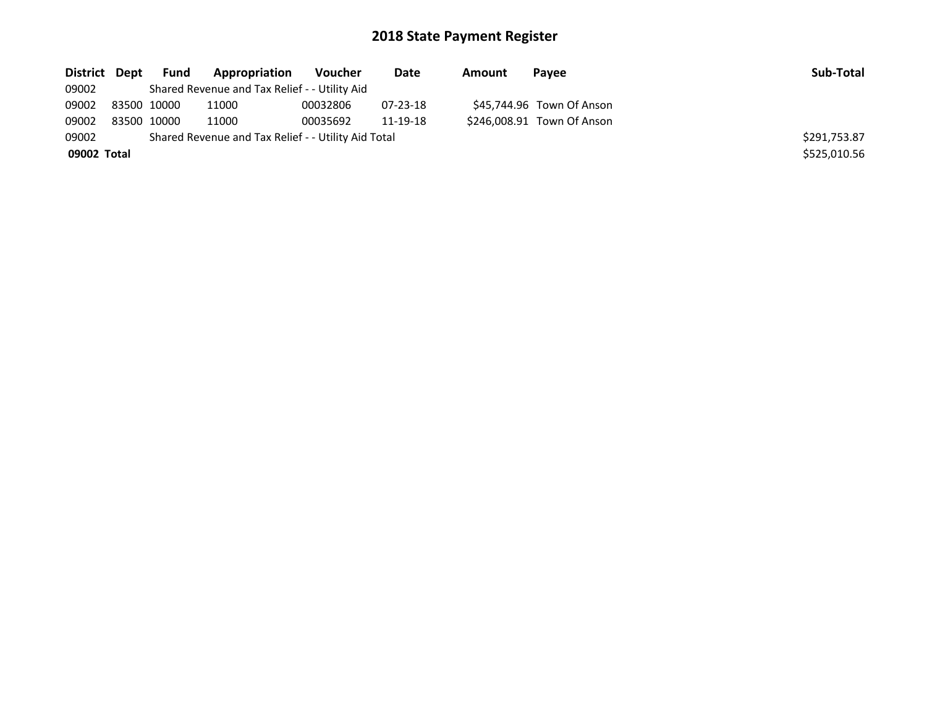| District Dept | Fund        | Appropriation                                       | Voucher  | Date           | Amount | Pavee                      | Sub-Total    |
|---------------|-------------|-----------------------------------------------------|----------|----------------|--------|----------------------------|--------------|
| 09002         |             | Shared Revenue and Tax Relief - - Utility Aid       |          |                |        |                            |              |
| 09002         | 83500 10000 | 11000                                               | 00032806 | $07 - 23 - 18$ |        | \$45,744.96 Town Of Anson  |              |
| 09002         | 83500 10000 | 11000                                               | 00035692 | 11-19-18       |        | \$246,008.91 Town Of Anson |              |
| 09002         |             | Shared Revenue and Tax Relief - - Utility Aid Total |          |                |        |                            | \$291,753.87 |
| 09002 Total   |             |                                                     |          |                |        |                            | \$525,010.56 |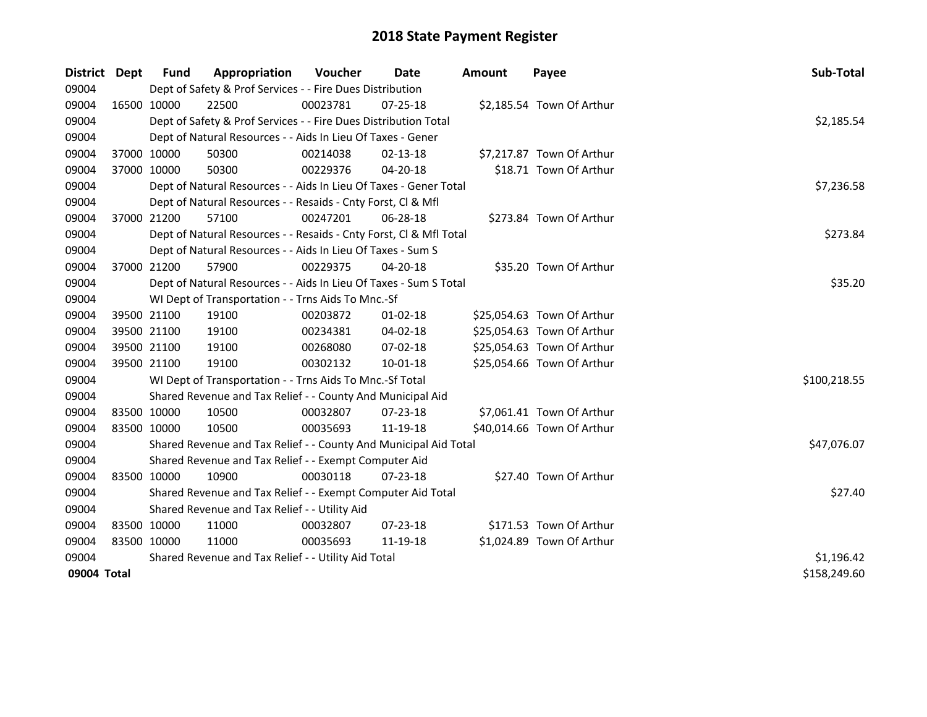| District    | Dept        | <b>Fund</b>                                         | Appropriation                                                      | Voucher  | Date           | <b>Amount</b> | Payee                      | Sub-Total    |
|-------------|-------------|-----------------------------------------------------|--------------------------------------------------------------------|----------|----------------|---------------|----------------------------|--------------|
| 09004       |             |                                                     | Dept of Safety & Prof Services - - Fire Dues Distribution          |          |                |               |                            |              |
| 09004       |             | 16500 10000                                         | 22500                                                              | 00023781 | 07-25-18       |               | \$2,185.54 Town Of Arthur  |              |
| 09004       |             |                                                     | Dept of Safety & Prof Services - - Fire Dues Distribution Total    |          |                |               |                            | \$2,185.54   |
| 09004       |             |                                                     | Dept of Natural Resources - - Aids In Lieu Of Taxes - Gener        |          |                |               |                            |              |
| 09004       | 37000 10000 |                                                     | 50300                                                              | 00214038 | 02-13-18       |               | \$7,217.87 Town Of Arthur  |              |
| 09004       |             | 37000 10000                                         | 50300                                                              | 00229376 | $04 - 20 - 18$ |               | \$18.71 Town Of Arthur     |              |
| 09004       |             |                                                     | Dept of Natural Resources - - Aids In Lieu Of Taxes - Gener Total  |          |                |               |                            | \$7,236.58   |
| 09004       |             |                                                     | Dept of Natural Resources - - Resaids - Cnty Forst, Cl & Mfl       |          |                |               |                            |              |
| 09004       |             | 37000 21200                                         | 57100                                                              | 00247201 | 06-28-18       |               | \$273.84 Town Of Arthur    |              |
| 09004       |             |                                                     | Dept of Natural Resources - - Resaids - Cnty Forst, Cl & Mfl Total |          |                |               |                            | \$273.84     |
| 09004       |             |                                                     | Dept of Natural Resources - - Aids In Lieu Of Taxes - Sum S        |          |                |               |                            |              |
| 09004       |             | 37000 21200                                         | 57900                                                              | 00229375 | 04-20-18       |               | \$35.20 Town Of Arthur     |              |
| 09004       |             |                                                     | Dept of Natural Resources - - Aids In Lieu Of Taxes - Sum S Total  |          |                |               |                            | \$35.20      |
| 09004       |             |                                                     | WI Dept of Transportation - - Trns Aids To Mnc.-Sf                 |          |                |               |                            |              |
| 09004       |             | 39500 21100                                         | 19100                                                              | 00203872 | $01 - 02 - 18$ |               | \$25,054.63 Town Of Arthur |              |
| 09004       | 39500 21100 |                                                     | 19100                                                              | 00234381 | 04-02-18       |               | \$25,054.63 Town Of Arthur |              |
| 09004       | 39500 21100 |                                                     | 19100                                                              | 00268080 | 07-02-18       |               | \$25,054.63 Town Of Arthur |              |
| 09004       |             | 39500 21100                                         | 19100                                                              | 00302132 | $10 - 01 - 18$ |               | \$25,054.66 Town Of Arthur |              |
| 09004       |             |                                                     | WI Dept of Transportation - - Trns Aids To Mnc.-Sf Total           |          |                |               |                            | \$100,218.55 |
| 09004       |             |                                                     | Shared Revenue and Tax Relief - - County And Municipal Aid         |          |                |               |                            |              |
| 09004       | 83500 10000 |                                                     | 10500                                                              | 00032807 | 07-23-18       |               | \$7,061.41 Town Of Arthur  |              |
| 09004       | 83500 10000 |                                                     | 10500                                                              | 00035693 | 11-19-18       |               | \$40,014.66 Town Of Arthur |              |
| 09004       |             |                                                     | Shared Revenue and Tax Relief - - County And Municipal Aid Total   |          |                |               |                            | \$47,076.07  |
| 09004       |             |                                                     | Shared Revenue and Tax Relief - - Exempt Computer Aid              |          |                |               |                            |              |
| 09004       | 83500 10000 |                                                     | 10900                                                              | 00030118 | 07-23-18       |               | \$27.40 Town Of Arthur     |              |
| 09004       |             |                                                     | Shared Revenue and Tax Relief - - Exempt Computer Aid Total        |          |                |               |                            | \$27.40      |
| 09004       |             |                                                     | Shared Revenue and Tax Relief - - Utility Aid                      |          |                |               |                            |              |
| 09004       | 83500 10000 |                                                     | 11000                                                              | 00032807 | $07 - 23 - 18$ |               | \$171.53 Town Of Arthur    |              |
| 09004       | 83500 10000 |                                                     | 11000                                                              | 00035693 | 11-19-18       |               | \$1,024.89 Town Of Arthur  |              |
| 09004       |             | Shared Revenue and Tax Relief - - Utility Aid Total | \$1,196.42                                                         |          |                |               |                            |              |
| 09004 Total |             |                                                     |                                                                    |          |                |               |                            | \$158,249.60 |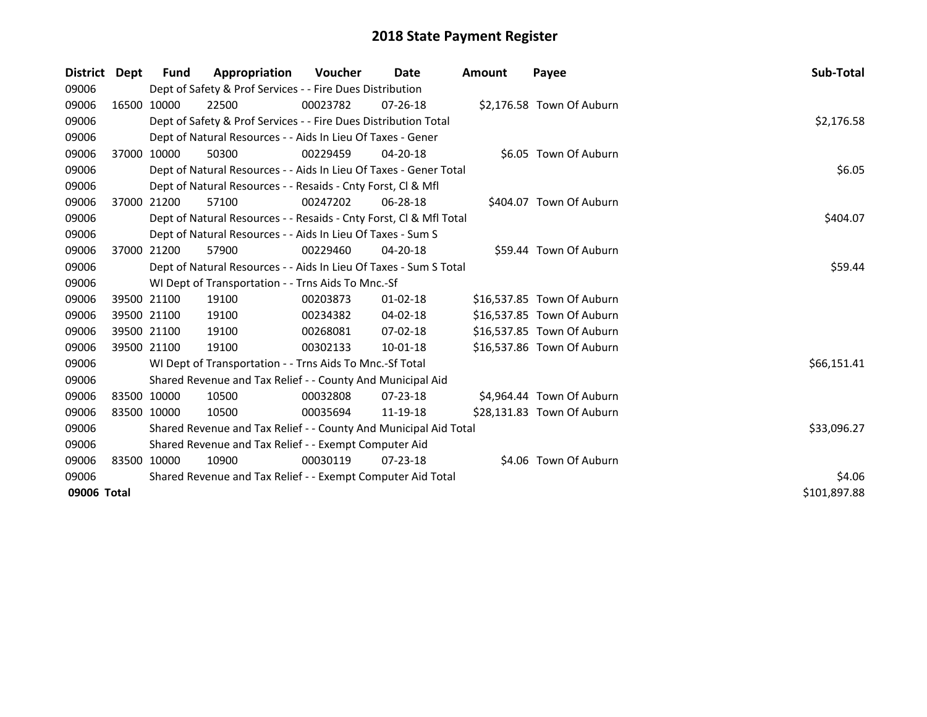| District    | Dept        | <b>Fund</b>                                                 | Appropriation                                                      | Voucher  | Date           | <b>Amount</b> | Payee                      | Sub-Total    |
|-------------|-------------|-------------------------------------------------------------|--------------------------------------------------------------------|----------|----------------|---------------|----------------------------|--------------|
| 09006       |             |                                                             | Dept of Safety & Prof Services - - Fire Dues Distribution          |          |                |               |                            |              |
| 09006       |             | 16500 10000                                                 | 22500                                                              | 00023782 | $07 - 26 - 18$ |               | \$2,176.58 Town Of Auburn  |              |
| 09006       |             |                                                             | Dept of Safety & Prof Services - - Fire Dues Distribution Total    |          |                |               |                            | \$2,176.58   |
| 09006       |             |                                                             | Dept of Natural Resources - - Aids In Lieu Of Taxes - Gener        |          |                |               |                            |              |
| 09006       |             | 37000 10000                                                 | 50300                                                              | 00229459 | $04 - 20 - 18$ |               | \$6.05 Town Of Auburn      |              |
| 09006       |             |                                                             | Dept of Natural Resources - - Aids In Lieu Of Taxes - Gener Total  |          |                |               |                            | \$6.05       |
| 09006       |             |                                                             | Dept of Natural Resources - - Resaids - Cnty Forst, CI & Mfl       |          |                |               |                            |              |
| 09006       |             | 37000 21200                                                 | 57100                                                              | 00247202 | 06-28-18       |               | \$404.07 Town Of Auburn    |              |
| 09006       |             |                                                             | Dept of Natural Resources - - Resaids - Cnty Forst, CI & Mfl Total |          |                |               |                            | \$404.07     |
| 09006       |             |                                                             | Dept of Natural Resources - - Aids In Lieu Of Taxes - Sum S        |          |                |               |                            |              |
| 09006       |             | 37000 21200                                                 | 57900                                                              | 00229460 | $04 - 20 - 18$ |               | \$59.44 Town Of Auburn     |              |
| 09006       |             |                                                             | Dept of Natural Resources - - Aids In Lieu Of Taxes - Sum S Total  | \$59.44  |                |               |                            |              |
| 09006       |             |                                                             | WI Dept of Transportation - - Trns Aids To Mnc.-Sf                 |          |                |               |                            |              |
| 09006       |             | 39500 21100                                                 | 19100                                                              | 00203873 | $01 - 02 - 18$ |               | \$16,537.85 Town Of Auburn |              |
| 09006       |             | 39500 21100                                                 | 19100                                                              | 00234382 | 04-02-18       |               | \$16,537.85 Town Of Auburn |              |
| 09006       |             | 39500 21100                                                 | 19100                                                              | 00268081 | $07 - 02 - 18$ |               | \$16,537.85 Town Of Auburn |              |
| 09006       | 39500 21100 |                                                             | 19100                                                              | 00302133 | 10-01-18       |               | \$16,537.86 Town Of Auburn |              |
| 09006       |             |                                                             | WI Dept of Transportation - - Trns Aids To Mnc.-Sf Total           |          |                |               |                            | \$66,151.41  |
| 09006       |             |                                                             | Shared Revenue and Tax Relief - - County And Municipal Aid         |          |                |               |                            |              |
| 09006       |             | 83500 10000                                                 | 10500                                                              | 00032808 | $07 - 23 - 18$ |               | \$4,964.44 Town Of Auburn  |              |
| 09006       | 83500 10000 |                                                             | 10500                                                              | 00035694 | 11-19-18       |               | \$28,131.83 Town Of Auburn |              |
| 09006       |             |                                                             | Shared Revenue and Tax Relief - - County And Municipal Aid Total   |          |                |               |                            | \$33,096.27  |
| 09006       |             |                                                             | Shared Revenue and Tax Relief - - Exempt Computer Aid              |          |                |               |                            |              |
| 09006       |             | 83500 10000                                                 | 10900                                                              | 00030119 | $07 - 23 - 18$ |               | \$4.06 Town Of Auburn      |              |
| 09006       |             | Shared Revenue and Tax Relief - - Exempt Computer Aid Total | \$4.06                                                             |          |                |               |                            |              |
| 09006 Total |             |                                                             |                                                                    |          |                |               |                            | \$101,897.88 |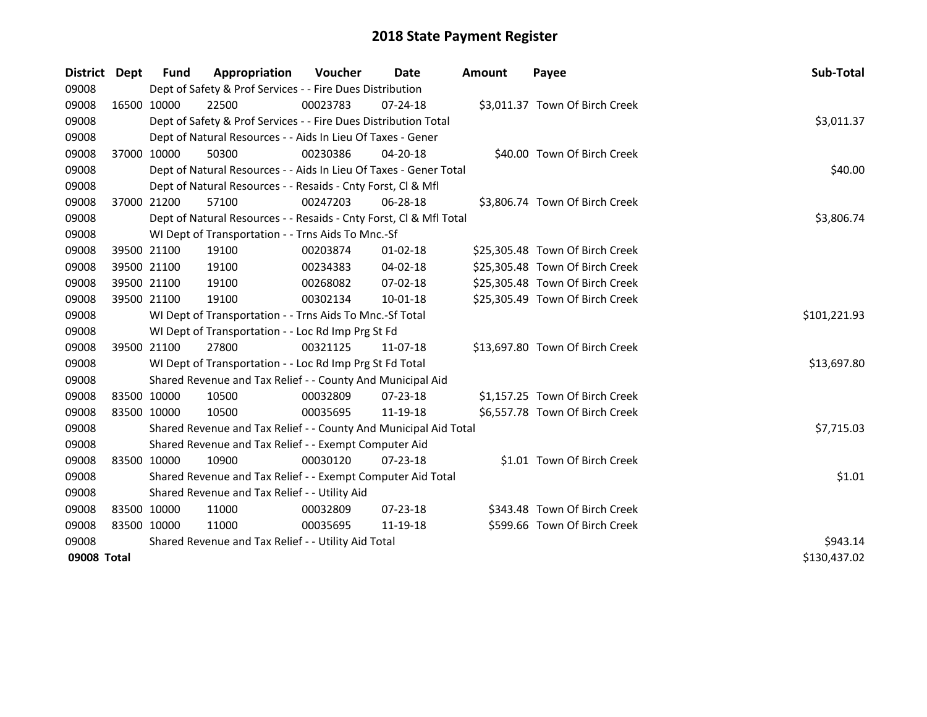| District    | <b>Dept</b> | Fund        | Appropriation                                                      | <b>Voucher</b> | Date           | <b>Amount</b> | Payee                           | Sub-Total    |  |  |
|-------------|-------------|-------------|--------------------------------------------------------------------|----------------|----------------|---------------|---------------------------------|--------------|--|--|
| 09008       |             |             | Dept of Safety & Prof Services - - Fire Dues Distribution          |                |                |               |                                 |              |  |  |
| 09008       |             | 16500 10000 | 22500                                                              | 00023783       | 07-24-18       |               | \$3,011.37 Town Of Birch Creek  |              |  |  |
| 09008       |             |             | Dept of Safety & Prof Services - - Fire Dues Distribution Total    |                |                |               |                                 | \$3,011.37   |  |  |
| 09008       |             |             | Dept of Natural Resources - - Aids In Lieu Of Taxes - Gener        |                |                |               |                                 |              |  |  |
| 09008       | 37000 10000 |             | 50300                                                              | 00230386       | $04 - 20 - 18$ |               | \$40.00 Town Of Birch Creek     |              |  |  |
| 09008       |             |             | Dept of Natural Resources - - Aids In Lieu Of Taxes - Gener Total  |                |                |               |                                 | \$40.00      |  |  |
| 09008       |             |             | Dept of Natural Resources - - Resaids - Cnty Forst, CI & Mfl       |                |                |               |                                 |              |  |  |
| 09008       |             | 37000 21200 | 57100                                                              | 00247203       | 06-28-18       |               | \$3,806.74 Town Of Birch Creek  |              |  |  |
| 09008       |             |             | Dept of Natural Resources - - Resaids - Cnty Forst, CI & Mfl Total |                |                |               |                                 |              |  |  |
| 09008       |             |             | WI Dept of Transportation - - Trns Aids To Mnc.-Sf                 |                |                |               |                                 |              |  |  |
| 09008       |             | 39500 21100 | 19100                                                              | 00203874       | $01 - 02 - 18$ |               | \$25,305.48 Town Of Birch Creek |              |  |  |
| 09008       |             | 39500 21100 | 19100                                                              | 00234383       | 04-02-18       |               | \$25,305.48 Town Of Birch Creek |              |  |  |
| 09008       |             | 39500 21100 | 19100                                                              | 00268082       | 07-02-18       |               | \$25,305.48 Town Of Birch Creek |              |  |  |
| 09008       | 39500 21100 |             | 19100                                                              | 00302134       | 10-01-18       |               | \$25,305.49 Town Of Birch Creek |              |  |  |
| 09008       |             |             | WI Dept of Transportation - - Trns Aids To Mnc.-Sf Total           |                |                |               |                                 | \$101,221.93 |  |  |
| 09008       |             |             | WI Dept of Transportation - - Loc Rd Imp Prg St Fd                 |                |                |               |                                 |              |  |  |
| 09008       |             | 39500 21100 | 27800                                                              | 00321125       | 11-07-18       |               | \$13,697.80 Town Of Birch Creek |              |  |  |
| 09008       |             |             | WI Dept of Transportation - - Loc Rd Imp Prg St Fd Total           |                |                |               |                                 | \$13,697.80  |  |  |
| 09008       |             |             | Shared Revenue and Tax Relief - - County And Municipal Aid         |                |                |               |                                 |              |  |  |
| 09008       |             | 83500 10000 | 10500                                                              | 00032809       | $07 - 23 - 18$ |               | \$1,157.25 Town Of Birch Creek  |              |  |  |
| 09008       | 83500 10000 |             | 10500                                                              | 00035695       | 11-19-18       |               | \$6,557.78 Town Of Birch Creek  |              |  |  |
| 09008       |             |             | Shared Revenue and Tax Relief - - County And Municipal Aid Total   |                |                |               |                                 | \$7,715.03   |  |  |
| 09008       |             |             | Shared Revenue and Tax Relief - - Exempt Computer Aid              |                |                |               |                                 |              |  |  |
| 09008       | 83500 10000 |             | 10900                                                              | 00030120       | $07 - 23 - 18$ |               | \$1.01 Town Of Birch Creek      |              |  |  |
| 09008       |             |             | Shared Revenue and Tax Relief - - Exempt Computer Aid Total        |                |                |               |                                 | \$1.01       |  |  |
| 09008       |             |             | Shared Revenue and Tax Relief - - Utility Aid                      |                |                |               |                                 |              |  |  |
| 09008       |             | 83500 10000 | 11000                                                              | 00032809       | 07-23-18       |               | \$343.48 Town Of Birch Creek    |              |  |  |
| 09008       | 83500 10000 |             | 11000                                                              | 00035695       | 11-19-18       |               | \$599.66 Town Of Birch Creek    |              |  |  |
| 09008       |             |             | Shared Revenue and Tax Relief - - Utility Aid Total                |                |                |               |                                 | \$943.14     |  |  |
| 09008 Total |             |             |                                                                    |                |                |               |                                 | \$130,437.02 |  |  |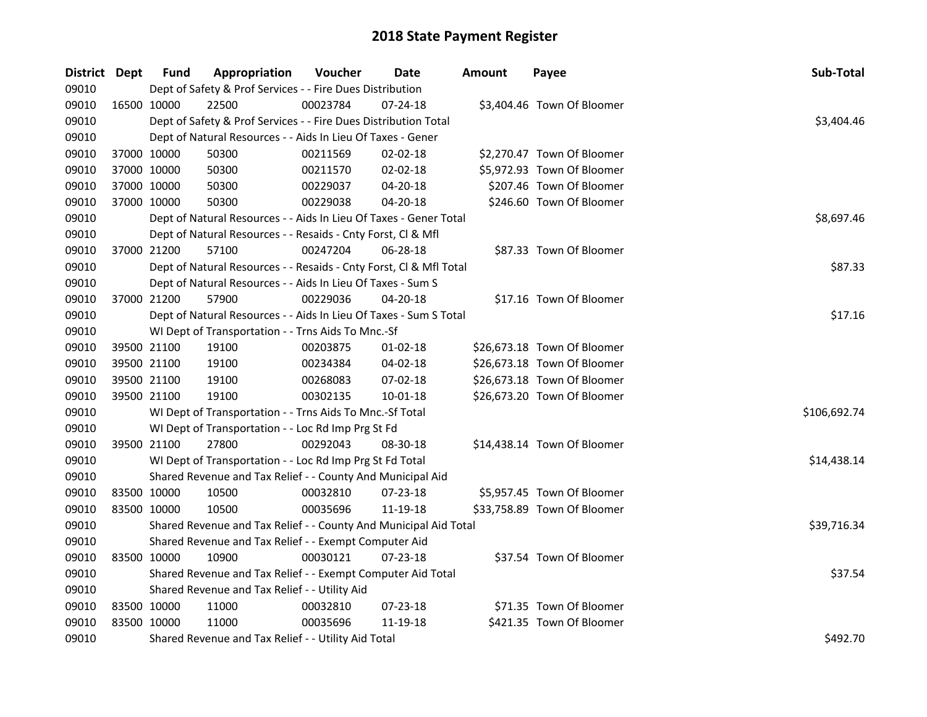| District Dept |             | <b>Fund</b> | Appropriation                                                      | Voucher  | Date           | <b>Amount</b> | Payee                       | Sub-Total    |
|---------------|-------------|-------------|--------------------------------------------------------------------|----------|----------------|---------------|-----------------------------|--------------|
| 09010         |             |             | Dept of Safety & Prof Services - - Fire Dues Distribution          |          |                |               |                             |              |
| 09010         | 16500 10000 |             | 22500                                                              | 00023784 | 07-24-18       |               | \$3,404.46 Town Of Bloomer  |              |
| 09010         |             |             | Dept of Safety & Prof Services - - Fire Dues Distribution Total    |          |                |               |                             | \$3,404.46   |
| 09010         |             |             | Dept of Natural Resources - - Aids In Lieu Of Taxes - Gener        |          |                |               |                             |              |
| 09010         |             | 37000 10000 | 50300                                                              | 00211569 | 02-02-18       |               | \$2,270.47 Town Of Bloomer  |              |
| 09010         | 37000 10000 |             | 50300                                                              | 00211570 | $02 - 02 - 18$ |               | \$5,972.93 Town Of Bloomer  |              |
| 09010         | 37000 10000 |             | 50300                                                              | 00229037 | 04-20-18       |               | \$207.46 Town Of Bloomer    |              |
| 09010         | 37000 10000 |             | 50300                                                              | 00229038 | 04-20-18       |               | \$246.60 Town Of Bloomer    |              |
| 09010         |             |             | Dept of Natural Resources - - Aids In Lieu Of Taxes - Gener Total  |          |                |               |                             | \$8,697.46   |
| 09010         |             |             | Dept of Natural Resources - - Resaids - Cnty Forst, Cl & Mfl       |          |                |               |                             |              |
| 09010         |             | 37000 21200 | 57100                                                              | 00247204 | 06-28-18       |               | \$87.33 Town Of Bloomer     |              |
| 09010         |             |             | Dept of Natural Resources - - Resaids - Cnty Forst, Cl & Mfl Total |          |                |               |                             | \$87.33      |
| 09010         |             |             | Dept of Natural Resources - - Aids In Lieu Of Taxes - Sum S        |          |                |               |                             |              |
| 09010         |             | 37000 21200 | 57900                                                              | 00229036 | 04-20-18       |               | \$17.16 Town Of Bloomer     |              |
| 09010         |             |             | Dept of Natural Resources - - Aids In Lieu Of Taxes - Sum S Total  |          |                |               |                             | \$17.16      |
| 09010         |             |             | WI Dept of Transportation - - Trns Aids To Mnc.-Sf                 |          |                |               |                             |              |
| 09010         |             | 39500 21100 | 19100                                                              | 00203875 | $01 - 02 - 18$ |               | \$26,673.18 Town Of Bloomer |              |
| 09010         | 39500 21100 |             | 19100                                                              | 00234384 | 04-02-18       |               | \$26,673.18 Town Of Bloomer |              |
| 09010         | 39500 21100 |             | 19100                                                              | 00268083 | 07-02-18       |               | \$26,673.18 Town Of Bloomer |              |
| 09010         |             | 39500 21100 | 19100                                                              | 00302135 | $10 - 01 - 18$ |               | \$26,673.20 Town Of Bloomer |              |
| 09010         |             |             | WI Dept of Transportation - - Trns Aids To Mnc.-Sf Total           |          |                |               |                             | \$106,692.74 |
| 09010         |             |             | WI Dept of Transportation - - Loc Rd Imp Prg St Fd                 |          |                |               |                             |              |
| 09010         |             | 39500 21100 | 27800                                                              | 00292043 | 08-30-18       |               | \$14,438.14 Town Of Bloomer |              |
| 09010         |             |             | WI Dept of Transportation - - Loc Rd Imp Prg St Fd Total           |          |                |               |                             | \$14,438.14  |
| 09010         |             |             | Shared Revenue and Tax Relief - - County And Municipal Aid         |          |                |               |                             |              |
| 09010         | 83500 10000 |             | 10500                                                              | 00032810 | 07-23-18       |               | \$5,957.45 Town Of Bloomer  |              |
| 09010         | 83500 10000 |             | 10500                                                              | 00035696 | 11-19-18       |               | \$33,758.89 Town Of Bloomer |              |
| 09010         |             |             | Shared Revenue and Tax Relief - - County And Municipal Aid Total   |          |                |               |                             | \$39,716.34  |
| 09010         |             |             | Shared Revenue and Tax Relief - - Exempt Computer Aid              |          |                |               |                             |              |
| 09010         |             | 83500 10000 | 10900                                                              | 00030121 | 07-23-18       |               | \$37.54 Town Of Bloomer     |              |
| 09010         |             |             | Shared Revenue and Tax Relief - - Exempt Computer Aid Total        |          |                |               |                             | \$37.54      |
| 09010         |             |             | Shared Revenue and Tax Relief - - Utility Aid                      |          |                |               |                             |              |
| 09010         | 83500 10000 |             | 11000                                                              | 00032810 | 07-23-18       |               | \$71.35 Town Of Bloomer     |              |
| 09010         | 83500 10000 |             | 11000                                                              | 00035696 | 11-19-18       |               | \$421.35 Town Of Bloomer    |              |
| 09010         |             |             | Shared Revenue and Tax Relief - - Utility Aid Total                |          |                |               |                             | \$492.70     |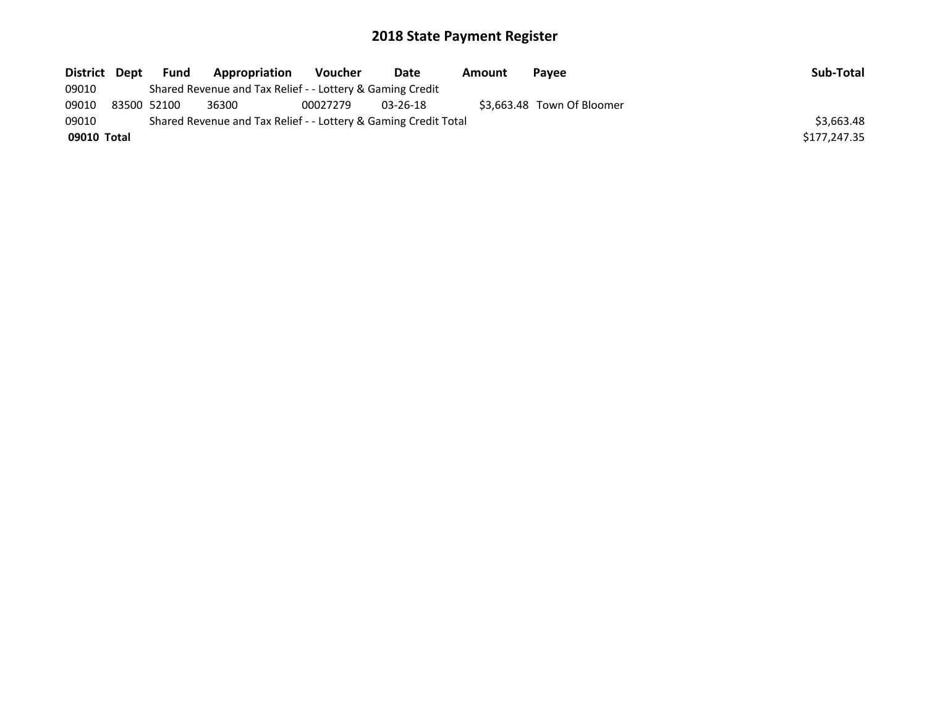| District Dept | <b>Fund</b> | Appropriation                                                   | Voucher  | Date           | Amount | Pavee                      | Sub-Total    |
|---------------|-------------|-----------------------------------------------------------------|----------|----------------|--------|----------------------------|--------------|
| 09010         |             | Shared Revenue and Tax Relief - - Lottery & Gaming Credit       |          |                |        |                            |              |
| 09010         | 83500 52100 | 36300                                                           | 00027279 | $03 - 26 - 18$ |        | \$3,663.48 Town Of Bloomer |              |
| 09010         |             | Shared Revenue and Tax Relief - - Lottery & Gaming Credit Total |          |                |        |                            | \$3,663.48   |
| 09010 Total   |             |                                                                 |          |                |        |                            | \$177,247.35 |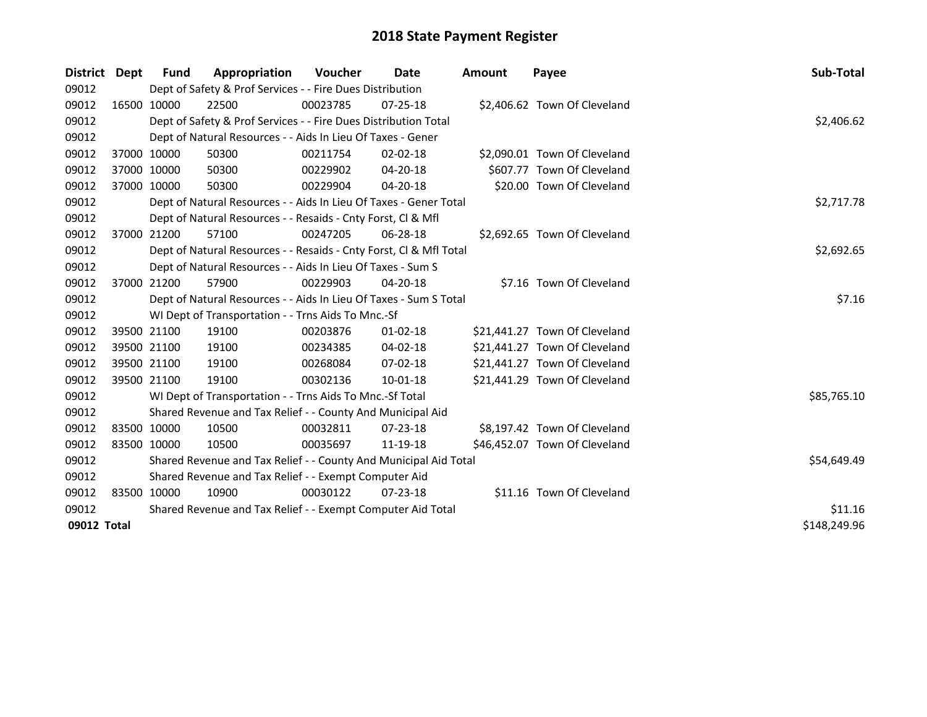| District Dept | Fund        | Appropriation                                                      | Voucher  | Date           | <b>Amount</b> | Payee                         | Sub-Total    |
|---------------|-------------|--------------------------------------------------------------------|----------|----------------|---------------|-------------------------------|--------------|
| 09012         |             | Dept of Safety & Prof Services - - Fire Dues Distribution          |          |                |               |                               |              |
| 09012         | 16500 10000 | 22500                                                              | 00023785 | $07 - 25 - 18$ |               | \$2,406.62 Town Of Cleveland  |              |
| 09012         |             | Dept of Safety & Prof Services - - Fire Dues Distribution Total    |          |                |               |                               | \$2,406.62   |
| 09012         |             | Dept of Natural Resources - - Aids In Lieu Of Taxes - Gener        |          |                |               |                               |              |
| 09012         | 37000 10000 | 50300                                                              | 00211754 | $02 - 02 - 18$ |               | \$2,090.01 Town Of Cleveland  |              |
| 09012         | 37000 10000 | 50300                                                              | 00229902 | $04 - 20 - 18$ |               | \$607.77 Town Of Cleveland    |              |
| 09012         | 37000 10000 | 50300                                                              | 00229904 | 04-20-18       |               | \$20.00 Town Of Cleveland     |              |
| 09012         |             | Dept of Natural Resources - - Aids In Lieu Of Taxes - Gener Total  |          |                |               |                               | \$2,717.78   |
| 09012         |             | Dept of Natural Resources - - Resaids - Cnty Forst, Cl & Mfl       |          |                |               |                               |              |
| 09012         | 37000 21200 | 57100                                                              | 00247205 | 06-28-18       |               | \$2,692.65 Town Of Cleveland  |              |
| 09012         |             | Dept of Natural Resources - - Resaids - Cnty Forst, CI & Mfl Total |          |                |               |                               | \$2,692.65   |
| 09012         |             | Dept of Natural Resources - - Aids In Lieu Of Taxes - Sum S        |          |                |               |                               |              |
| 09012         | 37000 21200 | 57900                                                              | 00229903 | 04-20-18       |               | \$7.16 Town Of Cleveland      |              |
| 09012         |             | Dept of Natural Resources - - Aids In Lieu Of Taxes - Sum S Total  | \$7.16   |                |               |                               |              |
| 09012         |             | WI Dept of Transportation - - Trns Aids To Mnc.-Sf                 |          |                |               |                               |              |
| 09012         | 39500 21100 | 19100                                                              | 00203876 | 01-02-18       |               | \$21,441.27 Town Of Cleveland |              |
| 09012         | 39500 21100 | 19100                                                              | 00234385 | 04-02-18       |               | \$21,441.27 Town Of Cleveland |              |
| 09012         | 39500 21100 | 19100                                                              | 00268084 | 07-02-18       |               | \$21,441.27 Town Of Cleveland |              |
| 09012         | 39500 21100 | 19100                                                              | 00302136 | 10-01-18       |               | \$21,441.29 Town Of Cleveland |              |
| 09012         |             | WI Dept of Transportation - - Trns Aids To Mnc.-Sf Total           |          |                |               |                               | \$85,765.10  |
| 09012         |             | Shared Revenue and Tax Relief - - County And Municipal Aid         |          |                |               |                               |              |
| 09012         | 83500 10000 | 10500                                                              | 00032811 | 07-23-18       |               | \$8,197.42 Town Of Cleveland  |              |
| 09012         | 83500 10000 | 10500                                                              | 00035697 | 11-19-18       |               | \$46,452.07 Town Of Cleveland |              |
| 09012         |             | Shared Revenue and Tax Relief - - County And Municipal Aid Total   |          |                |               |                               | \$54,649.49  |
| 09012         |             | Shared Revenue and Tax Relief - - Exempt Computer Aid              |          |                |               |                               |              |
| 09012         | 83500 10000 | 10900                                                              | 00030122 | $07 - 23 - 18$ |               | \$11.16 Town Of Cleveland     |              |
| 09012         |             | Shared Revenue and Tax Relief - - Exempt Computer Aid Total        | \$11.16  |                |               |                               |              |
| 09012 Total   |             |                                                                    |          |                |               |                               | \$148,249.96 |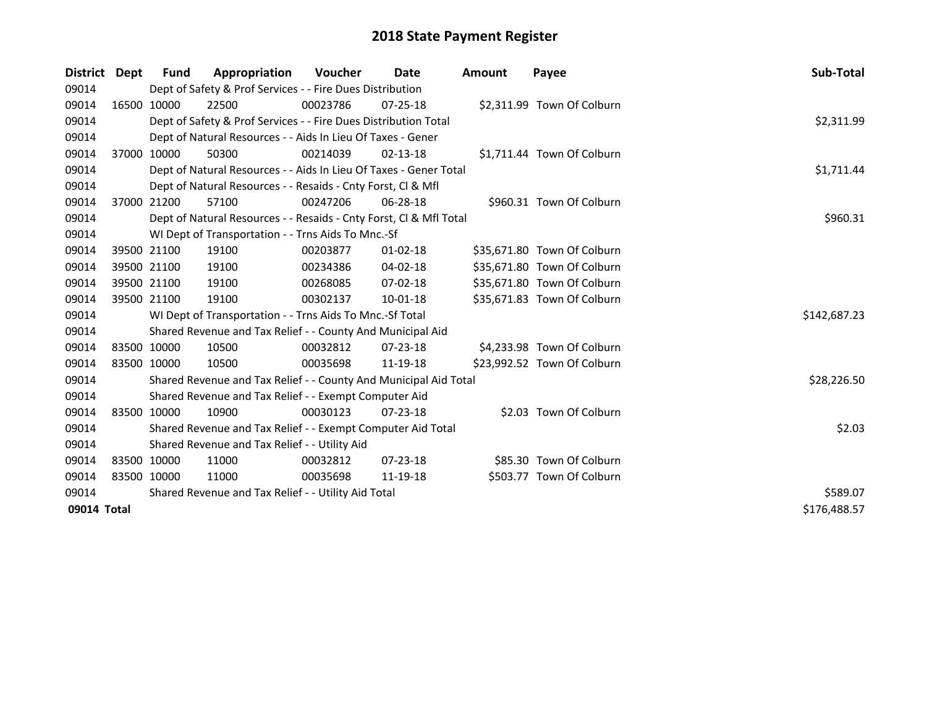| District Dept | Fund        | Appropriation                                                      | Voucher  | Date           | <b>Amount</b> | Payee                       | Sub-Total    |
|---------------|-------------|--------------------------------------------------------------------|----------|----------------|---------------|-----------------------------|--------------|
| 09014         |             | Dept of Safety & Prof Services - - Fire Dues Distribution          |          |                |               |                             |              |
| 09014         | 16500 10000 | 22500                                                              | 00023786 | $07 - 25 - 18$ |               | \$2,311.99 Town Of Colburn  |              |
| 09014         |             | Dept of Safety & Prof Services - - Fire Dues Distribution Total    |          |                |               |                             | \$2,311.99   |
| 09014         |             | Dept of Natural Resources - - Aids In Lieu Of Taxes - Gener        |          |                |               |                             |              |
| 09014         | 37000 10000 | 50300                                                              | 00214039 | $02 - 13 - 18$ |               | \$1,711.44 Town Of Colburn  |              |
| 09014         |             | Dept of Natural Resources - - Aids In Lieu Of Taxes - Gener Total  |          |                |               |                             | \$1,711.44   |
| 09014         |             | Dept of Natural Resources - - Resaids - Cnty Forst, Cl & Mfl       |          |                |               |                             |              |
| 09014         | 37000 21200 | 57100                                                              | 00247206 | 06-28-18       |               | \$960.31 Town Of Colburn    |              |
| 09014         |             | Dept of Natural Resources - - Resaids - Cnty Forst, CI & Mfl Total |          |                |               |                             | \$960.31     |
| 09014         |             | WI Dept of Transportation - - Trns Aids To Mnc.-Sf                 |          |                |               |                             |              |
| 09014         | 39500 21100 | 19100                                                              | 00203877 | $01 - 02 - 18$ |               | \$35,671.80 Town Of Colburn |              |
| 09014         | 39500 21100 | 19100                                                              | 00234386 | 04-02-18       |               | \$35,671.80 Town Of Colburn |              |
| 09014         | 39500 21100 | 19100                                                              | 00268085 | 07-02-18       |               | \$35,671.80 Town Of Colburn |              |
| 09014         | 39500 21100 | 19100                                                              | 00302137 | 10-01-18       |               | \$35,671.83 Town Of Colburn |              |
| 09014         |             | WI Dept of Transportation - - Trns Aids To Mnc.-Sf Total           |          |                |               |                             | \$142,687.23 |
| 09014         |             | Shared Revenue and Tax Relief - - County And Municipal Aid         |          |                |               |                             |              |
| 09014         | 83500 10000 | 10500                                                              | 00032812 | $07 - 23 - 18$ |               | \$4,233.98 Town Of Colburn  |              |
| 09014         | 83500 10000 | 10500                                                              | 00035698 | 11-19-18       |               | \$23,992.52 Town Of Colburn |              |
| 09014         |             | Shared Revenue and Tax Relief - - County And Municipal Aid Total   |          |                |               |                             | \$28,226.50  |
| 09014         |             | Shared Revenue and Tax Relief - - Exempt Computer Aid              |          |                |               |                             |              |
| 09014         | 83500 10000 | 10900                                                              | 00030123 | $07 - 23 - 18$ |               | \$2.03 Town Of Colburn      |              |
| 09014         |             | Shared Revenue and Tax Relief - - Exempt Computer Aid Total        |          |                |               |                             | \$2.03       |
| 09014         |             | Shared Revenue and Tax Relief - - Utility Aid                      |          |                |               |                             |              |
| 09014         | 83500 10000 | 11000                                                              | 00032812 | $07 - 23 - 18$ |               | \$85.30 Town Of Colburn     |              |
| 09014         | 83500 10000 | 11000                                                              | 00035698 | 11-19-18       |               | \$503.77 Town Of Colburn    |              |
| 09014         |             | Shared Revenue and Tax Relief - - Utility Aid Total                | \$589.07 |                |               |                             |              |
| 09014 Total   |             |                                                                    |          |                |               |                             | \$176,488.57 |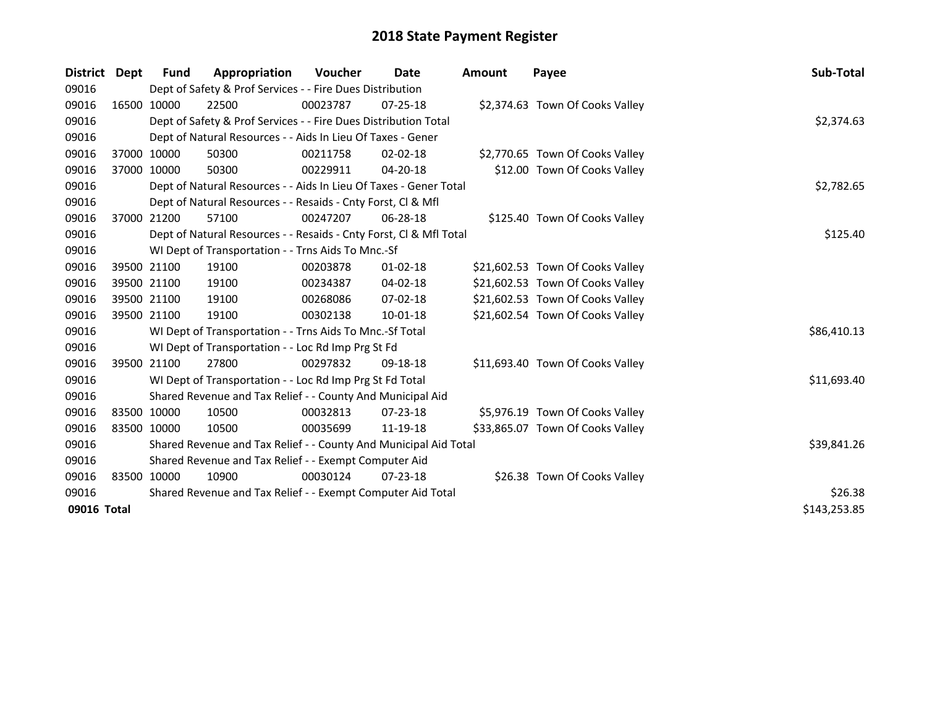| District Dept |             | <b>Fund</b>                                                 | Appropriation                                                      | <b>Voucher</b> | Date           | Amount | Payee                            | Sub-Total    |
|---------------|-------------|-------------------------------------------------------------|--------------------------------------------------------------------|----------------|----------------|--------|----------------------------------|--------------|
| 09016         |             |                                                             | Dept of Safety & Prof Services - - Fire Dues Distribution          |                |                |        |                                  |              |
| 09016         |             | 16500 10000                                                 | 22500                                                              | 00023787       | $07 - 25 - 18$ |        | \$2,374.63 Town Of Cooks Valley  |              |
| 09016         |             |                                                             | Dept of Safety & Prof Services - - Fire Dues Distribution Total    |                |                |        |                                  | \$2,374.63   |
| 09016         |             |                                                             | Dept of Natural Resources - - Aids In Lieu Of Taxes - Gener        |                |                |        |                                  |              |
| 09016         |             | 37000 10000                                                 | 50300                                                              | 00211758       | $02 - 02 - 18$ |        | \$2,770.65 Town Of Cooks Valley  |              |
| 09016         | 37000 10000 |                                                             | 50300                                                              | 00229911       | 04-20-18       |        | \$12.00 Town Of Cooks Valley     |              |
| 09016         |             |                                                             | Dept of Natural Resources - - Aids In Lieu Of Taxes - Gener Total  |                |                |        |                                  | \$2,782.65   |
| 09016         |             |                                                             | Dept of Natural Resources - - Resaids - Cnty Forst, CI & Mfl       |                |                |        |                                  |              |
| 09016         |             | 37000 21200                                                 | 57100                                                              | 00247207       | $06 - 28 - 18$ |        | \$125.40 Town Of Cooks Valley    |              |
| 09016         |             |                                                             | Dept of Natural Resources - - Resaids - Cnty Forst, CI & Mfl Total |                |                |        |                                  | \$125.40     |
| 09016         |             |                                                             | WI Dept of Transportation - - Trns Aids To Mnc.-Sf                 |                |                |        |                                  |              |
| 09016         |             | 39500 21100                                                 | 19100                                                              | 00203878       | $01 - 02 - 18$ |        | \$21,602.53 Town Of Cooks Valley |              |
| 09016         |             | 39500 21100                                                 | 19100                                                              | 00234387       | 04-02-18       |        | \$21,602.53 Town Of Cooks Valley |              |
| 09016         |             | 39500 21100                                                 | 19100                                                              | 00268086       | 07-02-18       |        | \$21,602.53 Town Of Cooks Valley |              |
| 09016         |             | 39500 21100                                                 | 19100                                                              | 00302138       | 10-01-18       |        | \$21,602.54 Town Of Cooks Valley |              |
| 09016         |             |                                                             | WI Dept of Transportation - - Trns Aids To Mnc.-Sf Total           |                |                |        |                                  | \$86,410.13  |
| 09016         |             |                                                             | WI Dept of Transportation - - Loc Rd Imp Prg St Fd                 |                |                |        |                                  |              |
| 09016         |             | 39500 21100                                                 | 27800                                                              | 00297832       | 09-18-18       |        | \$11,693.40 Town Of Cooks Valley |              |
| 09016         |             |                                                             | WI Dept of Transportation - - Loc Rd Imp Prg St Fd Total           |                |                |        |                                  | \$11,693.40  |
| 09016         |             |                                                             | Shared Revenue and Tax Relief - - County And Municipal Aid         |                |                |        |                                  |              |
| 09016         |             | 83500 10000                                                 | 10500                                                              | 00032813       | $07 - 23 - 18$ |        | \$5,976.19 Town Of Cooks Valley  |              |
| 09016         | 83500 10000 |                                                             | 10500                                                              | 00035699       | 11-19-18       |        | \$33,865.07 Town Of Cooks Valley |              |
| 09016         |             |                                                             | Shared Revenue and Tax Relief - - County And Municipal Aid Total   |                |                |        |                                  | \$39,841.26  |
| 09016         |             |                                                             | Shared Revenue and Tax Relief - - Exempt Computer Aid              |                |                |        |                                  |              |
| 09016         |             | 83500 10000                                                 | 10900                                                              | 00030124       | $07 - 23 - 18$ |        | \$26.38 Town Of Cooks Valley     |              |
| 09016         |             | Shared Revenue and Tax Relief - - Exempt Computer Aid Total | \$26.38                                                            |                |                |        |                                  |              |
| 09016 Total   |             |                                                             |                                                                    |                |                |        |                                  | \$143,253.85 |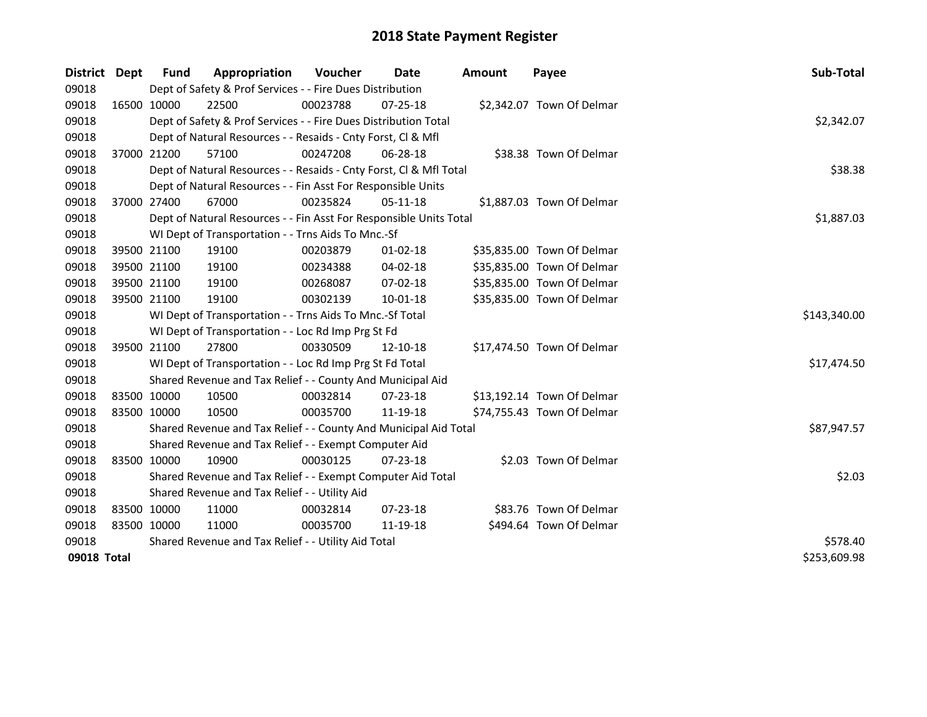| District    | <b>Dept</b> | Fund        | Appropriation                                                      | <b>Voucher</b> | Date           | <b>Amount</b> | Payee                      | Sub-Total    |
|-------------|-------------|-------------|--------------------------------------------------------------------|----------------|----------------|---------------|----------------------------|--------------|
| 09018       |             |             | Dept of Safety & Prof Services - - Fire Dues Distribution          |                |                |               |                            |              |
| 09018       |             | 16500 10000 | 22500                                                              | 00023788       | 07-25-18       |               | \$2,342.07 Town Of Delmar  |              |
| 09018       |             |             | Dept of Safety & Prof Services - - Fire Dues Distribution Total    |                |                |               |                            | \$2,342.07   |
| 09018       |             |             | Dept of Natural Resources - - Resaids - Cnty Forst, Cl & Mfl       |                |                |               |                            |              |
| 09018       | 37000 21200 |             | 57100                                                              | 00247208       | $06 - 28 - 18$ |               | \$38.38 Town Of Delmar     |              |
| 09018       |             |             | Dept of Natural Resources - - Resaids - Cnty Forst, Cl & Mfl Total |                |                |               |                            | \$38.38      |
| 09018       |             |             | Dept of Natural Resources - - Fin Asst For Responsible Units       |                |                |               |                            |              |
| 09018       | 37000 27400 |             | 67000                                                              | 00235824       | 05-11-18       |               | \$1,887.03 Town Of Delmar  |              |
| 09018       |             |             | Dept of Natural Resources - - Fin Asst For Responsible Units Total |                |                |               |                            | \$1,887.03   |
| 09018       |             |             | WI Dept of Transportation - - Trns Aids To Mnc.-Sf                 |                |                |               |                            |              |
| 09018       |             | 39500 21100 | 19100                                                              | 00203879       | $01 - 02 - 18$ |               | \$35,835.00 Town Of Delmar |              |
| 09018       |             | 39500 21100 | 19100                                                              | 00234388       | $04 - 02 - 18$ |               | \$35,835.00 Town Of Delmar |              |
| 09018       |             | 39500 21100 | 19100                                                              | 00268087       | 07-02-18       |               | \$35,835.00 Town Of Delmar |              |
| 09018       | 39500 21100 |             | 19100                                                              | 00302139       | $10 - 01 - 18$ |               | \$35,835.00 Town Of Delmar |              |
| 09018       |             |             | WI Dept of Transportation - - Trns Aids To Mnc.-Sf Total           | \$143,340.00   |                |               |                            |              |
| 09018       |             |             | WI Dept of Transportation - - Loc Rd Imp Prg St Fd                 |                |                |               |                            |              |
| 09018       |             | 39500 21100 | 27800                                                              | 00330509       | 12-10-18       |               | \$17,474.50 Town Of Delmar |              |
| 09018       |             |             | WI Dept of Transportation - - Loc Rd Imp Prg St Fd Total           |                |                |               |                            | \$17,474.50  |
| 09018       |             |             | Shared Revenue and Tax Relief - - County And Municipal Aid         |                |                |               |                            |              |
| 09018       |             | 83500 10000 | 10500                                                              | 00032814       | $07 - 23 - 18$ |               | \$13,192.14 Town Of Delmar |              |
| 09018       | 83500 10000 |             | 10500                                                              | 00035700       | 11-19-18       |               | \$74,755.43 Town Of Delmar |              |
| 09018       |             |             | Shared Revenue and Tax Relief - - County And Municipal Aid Total   |                |                |               |                            | \$87,947.57  |
| 09018       |             |             | Shared Revenue and Tax Relief - - Exempt Computer Aid              |                |                |               |                            |              |
| 09018       | 83500 10000 |             | 10900                                                              | 00030125       | 07-23-18       |               | \$2.03 Town Of Delmar      |              |
| 09018       |             |             | Shared Revenue and Tax Relief - - Exempt Computer Aid Total        |                |                |               |                            | \$2.03       |
| 09018       |             |             | Shared Revenue and Tax Relief - - Utility Aid                      |                |                |               |                            |              |
| 09018       |             | 83500 10000 | 11000                                                              | 00032814       | 07-23-18       |               | \$83.76 Town Of Delmar     |              |
| 09018       | 83500 10000 |             | 11000                                                              | 00035700       | 11-19-18       |               | \$494.64 Town Of Delmar    |              |
| 09018       |             |             | Shared Revenue and Tax Relief - - Utility Aid Total                | \$578.40       |                |               |                            |              |
| 09018 Total |             |             |                                                                    |                |                |               |                            | \$253,609.98 |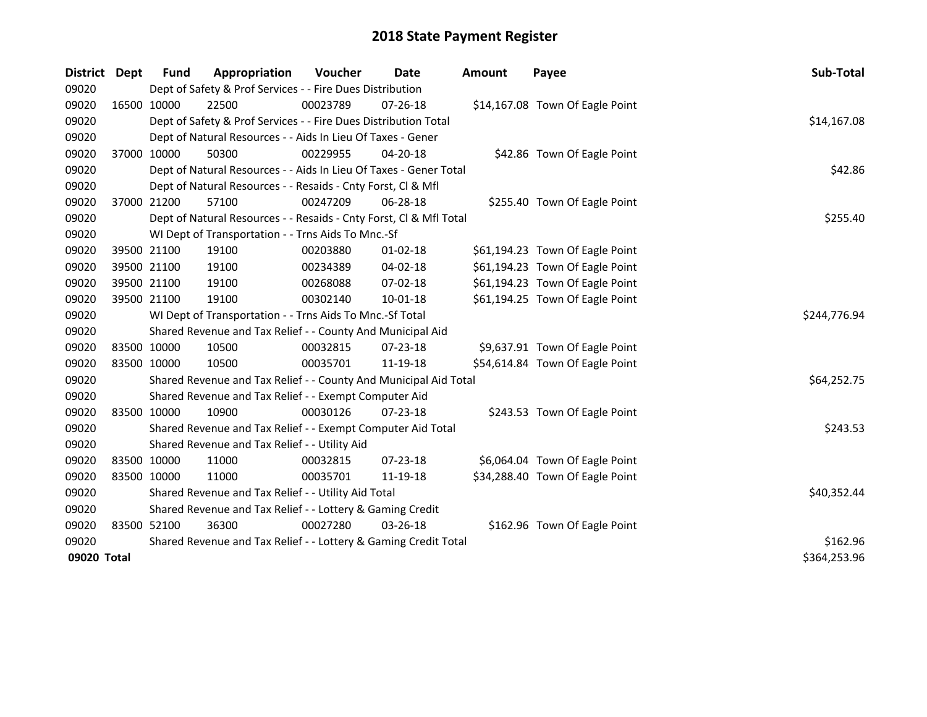| District    | <b>Dept</b> | Fund        | Appropriation                                                      | Voucher  | Date           | <b>Amount</b> | Payee                           | Sub-Total    |
|-------------|-------------|-------------|--------------------------------------------------------------------|----------|----------------|---------------|---------------------------------|--------------|
| 09020       |             |             | Dept of Safety & Prof Services - - Fire Dues Distribution          |          |                |               |                                 |              |
| 09020       |             | 16500 10000 | 22500                                                              | 00023789 | 07-26-18       |               | \$14,167.08 Town Of Eagle Point |              |
| 09020       |             |             | Dept of Safety & Prof Services - - Fire Dues Distribution Total    |          |                |               |                                 | \$14,167.08  |
| 09020       |             |             | Dept of Natural Resources - - Aids In Lieu Of Taxes - Gener        |          |                |               |                                 |              |
| 09020       | 37000 10000 |             | 50300                                                              | 00229955 | $04 - 20 - 18$ |               | \$42.86 Town Of Eagle Point     |              |
| 09020       |             |             | Dept of Natural Resources - - Aids In Lieu Of Taxes - Gener Total  |          |                |               |                                 | \$42.86      |
| 09020       |             |             | Dept of Natural Resources - - Resaids - Cnty Forst, Cl & Mfl       |          |                |               |                                 |              |
| 09020       |             | 37000 21200 | 57100                                                              | 00247209 | 06-28-18       |               | \$255.40 Town Of Eagle Point    |              |
| 09020       |             |             | Dept of Natural Resources - - Resaids - Cnty Forst, Cl & Mfl Total |          |                |               |                                 | \$255.40     |
| 09020       |             |             | WI Dept of Transportation - - Trns Aids To Mnc.-Sf                 |          |                |               |                                 |              |
| 09020       |             | 39500 21100 | 19100                                                              | 00203880 | 01-02-18       |               | \$61,194.23 Town Of Eagle Point |              |
| 09020       |             | 39500 21100 | 19100                                                              | 00234389 | 04-02-18       |               | \$61,194.23 Town Of Eagle Point |              |
| 09020       |             | 39500 21100 | 19100                                                              | 00268088 | 07-02-18       |               | \$61,194.23 Town Of Eagle Point |              |
| 09020       | 39500 21100 |             | 19100                                                              | 00302140 | $10 - 01 - 18$ |               | \$61,194.25 Town Of Eagle Point |              |
| 09020       |             |             | WI Dept of Transportation - - Trns Aids To Mnc.-Sf Total           |          |                |               |                                 | \$244,776.94 |
| 09020       |             |             | Shared Revenue and Tax Relief - - County And Municipal Aid         |          |                |               |                                 |              |
| 09020       |             | 83500 10000 | 10500                                                              | 00032815 | 07-23-18       |               | \$9,637.91 Town Of Eagle Point  |              |
| 09020       | 83500 10000 |             | 10500                                                              | 00035701 | 11-19-18       |               | \$54,614.84 Town Of Eagle Point |              |
| 09020       |             |             | Shared Revenue and Tax Relief - - County And Municipal Aid Total   |          |                |               |                                 | \$64,252.75  |
| 09020       |             |             | Shared Revenue and Tax Relief - - Exempt Computer Aid              |          |                |               |                                 |              |
| 09020       |             | 83500 10000 | 10900                                                              | 00030126 | 07-23-18       |               | \$243.53 Town Of Eagle Point    |              |
| 09020       |             |             | Shared Revenue and Tax Relief - - Exempt Computer Aid Total        |          |                |               |                                 | \$243.53     |
| 09020       |             |             | Shared Revenue and Tax Relief - - Utility Aid                      |          |                |               |                                 |              |
| 09020       |             | 83500 10000 | 11000                                                              | 00032815 | $07 - 23 - 18$ |               | \$6,064.04 Town Of Eagle Point  |              |
| 09020       |             | 83500 10000 | 11000                                                              | 00035701 | 11-19-18       |               | \$34,288.40 Town Of Eagle Point |              |
| 09020       |             |             | Shared Revenue and Tax Relief - - Utility Aid Total                |          |                |               |                                 | \$40,352.44  |
| 09020       |             |             | Shared Revenue and Tax Relief - - Lottery & Gaming Credit          |          |                |               |                                 |              |
| 09020       |             | 83500 52100 | 36300                                                              | 00027280 | 03-26-18       |               | \$162.96 Town Of Eagle Point    |              |
| 09020       |             |             | Shared Revenue and Tax Relief - - Lottery & Gaming Credit Total    | \$162.96 |                |               |                                 |              |
| 09020 Total |             |             |                                                                    |          |                |               |                                 | \$364,253.96 |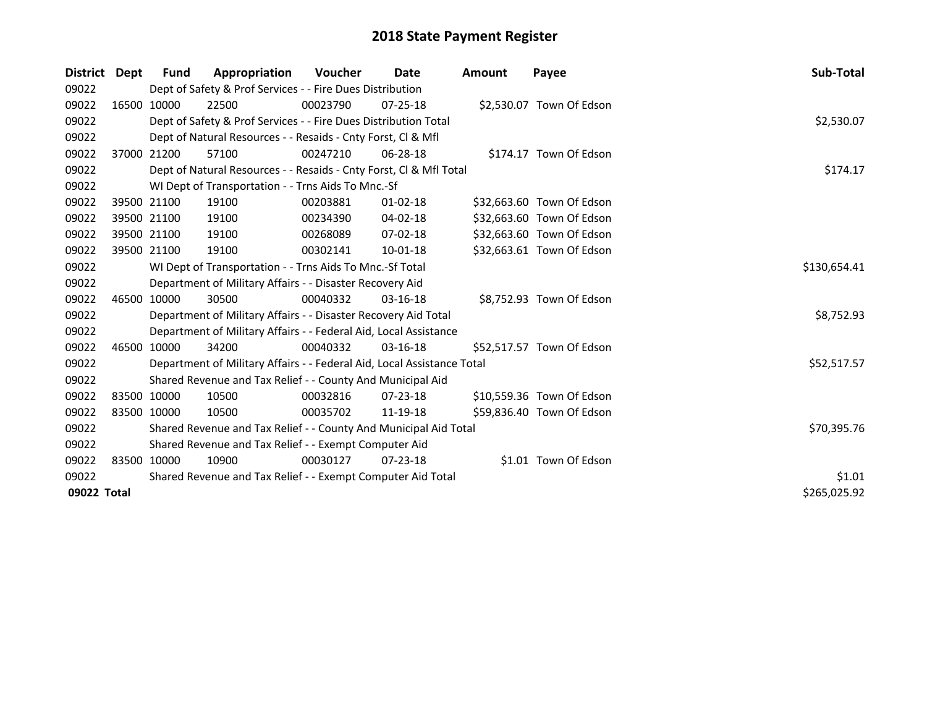| District    | Dept | Fund        | Appropriation                                                          | Voucher  | Date           | <b>Amount</b> | Payee                     | Sub-Total    |
|-------------|------|-------------|------------------------------------------------------------------------|----------|----------------|---------------|---------------------------|--------------|
| 09022       |      |             | Dept of Safety & Prof Services - - Fire Dues Distribution              |          |                |               |                           |              |
| 09022       |      | 16500 10000 | 22500                                                                  | 00023790 | $07 - 25 - 18$ |               | \$2,530.07 Town Of Edson  |              |
| 09022       |      |             | Dept of Safety & Prof Services - - Fire Dues Distribution Total        |          |                |               |                           | \$2,530.07   |
| 09022       |      |             | Dept of Natural Resources - - Resaids - Cnty Forst, CI & Mfl           |          |                |               |                           |              |
| 09022       |      | 37000 21200 | 57100                                                                  | 00247210 | 06-28-18       |               | \$174.17 Town Of Edson    |              |
| 09022       |      |             | Dept of Natural Resources - - Resaids - Cnty Forst, CI & Mfl Total     |          |                |               |                           | \$174.17     |
| 09022       |      |             | WI Dept of Transportation - - Trns Aids To Mnc.-Sf                     |          |                |               |                           |              |
| 09022       |      | 39500 21100 | 19100                                                                  | 00203881 | 01-02-18       |               | \$32,663.60 Town Of Edson |              |
| 09022       |      | 39500 21100 | 19100                                                                  | 00234390 | 04-02-18       |               | \$32,663.60 Town Of Edson |              |
| 09022       |      | 39500 21100 | 19100                                                                  | 00268089 | $07 - 02 - 18$ |               | \$32,663.60 Town Of Edson |              |
| 09022       |      | 39500 21100 | 19100                                                                  | 00302141 | $10 - 01 - 18$ |               | \$32,663.61 Town Of Edson |              |
| 09022       |      |             | WI Dept of Transportation - - Trns Aids To Mnc.-Sf Total               |          |                |               |                           | \$130,654.41 |
| 09022       |      |             | Department of Military Affairs - - Disaster Recovery Aid               |          |                |               |                           |              |
| 09022       |      | 46500 10000 | 30500                                                                  | 00040332 | $03 - 16 - 18$ |               | \$8,752.93 Town Of Edson  |              |
| 09022       |      |             | Department of Military Affairs - - Disaster Recovery Aid Total         |          |                |               |                           | \$8,752.93   |
| 09022       |      |             | Department of Military Affairs - - Federal Aid, Local Assistance       |          |                |               |                           |              |
| 09022       |      | 46500 10000 | 34200                                                                  | 00040332 | 03-16-18       |               | \$52,517.57 Town Of Edson |              |
| 09022       |      |             | Department of Military Affairs - - Federal Aid, Local Assistance Total |          |                |               |                           | \$52,517.57  |
| 09022       |      |             | Shared Revenue and Tax Relief - - County And Municipal Aid             |          |                |               |                           |              |
| 09022       |      | 83500 10000 | 10500                                                                  | 00032816 | 07-23-18       |               | \$10,559.36 Town Of Edson |              |
| 09022       |      | 83500 10000 | 10500                                                                  | 00035702 | 11-19-18       |               | \$59,836.40 Town Of Edson |              |
| 09022       |      |             | Shared Revenue and Tax Relief - - County And Municipal Aid Total       |          |                |               |                           | \$70,395.76  |
| 09022       |      |             | Shared Revenue and Tax Relief - - Exempt Computer Aid                  |          |                |               |                           |              |
| 09022       |      | 83500 10000 | 10900                                                                  | 00030127 | $07 - 23 - 18$ |               | \$1.01 Town Of Edson      |              |
| 09022       |      |             | Shared Revenue and Tax Relief - - Exempt Computer Aid Total            |          |                |               |                           | \$1.01       |
| 09022 Total |      |             |                                                                        |          |                |               |                           | \$265,025.92 |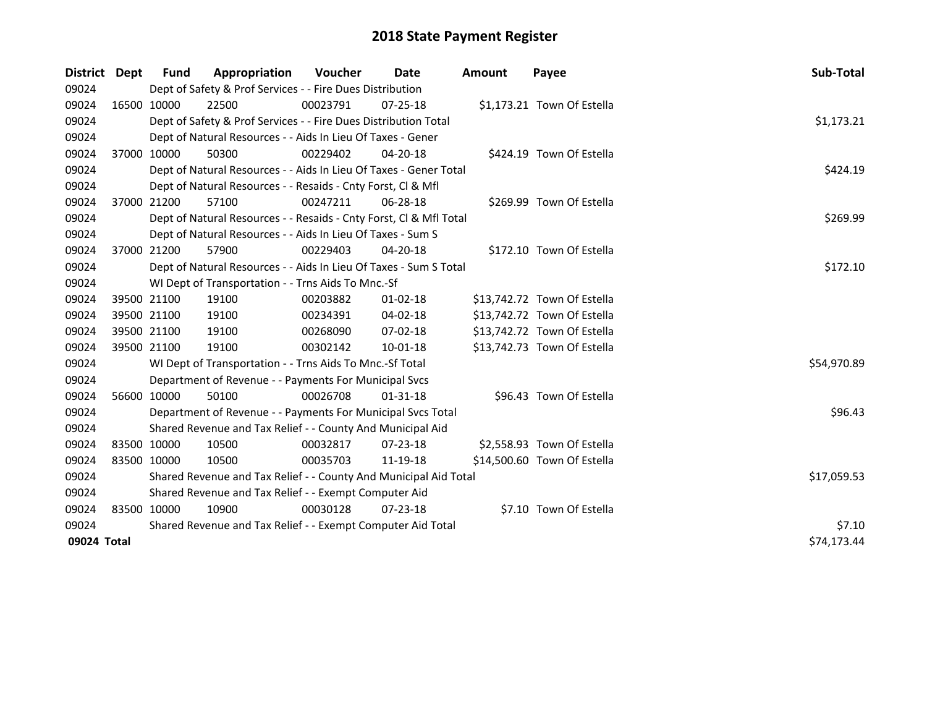| District    | <b>Dept</b> | <b>Fund</b>                                           | Appropriation                                                      | <b>Voucher</b> | Date           | <b>Amount</b> | Payee                       | Sub-Total   |
|-------------|-------------|-------------------------------------------------------|--------------------------------------------------------------------|----------------|----------------|---------------|-----------------------------|-------------|
| 09024       |             |                                                       | Dept of Safety & Prof Services - - Fire Dues Distribution          |                |                |               |                             |             |
| 09024       | 16500 10000 |                                                       | 22500                                                              | 00023791       | $07 - 25 - 18$ |               | \$1,173.21 Town Of Estella  |             |
| 09024       |             |                                                       | Dept of Safety & Prof Services - - Fire Dues Distribution Total    |                |                |               |                             | \$1,173.21  |
| 09024       |             |                                                       | Dept of Natural Resources - - Aids In Lieu Of Taxes - Gener        |                |                |               |                             |             |
| 09024       |             | 37000 10000                                           | 50300                                                              | 00229402       | $04 - 20 - 18$ |               | \$424.19 Town Of Estella    |             |
| 09024       |             |                                                       | Dept of Natural Resources - - Aids In Lieu Of Taxes - Gener Total  |                |                |               |                             | \$424.19    |
| 09024       |             |                                                       | Dept of Natural Resources - - Resaids - Cnty Forst, CI & Mfl       |                |                |               |                             |             |
| 09024       |             | 37000 21200                                           | 57100                                                              | 00247211       | 06-28-18       |               | \$269.99 Town Of Estella    |             |
| 09024       |             |                                                       | Dept of Natural Resources - - Resaids - Cnty Forst, Cl & Mfl Total |                |                |               |                             | \$269.99    |
| 09024       |             |                                                       | Dept of Natural Resources - - Aids In Lieu Of Taxes - Sum S        |                |                |               |                             |             |
| 09024       |             | 37000 21200                                           | 57900                                                              | 00229403       | 04-20-18       |               | \$172.10 Town Of Estella    |             |
| 09024       |             |                                                       | Dept of Natural Resources - - Aids In Lieu Of Taxes - Sum S Total  |                |                |               |                             | \$172.10    |
| 09024       |             |                                                       | WI Dept of Transportation - - Trns Aids To Mnc.-Sf                 |                |                |               |                             |             |
| 09024       |             | 39500 21100                                           | 19100                                                              | 00203882       | $01 - 02 - 18$ |               | \$13,742.72 Town Of Estella |             |
| 09024       |             | 39500 21100                                           | 19100                                                              | 00234391       | 04-02-18       |               | \$13,742.72 Town Of Estella |             |
| 09024       |             | 39500 21100                                           | 19100                                                              | 00268090       | 07-02-18       |               | \$13,742.72 Town Of Estella |             |
| 09024       |             | 39500 21100                                           | 19100                                                              | 00302142       | 10-01-18       |               | \$13,742.73 Town Of Estella |             |
| 09024       |             |                                                       | WI Dept of Transportation - - Trns Aids To Mnc.-Sf Total           |                |                |               |                             | \$54,970.89 |
| 09024       |             |                                                       | Department of Revenue - - Payments For Municipal Svcs              |                |                |               |                             |             |
| 09024       |             | 56600 10000                                           | 50100                                                              | 00026708       | $01 - 31 - 18$ |               | \$96.43 Town Of Estella     |             |
| 09024       |             |                                                       | Department of Revenue - - Payments For Municipal Svcs Total        |                |                |               |                             | \$96.43     |
| 09024       |             |                                                       | Shared Revenue and Tax Relief - - County And Municipal Aid         |                |                |               |                             |             |
| 09024       | 83500 10000 |                                                       | 10500                                                              | 00032817       | $07 - 23 - 18$ |               | \$2,558.93 Town Of Estella  |             |
| 09024       | 83500 10000 |                                                       | 10500                                                              | 00035703       | 11-19-18       |               | \$14,500.60 Town Of Estella |             |
| 09024       |             |                                                       | Shared Revenue and Tax Relief - - County And Municipal Aid Total   |                |                |               |                             | \$17,059.53 |
| 09024       |             | Shared Revenue and Tax Relief - - Exempt Computer Aid |                                                                    |                |                |               |                             |             |
| 09024       | 83500 10000 |                                                       | 10900                                                              | 00030128       | $07 - 23 - 18$ |               | \$7.10 Town Of Estella      |             |
| 09024       |             |                                                       | Shared Revenue and Tax Relief - - Exempt Computer Aid Total        | \$7.10         |                |               |                             |             |
| 09024 Total |             |                                                       |                                                                    |                |                |               |                             | \$74,173.44 |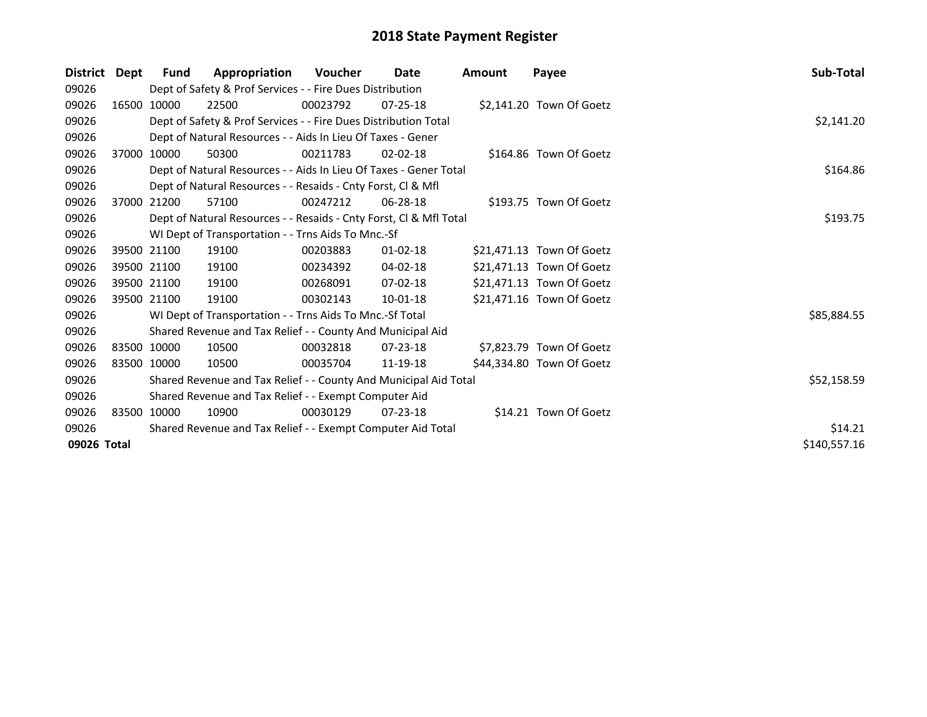| <b>District</b> | Dept | Fund                                                        | Appropriation                                                      | <b>Voucher</b> | Date           | <b>Amount</b> | Payee                     | Sub-Total    |
|-----------------|------|-------------------------------------------------------------|--------------------------------------------------------------------|----------------|----------------|---------------|---------------------------|--------------|
| 09026           |      |                                                             | Dept of Safety & Prof Services - - Fire Dues Distribution          |                |                |               |                           |              |
| 09026           |      | 16500 10000                                                 | 22500                                                              | 00023792       | $07 - 25 - 18$ |               | \$2,141.20 Town Of Goetz  |              |
| 09026           |      |                                                             | Dept of Safety & Prof Services - - Fire Dues Distribution Total    |                |                |               |                           | \$2,141.20   |
| 09026           |      |                                                             | Dept of Natural Resources - - Aids In Lieu Of Taxes - Gener        |                |                |               |                           |              |
| 09026           |      | 37000 10000                                                 | 50300                                                              | 00211783       | $02 - 02 - 18$ |               | \$164.86 Town Of Goetz    |              |
| 09026           |      |                                                             | Dept of Natural Resources - - Aids In Lieu Of Taxes - Gener Total  |                |                |               |                           | \$164.86     |
| 09026           |      |                                                             | Dept of Natural Resources - - Resaids - Cnty Forst, CI & Mfl       |                |                |               |                           |              |
| 09026           |      | 37000 21200                                                 | 57100                                                              | 00247212       | 06-28-18       |               | \$193.75 Town Of Goetz    |              |
| 09026           |      |                                                             | Dept of Natural Resources - - Resaids - Cnty Forst, Cl & Mfl Total |                |                |               |                           | \$193.75     |
| 09026           |      |                                                             | WI Dept of Transportation - - Trns Aids To Mnc.-Sf                 |                |                |               |                           |              |
| 09026           |      | 39500 21100                                                 | 19100                                                              | 00203883       | $01 - 02 - 18$ |               | \$21,471.13 Town Of Goetz |              |
| 09026           |      | 39500 21100                                                 | 19100                                                              | 00234392       | 04-02-18       |               | \$21,471.13 Town Of Goetz |              |
| 09026           |      | 39500 21100                                                 | 19100                                                              | 00268091       | $07-02-18$     |               | \$21,471.13 Town Of Goetz |              |
| 09026           |      | 39500 21100                                                 | 19100                                                              | 00302143       | 10-01-18       |               | \$21,471.16 Town Of Goetz |              |
| 09026           |      |                                                             | WI Dept of Transportation - - Trns Aids To Mnc.-Sf Total           |                |                |               |                           | \$85,884.55  |
| 09026           |      |                                                             | Shared Revenue and Tax Relief - - County And Municipal Aid         |                |                |               |                           |              |
| 09026           |      | 83500 10000                                                 | 10500                                                              | 00032818       | $07 - 23 - 18$ |               | \$7,823.79 Town Of Goetz  |              |
| 09026           |      | 83500 10000                                                 | 10500                                                              | 00035704       | 11-19-18       |               | \$44,334.80 Town Of Goetz |              |
| 09026           |      |                                                             | Shared Revenue and Tax Relief - - County And Municipal Aid Total   |                |                |               |                           | \$52,158.59  |
| 09026           |      |                                                             | Shared Revenue and Tax Relief - - Exempt Computer Aid              |                |                |               |                           |              |
| 09026           |      | 83500 10000                                                 | 10900                                                              | 00030129       | $07 - 23 - 18$ |               | \$14.21 Town Of Goetz     |              |
| 09026           |      | Shared Revenue and Tax Relief - - Exempt Computer Aid Total | \$14.21                                                            |                |                |               |                           |              |
| 09026 Total     |      |                                                             |                                                                    |                |                |               |                           | \$140,557.16 |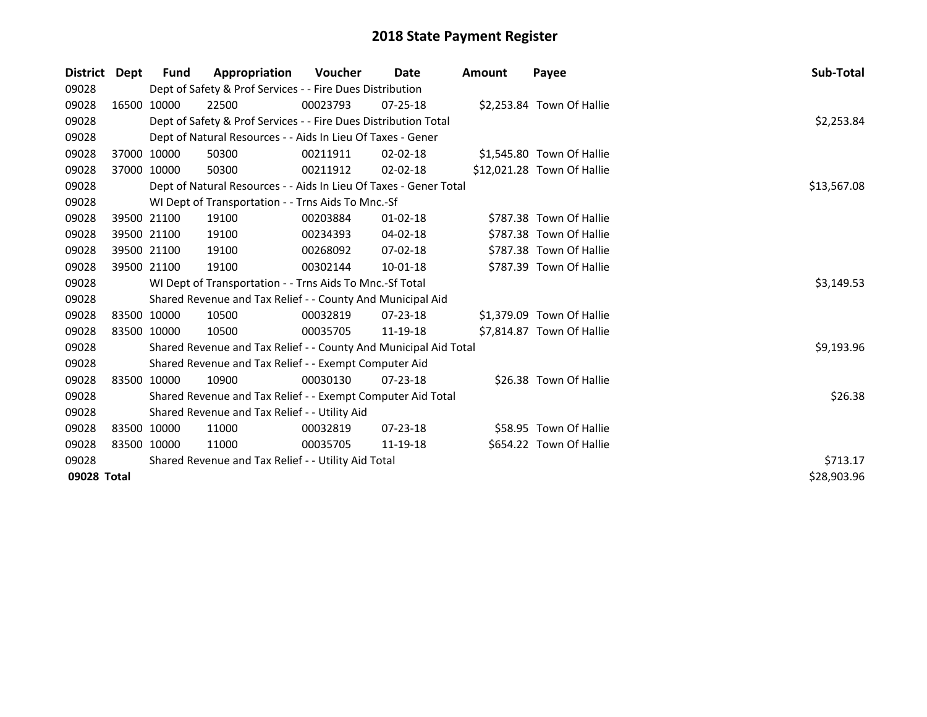| <b>District</b> | Dept | <b>Fund</b> | Appropriation                                                     | Voucher     | Date           | Amount | Payee                      | <b>Sub-Total</b> |
|-----------------|------|-------------|-------------------------------------------------------------------|-------------|----------------|--------|----------------------------|------------------|
| 09028           |      |             | Dept of Safety & Prof Services - - Fire Dues Distribution         |             |                |        |                            |                  |
| 09028           |      | 16500 10000 | 22500                                                             | 00023793    | 07-25-18       |        | \$2,253.84 Town Of Hallie  |                  |
| 09028           |      |             | Dept of Safety & Prof Services - - Fire Dues Distribution Total   |             |                |        |                            | \$2,253.84       |
| 09028           |      |             | Dept of Natural Resources - - Aids In Lieu Of Taxes - Gener       |             |                |        |                            |                  |
| 09028           |      | 37000 10000 | 50300                                                             | 00211911    | $02 - 02 - 18$ |        | \$1,545.80 Town Of Hallie  |                  |
| 09028           |      | 37000 10000 | 50300                                                             | 00211912    | $02 - 02 - 18$ |        | \$12,021.28 Town Of Hallie |                  |
| 09028           |      |             | Dept of Natural Resources - - Aids In Lieu Of Taxes - Gener Total | \$13,567.08 |                |        |                            |                  |
| 09028           |      |             | WI Dept of Transportation - - Trns Aids To Mnc.-Sf                |             |                |        |                            |                  |
| 09028           |      | 39500 21100 | 19100                                                             | 00203884    | 01-02-18       |        | \$787.38 Town Of Hallie    |                  |
| 09028           |      | 39500 21100 | 19100                                                             | 00234393    | 04-02-18       |        | \$787.38 Town Of Hallie    |                  |
| 09028           |      | 39500 21100 | 19100                                                             | 00268092    | $07 - 02 - 18$ |        | \$787.38 Town Of Hallie    |                  |
| 09028           |      | 39500 21100 | 19100                                                             | 00302144    | $10-01-18$     |        | \$787.39 Town Of Hallie    |                  |
| 09028           |      |             | WI Dept of Transportation - - Trns Aids To Mnc.-Sf Total          |             |                |        |                            | \$3,149.53       |
| 09028           |      |             | Shared Revenue and Tax Relief - - County And Municipal Aid        |             |                |        |                            |                  |
| 09028           |      | 83500 10000 | 10500                                                             | 00032819    | 07-23-18       |        | \$1,379.09 Town Of Hallie  |                  |
| 09028           |      | 83500 10000 | 10500                                                             | 00035705    | 11-19-18       |        | \$7,814.87 Town Of Hallie  |                  |
| 09028           |      |             | Shared Revenue and Tax Relief - - County And Municipal Aid Total  |             |                |        |                            | \$9,193.96       |
| 09028           |      |             | Shared Revenue and Tax Relief - - Exempt Computer Aid             |             |                |        |                            |                  |
| 09028           |      | 83500 10000 | 10900                                                             | 00030130    | $07 - 23 - 18$ |        | \$26.38 Town Of Hallie     |                  |
| 09028           |      |             | Shared Revenue and Tax Relief - - Exempt Computer Aid Total       |             |                |        |                            | \$26.38          |
| 09028           |      |             | Shared Revenue and Tax Relief - - Utility Aid                     |             |                |        |                            |                  |
| 09028           |      | 83500 10000 | 11000                                                             | 00032819    | $07 - 23 - 18$ |        | \$58.95 Town Of Hallie     |                  |
| 09028           |      | 83500 10000 | 11000                                                             | 00035705    | 11-19-18       |        | \$654.22 Town Of Hallie    |                  |
| 09028           |      |             | Shared Revenue and Tax Relief - - Utility Aid Total               |             |                |        |                            | \$713.17         |
| 09028 Total     |      |             |                                                                   |             |                |        |                            | \$28,903.96      |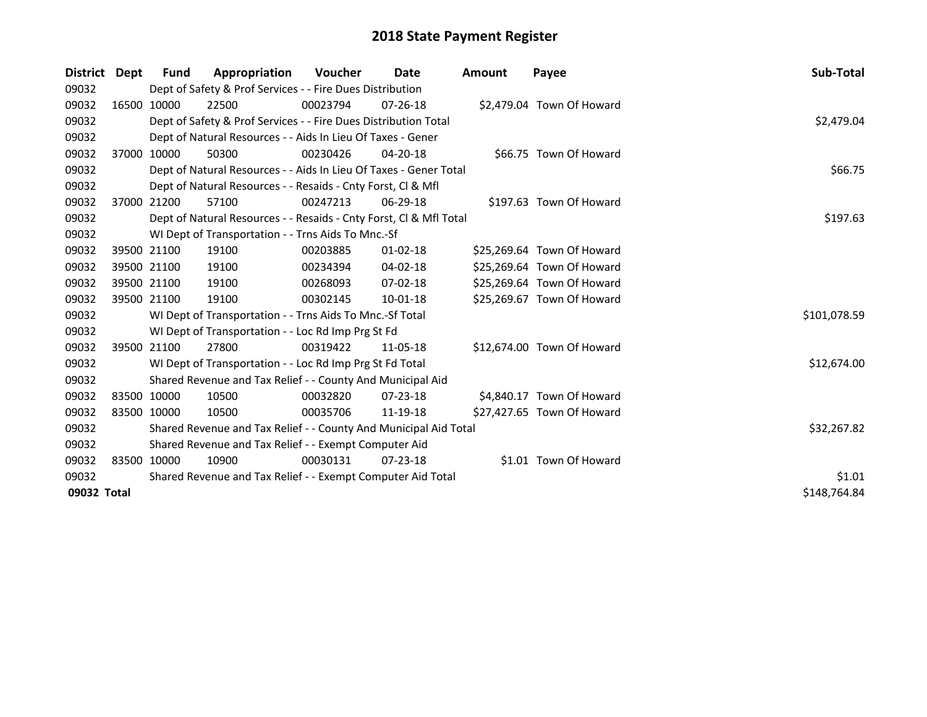| District    | Dept        | Fund        | Appropriation                                                      | Voucher    | Date           | <b>Amount</b> | Payee                      | Sub-Total    |
|-------------|-------------|-------------|--------------------------------------------------------------------|------------|----------------|---------------|----------------------------|--------------|
| 09032       |             |             | Dept of Safety & Prof Services - - Fire Dues Distribution          |            |                |               |                            |              |
| 09032       |             | 16500 10000 | 22500                                                              | 00023794   | $07 - 26 - 18$ |               | \$2,479.04 Town Of Howard  |              |
| 09032       |             |             | Dept of Safety & Prof Services - - Fire Dues Distribution Total    | \$2,479.04 |                |               |                            |              |
| 09032       |             |             | Dept of Natural Resources - - Aids In Lieu Of Taxes - Gener        |            |                |               |                            |              |
| 09032       |             | 37000 10000 | 50300                                                              | 00230426   | $04 - 20 - 18$ |               | \$66.75 Town Of Howard     |              |
| 09032       |             |             | Dept of Natural Resources - - Aids In Lieu Of Taxes - Gener Total  |            |                |               |                            | \$66.75      |
| 09032       |             |             | Dept of Natural Resources - - Resaids - Cnty Forst, Cl & Mfl       |            |                |               |                            |              |
| 09032       |             | 37000 21200 | 57100                                                              | 00247213   | 06-29-18       |               | \$197.63 Town Of Howard    |              |
| 09032       |             |             | Dept of Natural Resources - - Resaids - Cnty Forst, Cl & Mfl Total |            |                |               |                            | \$197.63     |
| 09032       |             |             | WI Dept of Transportation - - Trns Aids To Mnc.-Sf                 |            |                |               |                            |              |
| 09032       |             | 39500 21100 | 19100                                                              | 00203885   | 01-02-18       |               | \$25,269.64 Town Of Howard |              |
| 09032       |             | 39500 21100 | 19100                                                              | 00234394   | 04-02-18       |               | \$25,269.64 Town Of Howard |              |
| 09032       |             | 39500 21100 | 19100                                                              | 00268093   | 07-02-18       |               | \$25,269.64 Town Of Howard |              |
| 09032       |             | 39500 21100 | 19100                                                              | 00302145   | 10-01-18       |               | \$25,269.67 Town Of Howard |              |
| 09032       |             |             | WI Dept of Transportation - - Trns Aids To Mnc.-Sf Total           |            |                |               |                            | \$101,078.59 |
| 09032       |             |             | WI Dept of Transportation - - Loc Rd Imp Prg St Fd                 |            |                |               |                            |              |
| 09032       |             | 39500 21100 | 27800                                                              | 00319422   | 11-05-18       |               | \$12,674.00 Town Of Howard |              |
| 09032       |             |             | WI Dept of Transportation - - Loc Rd Imp Prg St Fd Total           |            |                |               |                            | \$12,674.00  |
| 09032       |             |             | Shared Revenue and Tax Relief - - County And Municipal Aid         |            |                |               |                            |              |
| 09032       | 83500 10000 |             | 10500                                                              | 00032820   | 07-23-18       |               | \$4,840.17 Town Of Howard  |              |
| 09032       | 83500 10000 |             | 10500                                                              | 00035706   | 11-19-18       |               | \$27,427.65 Town Of Howard |              |
| 09032       |             |             | Shared Revenue and Tax Relief - - County And Municipal Aid Total   |            |                |               |                            | \$32,267.82  |
| 09032       |             |             | Shared Revenue and Tax Relief - - Exempt Computer Aid              |            |                |               |                            |              |
| 09032       | 83500 10000 |             | 10900                                                              | 00030131   | 07-23-18       |               | \$1.01 Town Of Howard      |              |
| 09032       |             |             | Shared Revenue and Tax Relief - - Exempt Computer Aid Total        | \$1.01     |                |               |                            |              |
| 09032 Total |             |             |                                                                    |            |                |               |                            | \$148,764.84 |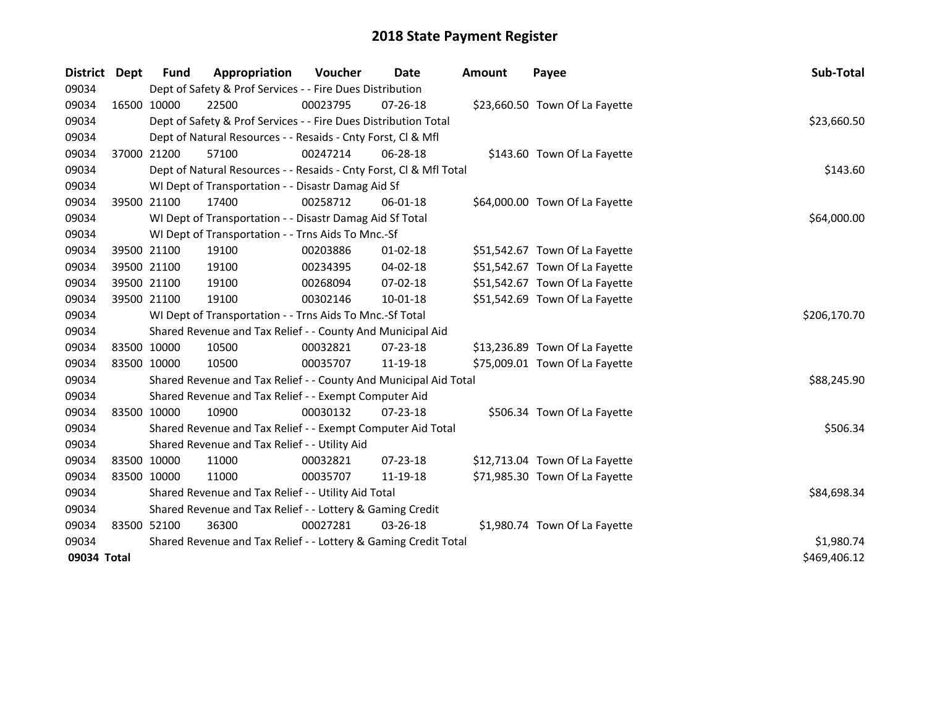| District    | <b>Dept</b> | <b>Fund</b> | Appropriation                                                      | Voucher    | Date           | <b>Amount</b> | Payee                          | Sub-Total    |
|-------------|-------------|-------------|--------------------------------------------------------------------|------------|----------------|---------------|--------------------------------|--------------|
| 09034       |             |             | Dept of Safety & Prof Services - - Fire Dues Distribution          |            |                |               |                                |              |
| 09034       | 16500 10000 |             | 22500                                                              | 00023795   | $07 - 26 - 18$ |               | \$23,660.50 Town Of La Fayette |              |
| 09034       |             |             | Dept of Safety & Prof Services - - Fire Dues Distribution Total    |            |                |               |                                | \$23,660.50  |
| 09034       |             |             | Dept of Natural Resources - - Resaids - Cnty Forst, Cl & Mfl       |            |                |               |                                |              |
| 09034       | 37000 21200 |             | 57100                                                              | 00247214   | 06-28-18       |               | \$143.60 Town Of La Fayette    |              |
| 09034       |             |             | Dept of Natural Resources - - Resaids - Cnty Forst, Cl & Mfl Total |            |                |               |                                | \$143.60     |
| 09034       |             |             | WI Dept of Transportation - - Disastr Damag Aid Sf                 |            |                |               |                                |              |
| 09034       |             | 39500 21100 | 17400                                                              | 00258712   | $06 - 01 - 18$ |               | \$64,000.00 Town Of La Fayette |              |
| 09034       |             |             | WI Dept of Transportation - - Disastr Damag Aid Sf Total           |            |                |               |                                | \$64,000.00  |
| 09034       |             |             | WI Dept of Transportation - - Trns Aids To Mnc.-Sf                 |            |                |               |                                |              |
| 09034       |             | 39500 21100 | 19100                                                              | 00203886   | $01 - 02 - 18$ |               | \$51,542.67 Town Of La Fayette |              |
| 09034       |             | 39500 21100 | 19100                                                              | 00234395   | 04-02-18       |               | \$51,542.67 Town Of La Fayette |              |
| 09034       |             | 39500 21100 | 19100                                                              | 00268094   | 07-02-18       |               | \$51,542.67 Town Of La Fayette |              |
| 09034       | 39500 21100 |             | 19100                                                              | 00302146   | $10 - 01 - 18$ |               | \$51,542.69 Town Of La Fayette |              |
| 09034       |             |             | WI Dept of Transportation - - Trns Aids To Mnc.-Sf Total           |            |                |               |                                | \$206,170.70 |
| 09034       |             |             | Shared Revenue and Tax Relief - - County And Municipal Aid         |            |                |               |                                |              |
| 09034       |             | 83500 10000 | 10500                                                              | 00032821   | 07-23-18       |               | \$13,236.89 Town Of La Fayette |              |
| 09034       | 83500 10000 |             | 10500                                                              | 00035707   | 11-19-18       |               | \$75,009.01 Town Of La Fayette |              |
| 09034       |             |             | Shared Revenue and Tax Relief - - County And Municipal Aid Total   |            |                |               |                                | \$88,245.90  |
| 09034       |             |             | Shared Revenue and Tax Relief - - Exempt Computer Aid              |            |                |               |                                |              |
| 09034       |             | 83500 10000 | 10900                                                              | 00030132   | 07-23-18       |               | \$506.34 Town Of La Fayette    |              |
| 09034       |             |             | Shared Revenue and Tax Relief - - Exempt Computer Aid Total        |            |                |               |                                | \$506.34     |
| 09034       |             |             | Shared Revenue and Tax Relief - - Utility Aid                      |            |                |               |                                |              |
| 09034       |             | 83500 10000 | 11000                                                              | 00032821   | 07-23-18       |               | \$12,713.04 Town Of La Fayette |              |
| 09034       |             | 83500 10000 | 11000                                                              | 00035707   | 11-19-18       |               | \$71,985.30 Town Of La Fayette |              |
| 09034       |             |             | Shared Revenue and Tax Relief - - Utility Aid Total                |            |                |               |                                | \$84,698.34  |
| 09034       |             |             | Shared Revenue and Tax Relief - - Lottery & Gaming Credit          |            |                |               |                                |              |
| 09034       | 83500 52100 |             | 36300                                                              | 00027281   | 03-26-18       |               | \$1,980.74 Town Of La Fayette  |              |
| 09034       |             |             | Shared Revenue and Tax Relief - - Lottery & Gaming Credit Total    | \$1,980.74 |                |               |                                |              |
| 09034 Total |             |             |                                                                    |            |                |               |                                | \$469,406.12 |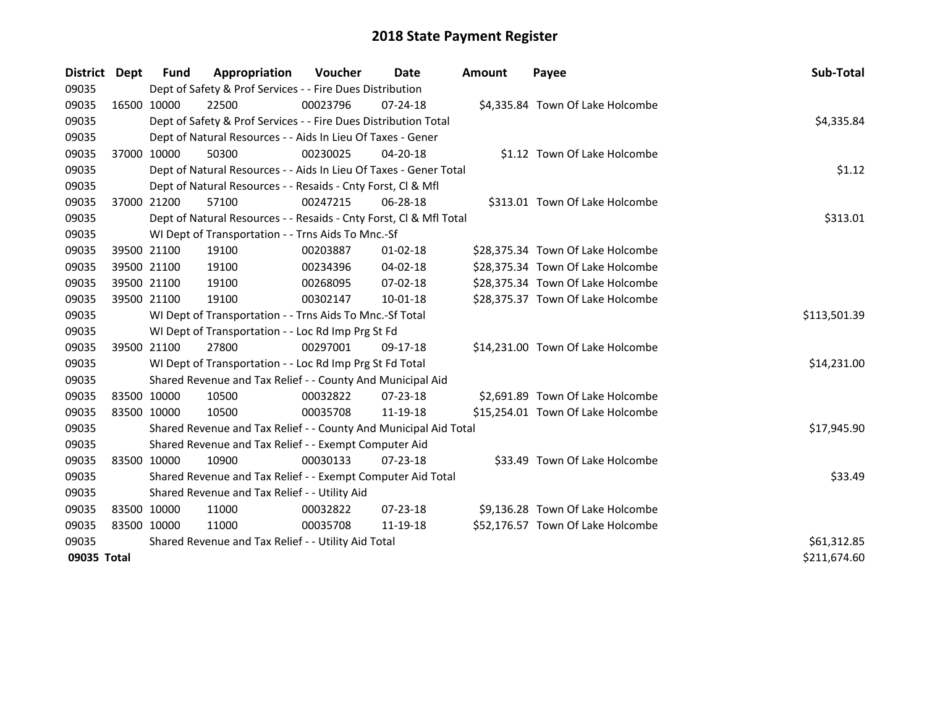| District    | Dept | Fund        | Appropriation                                                      | <b>Voucher</b> | Date           | <b>Amount</b> | Payee                             | Sub-Total    |
|-------------|------|-------------|--------------------------------------------------------------------|----------------|----------------|---------------|-----------------------------------|--------------|
| 09035       |      |             | Dept of Safety & Prof Services - - Fire Dues Distribution          |                |                |               |                                   |              |
| 09035       |      | 16500 10000 | 22500                                                              | 00023796       | $07 - 24 - 18$ |               | \$4,335.84 Town Of Lake Holcombe  |              |
| 09035       |      |             | Dept of Safety & Prof Services - - Fire Dues Distribution Total    |                |                |               |                                   | \$4,335.84   |
| 09035       |      |             | Dept of Natural Resources - - Aids In Lieu Of Taxes - Gener        |                |                |               |                                   |              |
| 09035       |      | 37000 10000 | 50300                                                              | 00230025       | $04 - 20 - 18$ |               | \$1.12 Town Of Lake Holcombe      |              |
| 09035       |      |             | Dept of Natural Resources - - Aids In Lieu Of Taxes - Gener Total  |                |                |               |                                   | \$1.12       |
| 09035       |      |             | Dept of Natural Resources - - Resaids - Cnty Forst, Cl & Mfl       |                |                |               |                                   |              |
| 09035       |      | 37000 21200 | 57100                                                              | 00247215       | 06-28-18       |               | \$313.01 Town Of Lake Holcombe    |              |
| 09035       |      |             | Dept of Natural Resources - - Resaids - Cnty Forst, Cl & Mfl Total | \$313.01       |                |               |                                   |              |
| 09035       |      |             | WI Dept of Transportation - - Trns Aids To Mnc.-Sf                 |                |                |               |                                   |              |
| 09035       |      | 39500 21100 | 19100                                                              | 00203887       | 01-02-18       |               | \$28,375.34 Town Of Lake Holcombe |              |
| 09035       |      | 39500 21100 | 19100                                                              | 00234396       | 04-02-18       |               | \$28,375.34 Town Of Lake Holcombe |              |
| 09035       |      | 39500 21100 | 19100                                                              | 00268095       | 07-02-18       |               | \$28,375.34 Town Of Lake Holcombe |              |
| 09035       |      | 39500 21100 | 19100                                                              | 00302147       | $10 - 01 - 18$ |               | \$28,375.37 Town Of Lake Holcombe |              |
| 09035       |      |             | WI Dept of Transportation - - Trns Aids To Mnc.-Sf Total           |                |                |               |                                   | \$113,501.39 |
| 09035       |      |             | WI Dept of Transportation - - Loc Rd Imp Prg St Fd                 |                |                |               |                                   |              |
| 09035       |      | 39500 21100 | 27800                                                              | 00297001       | 09-17-18       |               | \$14,231.00 Town Of Lake Holcombe |              |
| 09035       |      |             | WI Dept of Transportation - - Loc Rd Imp Prg St Fd Total           |                |                |               |                                   | \$14,231.00  |
| 09035       |      |             | Shared Revenue and Tax Relief - - County And Municipal Aid         |                |                |               |                                   |              |
| 09035       |      | 83500 10000 | 10500                                                              | 00032822       | $07 - 23 - 18$ |               | \$2,691.89 Town Of Lake Holcombe  |              |
| 09035       |      | 83500 10000 | 10500                                                              | 00035708       | 11-19-18       |               | \$15,254.01 Town Of Lake Holcombe |              |
| 09035       |      |             | Shared Revenue and Tax Relief - - County And Municipal Aid Total   |                |                |               |                                   | \$17,945.90  |
| 09035       |      |             | Shared Revenue and Tax Relief - - Exempt Computer Aid              |                |                |               |                                   |              |
| 09035       |      | 83500 10000 | 10900                                                              | 00030133       | 07-23-18       |               | \$33.49 Town Of Lake Holcombe     |              |
| 09035       |      |             | Shared Revenue and Tax Relief - - Exempt Computer Aid Total        |                |                |               |                                   | \$33.49      |
| 09035       |      |             | Shared Revenue and Tax Relief - - Utility Aid                      |                |                |               |                                   |              |
| 09035       |      | 83500 10000 | 11000                                                              | 00032822       | 07-23-18       |               | \$9,136.28 Town Of Lake Holcombe  |              |
| 09035       |      | 83500 10000 | 11000                                                              | 00035708       | 11-19-18       |               | \$52,176.57 Town Of Lake Holcombe |              |
| 09035       |      |             | Shared Revenue and Tax Relief - - Utility Aid Total                |                |                |               |                                   | \$61,312.85  |
| 09035 Total |      |             |                                                                    |                |                |               |                                   | \$211,674.60 |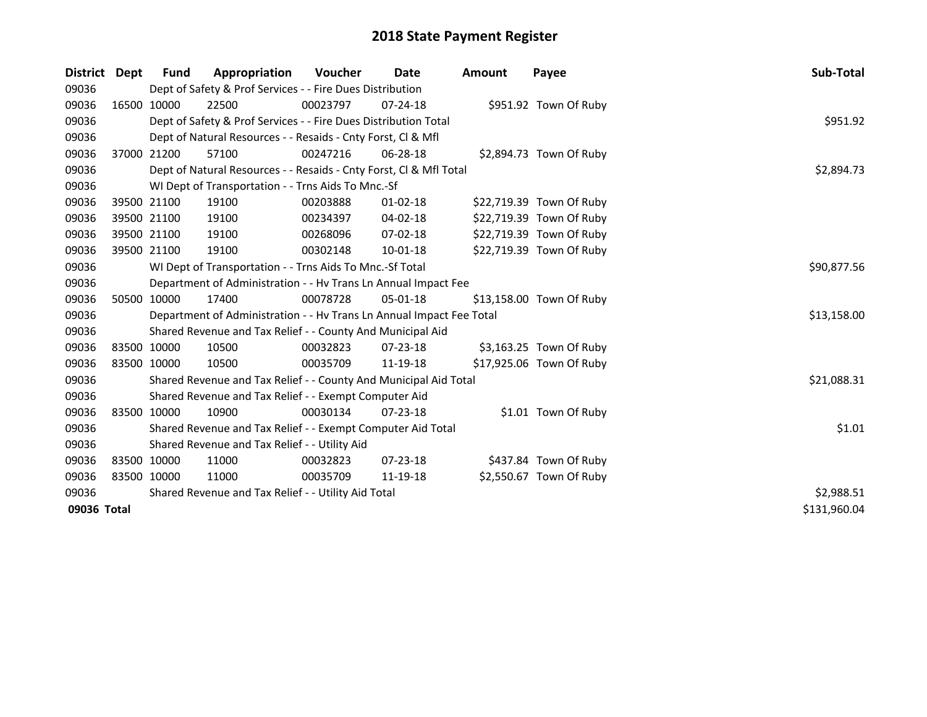| District    | Dept | <b>Fund</b> | Appropriation                                                        | <b>Voucher</b> | Date           | <b>Amount</b> | Payee                    | Sub-Total    |
|-------------|------|-------------|----------------------------------------------------------------------|----------------|----------------|---------------|--------------------------|--------------|
| 09036       |      |             | Dept of Safety & Prof Services - - Fire Dues Distribution            |                |                |               |                          |              |
| 09036       |      | 16500 10000 | 22500                                                                | 00023797       | $07 - 24 - 18$ |               | \$951.92 Town Of Ruby    |              |
| 09036       |      |             | Dept of Safety & Prof Services - - Fire Dues Distribution Total      |                |                |               |                          | \$951.92     |
| 09036       |      |             | Dept of Natural Resources - - Resaids - Cnty Forst, CI & Mfl         |                |                |               |                          |              |
| 09036       |      | 37000 21200 | 57100                                                                | 00247216       | 06-28-18       |               | \$2,894.73 Town Of Ruby  |              |
| 09036       |      |             | Dept of Natural Resources - - Resaids - Cnty Forst, CI & Mfl Total   | \$2,894.73     |                |               |                          |              |
| 09036       |      |             | WI Dept of Transportation - - Trns Aids To Mnc.-Sf                   |                |                |               |                          |              |
| 09036       |      | 39500 21100 | 19100                                                                | 00203888       | $01 - 02 - 18$ |               | \$22,719.39 Town Of Ruby |              |
| 09036       |      | 39500 21100 | 19100                                                                | 00234397       | $04 - 02 - 18$ |               | \$22,719.39 Town Of Ruby |              |
| 09036       |      | 39500 21100 | 19100                                                                | 00268096       | 07-02-18       |               | \$22,719.39 Town Of Ruby |              |
| 09036       |      | 39500 21100 | 19100                                                                | 00302148       | 10-01-18       |               | \$22,719.39 Town Of Ruby |              |
| 09036       |      |             | WI Dept of Transportation - - Trns Aids To Mnc.-Sf Total             |                |                |               |                          | \$90,877.56  |
| 09036       |      |             | Department of Administration - - Hv Trans Ln Annual Impact Fee       |                |                |               |                          |              |
| 09036       |      | 50500 10000 | 17400                                                                | 00078728       | 05-01-18       |               | \$13,158.00 Town Of Ruby |              |
| 09036       |      |             | Department of Administration - - Hv Trans Ln Annual Impact Fee Total |                |                |               |                          | \$13,158.00  |
| 09036       |      |             | Shared Revenue and Tax Relief - - County And Municipal Aid           |                |                |               |                          |              |
| 09036       |      | 83500 10000 | 10500                                                                | 00032823       | 07-23-18       |               | \$3,163.25 Town Of Ruby  |              |
| 09036       |      | 83500 10000 | 10500                                                                | 00035709       | 11-19-18       |               | \$17,925.06 Town Of Ruby |              |
| 09036       |      |             | Shared Revenue and Tax Relief - - County And Municipal Aid Total     |                |                |               |                          | \$21,088.31  |
| 09036       |      |             | Shared Revenue and Tax Relief - - Exempt Computer Aid                |                |                |               |                          |              |
| 09036       |      | 83500 10000 | 10900                                                                | 00030134       | $07 - 23 - 18$ |               | \$1.01 Town Of Ruby      |              |
| 09036       |      |             | Shared Revenue and Tax Relief - - Exempt Computer Aid Total          |                |                |               |                          | \$1.01       |
| 09036       |      |             | Shared Revenue and Tax Relief - - Utility Aid                        |                |                |               |                          |              |
| 09036       |      | 83500 10000 | 11000                                                                | 00032823       | $07 - 23 - 18$ |               | \$437.84 Town Of Ruby    |              |
| 09036       |      | 83500 10000 | 11000                                                                | 00035709       | 11-19-18       |               | \$2,550.67 Town Of Ruby  |              |
| 09036       |      |             | Shared Revenue and Tax Relief - - Utility Aid Total                  |                |                |               |                          | \$2,988.51   |
| 09036 Total |      |             |                                                                      |                |                |               |                          | \$131,960.04 |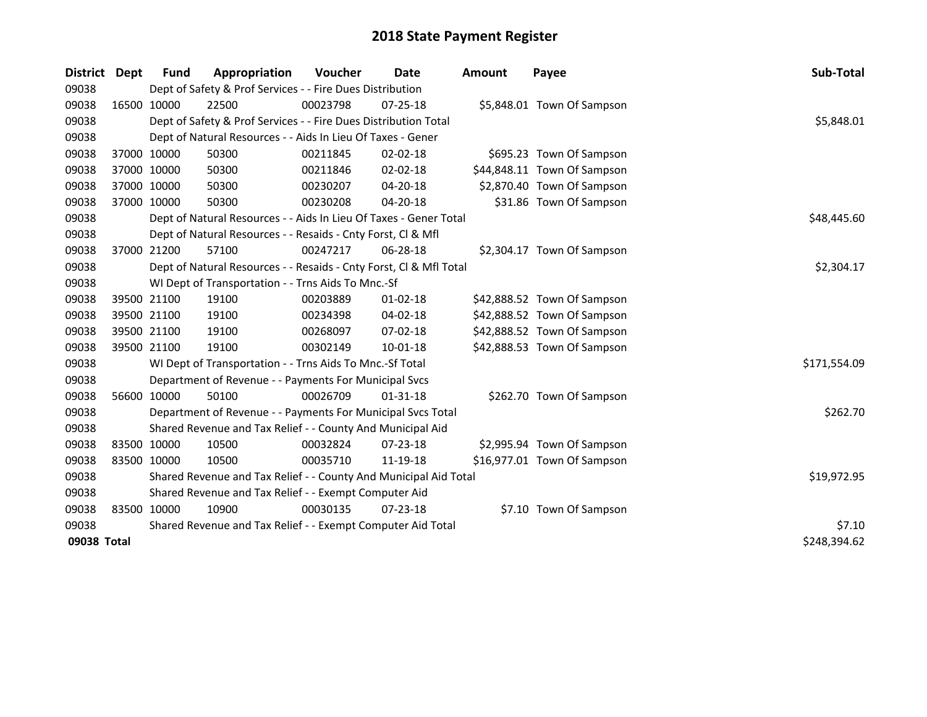| District    | <b>Dept</b> | <b>Fund</b> | Appropriation                                                      | Voucher     | <b>Date</b>    | <b>Amount</b> | Payee                       | Sub-Total    |
|-------------|-------------|-------------|--------------------------------------------------------------------|-------------|----------------|---------------|-----------------------------|--------------|
| 09038       |             |             | Dept of Safety & Prof Services - - Fire Dues Distribution          |             |                |               |                             |              |
| 09038       | 16500 10000 |             | 22500                                                              | 00023798    | 07-25-18       |               | \$5,848.01 Town Of Sampson  |              |
| 09038       |             |             | Dept of Safety & Prof Services - - Fire Dues Distribution Total    |             |                |               |                             | \$5,848.01   |
| 09038       |             |             | Dept of Natural Resources - - Aids In Lieu Of Taxes - Gener        |             |                |               |                             |              |
| 09038       |             | 37000 10000 | 50300                                                              | 00211845    | $02 - 02 - 18$ |               | \$695.23 Town Of Sampson    |              |
| 09038       | 37000 10000 |             | 50300                                                              | 00211846    | 02-02-18       |               | \$44,848.11 Town Of Sampson |              |
| 09038       | 37000 10000 |             | 50300                                                              | 00230207    | 04-20-18       |               | \$2,870.40 Town Of Sampson  |              |
| 09038       |             | 37000 10000 | 50300                                                              | 00230208    | 04-20-18       |               | \$31.86 Town Of Sampson     |              |
| 09038       |             |             | Dept of Natural Resources - - Aids In Lieu Of Taxes - Gener Total  | \$48,445.60 |                |               |                             |              |
| 09038       |             |             | Dept of Natural Resources - - Resaids - Cnty Forst, Cl & Mfl       |             |                |               |                             |              |
| 09038       |             | 37000 21200 | 57100                                                              | 00247217    | 06-28-18       |               | \$2,304.17 Town Of Sampson  |              |
| 09038       |             |             | Dept of Natural Resources - - Resaids - Cnty Forst, Cl & Mfl Total |             |                |               |                             | \$2,304.17   |
| 09038       |             |             | WI Dept of Transportation - - Trns Aids To Mnc.-Sf                 |             |                |               |                             |              |
| 09038       |             | 39500 21100 | 19100                                                              | 00203889    | $01 - 02 - 18$ |               | \$42,888.52 Town Of Sampson |              |
| 09038       |             | 39500 21100 | 19100                                                              | 00234398    | 04-02-18       |               | \$42,888.52 Town Of Sampson |              |
| 09038       | 39500 21100 |             | 19100                                                              | 00268097    | 07-02-18       |               | \$42,888.52 Town Of Sampson |              |
| 09038       | 39500 21100 |             | 19100                                                              | 00302149    | $10 - 01 - 18$ |               | \$42,888.53 Town Of Sampson |              |
| 09038       |             |             | WI Dept of Transportation - - Trns Aids To Mnc.-Sf Total           |             |                |               |                             | \$171,554.09 |
| 09038       |             |             | Department of Revenue - - Payments For Municipal Svcs              |             |                |               |                             |              |
| 09038       |             | 56600 10000 | 50100                                                              | 00026709    | $01 - 31 - 18$ |               | \$262.70 Town Of Sampson    |              |
| 09038       |             |             | Department of Revenue - - Payments For Municipal Svcs Total        |             |                |               |                             | \$262.70     |
| 09038       |             |             | Shared Revenue and Tax Relief - - County And Municipal Aid         |             |                |               |                             |              |
| 09038       | 83500 10000 |             | 10500                                                              | 00032824    | $07 - 23 - 18$ |               | \$2,995.94 Town Of Sampson  |              |
| 09038       | 83500 10000 |             | 10500                                                              | 00035710    | 11-19-18       |               | \$16,977.01 Town Of Sampson |              |
| 09038       |             |             | Shared Revenue and Tax Relief - - County And Municipal Aid Total   |             |                |               |                             | \$19,972.95  |
| 09038       |             |             | Shared Revenue and Tax Relief - - Exempt Computer Aid              |             |                |               |                             |              |
| 09038       | 83500 10000 |             | 10900                                                              | 00030135    | $07 - 23 - 18$ |               | \$7.10 Town Of Sampson      |              |
| 09038       |             |             | Shared Revenue and Tax Relief - - Exempt Computer Aid Total        |             |                |               |                             | \$7.10       |
| 09038 Total |             |             |                                                                    |             |                |               |                             | \$248,394.62 |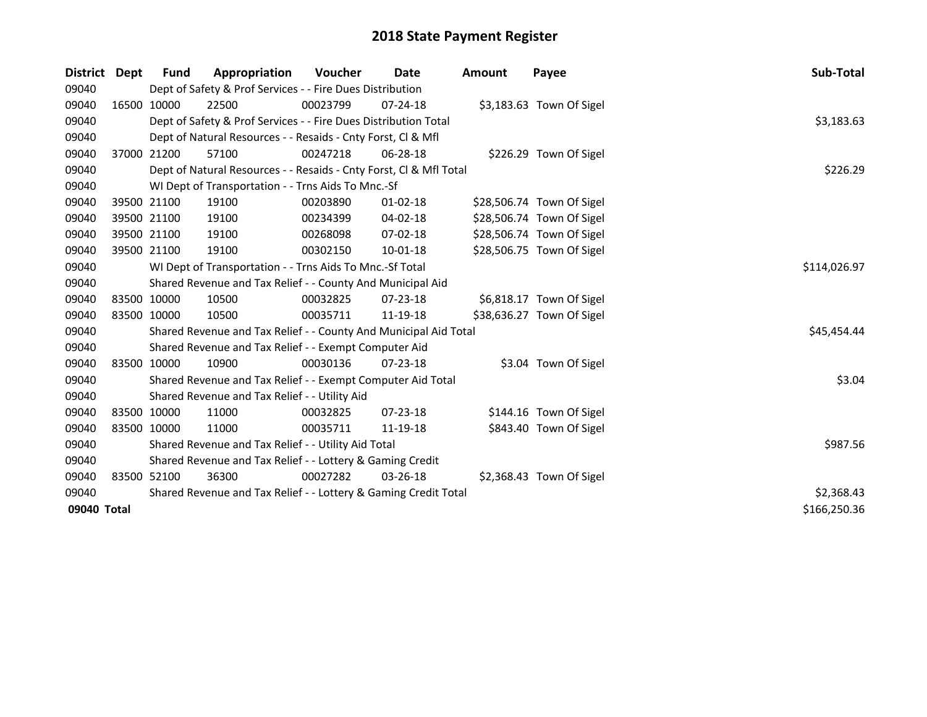| <b>District</b> | Dept | Fund        | Appropriation                                                      | Voucher    | Date           | Amount | Payee                     | Sub-Total    |
|-----------------|------|-------------|--------------------------------------------------------------------|------------|----------------|--------|---------------------------|--------------|
| 09040           |      |             | Dept of Safety & Prof Services - - Fire Dues Distribution          |            |                |        |                           |              |
| 09040           |      | 16500 10000 | 22500                                                              | 00023799   | $07 - 24 - 18$ |        | \$3,183.63 Town Of Sigel  |              |
| 09040           |      |             | Dept of Safety & Prof Services - - Fire Dues Distribution Total    |            |                |        |                           | \$3,183.63   |
| 09040           |      |             | Dept of Natural Resources - - Resaids - Cnty Forst, CI & Mfl       |            |                |        |                           |              |
| 09040           |      | 37000 21200 | 57100                                                              | 00247218   | 06-28-18       |        | \$226.29 Town Of Sigel    |              |
| 09040           |      |             | Dept of Natural Resources - - Resaids - Cnty Forst, Cl & Mfl Total |            |                |        |                           | \$226.29     |
| 09040           |      |             | WI Dept of Transportation - - Trns Aids To Mnc.-Sf                 |            |                |        |                           |              |
| 09040           |      | 39500 21100 | 19100                                                              | 00203890   | $01 - 02 - 18$ |        | \$28,506.74 Town Of Sigel |              |
| 09040           |      | 39500 21100 | 19100                                                              | 00234399   | 04-02-18       |        | \$28,506.74 Town Of Sigel |              |
| 09040           |      | 39500 21100 | 19100                                                              | 00268098   | 07-02-18       |        | \$28,506.74 Town Of Sigel |              |
| 09040           |      | 39500 21100 | 19100                                                              | 00302150   | $10 - 01 - 18$ |        | \$28,506.75 Town Of Sigel |              |
| 09040           |      |             | WI Dept of Transportation - - Trns Aids To Mnc.-Sf Total           |            |                |        |                           | \$114,026.97 |
| 09040           |      |             | Shared Revenue and Tax Relief - - County And Municipal Aid         |            |                |        |                           |              |
| 09040           |      | 83500 10000 | 10500                                                              | 00032825   | 07-23-18       |        | \$6,818.17 Town Of Sigel  |              |
| 09040           |      | 83500 10000 | 10500                                                              | 00035711   | 11-19-18       |        | \$38,636.27 Town Of Sigel |              |
| 09040           |      |             | Shared Revenue and Tax Relief - - County And Municipal Aid Total   |            |                |        |                           | \$45,454.44  |
| 09040           |      |             | Shared Revenue and Tax Relief - - Exempt Computer Aid              |            |                |        |                           |              |
| 09040           |      | 83500 10000 | 10900                                                              | 00030136   | $07 - 23 - 18$ |        | \$3.04 Town Of Sigel      |              |
| 09040           |      |             | Shared Revenue and Tax Relief - - Exempt Computer Aid Total        |            |                |        |                           | \$3.04       |
| 09040           |      |             | Shared Revenue and Tax Relief - - Utility Aid                      |            |                |        |                           |              |
| 09040           |      | 83500 10000 | 11000                                                              | 00032825   | $07 - 23 - 18$ |        | \$144.16 Town Of Sigel    |              |
| 09040           |      | 83500 10000 | 11000                                                              | 00035711   | 11-19-18       |        | \$843.40 Town Of Sigel    |              |
| 09040           |      |             | Shared Revenue and Tax Relief - - Utility Aid Total                |            |                |        |                           | \$987.56     |
| 09040           |      |             | Shared Revenue and Tax Relief - - Lottery & Gaming Credit          |            |                |        |                           |              |
| 09040           |      | 83500 52100 | 36300                                                              | 00027282   | 03-26-18       |        | \$2,368.43 Town Of Sigel  |              |
| 09040           |      |             | Shared Revenue and Tax Relief - - Lottery & Gaming Credit Total    | \$2,368.43 |                |        |                           |              |
| 09040 Total     |      |             |                                                                    |            |                |        |                           | \$166,250.36 |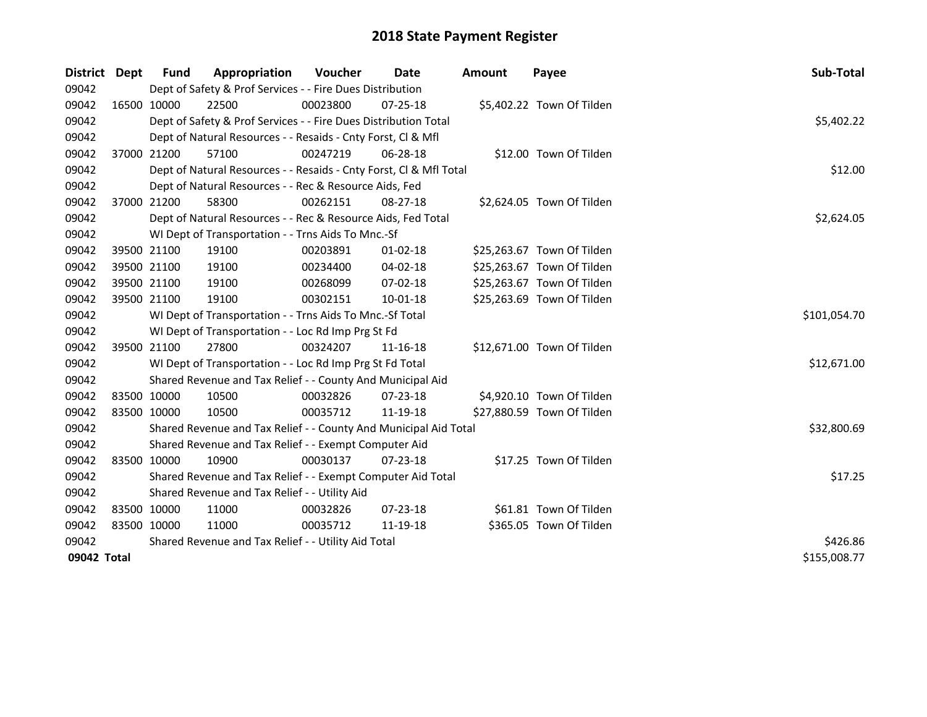| District Dept |             | Fund                                                | Appropriation                                                      | <b>Voucher</b> | Date           | <b>Amount</b> | Payee                      | Sub-Total    |
|---------------|-------------|-----------------------------------------------------|--------------------------------------------------------------------|----------------|----------------|---------------|----------------------------|--------------|
| 09042         |             |                                                     | Dept of Safety & Prof Services - - Fire Dues Distribution          |                |                |               |                            |              |
| 09042         |             | 16500 10000                                         | 22500                                                              | 00023800       | $07 - 25 - 18$ |               | \$5,402.22 Town Of Tilden  |              |
| 09042         |             |                                                     | Dept of Safety & Prof Services - - Fire Dues Distribution Total    |                |                |               |                            | \$5,402.22   |
| 09042         |             |                                                     | Dept of Natural Resources - - Resaids - Cnty Forst, Cl & Mfl       |                |                |               |                            |              |
| 09042         |             | 37000 21200                                         | 57100                                                              | 00247219       | 06-28-18       |               | \$12.00 Town Of Tilden     |              |
| 09042         |             |                                                     | Dept of Natural Resources - - Resaids - Cnty Forst, Cl & Mfl Total |                |                |               |                            | \$12.00      |
| 09042         |             |                                                     | Dept of Natural Resources - - Rec & Resource Aids, Fed             |                |                |               |                            |              |
| 09042         |             | 37000 21200                                         | 58300                                                              | 00262151       | 08-27-18       |               | \$2,624.05 Town Of Tilden  |              |
| 09042         |             |                                                     | Dept of Natural Resources - - Rec & Resource Aids, Fed Total       |                |                |               |                            | \$2,624.05   |
| 09042         |             |                                                     | WI Dept of Transportation - - Trns Aids To Mnc.-Sf                 |                |                |               |                            |              |
| 09042         |             | 39500 21100                                         | 19100                                                              | 00203891       | 01-02-18       |               | \$25,263.67 Town Of Tilden |              |
| 09042         |             | 39500 21100                                         | 19100                                                              | 00234400       | 04-02-18       |               | \$25,263.67 Town Of Tilden |              |
| 09042         |             | 39500 21100                                         | 19100                                                              | 00268099       | 07-02-18       |               | \$25,263.67 Town Of Tilden |              |
| 09042         |             | 39500 21100                                         | 19100                                                              | 00302151       | 10-01-18       |               | \$25,263.69 Town Of Tilden |              |
| 09042         |             |                                                     | WI Dept of Transportation - - Trns Aids To Mnc.-Sf Total           |                |                |               |                            | \$101,054.70 |
| 09042         |             |                                                     | WI Dept of Transportation - - Loc Rd Imp Prg St Fd                 |                |                |               |                            |              |
| 09042         |             | 39500 21100                                         | 27800                                                              | 00324207       | 11-16-18       |               | \$12,671.00 Town Of Tilden |              |
| 09042         |             |                                                     | WI Dept of Transportation - - Loc Rd Imp Prg St Fd Total           |                |                |               |                            | \$12,671.00  |
| 09042         |             |                                                     | Shared Revenue and Tax Relief - - County And Municipal Aid         |                |                |               |                            |              |
| 09042         |             | 83500 10000                                         | 10500                                                              | 00032826       | 07-23-18       |               | \$4,920.10 Town Of Tilden  |              |
| 09042         |             | 83500 10000                                         | 10500                                                              | 00035712       | 11-19-18       |               | \$27,880.59 Town Of Tilden |              |
| 09042         |             |                                                     | Shared Revenue and Tax Relief - - County And Municipal Aid Total   |                |                |               |                            | \$32,800.69  |
| 09042         |             |                                                     | Shared Revenue and Tax Relief - - Exempt Computer Aid              |                |                |               |                            |              |
| 09042         |             | 83500 10000                                         | 10900                                                              | 00030137       | $07 - 23 - 18$ |               | \$17.25 Town Of Tilden     |              |
| 09042         |             |                                                     | Shared Revenue and Tax Relief - - Exempt Computer Aid Total        |                |                |               |                            | \$17.25      |
| 09042         |             |                                                     | Shared Revenue and Tax Relief - - Utility Aid                      |                |                |               |                            |              |
| 09042         | 83500 10000 |                                                     | 11000                                                              | 00032826       | $07 - 23 - 18$ |               | \$61.81 Town Of Tilden     |              |
| 09042         | 83500 10000 |                                                     | 11000                                                              | 00035712       | 11-19-18       |               | \$365.05 Town Of Tilden    |              |
| 09042         |             | Shared Revenue and Tax Relief - - Utility Aid Total | \$426.86                                                           |                |                |               |                            |              |
| 09042 Total   |             |                                                     |                                                                    |                |                |               |                            | \$155,008.77 |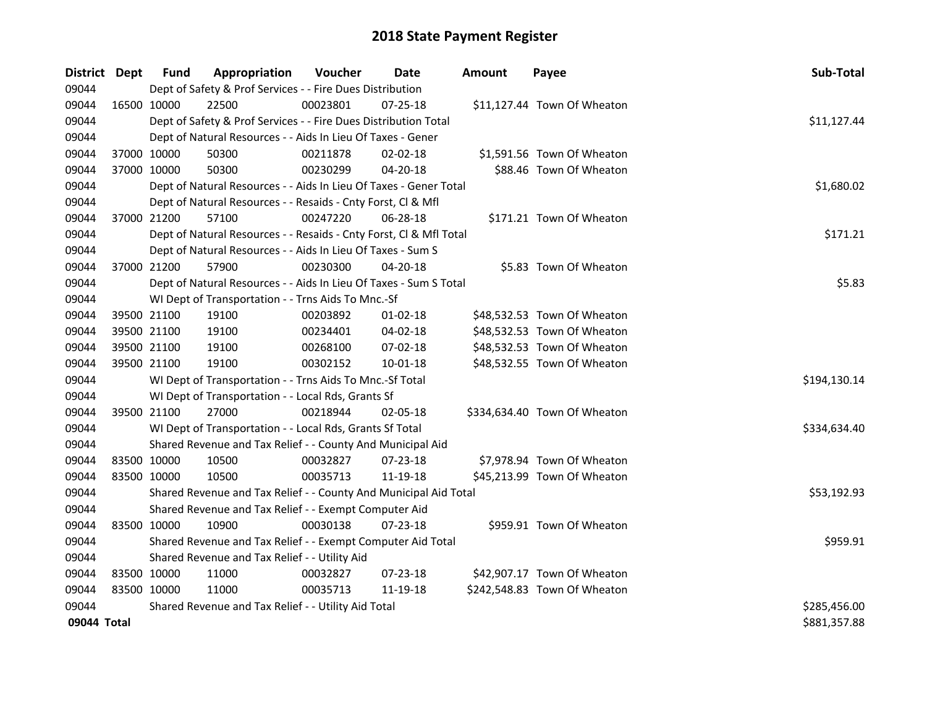| District Dept |             | <b>Fund</b> | Appropriation                                                      | Voucher  | Date           | <b>Amount</b> | Payee                        | Sub-Total    |
|---------------|-------------|-------------|--------------------------------------------------------------------|----------|----------------|---------------|------------------------------|--------------|
| 09044         |             |             | Dept of Safety & Prof Services - - Fire Dues Distribution          |          |                |               |                              |              |
| 09044         |             | 16500 10000 | 22500                                                              | 00023801 | 07-25-18       |               | \$11,127.44 Town Of Wheaton  |              |
| 09044         |             |             | Dept of Safety & Prof Services - - Fire Dues Distribution Total    |          |                |               |                              | \$11,127.44  |
| 09044         |             |             | Dept of Natural Resources - - Aids In Lieu Of Taxes - Gener        |          |                |               |                              |              |
| 09044         |             | 37000 10000 | 50300                                                              | 00211878 | $02 - 02 - 18$ |               | \$1,591.56 Town Of Wheaton   |              |
| 09044         |             | 37000 10000 | 50300                                                              | 00230299 | $04 - 20 - 18$ |               | \$88.46 Town Of Wheaton      |              |
| 09044         |             |             | Dept of Natural Resources - - Aids In Lieu Of Taxes - Gener Total  |          |                |               |                              | \$1,680.02   |
| 09044         |             |             | Dept of Natural Resources - - Resaids - Cnty Forst, Cl & Mfl       |          |                |               |                              |              |
| 09044         |             | 37000 21200 | 57100                                                              | 00247220 | 06-28-18       |               | \$171.21 Town Of Wheaton     |              |
| 09044         |             |             | Dept of Natural Resources - - Resaids - Cnty Forst, Cl & Mfl Total |          |                |               |                              | \$171.21     |
| 09044         |             |             | Dept of Natural Resources - - Aids In Lieu Of Taxes - Sum S        |          |                |               |                              |              |
| 09044         |             | 37000 21200 | 57900                                                              | 00230300 | $04 - 20 - 18$ |               | \$5.83 Town Of Wheaton       |              |
| 09044         |             |             | Dept of Natural Resources - - Aids In Lieu Of Taxes - Sum S Total  |          |                |               |                              | \$5.83       |
| 09044         |             |             | WI Dept of Transportation - - Trns Aids To Mnc.-Sf                 |          |                |               |                              |              |
| 09044         |             | 39500 21100 | 19100                                                              | 00203892 | $01-02-18$     |               | \$48,532.53 Town Of Wheaton  |              |
| 09044         |             | 39500 21100 | 19100                                                              | 00234401 | 04-02-18       |               | \$48,532.53 Town Of Wheaton  |              |
| 09044         |             | 39500 21100 | 19100                                                              | 00268100 | 07-02-18       |               | \$48,532.53 Town Of Wheaton  |              |
| 09044         |             | 39500 21100 | 19100                                                              | 00302152 | 10-01-18       |               | \$48,532.55 Town Of Wheaton  |              |
| 09044         |             |             | WI Dept of Transportation - - Trns Aids To Mnc.-Sf Total           |          |                |               |                              | \$194,130.14 |
| 09044         |             |             | WI Dept of Transportation - - Local Rds, Grants Sf                 |          |                |               |                              |              |
| 09044         |             | 39500 21100 | 27000                                                              | 00218944 | 02-05-18       |               | \$334,634.40 Town Of Wheaton |              |
| 09044         |             |             | WI Dept of Transportation - - Local Rds, Grants Sf Total           |          |                |               |                              | \$334,634.40 |
| 09044         |             |             | Shared Revenue and Tax Relief - - County And Municipal Aid         |          |                |               |                              |              |
| 09044         |             | 83500 10000 | 10500                                                              | 00032827 | 07-23-18       |               | \$7,978.94 Town Of Wheaton   |              |
| 09044         |             | 83500 10000 | 10500                                                              | 00035713 | 11-19-18       |               | \$45,213.99 Town Of Wheaton  |              |
| 09044         |             |             | Shared Revenue and Tax Relief - - County And Municipal Aid Total   |          |                |               |                              | \$53,192.93  |
| 09044         |             |             | Shared Revenue and Tax Relief - - Exempt Computer Aid              |          |                |               |                              |              |
| 09044         |             | 83500 10000 | 10900                                                              | 00030138 | $07 - 23 - 18$ |               | \$959.91 Town Of Wheaton     |              |
| 09044         |             |             | Shared Revenue and Tax Relief - - Exempt Computer Aid Total        |          |                |               |                              | \$959.91     |
| 09044         |             |             | Shared Revenue and Tax Relief - - Utility Aid                      |          |                |               |                              |              |
| 09044         |             | 83500 10000 | 11000                                                              | 00032827 | 07-23-18       |               | \$42,907.17 Town Of Wheaton  |              |
| 09044         | 83500 10000 |             | 11000                                                              | 00035713 | 11-19-18       |               | \$242,548.83 Town Of Wheaton |              |
| 09044         |             |             | Shared Revenue and Tax Relief - - Utility Aid Total                |          |                |               |                              | \$285,456.00 |
| 09044 Total   |             |             |                                                                    |          |                |               |                              | \$881,357.88 |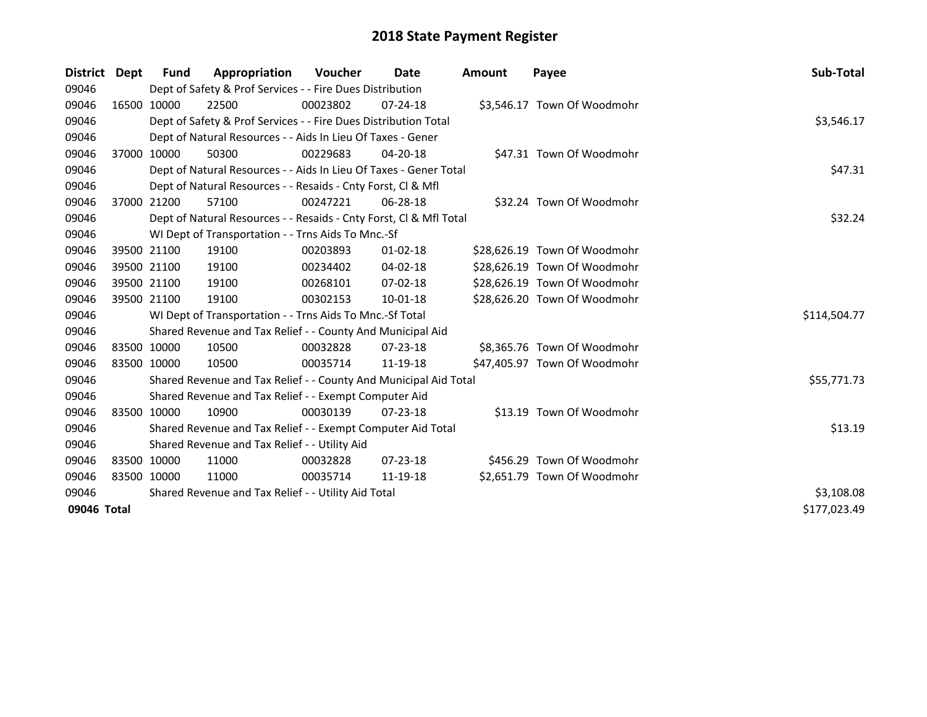| District    | Dept         | Fund                                                | Appropriation                                                      | Voucher  | Date           | <b>Amount</b> | Payee                        | Sub-Total    |
|-------------|--------------|-----------------------------------------------------|--------------------------------------------------------------------|----------|----------------|---------------|------------------------------|--------------|
| 09046       |              |                                                     | Dept of Safety & Prof Services - - Fire Dues Distribution          |          |                |               |                              |              |
| 09046       |              | 16500 10000                                         | 22500                                                              | 00023802 | $07 - 24 - 18$ |               | \$3,546.17 Town Of Woodmohr  |              |
| 09046       |              |                                                     | Dept of Safety & Prof Services - - Fire Dues Distribution Total    |          |                |               |                              | \$3,546.17   |
| 09046       |              |                                                     | Dept of Natural Resources - - Aids In Lieu Of Taxes - Gener        |          |                |               |                              |              |
| 09046       |              | 37000 10000                                         | 50300                                                              | 00229683 | $04 - 20 - 18$ |               | \$47.31 Town Of Woodmohr     |              |
| 09046       |              |                                                     | Dept of Natural Resources - - Aids In Lieu Of Taxes - Gener Total  |          |                |               |                              | \$47.31      |
| 09046       |              |                                                     | Dept of Natural Resources - - Resaids - Cnty Forst, Cl & Mfl       |          |                |               |                              |              |
| 09046       |              | 37000 21200                                         | 57100                                                              | 00247221 | 06-28-18       |               | \$32.24 Town Of Woodmohr     |              |
| 09046       |              |                                                     | Dept of Natural Resources - - Resaids - Cnty Forst, Cl & Mfl Total |          |                |               |                              | \$32.24      |
| 09046       |              |                                                     | WI Dept of Transportation - - Trns Aids To Mnc.-Sf                 |          |                |               |                              |              |
| 09046       |              | 39500 21100                                         | 19100                                                              | 00203893 | $01 - 02 - 18$ |               | \$28,626.19 Town Of Woodmohr |              |
| 09046       |              | 39500 21100                                         | 19100                                                              | 00234402 | $04 - 02 - 18$ |               | \$28,626.19 Town Of Woodmohr |              |
| 09046       |              | 39500 21100                                         | 19100                                                              | 00268101 | 07-02-18       |               | \$28,626.19 Town Of Woodmohr |              |
| 09046       |              | 39500 21100                                         | 19100                                                              | 00302153 | 10-01-18       |               | \$28,626.20 Town Of Woodmohr |              |
| 09046       |              |                                                     | WI Dept of Transportation - - Trns Aids To Mnc.-Sf Total           |          |                |               |                              | \$114,504.77 |
| 09046       |              |                                                     | Shared Revenue and Tax Relief - - County And Municipal Aid         |          |                |               |                              |              |
| 09046       |              | 83500 10000                                         | 10500                                                              | 00032828 | $07 - 23 - 18$ |               | \$8,365.76 Town Of Woodmohr  |              |
| 09046       | 83500 10000  |                                                     | 10500                                                              | 00035714 | 11-19-18       |               | \$47,405.97 Town Of Woodmohr |              |
| 09046       |              |                                                     | Shared Revenue and Tax Relief - - County And Municipal Aid Total   |          |                |               |                              | \$55,771.73  |
| 09046       |              |                                                     | Shared Revenue and Tax Relief - - Exempt Computer Aid              |          |                |               |                              |              |
| 09046       |              | 83500 10000                                         | 10900                                                              | 00030139 | $07 - 23 - 18$ |               | \$13.19 Town Of Woodmohr     |              |
| 09046       |              |                                                     | Shared Revenue and Tax Relief - - Exempt Computer Aid Total        |          |                |               |                              | \$13.19      |
| 09046       |              |                                                     | Shared Revenue and Tax Relief - - Utility Aid                      |          |                |               |                              |              |
| 09046       |              | 83500 10000                                         | 11000                                                              | 00032828 | $07 - 23 - 18$ |               | \$456.29 Town Of Woodmohr    |              |
| 09046       |              | 83500 10000                                         | 11000                                                              | 00035714 | 11-19-18       |               | \$2,651.79 Town Of Woodmohr  |              |
| 09046       |              | Shared Revenue and Tax Relief - - Utility Aid Total | \$3,108.08                                                         |          |                |               |                              |              |
| 09046 Total | \$177,023.49 |                                                     |                                                                    |          |                |               |                              |              |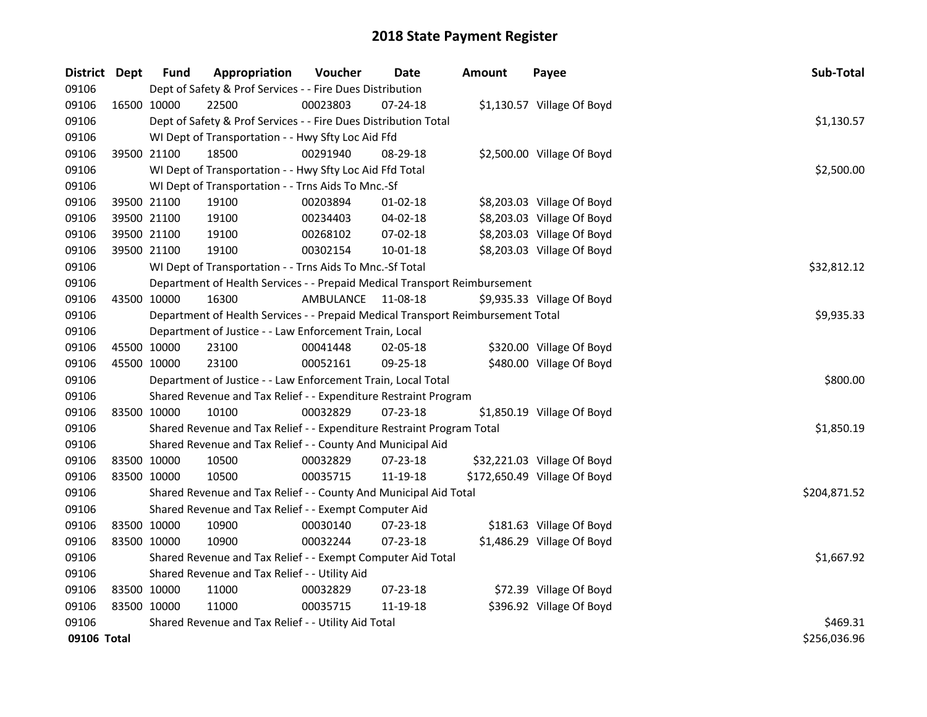| District Dept |             | <b>Fund</b> | Appropriation                                                                   | Voucher   | <b>Date</b>    | Amount | Payee                        | Sub-Total    |
|---------------|-------------|-------------|---------------------------------------------------------------------------------|-----------|----------------|--------|------------------------------|--------------|
| 09106         |             |             | Dept of Safety & Prof Services - - Fire Dues Distribution                       |           |                |        |                              |              |
| 09106         |             | 16500 10000 | 22500                                                                           | 00023803  | 07-24-18       |        | \$1,130.57 Village Of Boyd   |              |
| 09106         |             |             | Dept of Safety & Prof Services - - Fire Dues Distribution Total                 |           |                |        |                              | \$1,130.57   |
| 09106         |             |             | WI Dept of Transportation - - Hwy Sfty Loc Aid Ffd                              |           |                |        |                              |              |
| 09106         |             | 39500 21100 | 18500                                                                           | 00291940  | 08-29-18       |        | \$2,500.00 Village Of Boyd   |              |
| 09106         |             |             | WI Dept of Transportation - - Hwy Sfty Loc Aid Ffd Total                        |           |                |        |                              | \$2,500.00   |
| 09106         |             |             | WI Dept of Transportation - - Trns Aids To Mnc.-Sf                              |           |                |        |                              |              |
| 09106         |             | 39500 21100 | 19100                                                                           | 00203894  | 01-02-18       |        | \$8,203.03 Village Of Boyd   |              |
| 09106         |             | 39500 21100 | 19100                                                                           | 00234403  | 04-02-18       |        | \$8,203.03 Village Of Boyd   |              |
| 09106         |             | 39500 21100 | 19100                                                                           | 00268102  | 07-02-18       |        | \$8,203.03 Village Of Boyd   |              |
| 09106         |             | 39500 21100 | 19100                                                                           | 00302154  | 10-01-18       |        | \$8,203.03 Village Of Boyd   |              |
| 09106         |             |             | WI Dept of Transportation - - Trns Aids To Mnc.-Sf Total                        |           |                |        |                              | \$32,812.12  |
| 09106         |             |             | Department of Health Services - - Prepaid Medical Transport Reimbursement       |           |                |        |                              |              |
| 09106         |             | 43500 10000 | 16300                                                                           | AMBULANCE | 11-08-18       |        | \$9,935.33 Village Of Boyd   |              |
| 09106         |             |             | Department of Health Services - - Prepaid Medical Transport Reimbursement Total |           |                |        |                              | \$9,935.33   |
| 09106         |             |             | Department of Justice - - Law Enforcement Train, Local                          |           |                |        |                              |              |
| 09106         |             | 45500 10000 | 23100                                                                           | 00041448  | 02-05-18       |        | \$320.00 Village Of Boyd     |              |
| 09106         |             | 45500 10000 | 23100                                                                           | 00052161  | 09-25-18       |        | \$480.00 Village Of Boyd     |              |
| 09106         |             |             | Department of Justice - - Law Enforcement Train, Local Total                    |           |                |        |                              | \$800.00     |
| 09106         |             |             | Shared Revenue and Tax Relief - - Expenditure Restraint Program                 |           |                |        |                              |              |
| 09106         |             | 83500 10000 | 10100                                                                           | 00032829  | 07-23-18       |        | \$1,850.19 Village Of Boyd   |              |
| 09106         |             |             | Shared Revenue and Tax Relief - - Expenditure Restraint Program Total           |           |                |        |                              | \$1,850.19   |
| 09106         |             |             | Shared Revenue and Tax Relief - - County And Municipal Aid                      |           |                |        |                              |              |
| 09106         |             | 83500 10000 | 10500                                                                           | 00032829  | 07-23-18       |        | \$32,221.03 Village Of Boyd  |              |
| 09106         |             | 83500 10000 | 10500                                                                           | 00035715  | 11-19-18       |        | \$172,650.49 Village Of Boyd |              |
| 09106         |             |             | Shared Revenue and Tax Relief - - County And Municipal Aid Total                |           |                |        |                              | \$204,871.52 |
| 09106         |             |             | Shared Revenue and Tax Relief - - Exempt Computer Aid                           |           |                |        |                              |              |
| 09106         |             | 83500 10000 | 10900                                                                           | 00030140  | 07-23-18       |        | \$181.63 Village Of Boyd     |              |
| 09106         |             | 83500 10000 | 10900                                                                           | 00032244  | $07 - 23 - 18$ |        | \$1,486.29 Village Of Boyd   |              |
| 09106         |             |             | Shared Revenue and Tax Relief - - Exempt Computer Aid Total                     |           |                |        |                              | \$1,667.92   |
| 09106         |             |             | Shared Revenue and Tax Relief - - Utility Aid                                   |           |                |        |                              |              |
| 09106         |             | 83500 10000 | 11000                                                                           | 00032829  | 07-23-18       |        | \$72.39 Village Of Boyd      |              |
| 09106         | 83500 10000 |             | 11000                                                                           | 00035715  | 11-19-18       |        | \$396.92 Village Of Boyd     |              |
| 09106         |             |             | Shared Revenue and Tax Relief - - Utility Aid Total                             |           |                |        |                              | \$469.31     |
| 09106 Total   |             |             |                                                                                 |           |                |        |                              | \$256,036.96 |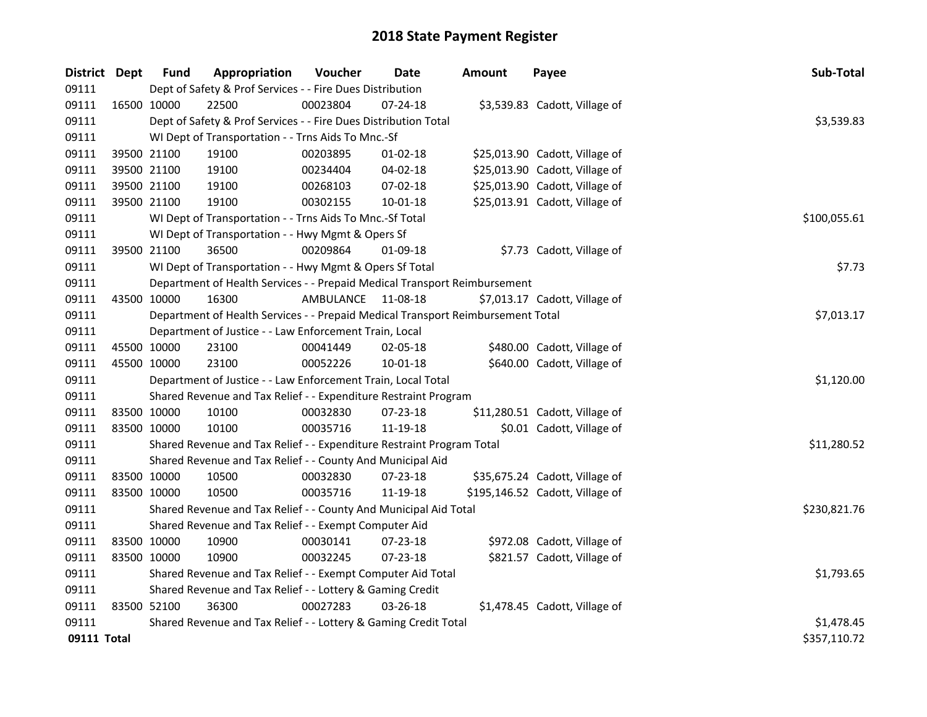| District Dept |             | <b>Fund</b> | Appropriation                                                                   | Voucher   | <b>Date</b>    | <b>Amount</b> | Payee                           | Sub-Total    |
|---------------|-------------|-------------|---------------------------------------------------------------------------------|-----------|----------------|---------------|---------------------------------|--------------|
| 09111         |             |             | Dept of Safety & Prof Services - - Fire Dues Distribution                       |           |                |               |                                 |              |
| 09111         | 16500 10000 |             | 22500                                                                           | 00023804  | $07 - 24 - 18$ |               | \$3,539.83 Cadott, Village of   |              |
| 09111         |             |             | Dept of Safety & Prof Services - - Fire Dues Distribution Total                 |           |                |               |                                 | \$3,539.83   |
| 09111         |             |             | WI Dept of Transportation - - Trns Aids To Mnc.-Sf                              |           |                |               |                                 |              |
| 09111         |             | 39500 21100 | 19100                                                                           | 00203895  | $01 - 02 - 18$ |               | \$25,013.90 Cadott, Village of  |              |
| 09111         | 39500 21100 |             | 19100                                                                           | 00234404  | 04-02-18       |               | \$25,013.90 Cadott, Village of  |              |
| 09111         | 39500 21100 |             | 19100                                                                           | 00268103  | 07-02-18       |               | \$25,013.90 Cadott, Village of  |              |
| 09111         | 39500 21100 |             | 19100                                                                           | 00302155  | 10-01-18       |               | \$25,013.91 Cadott, Village of  |              |
| 09111         |             |             | WI Dept of Transportation - - Trns Aids To Mnc.-Sf Total                        |           |                |               |                                 | \$100,055.61 |
| 09111         |             |             | WI Dept of Transportation - - Hwy Mgmt & Opers Sf                               |           |                |               |                                 |              |
| 09111         |             | 39500 21100 | 36500                                                                           | 00209864  | 01-09-18       |               | \$7.73 Cadott, Village of       |              |
| 09111         |             |             | WI Dept of Transportation - - Hwy Mgmt & Opers Sf Total                         |           |                |               |                                 | \$7.73       |
| 09111         |             |             | Department of Health Services - - Prepaid Medical Transport Reimbursement       |           |                |               |                                 |              |
| 09111         | 43500 10000 |             | 16300                                                                           | AMBULANCE | 11-08-18       |               | \$7,013.17 Cadott, Village of   |              |
| 09111         |             |             | Department of Health Services - - Prepaid Medical Transport Reimbursement Total |           |                |               |                                 | \$7,013.17   |
| 09111         |             |             | Department of Justice - - Law Enforcement Train, Local                          |           |                |               |                                 |              |
| 09111         | 45500 10000 |             | 23100                                                                           | 00041449  | 02-05-18       |               | \$480.00 Cadott, Village of     |              |
| 09111         | 45500 10000 |             | 23100                                                                           | 00052226  | $10 - 01 - 18$ |               | \$640.00 Cadott, Village of     |              |
| 09111         |             |             | Department of Justice - - Law Enforcement Train, Local Total                    |           |                |               |                                 | \$1,120.00   |
| 09111         |             |             | Shared Revenue and Tax Relief - - Expenditure Restraint Program                 |           |                |               |                                 |              |
| 09111         | 83500 10000 |             | 10100                                                                           | 00032830  | 07-23-18       |               | \$11,280.51 Cadott, Village of  |              |
| 09111         | 83500 10000 |             | 10100                                                                           | 00035716  | 11-19-18       |               | \$0.01 Cadott, Village of       |              |
| 09111         |             |             | Shared Revenue and Tax Relief - - Expenditure Restraint Program Total           |           |                |               |                                 | \$11,280.52  |
| 09111         |             |             | Shared Revenue and Tax Relief - - County And Municipal Aid                      |           |                |               |                                 |              |
| 09111         | 83500 10000 |             | 10500                                                                           | 00032830  | 07-23-18       |               | \$35,675.24 Cadott, Village of  |              |
| 09111         | 83500 10000 |             | 10500                                                                           | 00035716  | 11-19-18       |               | \$195,146.52 Cadott, Village of |              |
| 09111         |             |             | Shared Revenue and Tax Relief - - County And Municipal Aid Total                |           |                |               |                                 | \$230,821.76 |
| 09111         |             |             | Shared Revenue and Tax Relief - - Exempt Computer Aid                           |           |                |               |                                 |              |
| 09111         | 83500 10000 |             | 10900                                                                           | 00030141  | 07-23-18       |               | \$972.08 Cadott, Village of     |              |
| 09111         | 83500 10000 |             | 10900                                                                           | 00032245  | 07-23-18       |               | \$821.57 Cadott, Village of     |              |
| 09111         |             |             | Shared Revenue and Tax Relief - - Exempt Computer Aid Total                     |           |                |               |                                 | \$1,793.65   |
| 09111         |             |             | Shared Revenue and Tax Relief - - Lottery & Gaming Credit                       |           |                |               |                                 |              |
| 09111         | 83500 52100 |             | 36300                                                                           | 00027283  | 03-26-18       |               | \$1,478.45 Cadott, Village of   |              |
| 09111         |             |             | Shared Revenue and Tax Relief - - Lottery & Gaming Credit Total                 |           |                |               |                                 | \$1,478.45   |
| 09111 Total   |             |             |                                                                                 |           |                |               |                                 | \$357,110.72 |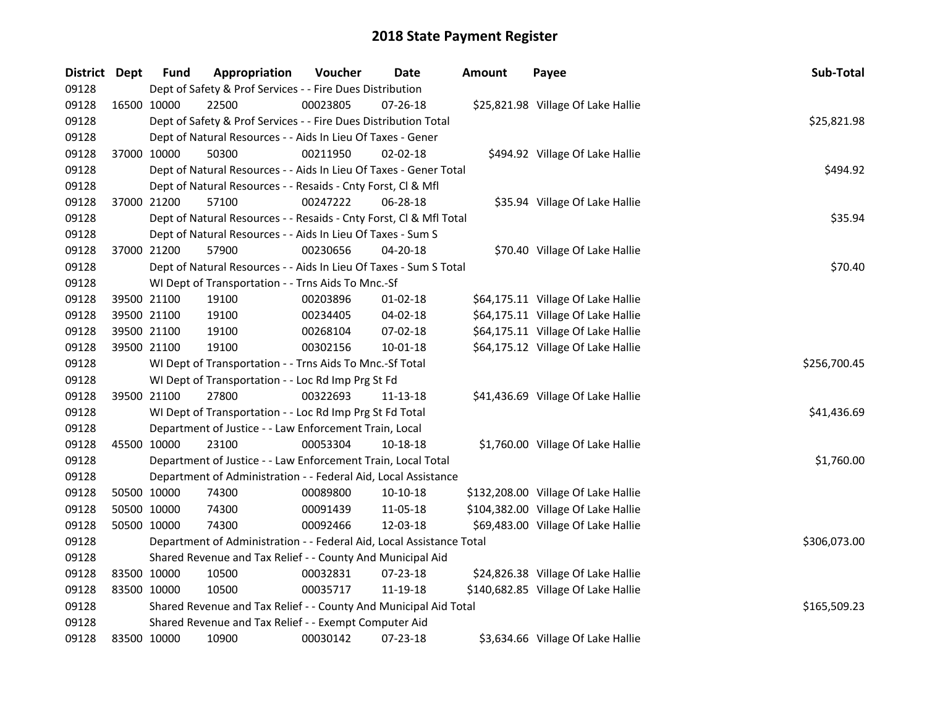| District Dept |             | <b>Fund</b> | Appropriation                                                        | Voucher  | Date           | <b>Amount</b> | Payee                               | Sub-Total    |
|---------------|-------------|-------------|----------------------------------------------------------------------|----------|----------------|---------------|-------------------------------------|--------------|
| 09128         |             |             | Dept of Safety & Prof Services - - Fire Dues Distribution            |          |                |               |                                     |              |
| 09128         |             | 16500 10000 | 22500                                                                | 00023805 | 07-26-18       |               | \$25,821.98 Village Of Lake Hallie  |              |
| 09128         |             |             | Dept of Safety & Prof Services - - Fire Dues Distribution Total      |          |                |               |                                     | \$25,821.98  |
| 09128         |             |             | Dept of Natural Resources - - Aids In Lieu Of Taxes - Gener          |          |                |               |                                     |              |
| 09128         |             | 37000 10000 | 50300                                                                | 00211950 | 02-02-18       |               | \$494.92 Village Of Lake Hallie     |              |
| 09128         |             |             | Dept of Natural Resources - - Aids In Lieu Of Taxes - Gener Total    |          |                |               |                                     | \$494.92     |
| 09128         |             |             | Dept of Natural Resources - - Resaids - Cnty Forst, Cl & Mfl         |          |                |               |                                     |              |
| 09128         |             | 37000 21200 | 57100                                                                | 00247222 | 06-28-18       |               | \$35.94 Village Of Lake Hallie      |              |
| 09128         |             |             | Dept of Natural Resources - - Resaids - Cnty Forst, CI & Mfl Total   |          |                |               |                                     | \$35.94      |
| 09128         |             |             | Dept of Natural Resources - - Aids In Lieu Of Taxes - Sum S          |          |                |               |                                     |              |
| 09128         |             | 37000 21200 | 57900                                                                | 00230656 | 04-20-18       |               | \$70.40 Village Of Lake Hallie      |              |
| 09128         |             |             | Dept of Natural Resources - - Aids In Lieu Of Taxes - Sum S Total    |          |                |               |                                     | \$70.40      |
| 09128         |             |             | WI Dept of Transportation - - Trns Aids To Mnc.-Sf                   |          |                |               |                                     |              |
| 09128         |             | 39500 21100 | 19100                                                                | 00203896 | $01 - 02 - 18$ |               | \$64,175.11 Village Of Lake Hallie  |              |
| 09128         |             | 39500 21100 | 19100                                                                | 00234405 | 04-02-18       |               | \$64,175.11 Village Of Lake Hallie  |              |
| 09128         |             | 39500 21100 | 19100                                                                | 00268104 | 07-02-18       |               | \$64,175.11 Village Of Lake Hallie  |              |
| 09128         |             | 39500 21100 | 19100                                                                | 00302156 | 10-01-18       |               | \$64,175.12 Village Of Lake Hallie  |              |
| 09128         |             |             | WI Dept of Transportation - - Trns Aids To Mnc.-Sf Total             |          |                |               |                                     | \$256,700.45 |
| 09128         |             |             | WI Dept of Transportation - - Loc Rd Imp Prg St Fd                   |          |                |               |                                     |              |
| 09128         |             | 39500 21100 | 27800                                                                | 00322693 | 11-13-18       |               | \$41,436.69 Village Of Lake Hallie  |              |
| 09128         |             |             | WI Dept of Transportation - - Loc Rd Imp Prg St Fd Total             |          |                |               |                                     | \$41,436.69  |
| 09128         |             |             | Department of Justice - - Law Enforcement Train, Local               |          |                |               |                                     |              |
| 09128         | 45500 10000 |             | 23100                                                                | 00053304 | 10-18-18       |               | \$1,760.00 Village Of Lake Hallie   |              |
| 09128         |             |             | Department of Justice - - Law Enforcement Train, Local Total         |          |                |               |                                     | \$1,760.00   |
| 09128         |             |             | Department of Administration - - Federal Aid, Local Assistance       |          |                |               |                                     |              |
| 09128         |             | 50500 10000 | 74300                                                                | 00089800 | 10-10-18       |               | \$132,208.00 Village Of Lake Hallie |              |
| 09128         |             | 50500 10000 | 74300                                                                | 00091439 | 11-05-18       |               | \$104,382.00 Village Of Lake Hallie |              |
| 09128         |             | 50500 10000 | 74300                                                                | 00092466 | 12-03-18       |               | \$69,483.00 Village Of Lake Hallie  |              |
| 09128         |             |             | Department of Administration - - Federal Aid, Local Assistance Total |          |                |               |                                     | \$306,073.00 |
| 09128         |             |             | Shared Revenue and Tax Relief - - County And Municipal Aid           |          |                |               |                                     |              |
| 09128         |             | 83500 10000 | 10500                                                                | 00032831 | 07-23-18       |               | \$24,826.38 Village Of Lake Hallie  |              |
| 09128         | 83500 10000 |             | 10500                                                                | 00035717 | 11-19-18       |               | \$140,682.85 Village Of Lake Hallie |              |
| 09128         |             |             | Shared Revenue and Tax Relief - - County And Municipal Aid Total     |          | \$165,509.23   |               |                                     |              |
| 09128         |             |             | Shared Revenue and Tax Relief - - Exempt Computer Aid                |          |                |               |                                     |              |
| 09128         |             | 83500 10000 | 10900                                                                | 00030142 | 07-23-18       |               | \$3,634.66 Village Of Lake Hallie   |              |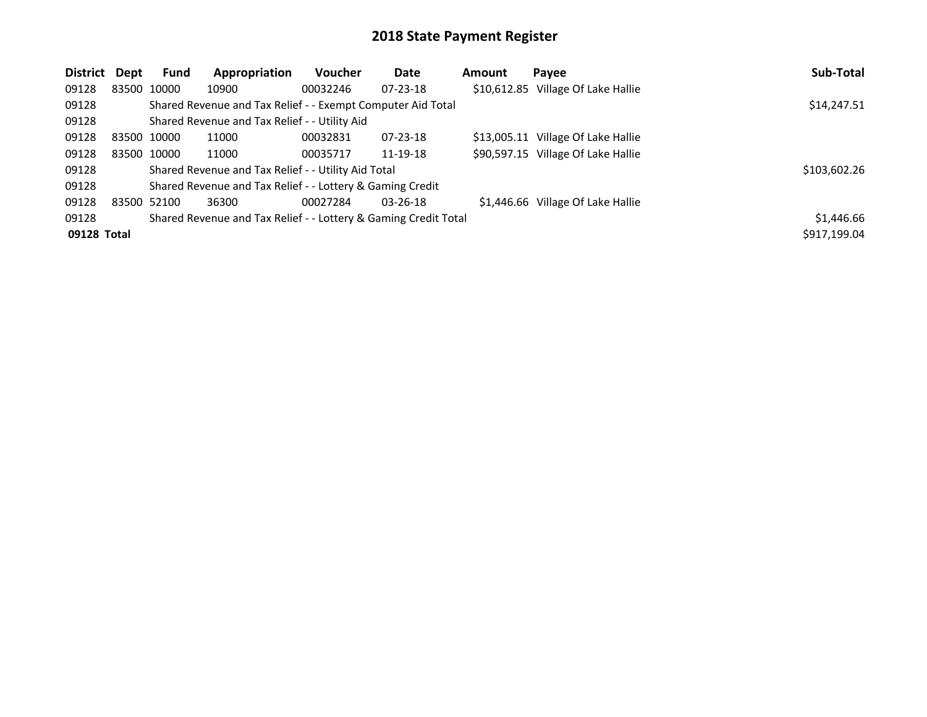| <b>District</b> | Dept | <b>Fund</b> | Appropriation                                                   | Voucher  | Date           | <b>Amount</b> | Payee                              | Sub-Total    |
|-----------------|------|-------------|-----------------------------------------------------------------|----------|----------------|---------------|------------------------------------|--------------|
| 09128           |      | 83500 10000 | 10900                                                           | 00032246 | $07 - 23 - 18$ |               | \$10,612.85 Village Of Lake Hallie |              |
| 09128           |      |             | Shared Revenue and Tax Relief - - Exempt Computer Aid Total     |          |                |               |                                    | \$14,247.51  |
| 09128           |      |             | Shared Revenue and Tax Relief - - Utility Aid                   |          |                |               |                                    |              |
| 09128           |      | 83500 10000 | 11000                                                           | 00032831 | $07 - 23 - 18$ |               | \$13,005.11 Village Of Lake Hallie |              |
| 09128           |      | 83500 10000 | 11000                                                           | 00035717 | 11-19-18       |               | \$90,597.15 Village Of Lake Hallie |              |
| 09128           |      |             | Shared Revenue and Tax Relief - - Utility Aid Total             |          |                |               |                                    | \$103,602.26 |
| 09128           |      |             | Shared Revenue and Tax Relief - - Lottery & Gaming Credit       |          |                |               |                                    |              |
| 09128           |      | 83500 52100 | 36300                                                           | 00027284 | $03 - 26 - 18$ |               | \$1,446.66 Village Of Lake Hallie  |              |
| 09128           |      |             | Shared Revenue and Tax Relief - - Lottery & Gaming Credit Total |          |                |               |                                    | \$1,446.66   |
| 09128 Total     |      |             |                                                                 |          |                |               |                                    | \$917,199.04 |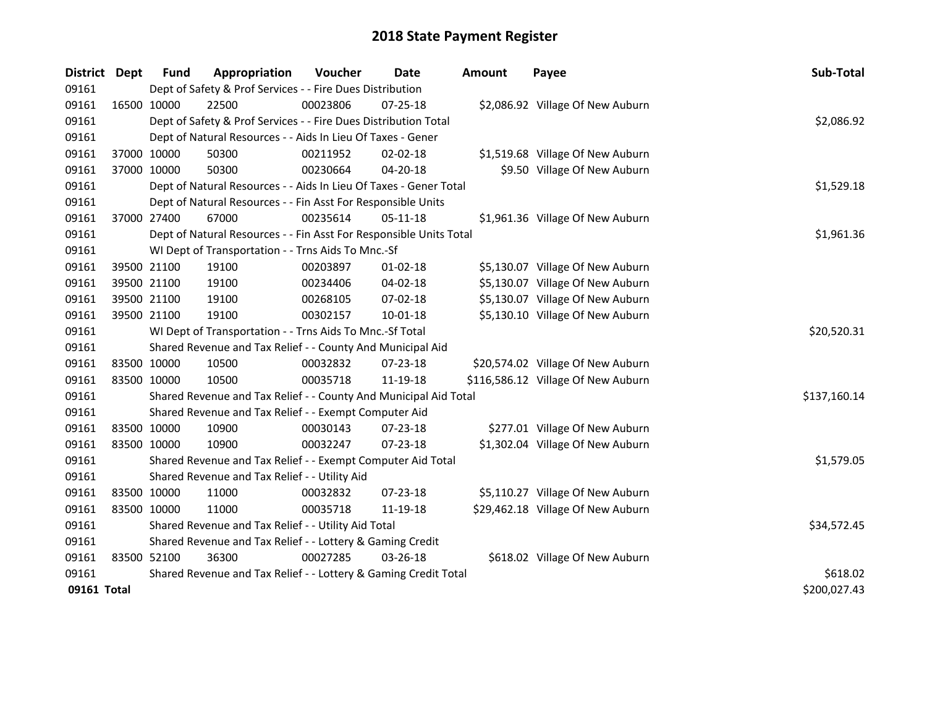| District    | Dept | Fund                                                      | Appropriation                                                      | Voucher     | <b>Date</b>    | Amount | Payee                              | Sub-Total    |
|-------------|------|-----------------------------------------------------------|--------------------------------------------------------------------|-------------|----------------|--------|------------------------------------|--------------|
| 09161       |      |                                                           | Dept of Safety & Prof Services - - Fire Dues Distribution          |             |                |        |                                    |              |
| 09161       |      | 16500 10000                                               | 22500                                                              | 00023806    | $07 - 25 - 18$ |        | \$2,086.92 Village Of New Auburn   |              |
| 09161       |      |                                                           | Dept of Safety & Prof Services - - Fire Dues Distribution Total    |             |                |        |                                    | \$2,086.92   |
| 09161       |      |                                                           | Dept of Natural Resources - - Aids In Lieu Of Taxes - Gener        |             |                |        |                                    |              |
| 09161       |      | 37000 10000                                               | 50300                                                              | 00211952    | 02-02-18       |        | \$1,519.68 Village Of New Auburn   |              |
| 09161       |      | 37000 10000                                               | 50300                                                              | 00230664    | 04-20-18       |        | \$9.50 Village Of New Auburn       |              |
| 09161       |      |                                                           | Dept of Natural Resources - - Aids In Lieu Of Taxes - Gener Total  | \$1,529.18  |                |        |                                    |              |
| 09161       |      |                                                           | Dept of Natural Resources - - Fin Asst For Responsible Units       |             |                |        |                                    |              |
| 09161       |      | 37000 27400                                               | 67000                                                              | 00235614    | 05-11-18       |        | \$1,961.36 Village Of New Auburn   |              |
| 09161       |      |                                                           | Dept of Natural Resources - - Fin Asst For Responsible Units Total |             |                |        |                                    | \$1,961.36   |
| 09161       |      |                                                           | WI Dept of Transportation - - Trns Aids To Mnc.-Sf                 |             |                |        |                                    |              |
| 09161       |      | 39500 21100                                               | 19100                                                              | 00203897    | $01 - 02 - 18$ |        | \$5,130.07 Village Of New Auburn   |              |
| 09161       |      | 39500 21100                                               | 19100                                                              | 00234406    | 04-02-18       |        | \$5,130.07 Village Of New Auburn   |              |
| 09161       |      | 39500 21100                                               | 19100                                                              | 00268105    | 07-02-18       |        | \$5,130.07 Village Of New Auburn   |              |
| 09161       |      | 39500 21100                                               | 19100                                                              | 00302157    | 10-01-18       |        | \$5,130.10 Village Of New Auburn   |              |
| 09161       |      |                                                           | WI Dept of Transportation - - Trns Aids To Mnc.-Sf Total           | \$20,520.31 |                |        |                                    |              |
| 09161       |      |                                                           | Shared Revenue and Tax Relief - - County And Municipal Aid         |             |                |        |                                    |              |
| 09161       |      | 83500 10000                                               | 10500                                                              | 00032832    | 07-23-18       |        | \$20,574.02 Village Of New Auburn  |              |
| 09161       |      | 83500 10000                                               | 10500                                                              | 00035718    | 11-19-18       |        | \$116,586.12 Village Of New Auburn |              |
| 09161       |      |                                                           | Shared Revenue and Tax Relief - - County And Municipal Aid Total   |             |                |        |                                    | \$137,160.14 |
| 09161       |      |                                                           | Shared Revenue and Tax Relief - - Exempt Computer Aid              |             |                |        |                                    |              |
| 09161       |      | 83500 10000                                               | 10900                                                              | 00030143    | 07-23-18       |        | \$277.01 Village Of New Auburn     |              |
| 09161       |      | 83500 10000                                               | 10900                                                              | 00032247    | $07 - 23 - 18$ |        | \$1,302.04 Village Of New Auburn   |              |
| 09161       |      |                                                           | Shared Revenue and Tax Relief - - Exempt Computer Aid Total        |             |                |        |                                    | \$1,579.05   |
| 09161       |      |                                                           | Shared Revenue and Tax Relief - - Utility Aid                      |             |                |        |                                    |              |
| 09161       |      | 83500 10000                                               | 11000                                                              | 00032832    | 07-23-18       |        | \$5,110.27 Village Of New Auburn   |              |
| 09161       |      | 83500 10000                                               | 11000                                                              | 00035718    | 11-19-18       |        | \$29,462.18 Village Of New Auburn  |              |
| 09161       |      |                                                           | Shared Revenue and Tax Relief - - Utility Aid Total                | \$34,572.45 |                |        |                                    |              |
| 09161       |      | Shared Revenue and Tax Relief - - Lottery & Gaming Credit |                                                                    |             |                |        |                                    |              |
| 09161       |      | 83500 52100                                               | 36300                                                              | 00027285    | 03-26-18       |        | \$618.02 Village Of New Auburn     |              |
| 09161       |      |                                                           | Shared Revenue and Tax Relief - - Lottery & Gaming Credit Total    | \$618.02    |                |        |                                    |              |
| 09161 Total |      |                                                           |                                                                    |             |                |        |                                    | \$200,027.43 |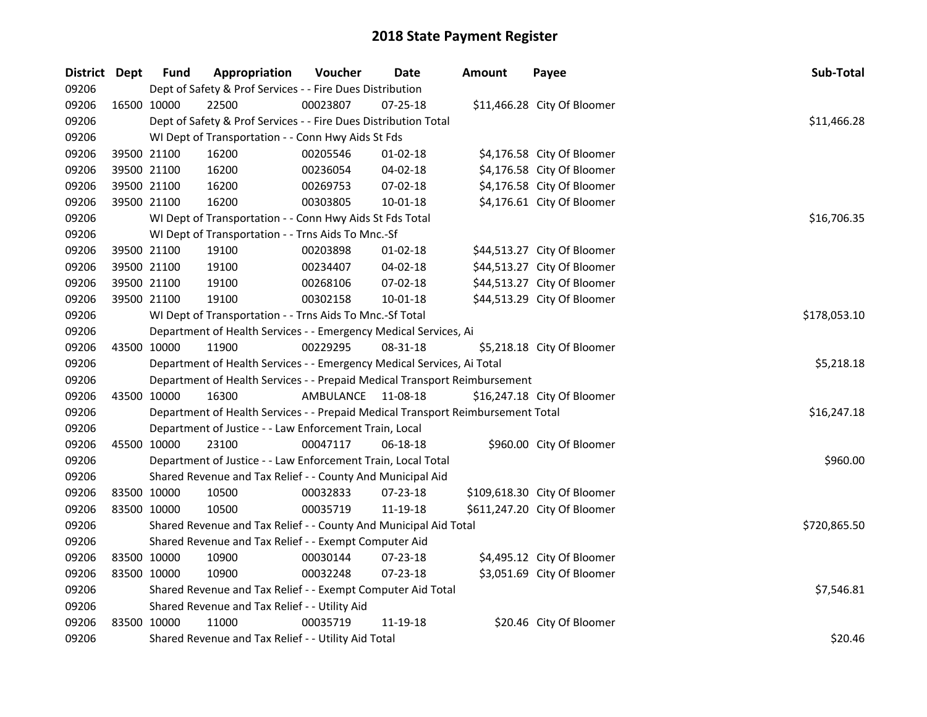| District Dept |             | <b>Fund</b> | Appropriation                                                                   | Voucher   | Date           | <b>Amount</b> | Payee                        | Sub-Total    |
|---------------|-------------|-------------|---------------------------------------------------------------------------------|-----------|----------------|---------------|------------------------------|--------------|
| 09206         |             |             | Dept of Safety & Prof Services - - Fire Dues Distribution                       |           |                |               |                              |              |
| 09206         | 16500 10000 |             | 22500                                                                           | 00023807  | 07-25-18       |               | \$11,466.28 City Of Bloomer  |              |
| 09206         |             |             | Dept of Safety & Prof Services - - Fire Dues Distribution Total                 |           |                |               |                              | \$11,466.28  |
| 09206         |             |             | WI Dept of Transportation - - Conn Hwy Aids St Fds                              |           |                |               |                              |              |
| 09206         |             | 39500 21100 | 16200                                                                           | 00205546  | $01-02-18$     |               | \$4,176.58 City Of Bloomer   |              |
| 09206         |             | 39500 21100 | 16200                                                                           | 00236054  | 04-02-18       |               | \$4,176.58 City Of Bloomer   |              |
| 09206         |             | 39500 21100 | 16200                                                                           | 00269753  | 07-02-18       |               | \$4,176.58 City Of Bloomer   |              |
| 09206         |             | 39500 21100 | 16200                                                                           | 00303805  | $10 - 01 - 18$ |               | \$4,176.61 City Of Bloomer   |              |
| 09206         |             |             | WI Dept of Transportation - - Conn Hwy Aids St Fds Total                        |           |                |               |                              | \$16,706.35  |
| 09206         |             |             | WI Dept of Transportation - - Trns Aids To Mnc.-Sf                              |           |                |               |                              |              |
| 09206         |             | 39500 21100 | 19100                                                                           | 00203898  | 01-02-18       |               | \$44,513.27 City Of Bloomer  |              |
| 09206         |             | 39500 21100 | 19100                                                                           | 00234407  | 04-02-18       |               | \$44,513.27 City Of Bloomer  |              |
| 09206         |             | 39500 21100 | 19100                                                                           | 00268106  | 07-02-18       |               | \$44,513.27 City Of Bloomer  |              |
| 09206         |             | 39500 21100 | 19100                                                                           | 00302158  | 10-01-18       |               | \$44,513.29 City Of Bloomer  |              |
| 09206         |             |             | WI Dept of Transportation - - Trns Aids To Mnc.-Sf Total                        |           |                |               |                              | \$178,053.10 |
| 09206         |             |             | Department of Health Services - - Emergency Medical Services, Ai                |           |                |               |                              |              |
| 09206         |             | 43500 10000 | 11900                                                                           | 00229295  | 08-31-18       |               | \$5,218.18 City Of Bloomer   |              |
| 09206         |             |             | Department of Health Services - - Emergency Medical Services, Ai Total          |           |                |               |                              | \$5,218.18   |
| 09206         |             |             | Department of Health Services - - Prepaid Medical Transport Reimbursement       |           |                |               |                              |              |
| 09206         |             | 43500 10000 | 16300                                                                           | AMBULANCE | 11-08-18       |               | \$16,247.18 City Of Bloomer  |              |
| 09206         |             |             | Department of Health Services - - Prepaid Medical Transport Reimbursement Total |           |                |               |                              | \$16,247.18  |
| 09206         |             |             | Department of Justice - - Law Enforcement Train, Local                          |           |                |               |                              |              |
| 09206         |             | 45500 10000 | 23100                                                                           | 00047117  | $06-18-18$     |               | \$960.00 City Of Bloomer     |              |
| 09206         |             |             | Department of Justice - - Law Enforcement Train, Local Total                    |           |                |               |                              | \$960.00     |
| 09206         |             |             | Shared Revenue and Tax Relief - - County And Municipal Aid                      |           |                |               |                              |              |
| 09206         |             | 83500 10000 | 10500                                                                           | 00032833  | 07-23-18       |               | \$109,618.30 City Of Bloomer |              |
| 09206         |             | 83500 10000 | 10500                                                                           | 00035719  | 11-19-18       |               | \$611,247.20 City Of Bloomer |              |
| 09206         |             |             | Shared Revenue and Tax Relief - - County And Municipal Aid Total                |           |                |               |                              | \$720,865.50 |
| 09206         |             |             | Shared Revenue and Tax Relief - - Exempt Computer Aid                           |           |                |               |                              |              |
| 09206         |             | 83500 10000 | 10900                                                                           | 00030144  | 07-23-18       |               | \$4,495.12 City Of Bloomer   |              |
| 09206         | 83500 10000 |             | 10900                                                                           | 00032248  | 07-23-18       |               | \$3,051.69 City Of Bloomer   |              |
| 09206         |             |             | Shared Revenue and Tax Relief - - Exempt Computer Aid Total                     |           |                |               |                              | \$7,546.81   |
| 09206         |             |             | Shared Revenue and Tax Relief - - Utility Aid                                   |           |                |               |                              |              |
| 09206         |             | 83500 10000 | 11000                                                                           | 00035719  | 11-19-18       |               | \$20.46 City Of Bloomer      |              |
| 09206         |             |             | Shared Revenue and Tax Relief - - Utility Aid Total                             |           |                |               |                              | \$20.46      |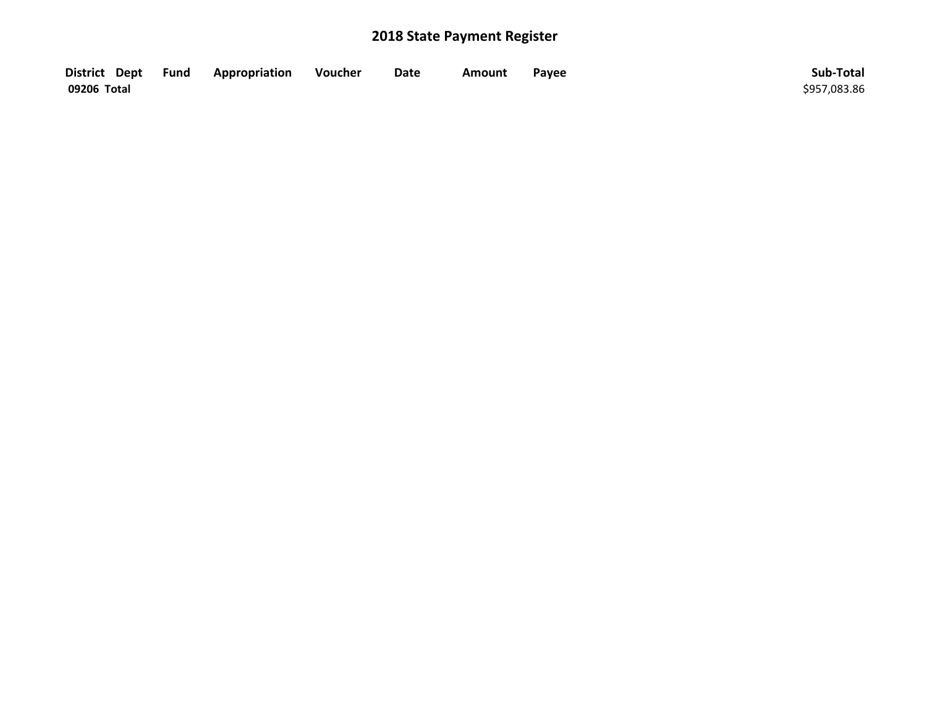| District Dept Fund | Appropriation | Voucher | Date | Amount | Payee | Sub-Total    |
|--------------------|---------------|---------|------|--------|-------|--------------|
| 09206 Total        |               |         |      |        |       | \$957,083.86 |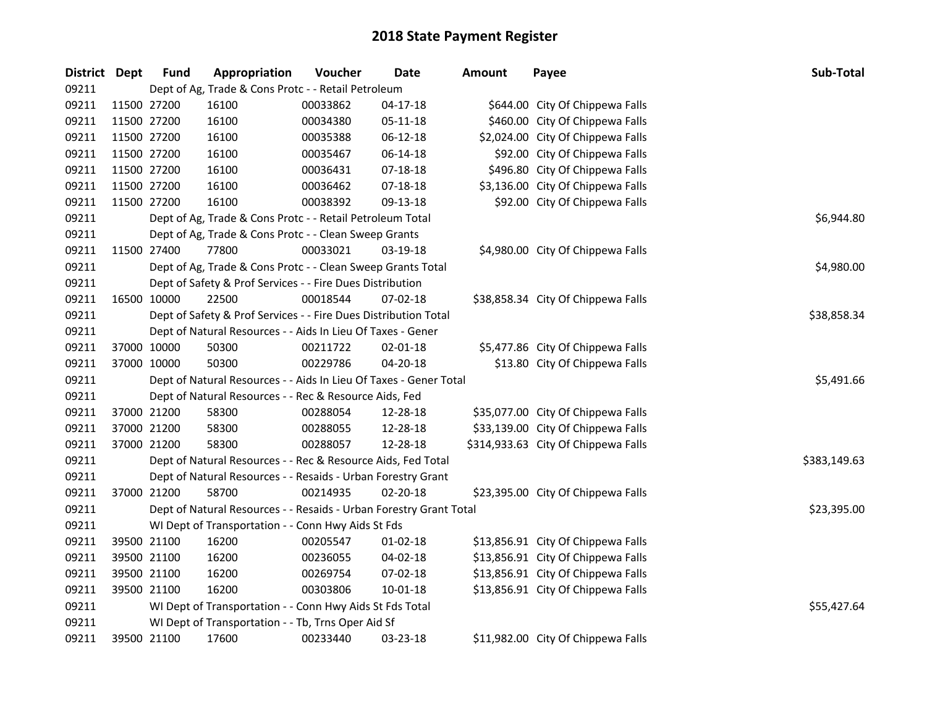| District Dept |             | Fund        | Appropriation                                                      | Voucher  | <b>Date</b>    | <b>Amount</b> | Payee                               | Sub-Total    |
|---------------|-------------|-------------|--------------------------------------------------------------------|----------|----------------|---------------|-------------------------------------|--------------|
| 09211         |             |             | Dept of Ag, Trade & Cons Protc - - Retail Petroleum                |          |                |               |                                     |              |
| 09211         |             | 11500 27200 | 16100                                                              | 00033862 | $04 - 17 - 18$ |               | \$644.00 City Of Chippewa Falls     |              |
| 09211         | 11500 27200 |             | 16100                                                              | 00034380 | 05-11-18       |               | \$460.00 City Of Chippewa Falls     |              |
| 09211         | 11500 27200 |             | 16100                                                              | 00035388 | 06-12-18       |               | \$2,024.00 City Of Chippewa Falls   |              |
| 09211         | 11500 27200 |             | 16100                                                              | 00035467 | 06-14-18       |               | \$92.00 City Of Chippewa Falls      |              |
| 09211         | 11500 27200 |             | 16100                                                              | 00036431 | 07-18-18       |               | \$496.80 City Of Chippewa Falls     |              |
| 09211         | 11500 27200 |             | 16100                                                              | 00036462 | 07-18-18       |               | \$3,136.00 City Of Chippewa Falls   |              |
| 09211         |             | 11500 27200 | 16100                                                              | 00038392 | 09-13-18       |               | \$92.00 City Of Chippewa Falls      |              |
| 09211         |             |             | Dept of Ag, Trade & Cons Protc - - Retail Petroleum Total          |          |                |               |                                     | \$6,944.80   |
| 09211         |             |             | Dept of Ag, Trade & Cons Protc - - Clean Sweep Grants              |          |                |               |                                     |              |
| 09211         |             | 11500 27400 | 77800                                                              | 00033021 | 03-19-18       |               | \$4,980.00 City Of Chippewa Falls   |              |
| 09211         |             |             | Dept of Ag, Trade & Cons Protc - - Clean Sweep Grants Total        |          |                |               |                                     | \$4,980.00   |
| 09211         |             |             | Dept of Safety & Prof Services - - Fire Dues Distribution          |          |                |               |                                     |              |
| 09211         |             | 16500 10000 | 22500                                                              | 00018544 | 07-02-18       |               | \$38,858.34 City Of Chippewa Falls  |              |
| 09211         |             |             | Dept of Safety & Prof Services - - Fire Dues Distribution Total    |          |                |               |                                     | \$38,858.34  |
| 09211         |             |             | Dept of Natural Resources - - Aids In Lieu Of Taxes - Gener        |          |                |               |                                     |              |
| 09211         |             | 37000 10000 | 50300                                                              | 00211722 | $02 - 01 - 18$ |               | \$5,477.86 City Of Chippewa Falls   |              |
| 09211         |             | 37000 10000 | 50300                                                              | 00229786 | 04-20-18       |               | \$13.80 City Of Chippewa Falls      |              |
| 09211         |             |             | Dept of Natural Resources - - Aids In Lieu Of Taxes - Gener Total  |          |                |               |                                     | \$5,491.66   |
| 09211         |             |             | Dept of Natural Resources - - Rec & Resource Aids, Fed             |          |                |               |                                     |              |
| 09211         |             | 37000 21200 | 58300                                                              | 00288054 | 12-28-18       |               | \$35,077.00 City Of Chippewa Falls  |              |
| 09211         |             | 37000 21200 | 58300                                                              | 00288055 | 12-28-18       |               | \$33,139.00 City Of Chippewa Falls  |              |
| 09211         |             | 37000 21200 | 58300                                                              | 00288057 | 12-28-18       |               | \$314,933.63 City Of Chippewa Falls |              |
| 09211         |             |             | Dept of Natural Resources - - Rec & Resource Aids, Fed Total       |          |                |               |                                     | \$383,149.63 |
| 09211         |             |             | Dept of Natural Resources - - Resaids - Urban Forestry Grant       |          |                |               |                                     |              |
| 09211         |             | 37000 21200 | 58700                                                              | 00214935 | 02-20-18       |               | \$23,395.00 City Of Chippewa Falls  |              |
| 09211         |             |             | Dept of Natural Resources - - Resaids - Urban Forestry Grant Total |          |                |               |                                     | \$23,395.00  |
| 09211         |             |             | WI Dept of Transportation - - Conn Hwy Aids St Fds                 |          |                |               |                                     |              |
| 09211         |             | 39500 21100 | 16200                                                              | 00205547 | $01-02-18$     |               | \$13,856.91 City Of Chippewa Falls  |              |
| 09211         |             | 39500 21100 | 16200                                                              | 00236055 | 04-02-18       |               | \$13,856.91 City Of Chippewa Falls  |              |
| 09211         |             | 39500 21100 | 16200                                                              | 00269754 | 07-02-18       |               | \$13,856.91 City Of Chippewa Falls  |              |
| 09211         |             | 39500 21100 | 16200                                                              | 00303806 | 10-01-18       |               | \$13,856.91 City Of Chippewa Falls  |              |
| 09211         |             |             | WI Dept of Transportation - - Conn Hwy Aids St Fds Total           |          |                |               |                                     | \$55,427.64  |
| 09211         |             |             | WI Dept of Transportation - - Tb, Trns Oper Aid Sf                 |          |                |               |                                     |              |
| 09211         |             | 39500 21100 | 17600                                                              | 00233440 | 03-23-18       |               | \$11,982.00 City Of Chippewa Falls  |              |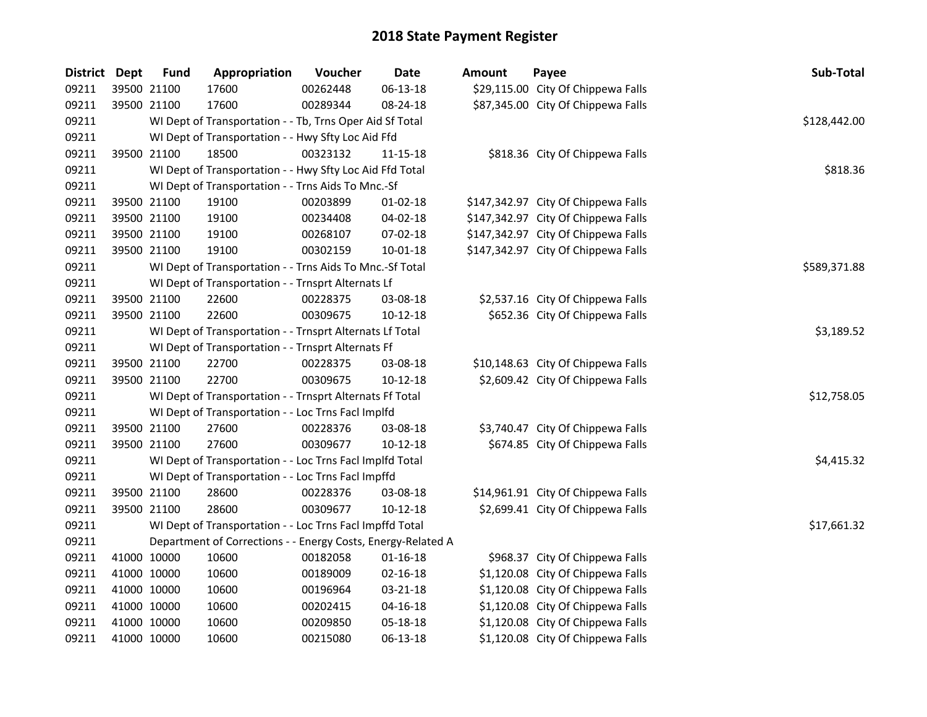| District Dept | <b>Fund</b> | Appropriation                                                | Voucher    | <b>Date</b>    | <b>Amount</b> | Payee                               | Sub-Total    |
|---------------|-------------|--------------------------------------------------------------|------------|----------------|---------------|-------------------------------------|--------------|
| 09211         | 39500 21100 | 17600                                                        | 00262448   | 06-13-18       |               | \$29,115.00 City Of Chippewa Falls  |              |
| 09211         | 39500 21100 | 17600                                                        | 00289344   | 08-24-18       |               | \$87,345.00 City Of Chippewa Falls  |              |
| 09211         |             | WI Dept of Transportation - - Tb, Trns Oper Aid Sf Total     |            |                |               |                                     | \$128,442.00 |
| 09211         |             | WI Dept of Transportation - - Hwy Sfty Loc Aid Ffd           |            |                |               |                                     |              |
| 09211         | 39500 21100 | 18500                                                        | 00323132   | 11-15-18       |               | \$818.36 City Of Chippewa Falls     |              |
| 09211         |             | WI Dept of Transportation - - Hwy Sfty Loc Aid Ffd Total     |            |                |               |                                     | \$818.36     |
| 09211         |             | WI Dept of Transportation - - Trns Aids To Mnc.-Sf           |            |                |               |                                     |              |
| 09211         | 39500 21100 | 19100                                                        | 00203899   | $01-02-18$     |               | \$147,342.97 City Of Chippewa Falls |              |
| 09211         | 39500 21100 | 19100                                                        | 00234408   | 04-02-18       |               | \$147,342.97 City Of Chippewa Falls |              |
| 09211         | 39500 21100 | 19100                                                        | 00268107   | 07-02-18       |               | \$147,342.97 City Of Chippewa Falls |              |
| 09211         | 39500 21100 | 19100                                                        | 00302159   | 10-01-18       |               | \$147,342.97 City Of Chippewa Falls |              |
| 09211         |             | WI Dept of Transportation - - Trns Aids To Mnc.-Sf Total     |            |                |               |                                     | \$589,371.88 |
| 09211         |             | WI Dept of Transportation - - Trnsprt Alternats Lf           |            |                |               |                                     |              |
| 09211         | 39500 21100 | 22600                                                        | 00228375   | 03-08-18       |               | \$2,537.16 City Of Chippewa Falls   |              |
| 09211         | 39500 21100 | 22600                                                        | 00309675   | $10-12-18$     |               | \$652.36 City Of Chippewa Falls     |              |
| 09211         |             | WI Dept of Transportation - - Trnsprt Alternats Lf Total     | \$3,189.52 |                |               |                                     |              |
| 09211         |             | WI Dept of Transportation - - Trnsprt Alternats Ff           |            |                |               |                                     |              |
| 09211         | 39500 21100 | 22700                                                        | 00228375   | 03-08-18       |               | \$10,148.63 City Of Chippewa Falls  |              |
| 09211         | 39500 21100 | 22700                                                        | 00309675   | 10-12-18       |               | \$2,609.42 City Of Chippewa Falls   |              |
| 09211         |             | WI Dept of Transportation - - Trnsprt Alternats Ff Total     |            |                |               |                                     | \$12,758.05  |
| 09211         |             | WI Dept of Transportation - - Loc Trns Facl Implfd           |            |                |               |                                     |              |
| 09211         | 39500 21100 | 27600                                                        | 00228376   | 03-08-18       |               | \$3,740.47 City Of Chippewa Falls   |              |
| 09211         | 39500 21100 | 27600                                                        | 00309677   | $10-12-18$     |               | \$674.85 City Of Chippewa Falls     |              |
| 09211         |             | WI Dept of Transportation - - Loc Trns Facl Implfd Total     |            |                |               |                                     | \$4,415.32   |
| 09211         |             | WI Dept of Transportation - - Loc Trns Facl Impffd           |            |                |               |                                     |              |
| 09211         | 39500 21100 | 28600                                                        | 00228376   | 03-08-18       |               | \$14,961.91 City Of Chippewa Falls  |              |
| 09211         | 39500 21100 | 28600                                                        | 00309677   | $10-12-18$     |               | \$2,699.41 City Of Chippewa Falls   |              |
| 09211         |             | WI Dept of Transportation - - Loc Trns Facl Impffd Total     |            |                |               |                                     | \$17,661.32  |
| 09211         |             | Department of Corrections - - Energy Costs, Energy-Related A |            |                |               |                                     |              |
| 09211         | 41000 10000 | 10600                                                        | 00182058   | $01 - 16 - 18$ |               | \$968.37 City Of Chippewa Falls     |              |
| 09211         | 41000 10000 | 10600                                                        | 00189009   | $02 - 16 - 18$ |               | \$1,120.08 City Of Chippewa Falls   |              |
| 09211         | 41000 10000 | 10600                                                        | 00196964   | 03-21-18       |               | \$1,120.08 City Of Chippewa Falls   |              |
| 09211         | 41000 10000 | 10600                                                        | 00202415   | $04 - 16 - 18$ |               | \$1,120.08 City Of Chippewa Falls   |              |
| 09211         | 41000 10000 | 10600                                                        | 00209850   | 05-18-18       |               | \$1,120.08 City Of Chippewa Falls   |              |
| 09211         | 41000 10000 | 10600                                                        | 00215080   | 06-13-18       |               | \$1,120.08 City Of Chippewa Falls   |              |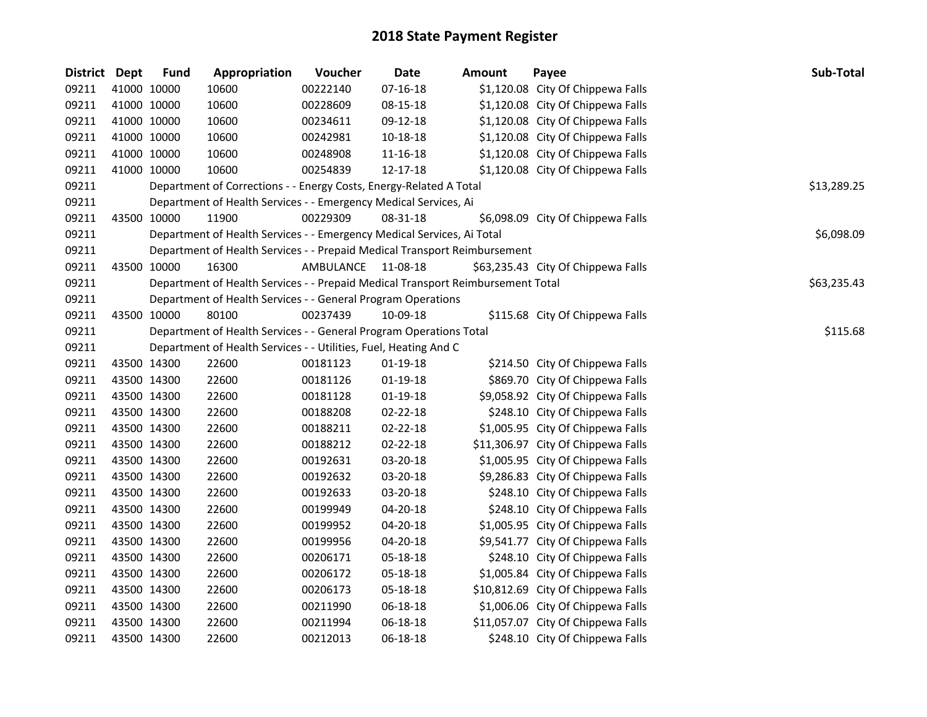| District Dept |             | <b>Fund</b> | Appropriation                                                                   | Voucher            | <b>Date</b>    | <b>Amount</b> | Payee                              | Sub-Total   |
|---------------|-------------|-------------|---------------------------------------------------------------------------------|--------------------|----------------|---------------|------------------------------------|-------------|
| 09211         |             | 41000 10000 | 10600                                                                           | 00222140           | $07 - 16 - 18$ |               | \$1,120.08 City Of Chippewa Falls  |             |
| 09211         |             | 41000 10000 | 10600                                                                           | 00228609           | 08-15-18       |               | \$1,120.08 City Of Chippewa Falls  |             |
| 09211         |             | 41000 10000 | 10600                                                                           | 00234611           | 09-12-18       |               | \$1,120.08 City Of Chippewa Falls  |             |
| 09211         |             | 41000 10000 | 10600                                                                           | 00242981           | 10-18-18       |               | \$1,120.08 City Of Chippewa Falls  |             |
| 09211         |             | 41000 10000 | 10600                                                                           | 00248908           | $11 - 16 - 18$ |               | \$1,120.08 City Of Chippewa Falls  |             |
| 09211         |             | 41000 10000 | 10600                                                                           | 00254839           | 12-17-18       |               | \$1,120.08 City Of Chippewa Falls  |             |
| 09211         |             |             | Department of Corrections - - Energy Costs, Energy-Related A Total              |                    |                |               |                                    | \$13,289.25 |
| 09211         |             |             | Department of Health Services - - Emergency Medical Services, Ai                |                    |                |               |                                    |             |
| 09211         |             | 43500 10000 | 11900                                                                           | 00229309           | 08-31-18       |               | \$6,098.09 City Of Chippewa Falls  |             |
| 09211         |             |             | Department of Health Services - - Emergency Medical Services, Ai Total          |                    |                |               |                                    | \$6,098.09  |
| 09211         |             |             | Department of Health Services - - Prepaid Medical Transport Reimbursement       |                    |                |               |                                    |             |
| 09211         |             | 43500 10000 | 16300                                                                           | AMBULANCE 11-08-18 |                |               | \$63,235.43 City Of Chippewa Falls |             |
| 09211         |             |             | Department of Health Services - - Prepaid Medical Transport Reimbursement Total |                    |                |               |                                    | \$63,235.43 |
| 09211         |             |             | Department of Health Services - - General Program Operations                    |                    |                |               |                                    |             |
| 09211         |             | 43500 10000 | 80100                                                                           | 00237439           | 10-09-18       |               | \$115.68 City Of Chippewa Falls    |             |
| 09211         |             |             | Department of Health Services - - General Program Operations Total              |                    |                |               |                                    | \$115.68    |
| 09211         |             |             | Department of Health Services - - Utilities, Fuel, Heating And C                |                    |                |               |                                    |             |
| 09211         |             | 43500 14300 | 22600                                                                           | 00181123           | $01-19-18$     |               | \$214.50 City Of Chippewa Falls    |             |
| 09211         |             | 43500 14300 | 22600                                                                           | 00181126           | $01-19-18$     |               | \$869.70 City Of Chippewa Falls    |             |
| 09211         |             | 43500 14300 | 22600                                                                           | 00181128           | $01-19-18$     |               | \$9,058.92 City Of Chippewa Falls  |             |
| 09211         | 43500 14300 |             | 22600                                                                           | 00188208           | 02-22-18       |               | \$248.10 City Of Chippewa Falls    |             |
| 09211         |             | 43500 14300 | 22600                                                                           | 00188211           | $02 - 22 - 18$ |               | \$1,005.95 City Of Chippewa Falls  |             |
| 09211         |             | 43500 14300 | 22600                                                                           | 00188212           | 02-22-18       |               | \$11,306.97 City Of Chippewa Falls |             |
| 09211         |             | 43500 14300 | 22600                                                                           | 00192631           | 03-20-18       |               | \$1,005.95 City Of Chippewa Falls  |             |
| 09211         |             | 43500 14300 | 22600                                                                           | 00192632           | 03-20-18       |               | \$9,286.83 City Of Chippewa Falls  |             |
| 09211         |             | 43500 14300 | 22600                                                                           | 00192633           | 03-20-18       |               | \$248.10 City Of Chippewa Falls    |             |
| 09211         |             | 43500 14300 | 22600                                                                           | 00199949           | 04-20-18       |               | \$248.10 City Of Chippewa Falls    |             |
| 09211         |             | 43500 14300 | 22600                                                                           | 00199952           | 04-20-18       |               | \$1,005.95 City Of Chippewa Falls  |             |
| 09211         |             | 43500 14300 | 22600                                                                           | 00199956           | 04-20-18       |               | \$9,541.77 City Of Chippewa Falls  |             |
| 09211         |             | 43500 14300 | 22600                                                                           | 00206171           | 05-18-18       |               | \$248.10 City Of Chippewa Falls    |             |
| 09211         |             | 43500 14300 | 22600                                                                           | 00206172           | 05-18-18       |               | \$1,005.84 City Of Chippewa Falls  |             |
| 09211         |             | 43500 14300 | 22600                                                                           | 00206173           | 05-18-18       |               | \$10,812.69 City Of Chippewa Falls |             |
| 09211         |             | 43500 14300 | 22600                                                                           | 00211990           | 06-18-18       |               | \$1,006.06 City Of Chippewa Falls  |             |
| 09211         |             | 43500 14300 | 22600                                                                           | 00211994           | 06-18-18       |               | \$11,057.07 City Of Chippewa Falls |             |
| 09211         | 43500 14300 |             | 22600                                                                           | 00212013           | 06-18-18       |               | \$248.10 City Of Chippewa Falls    |             |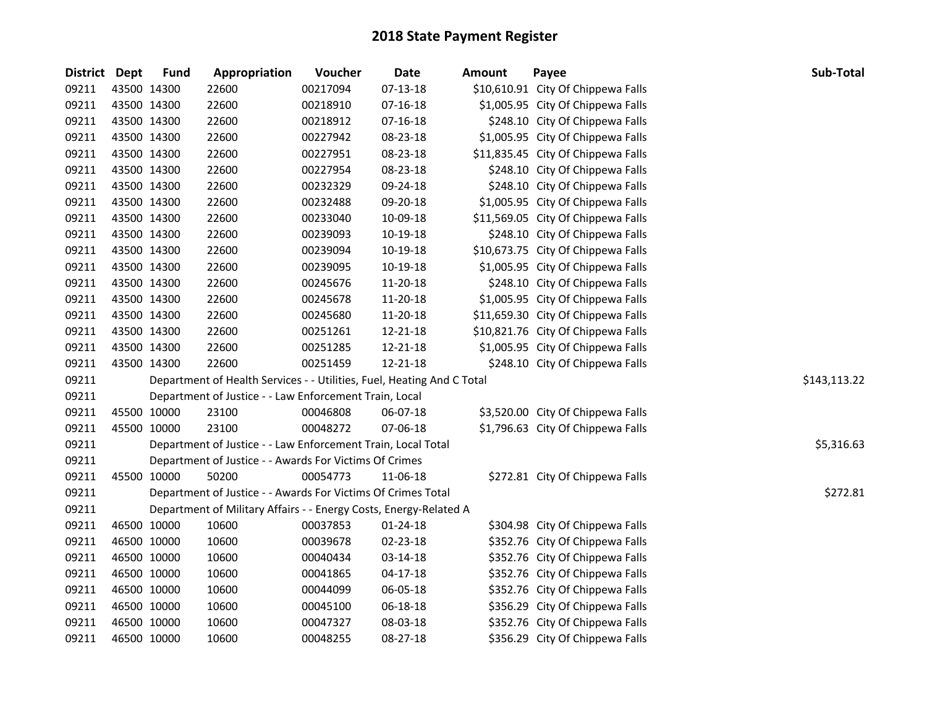| District Dept |             | <b>Fund</b> | Appropriation                                                          | Voucher  | <b>Date</b>    | Amount | Payee                              | Sub-Total    |
|---------------|-------------|-------------|------------------------------------------------------------------------|----------|----------------|--------|------------------------------------|--------------|
| 09211         |             | 43500 14300 | 22600                                                                  | 00217094 | 07-13-18       |        | \$10,610.91 City Of Chippewa Falls |              |
| 09211         |             | 43500 14300 | 22600                                                                  | 00218910 | $07 - 16 - 18$ |        | \$1,005.95 City Of Chippewa Falls  |              |
| 09211         | 43500 14300 |             | 22600                                                                  | 00218912 | $07-16-18$     |        | \$248.10 City Of Chippewa Falls    |              |
| 09211         | 43500 14300 |             | 22600                                                                  | 00227942 | 08-23-18       |        | \$1,005.95 City Of Chippewa Falls  |              |
| 09211         | 43500 14300 |             | 22600                                                                  | 00227951 | 08-23-18       |        | \$11,835.45 City Of Chippewa Falls |              |
| 09211         | 43500 14300 |             | 22600                                                                  | 00227954 | 08-23-18       |        | \$248.10 City Of Chippewa Falls    |              |
| 09211         | 43500 14300 |             | 22600                                                                  | 00232329 | 09-24-18       |        | \$248.10 City Of Chippewa Falls    |              |
| 09211         | 43500 14300 |             | 22600                                                                  | 00232488 | 09-20-18       |        | \$1,005.95 City Of Chippewa Falls  |              |
| 09211         | 43500 14300 |             | 22600                                                                  | 00233040 | 10-09-18       |        | \$11,569.05 City Of Chippewa Falls |              |
| 09211         | 43500 14300 |             | 22600                                                                  | 00239093 | 10-19-18       |        | \$248.10 City Of Chippewa Falls    |              |
| 09211         | 43500 14300 |             | 22600                                                                  | 00239094 | 10-19-18       |        | \$10,673.75 City Of Chippewa Falls |              |
| 09211         | 43500 14300 |             | 22600                                                                  | 00239095 | 10-19-18       |        | \$1,005.95 City Of Chippewa Falls  |              |
| 09211         | 43500 14300 |             | 22600                                                                  | 00245676 | 11-20-18       |        | \$248.10 City Of Chippewa Falls    |              |
| 09211         | 43500 14300 |             | 22600                                                                  | 00245678 | 11-20-18       |        | \$1,005.95 City Of Chippewa Falls  |              |
| 09211         | 43500 14300 |             | 22600                                                                  | 00245680 | 11-20-18       |        | \$11,659.30 City Of Chippewa Falls |              |
| 09211         |             | 43500 14300 | 22600                                                                  | 00251261 | 12-21-18       |        | \$10,821.76 City Of Chippewa Falls |              |
| 09211         |             | 43500 14300 | 22600                                                                  | 00251285 | 12-21-18       |        | \$1,005.95 City Of Chippewa Falls  |              |
| 09211         |             | 43500 14300 | 22600                                                                  | 00251459 | 12-21-18       |        | \$248.10 City Of Chippewa Falls    |              |
| 09211         |             |             | Department of Health Services - - Utilities, Fuel, Heating And C Total |          |                |        |                                    | \$143,113.22 |
| 09211         |             |             | Department of Justice - - Law Enforcement Train, Local                 |          |                |        |                                    |              |
| 09211         | 45500 10000 |             | 23100                                                                  | 00046808 | 06-07-18       |        | \$3,520.00 City Of Chippewa Falls  |              |
| 09211         | 45500 10000 |             | 23100                                                                  | 00048272 | 07-06-18       |        | \$1,796.63 City Of Chippewa Falls  |              |
| 09211         |             |             | Department of Justice - - Law Enforcement Train, Local Total           |          |                |        |                                    | \$5,316.63   |
| 09211         |             |             | Department of Justice - - Awards For Victims Of Crimes                 |          |                |        |                                    |              |
| 09211         |             | 45500 10000 | 50200                                                                  | 00054773 | 11-06-18       |        | \$272.81 City Of Chippewa Falls    |              |
| 09211         |             |             | Department of Justice - - Awards For Victims Of Crimes Total           |          |                |        |                                    | \$272.81     |
| 09211         |             |             | Department of Military Affairs - - Energy Costs, Energy-Related A      |          |                |        |                                    |              |
| 09211         |             | 46500 10000 | 10600                                                                  | 00037853 | 01-24-18       |        | \$304.98 City Of Chippewa Falls    |              |
| 09211         |             | 46500 10000 | 10600                                                                  | 00039678 | 02-23-18       |        | \$352.76 City Of Chippewa Falls    |              |
| 09211         |             | 46500 10000 | 10600                                                                  | 00040434 | 03-14-18       |        | \$352.76 City Of Chippewa Falls    |              |
| 09211         |             | 46500 10000 | 10600                                                                  | 00041865 | $04 - 17 - 18$ |        | \$352.76 City Of Chippewa Falls    |              |
| 09211         |             | 46500 10000 | 10600                                                                  | 00044099 | 06-05-18       |        | \$352.76 City Of Chippewa Falls    |              |
| 09211         | 46500 10000 |             | 10600                                                                  | 00045100 | 06-18-18       |        | \$356.29 City Of Chippewa Falls    |              |
| 09211         | 46500 10000 |             | 10600                                                                  | 00047327 | 08-03-18       |        | \$352.76 City Of Chippewa Falls    |              |
| 09211         |             | 46500 10000 | 10600                                                                  | 00048255 | 08-27-18       |        | \$356.29 City Of Chippewa Falls    |              |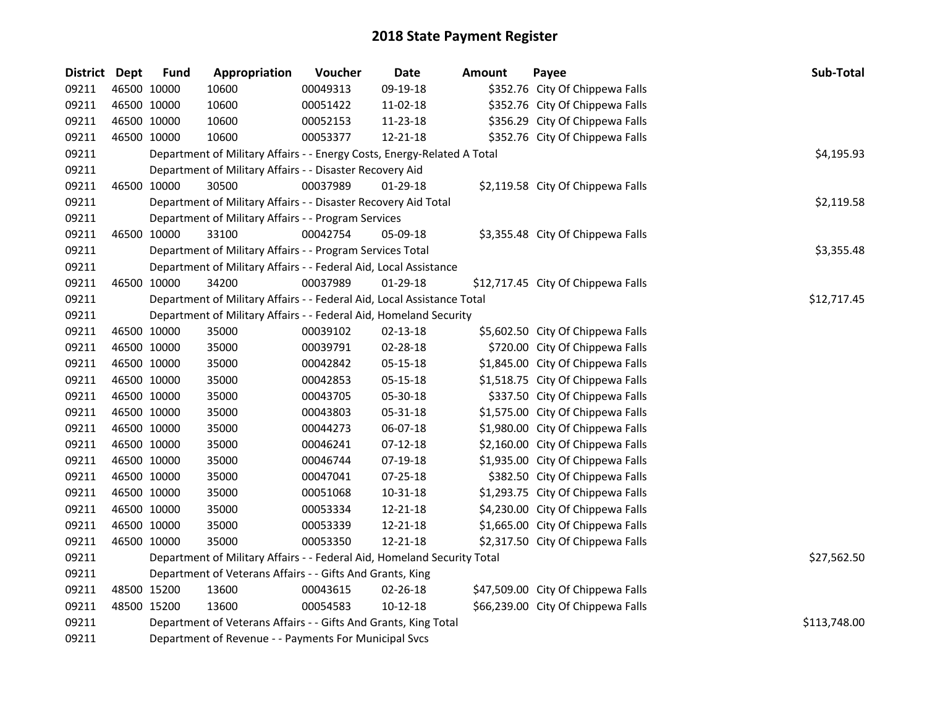| District Dept |             | <b>Fund</b> | Appropriation                                                           | Voucher  | <b>Date</b>    | Amount | Payee                              | Sub-Total    |
|---------------|-------------|-------------|-------------------------------------------------------------------------|----------|----------------|--------|------------------------------------|--------------|
| 09211         |             | 46500 10000 | 10600                                                                   | 00049313 | 09-19-18       |        | \$352.76 City Of Chippewa Falls    |              |
| 09211         | 46500 10000 |             | 10600                                                                   | 00051422 | 11-02-18       |        | \$352.76 City Of Chippewa Falls    |              |
| 09211         | 46500 10000 |             | 10600                                                                   | 00052153 | 11-23-18       |        | \$356.29 City Of Chippewa Falls    |              |
| 09211         |             | 46500 10000 | 10600                                                                   | 00053377 | 12-21-18       |        | \$352.76 City Of Chippewa Falls    |              |
| 09211         |             |             | Department of Military Affairs - - Energy Costs, Energy-Related A Total |          |                |        |                                    | \$4,195.93   |
| 09211         |             |             | Department of Military Affairs - - Disaster Recovery Aid                |          |                |        |                                    |              |
| 09211         | 46500 10000 |             | 30500                                                                   | 00037989 | 01-29-18       |        | \$2,119.58 City Of Chippewa Falls  |              |
| 09211         |             |             | Department of Military Affairs - - Disaster Recovery Aid Total          |          |                |        |                                    | \$2,119.58   |
| 09211         |             |             | Department of Military Affairs - - Program Services                     |          |                |        |                                    |              |
| 09211         |             | 46500 10000 | 33100                                                                   | 00042754 | 05-09-18       |        | \$3,355.48 City Of Chippewa Falls  |              |
| 09211         |             |             | Department of Military Affairs - - Program Services Total               |          |                |        |                                    | \$3,355.48   |
| 09211         |             |             | Department of Military Affairs - - Federal Aid, Local Assistance        |          |                |        |                                    |              |
| 09211         |             | 46500 10000 | 34200                                                                   | 00037989 | $01-29-18$     |        | \$12,717.45 City Of Chippewa Falls |              |
| 09211         |             |             | Department of Military Affairs - - Federal Aid, Local Assistance Total  |          |                |        |                                    | \$12,717.45  |
| 09211         |             |             | Department of Military Affairs - - Federal Aid, Homeland Security       |          |                |        |                                    |              |
| 09211         | 46500 10000 |             | 35000                                                                   | 00039102 | 02-13-18       |        | \$5,602.50 City Of Chippewa Falls  |              |
| 09211         |             | 46500 10000 | 35000                                                                   | 00039791 | 02-28-18       |        | \$720.00 City Of Chippewa Falls    |              |
| 09211         | 46500 10000 |             | 35000                                                                   | 00042842 | 05-15-18       |        | \$1,845.00 City Of Chippewa Falls  |              |
| 09211         |             | 46500 10000 | 35000                                                                   | 00042853 | 05-15-18       |        | \$1,518.75 City Of Chippewa Falls  |              |
| 09211         | 46500 10000 |             | 35000                                                                   | 00043705 | 05-30-18       |        | \$337.50 City Of Chippewa Falls    |              |
| 09211         | 46500 10000 |             | 35000                                                                   | 00043803 | 05-31-18       |        | \$1,575.00 City Of Chippewa Falls  |              |
| 09211         | 46500 10000 |             | 35000                                                                   | 00044273 | 06-07-18       |        | \$1,980.00 City Of Chippewa Falls  |              |
| 09211         | 46500 10000 |             | 35000                                                                   | 00046241 | $07 - 12 - 18$ |        | \$2,160.00 City Of Chippewa Falls  |              |
| 09211         | 46500 10000 |             | 35000                                                                   | 00046744 | 07-19-18       |        | \$1,935.00 City Of Chippewa Falls  |              |
| 09211         | 46500 10000 |             | 35000                                                                   | 00047041 | 07-25-18       |        | \$382.50 City Of Chippewa Falls    |              |
| 09211         | 46500 10000 |             | 35000                                                                   | 00051068 | 10-31-18       |        | \$1,293.75 City Of Chippewa Falls  |              |
| 09211         | 46500 10000 |             | 35000                                                                   | 00053334 | 12-21-18       |        | \$4,230.00 City Of Chippewa Falls  |              |
| 09211         | 46500 10000 |             | 35000                                                                   | 00053339 | 12-21-18       |        | \$1,665.00 City Of Chippewa Falls  |              |
| 09211         |             | 46500 10000 | 35000                                                                   | 00053350 | 12-21-18       |        | \$2,317.50 City Of Chippewa Falls  |              |
| 09211         |             |             | Department of Military Affairs - - Federal Aid, Homeland Security Total |          |                |        |                                    | \$27,562.50  |
| 09211         |             |             | Department of Veterans Affairs - - Gifts And Grants, King               |          |                |        |                                    |              |
| 09211         |             | 48500 15200 | 13600                                                                   | 00043615 | 02-26-18       |        | \$47,509.00 City Of Chippewa Falls |              |
| 09211         |             | 48500 15200 | 13600                                                                   | 00054583 | $10 - 12 - 18$ |        | \$66,239.00 City Of Chippewa Falls |              |
| 09211         |             |             | Department of Veterans Affairs - - Gifts And Grants, King Total         |          |                |        |                                    | \$113,748.00 |
| 09211         |             |             | Department of Revenue - - Payments For Municipal Svcs                   |          |                |        |                                    |              |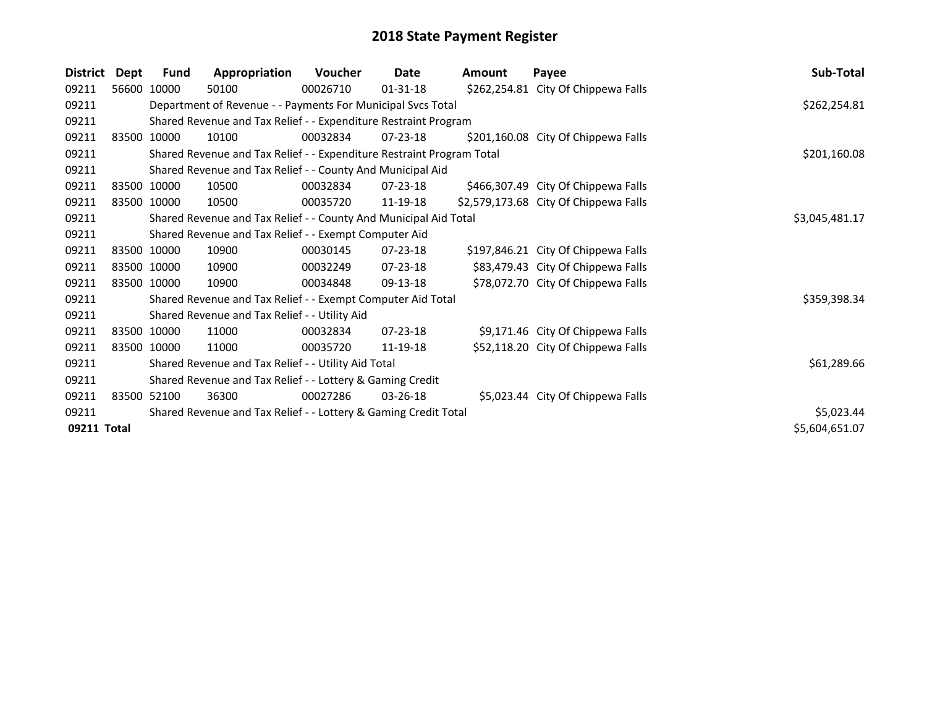| <b>District</b> | Dept | Fund        | Appropriation                                                         | Voucher      | Date           | <b>Amount</b> | Payee                                 | Sub-Total      |
|-----------------|------|-------------|-----------------------------------------------------------------------|--------------|----------------|---------------|---------------------------------------|----------------|
| 09211           |      | 56600 10000 | 50100                                                                 | 00026710     | $01 - 31 - 18$ |               | \$262,254.81 City Of Chippewa Falls   |                |
| 09211           |      |             | Department of Revenue - - Payments For Municipal Svcs Total           |              |                |               |                                       | \$262,254.81   |
| 09211           |      |             | Shared Revenue and Tax Relief - - Expenditure Restraint Program       |              |                |               |                                       |                |
| 09211           |      | 83500 10000 | 10100                                                                 | 00032834     | $07 - 23 - 18$ |               | \$201,160.08 City Of Chippewa Falls   |                |
| 09211           |      |             | Shared Revenue and Tax Relief - - Expenditure Restraint Program Total | \$201,160.08 |                |               |                                       |                |
| 09211           |      |             | Shared Revenue and Tax Relief - - County And Municipal Aid            |              |                |               |                                       |                |
| 09211           |      | 83500 10000 | 10500                                                                 | 00032834     | $07 - 23 - 18$ |               | \$466,307.49 City Of Chippewa Falls   |                |
| 09211           |      | 83500 10000 | 10500                                                                 | 00035720     | 11-19-18       |               | \$2,579,173.68 City Of Chippewa Falls |                |
| 09211           |      |             | Shared Revenue and Tax Relief - - County And Municipal Aid Total      |              |                |               |                                       | \$3,045,481.17 |
| 09211           |      |             | Shared Revenue and Tax Relief - - Exempt Computer Aid                 |              |                |               |                                       |                |
| 09211           |      | 83500 10000 | 10900                                                                 | 00030145     | 07-23-18       |               | \$197,846.21 City Of Chippewa Falls   |                |
| 09211           |      | 83500 10000 | 10900                                                                 | 00032249     | $07 - 23 - 18$ |               | \$83,479.43 City Of Chippewa Falls    |                |
| 09211           |      | 83500 10000 | 10900                                                                 | 00034848     | 09-13-18       |               | \$78,072.70 City Of Chippewa Falls    |                |
| 09211           |      |             | Shared Revenue and Tax Relief - - Exempt Computer Aid Total           |              |                |               |                                       | \$359,398.34   |
| 09211           |      |             | Shared Revenue and Tax Relief - - Utility Aid                         |              |                |               |                                       |                |
| 09211           |      | 83500 10000 | 11000                                                                 | 00032834     | $07 - 23 - 18$ |               | \$9,171.46 City Of Chippewa Falls     |                |
| 09211           |      | 83500 10000 | 11000                                                                 | 00035720     | 11-19-18       |               | \$52,118.20 City Of Chippewa Falls    |                |
| 09211           |      |             | Shared Revenue and Tax Relief - - Utility Aid Total                   |              |                |               |                                       | \$61,289.66    |
| 09211           |      |             | Shared Revenue and Tax Relief - - Lottery & Gaming Credit             |              |                |               |                                       |                |
| 09211           |      | 83500 52100 | 36300                                                                 | 00027286     | $03 - 26 - 18$ |               | \$5,023.44 City Of Chippewa Falls     |                |
| 09211           |      |             | Shared Revenue and Tax Relief - - Lottery & Gaming Credit Total       |              |                |               |                                       | \$5,023.44     |
| 09211 Total     |      |             |                                                                       |              |                |               |                                       | \$5,604,651.07 |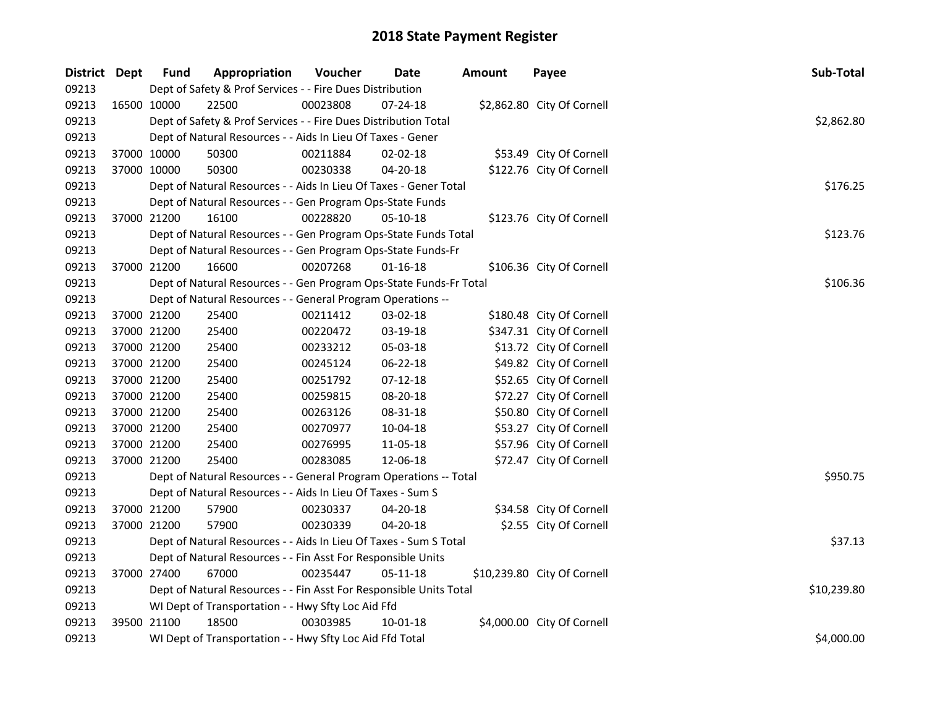| District Dept |             | <b>Fund</b> | Appropriation                                                      | Voucher  | Date           | <b>Amount</b> | Payee                       | Sub-Total   |
|---------------|-------------|-------------|--------------------------------------------------------------------|----------|----------------|---------------|-----------------------------|-------------|
| 09213         |             |             | Dept of Safety & Prof Services - - Fire Dues Distribution          |          |                |               |                             |             |
| 09213         | 16500 10000 |             | 22500                                                              | 00023808 | $07 - 24 - 18$ |               | \$2,862.80 City Of Cornell  |             |
| 09213         |             |             | Dept of Safety & Prof Services - - Fire Dues Distribution Total    |          |                |               |                             | \$2,862.80  |
| 09213         |             |             | Dept of Natural Resources - - Aids In Lieu Of Taxes - Gener        |          |                |               |                             |             |
| 09213         | 37000 10000 |             | 50300                                                              | 00211884 | $02 - 02 - 18$ |               | \$53.49 City Of Cornell     |             |
| 09213         | 37000 10000 |             | 50300                                                              | 00230338 | 04-20-18       |               | \$122.76 City Of Cornell    |             |
| 09213         |             |             | Dept of Natural Resources - - Aids In Lieu Of Taxes - Gener Total  |          |                |               |                             | \$176.25    |
| 09213         |             |             | Dept of Natural Resources - - Gen Program Ops-State Funds          |          |                |               |                             |             |
| 09213         |             | 37000 21200 | 16100                                                              | 00228820 | 05-10-18       |               | \$123.76 City Of Cornell    |             |
| 09213         |             |             | Dept of Natural Resources - - Gen Program Ops-State Funds Total    |          |                |               |                             | \$123.76    |
| 09213         |             |             | Dept of Natural Resources - - Gen Program Ops-State Funds-Fr       |          |                |               |                             |             |
| 09213         |             | 37000 21200 | 16600                                                              | 00207268 | $01 - 16 - 18$ |               | \$106.36 City Of Cornell    |             |
| 09213         |             |             | Dept of Natural Resources - - Gen Program Ops-State Funds-Fr Total |          |                |               |                             | \$106.36    |
| 09213         |             |             | Dept of Natural Resources - - General Program Operations --        |          |                |               |                             |             |
| 09213         | 37000 21200 |             | 25400                                                              | 00211412 | 03-02-18       |               | \$180.48 City Of Cornell    |             |
| 09213         | 37000 21200 |             | 25400                                                              | 00220472 | 03-19-18       |               | \$347.31 City Of Cornell    |             |
| 09213         | 37000 21200 |             | 25400                                                              | 00233212 | 05-03-18       |               | \$13.72 City Of Cornell     |             |
| 09213         |             | 37000 21200 | 25400                                                              | 00245124 | 06-22-18       |               | \$49.82 City Of Cornell     |             |
| 09213         |             | 37000 21200 | 25400                                                              | 00251792 | $07-12-18$     |               | \$52.65 City Of Cornell     |             |
| 09213         | 37000 21200 |             | 25400                                                              | 00259815 | 08-20-18       |               | \$72.27 City Of Cornell     |             |
| 09213         | 37000 21200 |             | 25400                                                              | 00263126 | 08-31-18       |               | \$50.80 City Of Cornell     |             |
| 09213         | 37000 21200 |             | 25400                                                              | 00270977 | 10-04-18       |               | \$53.27 City Of Cornell     |             |
| 09213         | 37000 21200 |             | 25400                                                              | 00276995 | 11-05-18       |               | \$57.96 City Of Cornell     |             |
| 09213         | 37000 21200 |             | 25400                                                              | 00283085 | 12-06-18       |               | \$72.47 City Of Cornell     |             |
| 09213         |             |             | Dept of Natural Resources - - General Program Operations -- Total  |          |                |               |                             | \$950.75    |
| 09213         |             |             | Dept of Natural Resources - - Aids In Lieu Of Taxes - Sum S        |          |                |               |                             |             |
| 09213         | 37000 21200 |             | 57900                                                              | 00230337 | 04-20-18       |               | \$34.58 City Of Cornell     |             |
| 09213         | 37000 21200 |             | 57900                                                              | 00230339 | 04-20-18       |               | \$2.55 City Of Cornell      |             |
| 09213         |             |             | Dept of Natural Resources - - Aids In Lieu Of Taxes - Sum S Total  |          |                |               |                             | \$37.13     |
| 09213         |             |             | Dept of Natural Resources - - Fin Asst For Responsible Units       |          |                |               |                             |             |
| 09213         |             | 37000 27400 | 67000                                                              | 00235447 | 05-11-18       |               | \$10,239.80 City Of Cornell |             |
| 09213         |             |             | Dept of Natural Resources - - Fin Asst For Responsible Units Total |          |                |               |                             | \$10,239.80 |
| 09213         |             |             | WI Dept of Transportation - - Hwy Sfty Loc Aid Ffd                 |          |                |               |                             |             |
| 09213         | 39500 21100 |             | 18500                                                              | 00303985 | 10-01-18       |               | \$4,000.00 City Of Cornell  |             |
| 09213         |             |             | WI Dept of Transportation - - Hwy Sfty Loc Aid Ffd Total           |          |                |               |                             | \$4,000.00  |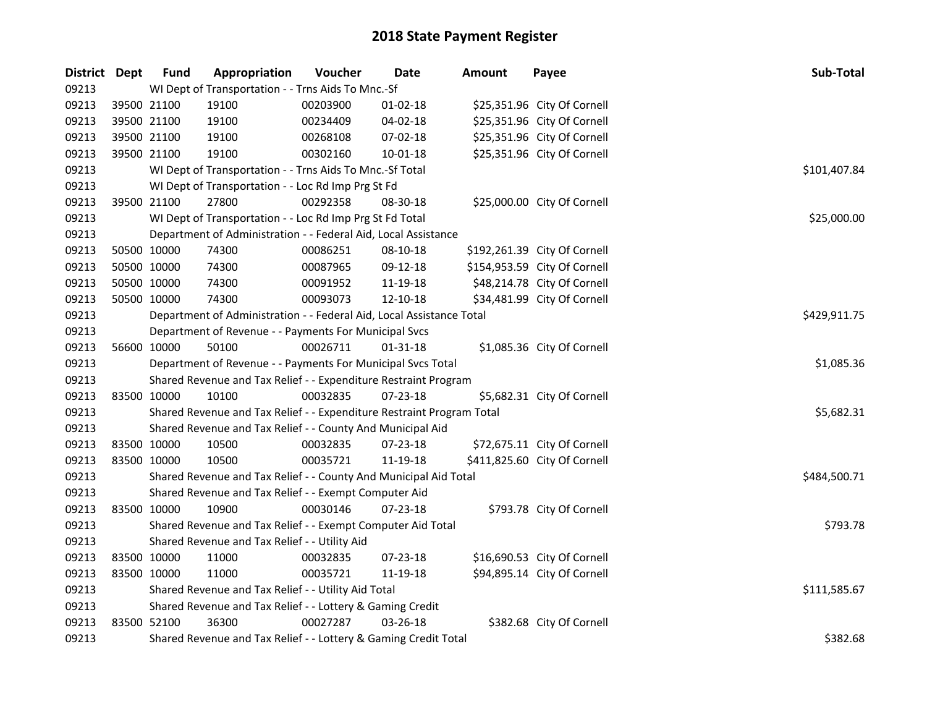| District Dept |             | <b>Fund</b> | Appropriation                                                         | Voucher  | Date           | Amount | Payee                        | Sub-Total    |
|---------------|-------------|-------------|-----------------------------------------------------------------------|----------|----------------|--------|------------------------------|--------------|
| 09213         |             |             | WI Dept of Transportation - - Trns Aids To Mnc.-Sf                    |          |                |        |                              |              |
| 09213         |             | 39500 21100 | 19100                                                                 | 00203900 | $01 - 02 - 18$ |        | \$25,351.96 City Of Cornell  |              |
| 09213         | 39500 21100 |             | 19100                                                                 | 00234409 | 04-02-18       |        | \$25,351.96 City Of Cornell  |              |
| 09213         | 39500 21100 |             | 19100                                                                 | 00268108 | 07-02-18       |        | \$25,351.96 City Of Cornell  |              |
| 09213         | 39500 21100 |             | 19100                                                                 | 00302160 | $10 - 01 - 18$ |        | \$25,351.96 City Of Cornell  |              |
| 09213         |             |             | WI Dept of Transportation - - Trns Aids To Mnc.-Sf Total              |          |                |        |                              | \$101,407.84 |
| 09213         |             |             | WI Dept of Transportation - - Loc Rd Imp Prg St Fd                    |          |                |        |                              |              |
| 09213         | 39500 21100 |             | 27800                                                                 | 00292358 | 08-30-18       |        | \$25,000.00 City Of Cornell  |              |
| 09213         |             |             | WI Dept of Transportation - - Loc Rd Imp Prg St Fd Total              |          |                |        |                              | \$25,000.00  |
| 09213         |             |             | Department of Administration - - Federal Aid, Local Assistance        |          |                |        |                              |              |
| 09213         | 50500 10000 |             | 74300                                                                 | 00086251 | 08-10-18       |        | \$192,261.39 City Of Cornell |              |
| 09213         | 50500 10000 |             | 74300                                                                 | 00087965 | 09-12-18       |        | \$154,953.59 City Of Cornell |              |
| 09213         | 50500 10000 |             | 74300                                                                 | 00091952 | 11-19-18       |        | \$48,214.78 City Of Cornell  |              |
| 09213         | 50500 10000 |             | 74300                                                                 | 00093073 | 12-10-18       |        | \$34,481.99 City Of Cornell  |              |
| 09213         |             |             | Department of Administration - - Federal Aid, Local Assistance Total  |          |                |        |                              | \$429,911.75 |
| 09213         |             |             | Department of Revenue - - Payments For Municipal Svcs                 |          |                |        |                              |              |
| 09213         |             | 56600 10000 | 50100                                                                 | 00026711 | $01 - 31 - 18$ |        | \$1,085.36 City Of Cornell   |              |
| 09213         |             |             | Department of Revenue - - Payments For Municipal Svcs Total           |          |                |        |                              | \$1,085.36   |
| 09213         |             |             | Shared Revenue and Tax Relief - - Expenditure Restraint Program       |          |                |        |                              |              |
| 09213         | 83500 10000 |             | 10100                                                                 | 00032835 | 07-23-18       |        | \$5,682.31 City Of Cornell   |              |
| 09213         |             |             | Shared Revenue and Tax Relief - - Expenditure Restraint Program Total |          |                |        |                              | \$5,682.31   |
| 09213         |             |             | Shared Revenue and Tax Relief - - County And Municipal Aid            |          |                |        |                              |              |
| 09213         | 83500 10000 |             | 10500                                                                 | 00032835 | 07-23-18       |        | \$72,675.11 City Of Cornell  |              |
| 09213         | 83500 10000 |             | 10500                                                                 | 00035721 | 11-19-18       |        | \$411,825.60 City Of Cornell |              |
| 09213         |             |             | Shared Revenue and Tax Relief - - County And Municipal Aid Total      |          |                |        |                              | \$484,500.71 |
| 09213         |             |             | Shared Revenue and Tax Relief - - Exempt Computer Aid                 |          |                |        |                              |              |
| 09213         | 83500 10000 |             | 10900                                                                 | 00030146 | 07-23-18       |        | \$793.78 City Of Cornell     |              |
| 09213         |             |             | Shared Revenue and Tax Relief - - Exempt Computer Aid Total           |          |                |        |                              | \$793.78     |
| 09213         |             |             | Shared Revenue and Tax Relief - - Utility Aid                         |          |                |        |                              |              |
| 09213         | 83500 10000 |             | 11000                                                                 | 00032835 | 07-23-18       |        | \$16,690.53 City Of Cornell  |              |
| 09213         | 83500 10000 |             | 11000                                                                 | 00035721 | 11-19-18       |        | \$94,895.14 City Of Cornell  |              |
| 09213         |             |             | Shared Revenue and Tax Relief - - Utility Aid Total                   |          |                |        |                              | \$111,585.67 |
| 09213         |             |             | Shared Revenue and Tax Relief - - Lottery & Gaming Credit             |          |                |        |                              |              |
| 09213         | 83500 52100 |             | 36300                                                                 | 00027287 | 03-26-18       |        | \$382.68 City Of Cornell     |              |
| 09213         |             |             | Shared Revenue and Tax Relief - - Lottery & Gaming Credit Total       |          |                |        |                              | \$382.68     |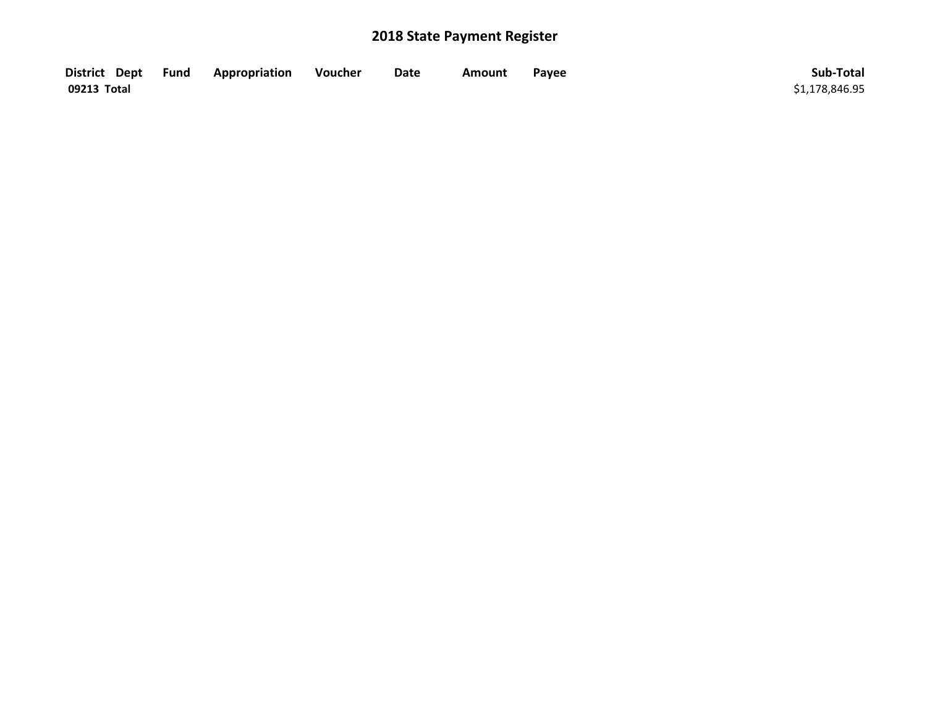| District Dept Fund | Appropriation | Voucher | Date | Amount | Payee | Sub-Total      |
|--------------------|---------------|---------|------|--------|-------|----------------|
| 09213 Total        |               |         |      |        |       | \$1,178,846.95 |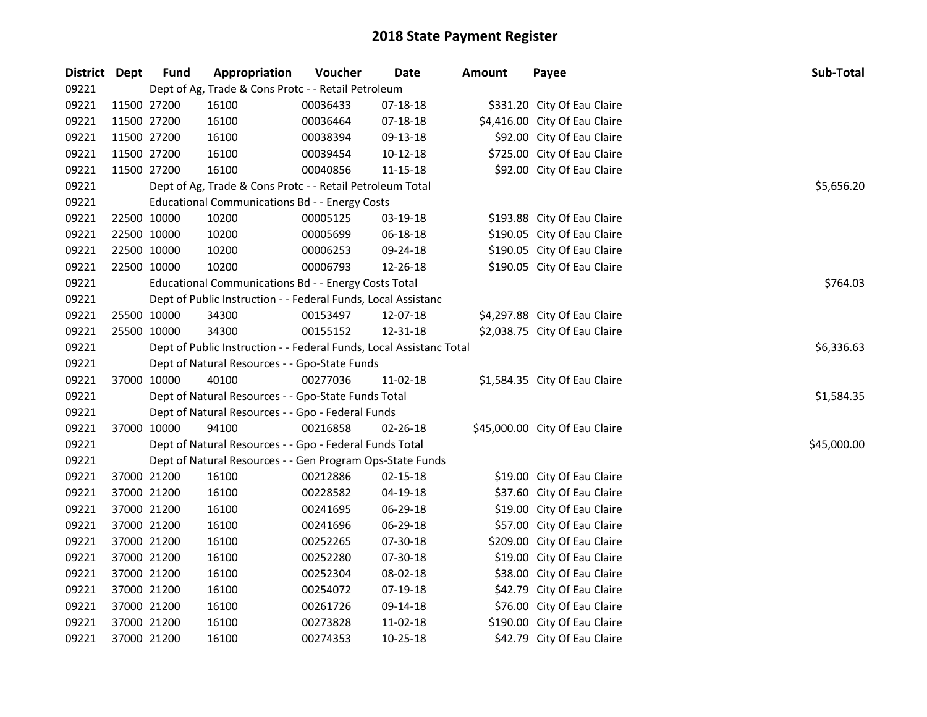| District Dept |             | <b>Fund</b> | Appropriation                                                                     | Voucher  | <b>Date</b>    | <b>Amount</b> | Payee                          | Sub-Total   |  |  |  |
|---------------|-------------|-------------|-----------------------------------------------------------------------------------|----------|----------------|---------------|--------------------------------|-------------|--|--|--|
| 09221         |             |             | Dept of Ag, Trade & Cons Protc - - Retail Petroleum                               |          |                |               |                                |             |  |  |  |
| 09221         | 11500 27200 |             | 16100                                                                             | 00036433 | 07-18-18       |               | \$331.20 City Of Eau Claire    |             |  |  |  |
| 09221         | 11500 27200 |             | 16100                                                                             | 00036464 | 07-18-18       |               | \$4,416.00 City Of Eau Claire  |             |  |  |  |
| 09221         | 11500 27200 |             | 16100                                                                             | 00038394 | 09-13-18       |               | \$92.00 City Of Eau Claire     |             |  |  |  |
| 09221         | 11500 27200 |             | 16100                                                                             | 00039454 | $10 - 12 - 18$ |               | \$725.00 City Of Eau Claire    |             |  |  |  |
| 09221         | 11500 27200 |             | 16100                                                                             | 00040856 | 11-15-18       |               | \$92.00 City Of Eau Claire     |             |  |  |  |
| 09221         |             |             | Dept of Ag, Trade & Cons Protc - - Retail Petroleum Total                         |          |                |               |                                | \$5,656.20  |  |  |  |
| 09221         |             |             | <b>Educational Communications Bd - - Energy Costs</b>                             |          |                |               |                                |             |  |  |  |
| 09221         | 22500 10000 |             | 10200                                                                             | 00005125 | 03-19-18       |               | \$193.88 City Of Eau Claire    |             |  |  |  |
| 09221         | 22500 10000 |             | 10200                                                                             | 00005699 | 06-18-18       |               | \$190.05 City Of Eau Claire    |             |  |  |  |
| 09221         | 22500 10000 |             | 10200                                                                             | 00006253 | 09-24-18       |               | \$190.05 City Of Eau Claire    |             |  |  |  |
| 09221         | 22500 10000 |             | 10200                                                                             | 00006793 | 12-26-18       |               | \$190.05 City Of Eau Claire    |             |  |  |  |
| 09221         |             |             | Educational Communications Bd - - Energy Costs Total                              |          |                |               |                                | \$764.03    |  |  |  |
| 09221         |             |             | Dept of Public Instruction - - Federal Funds, Local Assistanc                     |          |                |               |                                |             |  |  |  |
| 09221         | 25500 10000 |             | 34300                                                                             | 00153497 | 12-07-18       |               | \$4,297.88 City Of Eau Claire  |             |  |  |  |
| 09221         | 25500 10000 |             | 34300                                                                             | 00155152 | 12-31-18       |               | \$2,038.75 City Of Eau Claire  |             |  |  |  |
| 09221         |             |             | \$6,336.63<br>Dept of Public Instruction - - Federal Funds, Local Assistanc Total |          |                |               |                                |             |  |  |  |
| 09221         |             |             | Dept of Natural Resources - - Gpo-State Funds                                     |          |                |               |                                |             |  |  |  |
| 09221         |             | 37000 10000 | 40100                                                                             | 00277036 | 11-02-18       |               | \$1,584.35 City Of Eau Claire  |             |  |  |  |
| 09221         |             |             | Dept of Natural Resources - - Gpo-State Funds Total                               |          |                |               |                                | \$1,584.35  |  |  |  |
| 09221         |             |             | Dept of Natural Resources - - Gpo - Federal Funds                                 |          |                |               |                                |             |  |  |  |
| 09221         | 37000 10000 |             | 94100                                                                             | 00216858 | 02-26-18       |               | \$45,000.00 City Of Eau Claire |             |  |  |  |
| 09221         |             |             | Dept of Natural Resources - - Gpo - Federal Funds Total                           |          |                |               |                                | \$45,000.00 |  |  |  |
| 09221         |             |             | Dept of Natural Resources - - Gen Program Ops-State Funds                         |          |                |               |                                |             |  |  |  |
| 09221         | 37000 21200 |             | 16100                                                                             | 00212886 | $02 - 15 - 18$ |               | \$19.00 City Of Eau Claire     |             |  |  |  |
| 09221         | 37000 21200 |             | 16100                                                                             | 00228582 | 04-19-18       |               | \$37.60 City Of Eau Claire     |             |  |  |  |
| 09221         | 37000 21200 |             | 16100                                                                             | 00241695 | 06-29-18       |               | \$19.00 City Of Eau Claire     |             |  |  |  |
| 09221         | 37000 21200 |             | 16100                                                                             | 00241696 | 06-29-18       |               | \$57.00 City Of Eau Claire     |             |  |  |  |
| 09221         | 37000 21200 |             | 16100                                                                             | 00252265 | 07-30-18       |               | \$209.00 City Of Eau Claire    |             |  |  |  |
| 09221         | 37000 21200 |             | 16100                                                                             | 00252280 | 07-30-18       |               | \$19.00 City Of Eau Claire     |             |  |  |  |
| 09221         | 37000 21200 |             | 16100                                                                             | 00252304 | 08-02-18       |               | \$38.00 City Of Eau Claire     |             |  |  |  |
| 09221         | 37000 21200 |             | 16100                                                                             | 00254072 | 07-19-18       |               | \$42.79 City Of Eau Claire     |             |  |  |  |
| 09221         | 37000 21200 |             | 16100                                                                             | 00261726 | 09-14-18       |               | \$76.00 City Of Eau Claire     |             |  |  |  |
| 09221         | 37000 21200 |             | 16100                                                                             | 00273828 | 11-02-18       |               | \$190.00 City Of Eau Claire    |             |  |  |  |
| 09221         | 37000 21200 |             | 16100                                                                             | 00274353 | 10-25-18       |               | \$42.79 City Of Eau Claire     |             |  |  |  |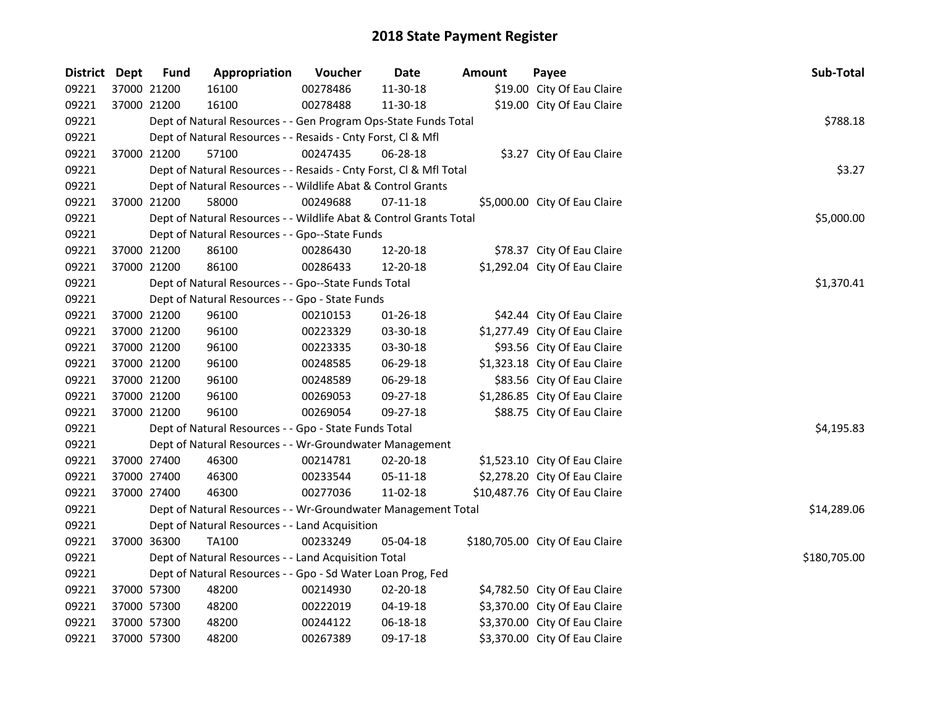| District Dept | <b>Fund</b> | Appropriation                                                      | Voucher  | Date           | <b>Amount</b> | Payee                           | Sub-Total    |
|---------------|-------------|--------------------------------------------------------------------|----------|----------------|---------------|---------------------------------|--------------|
| 09221         | 37000 21200 | 16100                                                              | 00278486 | 11-30-18       |               | \$19.00 City Of Eau Claire      |              |
| 09221         | 37000 21200 | 16100                                                              | 00278488 | 11-30-18       |               | \$19.00 City Of Eau Claire      |              |
| 09221         |             | Dept of Natural Resources - - Gen Program Ops-State Funds Total    |          |                |               |                                 | \$788.18     |
| 09221         |             | Dept of Natural Resources - - Resaids - Cnty Forst, Cl & Mfl       |          |                |               |                                 |              |
| 09221         | 37000 21200 | 57100                                                              | 00247435 | 06-28-18       |               | \$3.27 City Of Eau Claire       |              |
| 09221         |             | Dept of Natural Resources - - Resaids - Cnty Forst, Cl & Mfl Total |          |                |               |                                 | \$3.27       |
| 09221         |             | Dept of Natural Resources - - Wildlife Abat & Control Grants       |          |                |               |                                 |              |
| 09221         | 37000 21200 | 58000                                                              | 00249688 | $07-11-18$     |               | \$5,000.00 City Of Eau Claire   |              |
| 09221         |             | Dept of Natural Resources - - Wildlife Abat & Control Grants Total |          |                |               |                                 | \$5,000.00   |
| 09221         |             | Dept of Natural Resources - - Gpo--State Funds                     |          |                |               |                                 |              |
| 09221         | 37000 21200 | 86100                                                              | 00286430 | 12-20-18       |               | \$78.37 City Of Eau Claire      |              |
| 09221         | 37000 21200 | 86100                                                              | 00286433 | 12-20-18       |               | \$1,292.04 City Of Eau Claire   |              |
| 09221         |             | Dept of Natural Resources - - Gpo--State Funds Total               |          |                |               |                                 | \$1,370.41   |
| 09221         |             | Dept of Natural Resources - - Gpo - State Funds                    |          |                |               |                                 |              |
| 09221         | 37000 21200 | 96100                                                              | 00210153 | $01 - 26 - 18$ |               | \$42.44 City Of Eau Claire      |              |
| 09221         | 37000 21200 | 96100                                                              | 00223329 | 03-30-18       |               | \$1,277.49 City Of Eau Claire   |              |
| 09221         | 37000 21200 | 96100                                                              | 00223335 | 03-30-18       |               | \$93.56 City Of Eau Claire      |              |
| 09221         | 37000 21200 | 96100                                                              | 00248585 | 06-29-18       |               | \$1,323.18 City Of Eau Claire   |              |
| 09221         | 37000 21200 | 96100                                                              | 00248589 | 06-29-18       |               | \$83.56 City Of Eau Claire      |              |
| 09221         | 37000 21200 | 96100                                                              | 00269053 | 09-27-18       |               | \$1,286.85 City Of Eau Claire   |              |
| 09221         | 37000 21200 | 96100                                                              | 00269054 | 09-27-18       |               | \$88.75 City Of Eau Claire      |              |
| 09221         |             | Dept of Natural Resources - - Gpo - State Funds Total              |          |                |               |                                 | \$4,195.83   |
| 09221         |             | Dept of Natural Resources - - Wr-Groundwater Management            |          |                |               |                                 |              |
| 09221         | 37000 27400 | 46300                                                              | 00214781 | 02-20-18       |               | \$1,523.10 City Of Eau Claire   |              |
| 09221         | 37000 27400 | 46300                                                              | 00233544 | $05 - 11 - 18$ |               | \$2,278.20 City Of Eau Claire   |              |
| 09221         | 37000 27400 | 46300                                                              | 00277036 | 11-02-18       |               | \$10,487.76 City Of Eau Claire  |              |
| 09221         |             | Dept of Natural Resources - - Wr-Groundwater Management Total      |          |                |               |                                 | \$14,289.06  |
| 09221         |             | Dept of Natural Resources - - Land Acquisition                     |          |                |               |                                 |              |
| 09221         | 37000 36300 | TA100                                                              | 00233249 | 05-04-18       |               | \$180,705.00 City Of Eau Claire |              |
| 09221         |             | Dept of Natural Resources - - Land Acquisition Total               |          |                |               |                                 | \$180,705.00 |
| 09221         |             | Dept of Natural Resources - - Gpo - Sd Water Loan Prog, Fed        |          |                |               |                                 |              |
| 09221         | 37000 57300 | 48200                                                              | 00214930 | 02-20-18       |               | \$4,782.50 City Of Eau Claire   |              |
| 09221         | 37000 57300 | 48200                                                              | 00222019 | 04-19-18       |               | \$3,370.00 City Of Eau Claire   |              |
| 09221         | 37000 57300 | 48200                                                              | 00244122 | 06-18-18       |               | \$3,370.00 City Of Eau Claire   |              |
| 09221         | 37000 57300 | 48200                                                              | 00267389 | 09-17-18       |               | \$3,370.00 City Of Eau Claire   |              |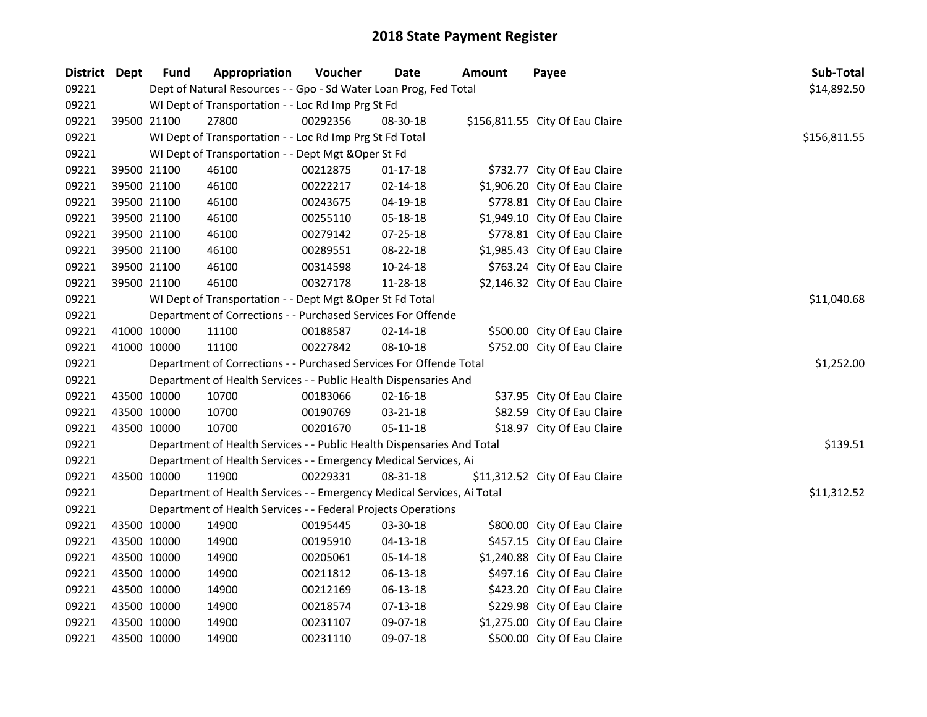| District Dept |             | Fund        | Appropriation                                                          | Voucher  | <b>Date</b>    | Amount | Payee                           | Sub-Total    |
|---------------|-------------|-------------|------------------------------------------------------------------------|----------|----------------|--------|---------------------------------|--------------|
| 09221         |             |             | Dept of Natural Resources - - Gpo - Sd Water Loan Prog, Fed Total      |          |                |        |                                 | \$14,892.50  |
| 09221         |             |             | WI Dept of Transportation - - Loc Rd Imp Prg St Fd                     |          |                |        |                                 |              |
| 09221         |             | 39500 21100 | 27800                                                                  | 00292356 | 08-30-18       |        | \$156,811.55 City Of Eau Claire |              |
| 09221         |             |             | WI Dept of Transportation - - Loc Rd Imp Prg St Fd Total               |          |                |        |                                 | \$156,811.55 |
| 09221         |             |             | WI Dept of Transportation - - Dept Mgt & Oper St Fd                    |          |                |        |                                 |              |
| 09221         |             | 39500 21100 | 46100                                                                  | 00212875 | $01 - 17 - 18$ |        | \$732.77 City Of Eau Claire     |              |
| 09221         |             | 39500 21100 | 46100                                                                  | 00222217 | $02 - 14 - 18$ |        | \$1,906.20 City Of Eau Claire   |              |
| 09221         |             | 39500 21100 | 46100                                                                  | 00243675 | 04-19-18       |        | \$778.81 City Of Eau Claire     |              |
| 09221         |             | 39500 21100 | 46100                                                                  | 00255110 | 05-18-18       |        | \$1,949.10 City Of Eau Claire   |              |
| 09221         |             | 39500 21100 | 46100                                                                  | 00279142 | 07-25-18       |        | \$778.81 City Of Eau Claire     |              |
| 09221         |             | 39500 21100 | 46100                                                                  | 00289551 | 08-22-18       |        | \$1,985.43 City Of Eau Claire   |              |
| 09221         |             | 39500 21100 | 46100                                                                  | 00314598 | 10-24-18       |        | \$763.24 City Of Eau Claire     |              |
| 09221         |             | 39500 21100 | 46100                                                                  | 00327178 | 11-28-18       |        | \$2,146.32 City Of Eau Claire   |              |
| 09221         |             |             | WI Dept of Transportation - - Dept Mgt & Oper St Fd Total              |          |                |        |                                 | \$11,040.68  |
| 09221         |             |             | Department of Corrections - - Purchased Services For Offende           |          |                |        |                                 |              |
| 09221         |             | 41000 10000 | 11100                                                                  | 00188587 | $02 - 14 - 18$ |        | \$500.00 City Of Eau Claire     |              |
| 09221         |             | 41000 10000 | 11100                                                                  | 00227842 | 08-10-18       |        | \$752.00 City Of Eau Claire     |              |
| 09221         |             |             | Department of Corrections - - Purchased Services For Offende Total     |          |                |        |                                 | \$1,252.00   |
| 09221         |             |             | Department of Health Services - - Public Health Dispensaries And       |          |                |        |                                 |              |
| 09221         |             | 43500 10000 | 10700                                                                  | 00183066 | $02 - 16 - 18$ |        | \$37.95 City Of Eau Claire      |              |
| 09221         |             | 43500 10000 | 10700                                                                  | 00190769 | 03-21-18       |        | \$82.59 City Of Eau Claire      |              |
| 09221         |             | 43500 10000 | 10700                                                                  | 00201670 | 05-11-18       |        | \$18.97 City Of Eau Claire      |              |
| 09221         |             |             | Department of Health Services - - Public Health Dispensaries And Total |          |                |        |                                 | \$139.51     |
| 09221         |             |             | Department of Health Services - - Emergency Medical Services, Ai       |          |                |        |                                 |              |
| 09221         |             | 43500 10000 | 11900                                                                  | 00229331 | 08-31-18       |        | \$11,312.52 City Of Eau Claire  |              |
| 09221         |             |             | Department of Health Services - - Emergency Medical Services, Ai Total |          |                |        |                                 | \$11,312.52  |
| 09221         |             |             | Department of Health Services - - Federal Projects Operations          |          |                |        |                                 |              |
| 09221         |             | 43500 10000 | 14900                                                                  | 00195445 | 03-30-18       |        | \$800.00 City Of Eau Claire     |              |
| 09221         |             | 43500 10000 | 14900                                                                  | 00195910 | 04-13-18       |        | \$457.15 City Of Eau Claire     |              |
| 09221         |             | 43500 10000 | 14900                                                                  | 00205061 | 05-14-18       |        | \$1,240.88 City Of Eau Claire   |              |
| 09221         |             | 43500 10000 | 14900                                                                  | 00211812 | 06-13-18       |        | \$497.16 City Of Eau Claire     |              |
| 09221         |             | 43500 10000 | 14900                                                                  | 00212169 | 06-13-18       |        | \$423.20 City Of Eau Claire     |              |
| 09221         |             | 43500 10000 | 14900                                                                  | 00218574 | 07-13-18       |        | \$229.98 City Of Eau Claire     |              |
| 09221         |             | 43500 10000 | 14900                                                                  | 00231107 | 09-07-18       |        | \$1,275.00 City Of Eau Claire   |              |
| 09221         | 43500 10000 |             | 14900                                                                  | 00231110 | 09-07-18       |        | \$500.00 City Of Eau Claire     |              |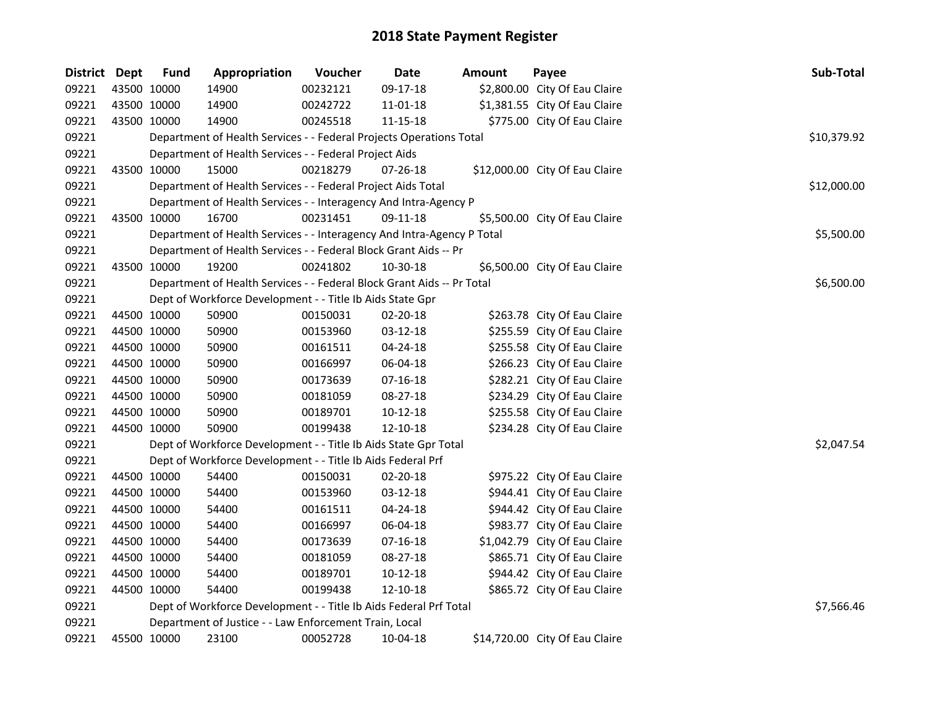| District Dept |             | <b>Fund</b> | Appropriation                                                          | Voucher  | <b>Date</b> | Amount | Payee                          | Sub-Total   |
|---------------|-------------|-------------|------------------------------------------------------------------------|----------|-------------|--------|--------------------------------|-------------|
| 09221         |             | 43500 10000 | 14900                                                                  | 00232121 | 09-17-18    |        | \$2,800.00 City Of Eau Claire  |             |
| 09221         | 43500 10000 |             | 14900                                                                  | 00242722 | 11-01-18    |        | \$1,381.55 City Of Eau Claire  |             |
| 09221         |             | 43500 10000 | 14900                                                                  | 00245518 | 11-15-18    |        | \$775.00 City Of Eau Claire    |             |
| 09221         |             |             | Department of Health Services - - Federal Projects Operations Total    |          |             |        |                                | \$10,379.92 |
| 09221         |             |             | Department of Health Services - - Federal Project Aids                 |          |             |        |                                |             |
| 09221         |             | 43500 10000 | 15000                                                                  | 00218279 | 07-26-18    |        | \$12,000.00 City Of Eau Claire |             |
| 09221         |             |             | Department of Health Services - - Federal Project Aids Total           |          |             |        |                                | \$12,000.00 |
| 09221         |             |             | Department of Health Services - - Interagency And Intra-Agency P       |          |             |        |                                |             |
| 09221         |             | 43500 10000 | 16700                                                                  | 00231451 | 09-11-18    |        | \$5,500.00 City Of Eau Claire  |             |
| 09221         |             |             | Department of Health Services - - Interagency And Intra-Agency P Total |          |             |        |                                | \$5,500.00  |
| 09221         |             |             | Department of Health Services - - Federal Block Grant Aids -- Pr       |          |             |        |                                |             |
| 09221         |             | 43500 10000 | 19200                                                                  | 00241802 | 10-30-18    |        | \$6,500.00 City Of Eau Claire  |             |
| 09221         |             |             | Department of Health Services - - Federal Block Grant Aids -- Pr Total |          |             |        |                                | \$6,500.00  |
| 09221         |             |             | Dept of Workforce Development - - Title Ib Aids State Gpr              |          |             |        |                                |             |
| 09221         | 44500 10000 |             | 50900                                                                  | 00150031 | 02-20-18    |        | \$263.78 City Of Eau Claire    |             |
| 09221         |             | 44500 10000 | 50900                                                                  | 00153960 | 03-12-18    |        | \$255.59 City Of Eau Claire    |             |
| 09221         |             | 44500 10000 | 50900                                                                  | 00161511 | 04-24-18    |        | \$255.58 City Of Eau Claire    |             |
| 09221         | 44500 10000 |             | 50900                                                                  | 00166997 | 06-04-18    |        | \$266.23 City Of Eau Claire    |             |
| 09221         |             | 44500 10000 | 50900                                                                  | 00173639 | 07-16-18    |        | \$282.21 City Of Eau Claire    |             |
| 09221         |             | 44500 10000 | 50900                                                                  | 00181059 | 08-27-18    |        | \$234.29 City Of Eau Claire    |             |
| 09221         |             | 44500 10000 | 50900                                                                  | 00189701 | $10-12-18$  |        | \$255.58 City Of Eau Claire    |             |
| 09221         |             | 44500 10000 | 50900                                                                  | 00199438 | 12-10-18    |        | \$234.28 City Of Eau Claire    |             |
| 09221         |             |             | Dept of Workforce Development - - Title Ib Aids State Gpr Total        |          |             |        |                                | \$2,047.54  |
| 09221         |             |             | Dept of Workforce Development - - Title Ib Aids Federal Prf            |          |             |        |                                |             |
| 09221         |             | 44500 10000 | 54400                                                                  | 00150031 | 02-20-18    |        | \$975.22 City Of Eau Claire    |             |
| 09221         |             | 44500 10000 | 54400                                                                  | 00153960 | 03-12-18    |        | \$944.41 City Of Eau Claire    |             |
| 09221         |             | 44500 10000 | 54400                                                                  | 00161511 | 04-24-18    |        | \$944.42 City Of Eau Claire    |             |
| 09221         |             | 44500 10000 | 54400                                                                  | 00166997 | 06-04-18    |        | \$983.77 City Of Eau Claire    |             |
| 09221         |             | 44500 10000 | 54400                                                                  | 00173639 | $07-16-18$  |        | \$1,042.79 City Of Eau Claire  |             |
| 09221         |             | 44500 10000 | 54400                                                                  | 00181059 | 08-27-18    |        | \$865.71 City Of Eau Claire    |             |
| 09221         | 44500 10000 |             | 54400                                                                  | 00189701 | 10-12-18    |        | \$944.42 City Of Eau Claire    |             |
| 09221         |             | 44500 10000 | 54400                                                                  | 00199438 | 12-10-18    |        | \$865.72 City Of Eau Claire    |             |
| 09221         |             |             | Dept of Workforce Development - - Title Ib Aids Federal Prf Total      |          |             |        |                                | \$7,566.46  |
| 09221         |             |             | Department of Justice - - Law Enforcement Train, Local                 |          |             |        |                                |             |
| 09221         |             | 45500 10000 | 23100                                                                  | 00052728 | 10-04-18    |        | \$14,720.00 City Of Eau Claire |             |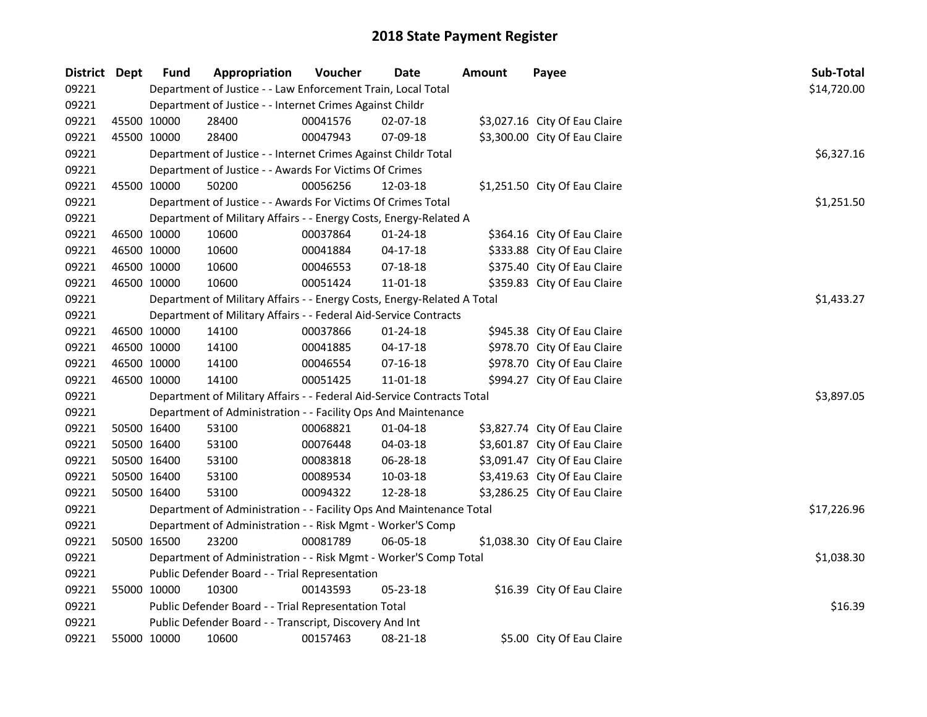| District Dept |             | <b>Fund</b>                                                  | Appropriation                                                           | Voucher  | Date           | Amount | Payee                         | Sub-Total   |
|---------------|-------------|--------------------------------------------------------------|-------------------------------------------------------------------------|----------|----------------|--------|-------------------------------|-------------|
| 09221         |             | Department of Justice - - Law Enforcement Train, Local Total | \$14,720.00                                                             |          |                |        |                               |             |
| 09221         |             |                                                              | Department of Justice - - Internet Crimes Against Childr                |          |                |        |                               |             |
| 09221         |             | 45500 10000                                                  | 28400                                                                   | 00041576 | 02-07-18       |        | \$3,027.16 City Of Eau Claire |             |
| 09221         | 45500 10000 |                                                              | 28400                                                                   | 00047943 | 07-09-18       |        | \$3,300.00 City Of Eau Claire |             |
| 09221         |             |                                                              | Department of Justice - - Internet Crimes Against Childr Total          |          |                |        |                               | \$6,327.16  |
| 09221         |             |                                                              | Department of Justice - - Awards For Victims Of Crimes                  |          |                |        |                               |             |
| 09221         | 45500 10000 |                                                              | 50200                                                                   | 00056256 | 12-03-18       |        | \$1,251.50 City Of Eau Claire |             |
| 09221         |             |                                                              | Department of Justice - - Awards For Victims Of Crimes Total            |          |                |        |                               | \$1,251.50  |
| 09221         |             |                                                              | Department of Military Affairs - - Energy Costs, Energy-Related A       |          |                |        |                               |             |
| 09221         | 46500 10000 |                                                              | 10600                                                                   | 00037864 | $01 - 24 - 18$ |        | \$364.16 City Of Eau Claire   |             |
| 09221         | 46500 10000 |                                                              | 10600                                                                   | 00041884 | $04 - 17 - 18$ |        | \$333.88 City Of Eau Claire   |             |
| 09221         | 46500 10000 |                                                              | 10600                                                                   | 00046553 | 07-18-18       |        | \$375.40 City Of Eau Claire   |             |
| 09221         | 46500 10000 |                                                              | 10600                                                                   | 00051424 | $11 - 01 - 18$ |        | \$359.83 City Of Eau Claire   |             |
| 09221         |             |                                                              | Department of Military Affairs - - Energy Costs, Energy-Related A Total |          |                |        |                               | \$1,433.27  |
| 09221         |             |                                                              | Department of Military Affairs - - Federal Aid-Service Contracts        |          |                |        |                               |             |
| 09221         | 46500 10000 |                                                              | 14100                                                                   | 00037866 | $01 - 24 - 18$ |        | \$945.38 City Of Eau Claire   |             |
| 09221         | 46500 10000 |                                                              | 14100                                                                   | 00041885 | $04 - 17 - 18$ |        | \$978.70 City Of Eau Claire   |             |
| 09221         | 46500 10000 |                                                              | 14100                                                                   | 00046554 | $07-16-18$     |        | \$978.70 City Of Eau Claire   |             |
| 09221         | 46500 10000 |                                                              | 14100                                                                   | 00051425 | $11 - 01 - 18$ |        | \$994.27 City Of Eau Claire   |             |
| 09221         |             |                                                              | Department of Military Affairs - - Federal Aid-Service Contracts Total  |          |                |        |                               | \$3,897.05  |
| 09221         |             |                                                              | Department of Administration - - Facility Ops And Maintenance           |          |                |        |                               |             |
| 09221         | 50500 16400 |                                                              | 53100                                                                   | 00068821 | $01 - 04 - 18$ |        | \$3,827.74 City Of Eau Claire |             |
| 09221         | 50500 16400 |                                                              | 53100                                                                   | 00076448 | 04-03-18       |        | \$3,601.87 City Of Eau Claire |             |
| 09221         | 50500 16400 |                                                              | 53100                                                                   | 00083818 | 06-28-18       |        | \$3,091.47 City Of Eau Claire |             |
| 09221         | 50500 16400 |                                                              | 53100                                                                   | 00089534 | 10-03-18       |        | \$3,419.63 City Of Eau Claire |             |
| 09221         |             | 50500 16400                                                  | 53100                                                                   | 00094322 | 12-28-18       |        | \$3,286.25 City Of Eau Claire |             |
| 09221         |             |                                                              | Department of Administration - - Facility Ops And Maintenance Total     |          |                |        |                               | \$17,226.96 |
| 09221         |             |                                                              | Department of Administration - - Risk Mgmt - Worker'S Comp              |          |                |        |                               |             |
| 09221         | 50500 16500 |                                                              | 23200                                                                   | 00081789 | 06-05-18       |        | \$1,038.30 City Of Eau Claire |             |
| 09221         |             |                                                              | Department of Administration - - Risk Mgmt - Worker'S Comp Total        |          |                |        |                               | \$1,038.30  |
| 09221         |             |                                                              | Public Defender Board - - Trial Representation                          |          |                |        |                               |             |
| 09221         | 55000 10000 |                                                              | 10300                                                                   | 00143593 | 05-23-18       |        | \$16.39 City Of Eau Claire    |             |
| 09221         |             |                                                              | Public Defender Board - - Trial Representation Total                    |          |                |        |                               | \$16.39     |
| 09221         |             |                                                              | Public Defender Board - - Transcript, Discovery And Int                 |          |                |        |                               |             |
| 09221         | 55000 10000 |                                                              | 10600                                                                   | 00157463 | 08-21-18       |        | \$5.00 City Of Eau Claire     |             |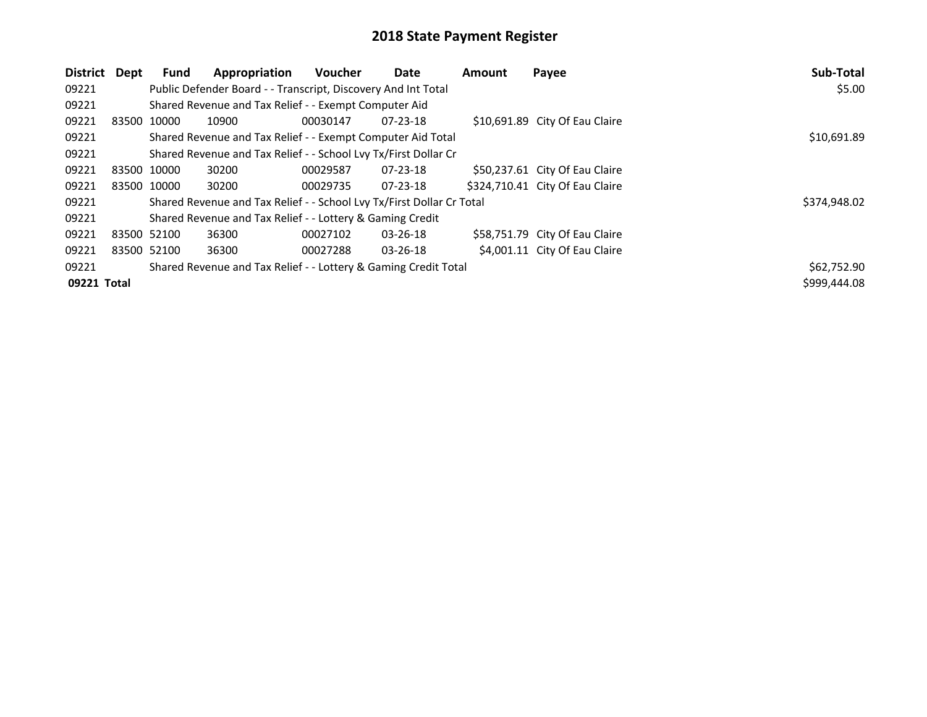| District Dept | Fund        | Appropriation                                                         | <b>Voucher</b> | Date           | <b>Amount</b> | Payee                           | Sub-Total    |
|---------------|-------------|-----------------------------------------------------------------------|----------------|----------------|---------------|---------------------------------|--------------|
| 09221         |             | Public Defender Board - - Transcript, Discovery And Int Total         | \$5.00         |                |               |                                 |              |
| 09221         |             | Shared Revenue and Tax Relief - - Exempt Computer Aid                 |                |                |               |                                 |              |
| 09221         | 83500 10000 | 10900                                                                 | 00030147       | $07 - 23 - 18$ |               | \$10,691.89 City Of Eau Claire  |              |
| 09221         |             | Shared Revenue and Tax Relief - - Exempt Computer Aid Total           |                |                |               |                                 | \$10,691.89  |
| 09221         |             | Shared Revenue and Tax Relief - - School Lvy Tx/First Dollar Cr       |                |                |               |                                 |              |
| 09221         | 83500 10000 | 30200                                                                 | 00029587       | 07-23-18       |               | \$50,237.61 City Of Eau Claire  |              |
| 09221         | 83500 10000 | 30200                                                                 | 00029735       | $07 - 23 - 18$ |               | \$324,710.41 City Of Eau Claire |              |
| 09221         |             | Shared Revenue and Tax Relief - - School Lvy Tx/First Dollar Cr Total |                |                |               |                                 | \$374,948.02 |
| 09221         |             | Shared Revenue and Tax Relief - - Lottery & Gaming Credit             |                |                |               |                                 |              |
| 09221         | 83500 52100 | 36300                                                                 | 00027102       | $03 - 26 - 18$ |               | \$58,751.79 City Of Eau Claire  |              |
| 09221         | 83500 52100 | 36300                                                                 | 00027288       | $03 - 26 - 18$ |               | \$4,001.11 City Of Eau Claire   |              |
| 09221         |             | Shared Revenue and Tax Relief - - Lottery & Gaming Credit Total       |                |                |               |                                 | \$62,752.90  |
| 09221 Total   |             |                                                                       |                |                |               |                                 | \$999,444.08 |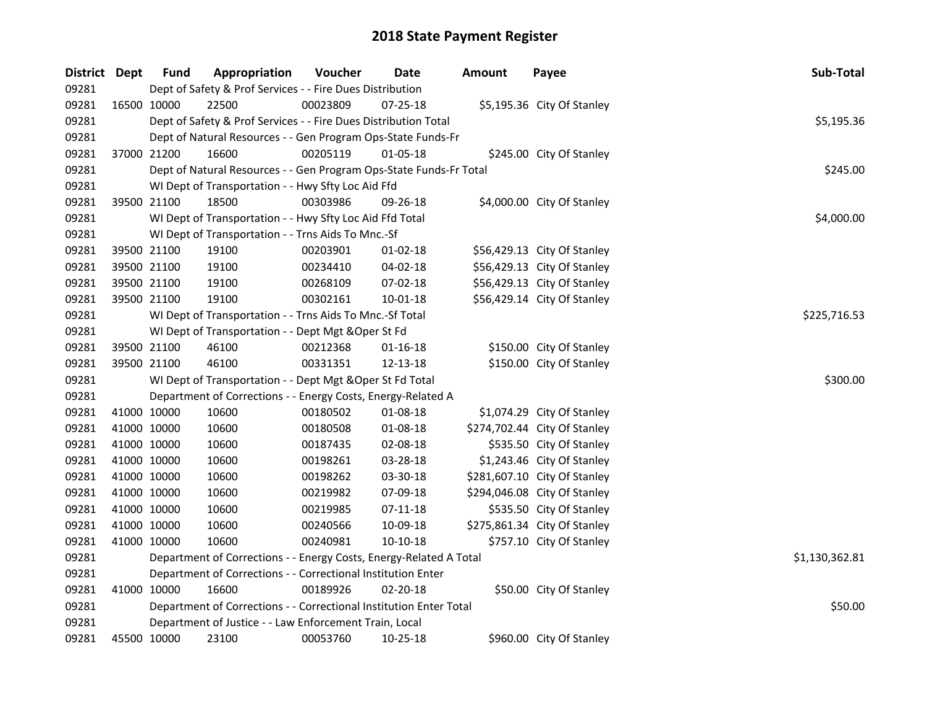| District Dept | <b>Fund</b> | Appropriation                                                      | Voucher  | <b>Date</b>    | <b>Amount</b> | Payee                        | Sub-Total      |
|---------------|-------------|--------------------------------------------------------------------|----------|----------------|---------------|------------------------------|----------------|
| 09281         |             | Dept of Safety & Prof Services - - Fire Dues Distribution          |          |                |               |                              |                |
| 09281         | 16500 10000 | 22500                                                              | 00023809 | 07-25-18       |               | \$5,195.36 City Of Stanley   |                |
| 09281         |             | Dept of Safety & Prof Services - - Fire Dues Distribution Total    |          |                |               |                              | \$5,195.36     |
| 09281         |             | Dept of Natural Resources - - Gen Program Ops-State Funds-Fr       |          |                |               |                              |                |
| 09281         | 37000 21200 | 16600                                                              | 00205119 | 01-05-18       |               | \$245.00 City Of Stanley     |                |
| 09281         |             | Dept of Natural Resources - - Gen Program Ops-State Funds-Fr Total |          |                |               |                              | \$245.00       |
| 09281         |             | WI Dept of Transportation - - Hwy Sfty Loc Aid Ffd                 |          |                |               |                              |                |
| 09281         | 39500 21100 | 18500                                                              | 00303986 | 09-26-18       |               | \$4,000.00 City Of Stanley   |                |
| 09281         |             | WI Dept of Transportation - - Hwy Sfty Loc Aid Ffd Total           |          |                |               |                              | \$4,000.00     |
| 09281         |             | WI Dept of Transportation - - Trns Aids To Mnc.-Sf                 |          |                |               |                              |                |
| 09281         | 39500 21100 | 19100                                                              | 00203901 | $01 - 02 - 18$ |               | \$56,429.13 City Of Stanley  |                |
| 09281         | 39500 21100 | 19100                                                              | 00234410 | 04-02-18       |               | \$56,429.13 City Of Stanley  |                |
| 09281         | 39500 21100 | 19100                                                              | 00268109 | 07-02-18       |               | \$56,429.13 City Of Stanley  |                |
| 09281         | 39500 21100 | 19100                                                              | 00302161 | 10-01-18       |               | \$56,429.14 City Of Stanley  |                |
| 09281         |             | WI Dept of Transportation - - Trns Aids To Mnc.-Sf Total           |          |                |               |                              | \$225,716.53   |
| 09281         |             | WI Dept of Transportation - - Dept Mgt & Oper St Fd                |          |                |               |                              |                |
| 09281         | 39500 21100 | 46100                                                              | 00212368 | $01 - 16 - 18$ |               | \$150.00 City Of Stanley     |                |
| 09281         | 39500 21100 | 46100                                                              | 00331351 | 12-13-18       |               | \$150.00 City Of Stanley     |                |
| 09281         |             | WI Dept of Transportation - - Dept Mgt & Oper St Fd Total          |          |                |               |                              | \$300.00       |
| 09281         |             | Department of Corrections - - Energy Costs, Energy-Related A       |          |                |               |                              |                |
| 09281         | 41000 10000 | 10600                                                              | 00180502 | 01-08-18       |               | \$1,074.29 City Of Stanley   |                |
| 09281         | 41000 10000 | 10600                                                              | 00180508 | 01-08-18       |               | \$274,702.44 City Of Stanley |                |
| 09281         | 41000 10000 | 10600                                                              | 00187435 | 02-08-18       |               | \$535.50 City Of Stanley     |                |
| 09281         | 41000 10000 | 10600                                                              | 00198261 | 03-28-18       |               | \$1,243.46 City Of Stanley   |                |
| 09281         | 41000 10000 | 10600                                                              | 00198262 | 03-30-18       |               | \$281,607.10 City Of Stanley |                |
| 09281         | 41000 10000 | 10600                                                              | 00219982 | 07-09-18       |               | \$294,046.08 City Of Stanley |                |
| 09281         | 41000 10000 | 10600                                                              | 00219985 | $07-11-18$     |               | \$535.50 City Of Stanley     |                |
| 09281         | 41000 10000 | 10600                                                              | 00240566 | 10-09-18       |               | \$275,861.34 City Of Stanley |                |
| 09281         | 41000 10000 | 10600                                                              | 00240981 | 10-10-18       |               | \$757.10 City Of Stanley     |                |
| 09281         |             | Department of Corrections - - Energy Costs, Energy-Related A Total |          |                |               |                              | \$1,130,362.81 |
| 09281         |             | Department of Corrections - - Correctional Institution Enter       |          |                |               |                              |                |
| 09281         | 41000 10000 | 16600                                                              | 00189926 | 02-20-18       |               | \$50.00 City Of Stanley      |                |
| 09281         |             | Department of Corrections - - Correctional Institution Enter Total |          |                |               |                              | \$50.00        |
| 09281         |             | Department of Justice - - Law Enforcement Train, Local             |          |                |               |                              |                |
| 09281         | 45500 10000 | 23100                                                              | 00053760 | 10-25-18       |               | \$960.00 City Of Stanley     |                |